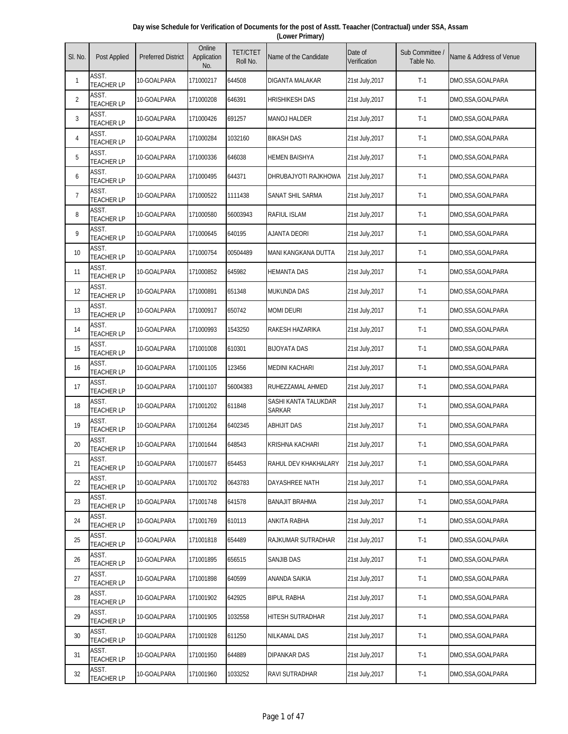| Day wise Schedule for Verification of Documents for the post of Asstt. Teaacher (Contractual) under SSA, Assam |
|----------------------------------------------------------------------------------------------------------------|
| (Lower Primary)                                                                                                |

| SI. No.        | Post Applied               | <b>Preferred District</b> | Online<br>Application<br>No. | <b>TET/CTET</b><br>Roll No. | Name of the Candidate                 | Date of<br>Verification | Sub Committee<br>Table No. | Name & Address of Venue |
|----------------|----------------------------|---------------------------|------------------------------|-----------------------------|---------------------------------------|-------------------------|----------------------------|-------------------------|
| 1              | ASST.<br><b>TEACHER LP</b> | 10-GOALPARA               | 171000217                    | 644508                      | DIGANTA MALAKAR                       | 21st July,2017          | $T-1$                      | DMO,SSA,GOALPARA        |
| $\overline{2}$ | ASST.<br><b>TEACHER LP</b> | 10-GOALPARA               | 171000208                    | 646391                      | <b>HRISHIKESH DAS</b>                 | 21st July, 2017         | $T-1$                      | DMO,SSA,GOALPARA        |
| 3              | ASST.<br><b>TEACHER LP</b> | 10-GOALPARA               | 171000426                    | 691257                      | <b>MANOJ HALDER</b>                   | 21st July, 2017         | $T-1$                      | DMO,SSA,GOALPARA        |
| 4              | ASST.<br><b>TEACHER LP</b> | 10-GOALPARA               | 171000284                    | 1032160                     | <b>BIKASH DAS</b>                     | 21st July, 2017         | $T-1$                      | DMO,SSA,GOALPARA        |
| 5              | ASST.<br><b>TEACHER LP</b> | 10-GOALPARA               | 171000336                    | 646038                      | <b>HEMEN BAISHYA</b>                  | 21st July, 2017         | $T-1$                      | DMO,SSA,GOALPARA        |
| 6              | ASST.<br><b>TEACHER LP</b> | 10-GOALPARA               | 171000495                    | 644371                      | DHRUBAJYOTI RAJKHOWA                  | 21st July, 2017         | $T-1$                      | DMO,SSA,GOALPARA        |
| $\overline{7}$ | ASST.<br><b>TEACHER LP</b> | 10-GOALPARA               | 171000522                    | 1111438                     | SANAT SHIL SARMA                      | 21st July, 2017         | $T-1$                      | DMO,SSA,GOALPARA        |
| 8              | ASST.<br><b>TEACHER LP</b> | 10-GOALPARA               | 171000580                    | 56003943                    | RAFIUL ISLAM                          | 21st July, 2017         | $T-1$                      | DMO,SSA,GOALPARA        |
| 9              | ASST.<br><b>TEACHER LP</b> | 10-GOALPARA               | 171000645                    | 640195                      | <b>AJANTA DEORI</b>                   | 21st July, 2017         | $T-1$                      | DMO,SSA,GOALPARA        |
| 10             | ASST.<br><b>TEACHER LP</b> | 10-GOALPARA               | 171000754                    | 00504489                    | MANI KANGKANA DUTTA                   | 21st July, 2017         | $T-1$                      | DMO,SSA,GOALPARA        |
| 11             | ASST.<br><b>TEACHER LP</b> | 10-GOALPARA               | 171000852                    | 645982                      | <b>HEMANTA DAS</b>                    | 21st July, 2017         | $T-1$                      | DMO,SSA,GOALPARA        |
| 12             | ASST.<br><b>TEACHER LP</b> | 10-GOALPARA               | 171000891                    | 651348                      | <b>MUKUNDA DAS</b>                    | 21st July, 2017         | $T-1$                      | DMO,SSA,GOALPARA        |
| 13             | ASST.<br><b>TEACHER LP</b> | 10-GOALPARA               | 171000917                    | 650742                      | <b>MOMI DEURI</b>                     | 21st July, 2017         | $T-1$                      | DMO,SSA,GOALPARA        |
| 14             | ASST.<br><b>TEACHER LP</b> | 10-GOALPARA               | 171000993                    | 1543250                     | RAKESH HAZARIKA                       | 21st July, 2017         | $T-1$                      | DMO,SSA,GOALPARA        |
| 15             | ASST.<br><b>TEACHER LP</b> | 10-GOALPARA               | 171001008                    | 610301                      | <b>BIJOYATA DAS</b>                   | 21st July, 2017         | $T-1$                      | DMO,SSA,GOALPARA        |
| 16             | ASST.<br><b>TEACHER LP</b> | 10-GOALPARA               | 171001105                    | 123456                      | <b>MEDINI KACHARI</b>                 | 21st July, 2017         | $T-1$                      | DMO,SSA,GOALPARA        |
| 17             | ASST.<br><b>TEACHER LP</b> | 10-GOALPARA               | 171001107                    | 56004383                    | RUHEZZAMAL AHMED                      | 21st July, 2017         | $T-1$                      | DMO,SSA,GOALPARA        |
| 18             | ASST.<br><b>TEACHER LP</b> | 10-GOALPARA               | 171001202                    | 611848                      | SASHI KANTA TALUKDAR<br><b>SARKAR</b> | 21st July, 2017         | $T-1$                      | DMO,SSA,GOALPARA        |
| 19             | ASST.<br><b>TEACHER LP</b> | 10-GOALPARA               | 171001264                    | 6402345                     | <b>ABHIJIT DAS</b>                    | 21st July, 2017         | $T-1$                      | DMO, SSA, GOALPARA      |
| 20             | ASST.<br><b>TEACHER LP</b> | 10-GOALPARA               | 171001644                    | 648543                      | <b>KRISHNA KACHARI</b>                | 21st July, 2017         | $T-1$                      | DMO,SSA,GOALPARA        |
| 21             | ASST.<br><b>TEACHER LP</b> | 10-GOALPARA               | 171001677                    | 654453                      | RAHUL DEV KHAKHALARY                  | 21st July, 2017         | $T-1$                      | DMO,SSA,GOALPARA        |
| 22             | ASST.<br><b>TEACHER LP</b> | 10-GOALPARA               | 171001702                    | 0643783                     | DAYASHREE NATH                        | 21st July, 2017         | $T-1$                      | DMO,SSA,GOALPARA        |
| 23             | ASST.<br><b>TEACHER LP</b> | 10-GOALPARA               | 171001748                    | 641578                      | <b>BANAJIT BRAHMA</b>                 | 21st July, 2017         | $T-1$                      | DMO,SSA,GOALPARA        |
| 24             | ASST.<br><b>TEACHER LP</b> | 10-GOALPARA               | 171001769                    | 610113                      | ANKITA RABHA                          | 21st July, 2017         | $T-1$                      | DMO,SSA,GOALPARA        |
| 25             | ASST.<br><b>TEACHER LP</b> | 10-GOALPARA               | 171001818                    | 654489                      | RAJKUMAR SUTRADHAR                    | 21st July, 2017         | $T-1$                      | DMO,SSA,GOALPARA        |
| 26             | ASST.<br><b>TEACHER LP</b> | 10-GOALPARA               | 171001895                    | 656515                      | SANJIB DAS                            | 21st July, 2017         | $T-1$                      | DMO,SSA,GOALPARA        |
| 27             | ASST.<br><b>TEACHER LP</b> | 10-GOALPARA               | 171001898                    | 640599                      | ANANDA SAIKIA                         | 21st July, 2017         | $T-1$                      | DMO,SSA,GOALPARA        |
| 28             | ASST.<br><b>TEACHER LP</b> | 10-GOALPARA               | 171001902                    | 642925                      | <b>BIPUL RABHA</b>                    | 21st July, 2017         | $T-1$                      | DMO,SSA,GOALPARA        |
| 29             | ASST.<br><b>TEACHER LP</b> | 10-GOALPARA               | 171001905                    | 1032558                     | HITESH SUTRADHAR                      | 21st July, 2017         | $T-1$                      | DMO,SSA,GOALPARA        |
| 30             | ASST.<br><b>TEACHER LP</b> | 10-GOALPARA               | 171001928                    | 611250                      | NILKAMAL DAS                          | 21st July, 2017         | $T-1$                      | DMO,SSA,GOALPARA        |
| 31             | ASST.<br><b>TEACHER LP</b> | 10-GOALPARA               | 171001950                    | 644889                      | DIPANKAR DAS                          | 21st July, 2017         | $T-1$                      | DMO,SSA,GOALPARA        |
| 32             | ASST.<br><b>TEACHER LP</b> | 10-GOALPARA               | 171001960                    | 1033252                     | RAVI SUTRADHAR                        | 21st July, 2017         | $T-1$                      | DMO,SSA,GOALPARA        |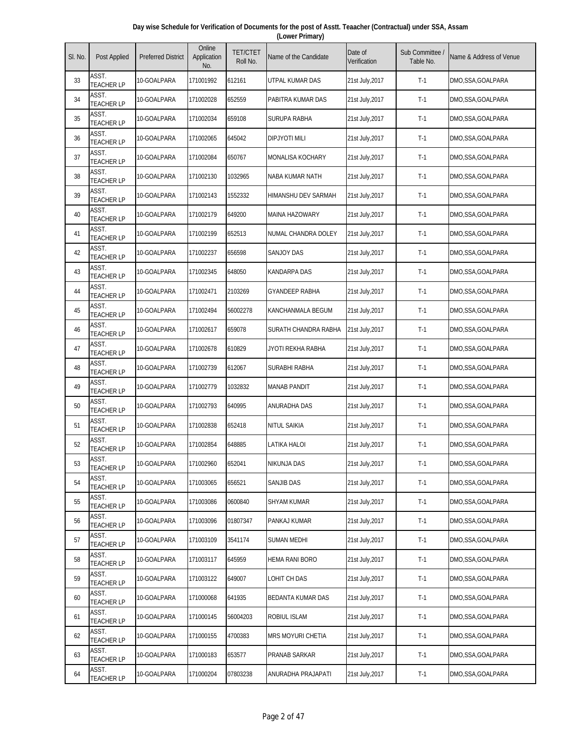| Day wise Schedule for Verification of Documents for the post of Asstt. Teaacher (Contractual) under SSA, Assam |  |
|----------------------------------------------------------------------------------------------------------------|--|
| (Lower Primary)                                                                                                |  |

| SI. No. | Post Applied               | <b>Preferred District</b> | Online<br>Application<br>No. | <b>TET/CTET</b><br>Roll No. | Name of the Candidate   | Date of<br>Verification | Sub Committee<br>Table No. | Name & Address of Venue |
|---------|----------------------------|---------------------------|------------------------------|-----------------------------|-------------------------|-------------------------|----------------------------|-------------------------|
| 33      | ASST.<br><b>TEACHER LP</b> | 10-GOALPARA               | 171001992                    | 612161                      | UTPAL KUMAR DAS         | 21st July, 2017         | $T-1$                      | DMO,SSA,GOALPARA        |
| 34      | ASST.<br><b>TEACHER LP</b> | 10-GOALPARA               | 171002028                    | 652559                      | PABITRA KUMAR DAS       | 21st July, 2017         | $T-1$                      | DMO,SSA,GOALPARA        |
| 35      | ASST.<br><b>TEACHER LP</b> | 10-GOALPARA               | 171002034                    | 659108                      | SURUPA RABHA            | 21st July, 2017         | $T-1$                      | DMO,SSA,GOALPARA        |
| 36      | ASST.<br><b>TEACHER LP</b> | 10-GOALPARA               | 171002065                    | 645042                      | <b>DIPJYOTI MILI</b>    | 21st July, 2017         | $T-1$                      | DMO,SSA,GOALPARA        |
| 37      | ASST.<br><b>TEACHER LP</b> | 10-GOALPARA               | 171002084                    | 650767                      | <b>MONALISA KOCHARY</b> | 21st July, 2017         | $T-1$                      | DMO,SSA,GOALPARA        |
| 38      | ASST.<br><b>TEACHER LP</b> | 10-GOALPARA               | 171002130                    | 1032965                     | NABA KUMAR NATH         | 21st July, 2017         | $T-1$                      | DMO,SSA,GOALPARA        |
| 39      | ASST.<br><b>TEACHER LP</b> | 10-GOALPARA               | 171002143                    | 1552332                     | HIMANSHU DEV SARMAH     | 21st July, 2017         | $T-1$                      | DMO,SSA,GOALPARA        |
| 40      | ASST.<br><b>TEACHER LP</b> | 10-GOALPARA               | 171002179                    | 649200                      | <b>MAINA HAZOWARY</b>   | 21st July, 2017         | $T-1$                      | DMO,SSA,GOALPARA        |
| 41      | ASST.<br><b>TEACHER LP</b> | 10-GOALPARA               | 171002199                    | 652513                      | NUMAL CHANDRA DOLEY     | 21st July, 2017         | $T-1$                      | DMO,SSA,GOALPARA        |
| 42      | ASST.<br><b>TEACHER LP</b> | 10-GOALPARA               | 171002237                    | 656598                      | <b>SANJOY DAS</b>       | 21st July, 2017         | $T-1$                      | DMO,SSA,GOALPARA        |
| 43      | ASST.<br><b>TEACHER LP</b> | 10-GOALPARA               | 171002345                    | 648050                      | <b>KANDARPA DAS</b>     | 21st July, 2017         | $T-1$                      | DMO,SSA,GOALPARA        |
| 44      | ASST.<br><b>TEACHER LP</b> | 10-GOALPARA               | 171002471                    | 2103269                     | <b>GYANDEEP RABHA</b>   | 21st July, 2017         | $T-1$                      | DMO,SSA,GOALPARA        |
| 45      | ASST.<br><b>TEACHER LP</b> | 10-GOALPARA               | 171002494                    | 56002278                    | KANCHANMALA BEGUM       | 21st July, 2017         | $T-1$                      | DMO,SSA,GOALPARA        |
| 46      | ASST.<br><b>TEACHER LP</b> | 10-GOALPARA               | 171002617                    | 659078                      | SURATH CHANDRA RABHA    | 21st July, 2017         | $T-1$                      | DMO,SSA,GOALPARA        |
| 47      | ASST.<br><b>TEACHER LP</b> | 10-GOALPARA               | 171002678                    | 610829                      | JYOTI REKHA RABHA       | 21st July, 2017         | $T-1$                      | DMO,SSA,GOALPARA        |
| 48      | ASST.<br><b>TEACHER LP</b> | 10-GOALPARA               | 171002739                    | 612067                      | SURABHI RABHA           | 21st July, 2017         | $T-1$                      | DMO,SSA,GOALPARA        |
| 49      | ASST.<br><b>TEACHER LP</b> | 10-GOALPARA               | 171002779                    | 1032832                     | <b>MANAB PANDIT</b>     | 21st July, 2017         | $T-1$                      | DMO,SSA,GOALPARA        |
| 50      | ASST.<br><b>TEACHER LP</b> | 10-GOALPARA               | 171002793                    | 640995                      | ANURADHA DAS            | 21st July, 2017         | $T-1$                      | DMO,SSA,GOALPARA        |
| 51      | ASST.<br><b>TEACHER LP</b> | 10-GOALPARA               | 171002838                    | 652418                      | NITUL SAIKIA            | 21st July, 2017         | $T-1$                      | DMO,SSA,GOALPARA        |
| 52      | ASST.<br><b>TEACHER LP</b> | 10-GOALPARA               | 171002854                    | 648885                      | LATIKA HALOI            | 21st July, 2017         | $T-1$                      | DMO,SSA,GOALPARA        |
| 53      | ASST.<br><b>TEACHER LP</b> | 10-GOALPARA               | 171002960                    | 652041                      | NIKUNJA DAS             | 21st July, 2017         | $T-1$                      | DMO,SSA,GOALPARA        |
| 54      | ASST.<br><b>TEACHER LP</b> | 10-GOALPARA               | 171003065                    | 656521                      | SANJIB DAS              | 21st July, 2017         | $T-1$                      | DMO,SSA,GOALPARA        |
| 55      | ASST.<br><b>TEACHER LP</b> | 10-GOALPARA               | 171003086                    | 0600840                     | SHYAM KUMAR             | 21st July, 2017         | $T-1$                      | DMO,SSA,GOALPARA        |
| 56      | ASST.<br><b>TEACHER LP</b> | 10-GOALPARA               | 171003096                    | 01807347                    | PANKAJ KUMAR            | 21st July, 2017         | $T-1$                      | DMO, SSA, GOALPARA      |
| 57      | ASST.<br><b>TEACHER LP</b> | 10-GOALPARA               | 171003109                    | 3541174                     | SUMAN MEDHI             | 21st July, 2017         | $T-1$                      | DMO,SSA,GOALPARA        |
| 58      | ASST.<br><b>TEACHER LP</b> | 10-GOALPARA               | 171003117                    | 645959                      | HEMA RANI BORO          | 21st July, 2017         | $T-1$                      | DMO,SSA,GOALPARA        |
| 59      | ASST.<br><b>TEACHER LP</b> | 10-GOALPARA               | 171003122                    | 649007                      | LOHIT CH DAS            | 21st July, 2017         | $T-1$                      | DMO,SSA,GOALPARA        |
| 60      | ASST.<br><b>TEACHER LP</b> | 10-GOALPARA               | 171000068                    | 641935                      | BEDANTA KUMAR DAS       | 21st July, 2017         | $T-1$                      | DMO,SSA,GOALPARA        |
| 61      | ASST.<br><b>TEACHER LP</b> | 10-GOALPARA               | 171000145                    | 56004203                    | ROBIUL ISLAM            | 21st July, 2017         | $T-1$                      | DMO,SSA,GOALPARA        |
| 62      | ASST.<br><b>TEACHER LP</b> | 10-GOALPARA               | 171000155                    | 4700383                     | MRS MOYURI CHETIA       | 21st July, 2017         | $T-1$                      | DMO,SSA,GOALPARA        |
| 63      | ASST.<br><b>TEACHER LP</b> | 10-GOALPARA               | 171000183                    | 653577                      | PRANAB SARKAR           | 21st July, 2017         | $T-1$                      | DMO,SSA,GOALPARA        |
| 64      | ASST.<br><b>TEACHER LP</b> | 10-GOALPARA               | 171000204                    | 07803238                    | ANURADHA PRAJAPATI      | 21st July, 2017         | $T-1$                      | DMO,SSA,GOALPARA        |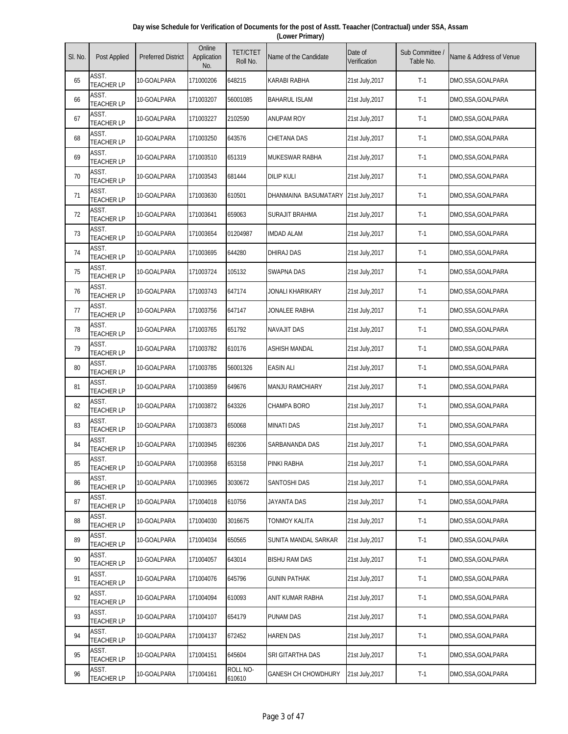| Day wise Schedule for Verification of Documents for the post of Asstt. Teaacher (Contractual) under SSA, Assam |
|----------------------------------------------------------------------------------------------------------------|
| (Lower Primary)                                                                                                |

| SI. No. | Post Applied               | <b>Preferred District</b> | Online<br>Application<br>No. | <b>TET/CTET</b><br>Roll No. | Name of the Candidate      | Date of<br>Verification | Sub Committee<br>Table No. | Name & Address of Venue |
|---------|----------------------------|---------------------------|------------------------------|-----------------------------|----------------------------|-------------------------|----------------------------|-------------------------|
| 65      | ASST.<br><b>TEACHER LP</b> | 10-GOALPARA               | 171000206                    | 648215                      | KARABI RABHA               | 21st July, 2017         | $T-1$                      | DMO,SSA,GOALPARA        |
| 66      | ASST.<br><b>TEACHER LP</b> | 10-GOALPARA               | 171003207                    | 56001085                    | <b>BAHARUL ISLAM</b>       | 21st July, 2017         | $T-1$                      | DMO,SSA,GOALPARA        |
| 67      | ASST.<br><b>TEACHER LP</b> | 10-GOALPARA               | 171003227                    | 2102590                     | <b>ANUPAM ROY</b>          | 21st July, 2017         | $T-1$                      | DMO,SSA,GOALPARA        |
| 68      | ASST.<br><b>TEACHER LP</b> | 10-GOALPARA               | 171003250                    | 643576                      | CHETANA DAS                | 21st July, 2017         | $T-1$                      | DMO,SSA,GOALPARA        |
| 69      | ASST.<br><b>TEACHER LP</b> | 10-GOALPARA               | 171003510                    | 651319                      | MUKESWAR RABHA             | 21st July, 2017         | $T-1$                      | DMO,SSA,GOALPARA        |
| 70      | ASST.<br><b>TEACHER LP</b> | 10-GOALPARA               | 171003543                    | 681444                      | <b>DILIP KULI</b>          | 21st July, 2017         | $T-1$                      | DMO, SSA, GOALPARA      |
| 71      | ASST.<br><b>TEACHER LP</b> | 10-GOALPARA               | 171003630                    | 610501                      | DHANMAINA BASUMATARY       | 21st July, 2017         | $T-1$                      | DMO,SSA,GOALPARA        |
| 72      | ASST.<br><b>TEACHER LP</b> | 10-GOALPARA               | 171003641                    | 659063                      | SURAJIT BRAHMA             | 21st July, 2017         | $T-1$                      | DMO,SSA,GOALPARA        |
| 73      | ASST.<br><b>TEACHER LP</b> | 10-GOALPARA               | 171003654                    | 01204987                    | <b>IMDAD ALAM</b>          | 21st July, 2017         | $T-1$                      | DMO,SSA,GOALPARA        |
| 74      | ASST.<br><b>TEACHER LP</b> | 10-GOALPARA               | 171003695                    | 644280                      | DHIRAJ DAS                 | 21st July, 2017         | $T-1$                      | DMO,SSA,GOALPARA        |
| 75      | ASST.<br><b>TEACHER LP</b> | 10-GOALPARA               | 171003724                    | 105132                      | <b>SWAPNA DAS</b>          | 21st July, 2017         | $T-1$                      | DMO,SSA,GOALPARA        |
| 76      | ASST.<br><b>TEACHER LP</b> | 10-GOALPARA               | 171003743                    | 647174                      | JONALI KHARIKARY           | 21st July, 2017         | $T-1$                      | DMO,SSA,GOALPARA        |
| 77      | ASST.<br><b>TEACHER LP</b> | 10-GOALPARA               | 171003756                    | 647147                      | JONALEE RABHA              | 21st July, 2017         | $T-1$                      | DMO,SSA,GOALPARA        |
| 78      | ASST.<br><b>TEACHER LP</b> | 10-GOALPARA               | 171003765                    | 651792                      | <b>NAVAJIT DAS</b>         | 21st July, 2017         | $T-1$                      | DMO,SSA,GOALPARA        |
| 79      | ASST.<br><b>TEACHER LP</b> | 10-GOALPARA               | 171003782                    | 610176                      | ASHISH MANDAL              | 21st July, 2017         | $T-1$                      | DMO,SSA,GOALPARA        |
| 80      | ASST.<br><b>TEACHER LP</b> | 10-GOALPARA               | 171003785                    | 56001326                    | <b>EASIN ALI</b>           | 21st July, 2017         | $T-1$                      | DMO,SSA,GOALPARA        |
| 81      | ASST.<br><b>TEACHER LP</b> | 10-GOALPARA               | 171003859                    | 649676                      | MANJU RAMCHIARY            | 21st July, 2017         | $T-1$                      | DMO,SSA,GOALPARA        |
| 82      | ASST.<br><b>TEACHER LP</b> | 10-GOALPARA               | 171003872                    | 643326                      | CHAMPA BORO                | 21st July, 2017         | $T-1$                      | DMO,SSA,GOALPARA        |
| 83      | ASST.<br><b>TEACHER LP</b> | 10-GOALPARA               | 171003873                    | 650068                      | <b>MINATI DAS</b>          | 21st July, 2017         | $T-1$                      | DMO,SSA,GOALPARA        |
| 84      | ASST.<br><b>TEACHER LP</b> | 10-GOALPARA               | 171003945                    | 692306                      | SARBANANDA DAS             | 21st July, 2017         | $T-1$                      | DMO,SSA,GOALPARA        |
| 85      | ASST.<br><b>TEACHER LP</b> | 10-GOALPARA               | 171003958                    | 653158                      | PINKI RABHA                | 21st July, 2017         | $T-1$                      | DMO,SSA,GOALPARA        |
| 86      | ASST.<br><b>TEACHER LP</b> | 10-GOALPARA               | 171003965                    | 3030672                     | SANTOSHI DAS               | 21st July, 2017         | $T-1$                      | DMO,SSA,GOALPARA        |
| 87      | ASST.<br><b>TEACHER LP</b> | 10-GOALPARA               | 171004018                    | 610756                      | JAYANTA DAS                | 21st July, 2017         | $T-1$                      | DMO,SSA,GOALPARA        |
| 88      | ASST.<br><b>TEACHER LP</b> | 10-GOALPARA               | 171004030                    | 3016675                     | TONMOY KALITA              | 21st July, 2017         | $T-1$                      | DMO, SSA, GOALPARA      |
| 89      | ASST.<br><b>TEACHER LP</b> | 10-GOALPARA               | 171004034                    | 650565                      | SUNITA MANDAL SARKAR       | 21st July, 2017         | $T-1$                      | DMO,SSA,GOALPARA        |
| 90      | ASST.<br><b>TEACHER LP</b> | 10-GOALPARA               | 171004057                    | 643014                      | <b>BISHU RAM DAS</b>       | 21st July, 2017         | $T-1$                      | DMO,SSA,GOALPARA        |
| 91      | ASST.<br><b>TEACHER LP</b> | 10-GOALPARA               | 171004076                    | 645796                      | <b>GUNIN PATHAK</b>        | 21st July, 2017         | $T-1$                      | DMO,SSA,GOALPARA        |
| 92      | ASST.<br><b>TEACHER LP</b> | 10-GOALPARA               | 171004094                    | 610093                      | ANIT KUMAR RABHA           | 21st July, 2017         | $T-1$                      | DMO,SSA,GOALPARA        |
| 93      | ASST.<br><b>TEACHER LP</b> | 10-GOALPARA               | 171004107                    | 654179                      | PUNAM DAS                  | 21st July, 2017         | $T-1$                      | DMO,SSA,GOALPARA        |
| 94      | ASST.<br><b>TEACHER LP</b> | 10-GOALPARA               | 171004137                    | 672452                      | HAREN DAS                  | 21st July, 2017         | $T-1$                      | DMO,SSA,GOALPARA        |
| 95      | ASST.<br><b>TEACHER LP</b> | 10-GOALPARA               | 171004151                    | 645604                      | SRI GITARTHA DAS           | 21st July, 2017         | $T-1$                      | DMO,SSA,GOALPARA        |
| 96      | ASST.<br><b>TEACHER LP</b> | 10-GOALPARA               | 171004161                    | ROLL NO-<br>610610          | <b>GANESH CH CHOWDHURY</b> | 21st July, 2017         | $T-1$                      | DMO,SSA,GOALPARA        |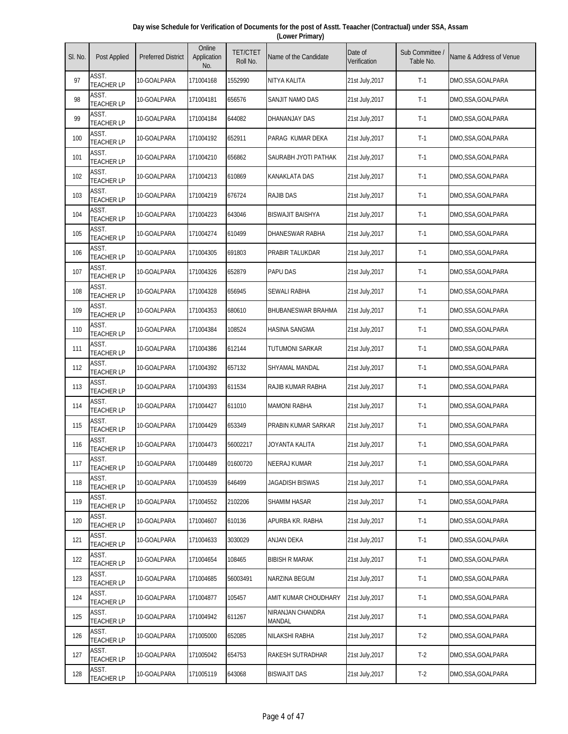| Day wise Schedule for Verification of Documents for the post of Asstt. Teaacher (Contractual) under SSA, Assam |
|----------------------------------------------------------------------------------------------------------------|
| (Lower Primary)                                                                                                |

| SI. No. | Post Applied               | <b>Preferred District</b> | Online<br>Application<br>No. | <b>TET/CTET</b><br>Roll No. | Name of the Candidate      | Date of<br>Verification | Sub Committee<br>Table No. | Name & Address of Venue |
|---------|----------------------------|---------------------------|------------------------------|-----------------------------|----------------------------|-------------------------|----------------------------|-------------------------|
| 97      | ASST.<br><b>TEACHER LP</b> | 10-GOALPARA               | 171004168                    | 1552990                     | NITYA KALITA               | 21st July, 2017         | $T-1$                      | DMO,SSA,GOALPARA        |
| 98      | ASST.<br><b>TEACHER LP</b> | 10-GOALPARA               | 171004181                    | 656576                      | SANJIT NAMO DAS            | 21st July, 2017         | $T-1$                      | DMO,SSA,GOALPARA        |
| 99      | ASST.<br><b>TEACHER LP</b> | 10-GOALPARA               | 171004184                    | 644082                      | DHANANJAY DAS              | 21st July, 2017         | $T-1$                      | DMO,SSA,GOALPARA        |
| 100     | ASST.<br><b>TEACHER LP</b> | 10-GOALPARA               | 171004192                    | 652911                      | PARAG KUMAR DEKA           | 21st July, 2017         | $T-1$                      | DMO,SSA,GOALPARA        |
| 101     | ASST.<br><b>TEACHER LP</b> | 10-GOALPARA               | 171004210                    | 656862                      | SAURABH JYOTI PATHAK       | 21st July, 2017         | $T-1$                      | DMO,SSA,GOALPARA        |
| 102     | ASST.<br><b>TEACHER LP</b> | 10-GOALPARA               | 171004213                    | 610869                      | KANAKLATA DAS              | 21st July, 2017         | $T-1$                      | DMO,SSA,GOALPARA        |
| 103     | ASST.<br><b>TEACHER LP</b> | 10-GOALPARA               | 171004219                    | 676724                      | <b>RAJIB DAS</b>           | 21st July, 2017         | $T-1$                      | DMO,SSA,GOALPARA        |
| 104     | ASST.<br><b>TEACHER LP</b> | 10-GOALPARA               | 171004223                    | 643046                      | <b>BISWAJIT BAISHYA</b>    | 21st July, 2017         | $T-1$                      | DMO,SSA,GOALPARA        |
| 105     | ASST.<br><b>TEACHER LP</b> | 10-GOALPARA               | 171004274                    | 610499                      | DHANESWAR RABHA            | 21st July, 2017         | $T-1$                      | DMO,SSA,GOALPARA        |
| 106     | ASST.<br><b>TEACHER LP</b> | 10-GOALPARA               | 171004305                    | 691803                      | PRABIR TALUKDAR            | 21st July, 2017         | $T-1$                      | DMO,SSA,GOALPARA        |
| 107     | ASST.<br><b>TEACHER LP</b> | 10-GOALPARA               | 171004326                    | 652879                      | PAPU DAS                   | 21st July, 2017         | $T-1$                      | DMO,SSA,GOALPARA        |
| 108     | ASST.<br><b>TEACHER LP</b> | 10-GOALPARA               | 171004328                    | 656945                      | SEWALI RABHA               | 21st July, 2017         | $T-1$                      | DMO,SSA,GOALPARA        |
| 109     | ASST.<br><b>TEACHER LP</b> | 10-GOALPARA               | 171004353                    | 680610                      | <b>BHUBANESWAR BRAHMA</b>  | 21st July, 2017         | $T-1$                      | DMO,SSA,GOALPARA        |
| 110     | ASST.<br><b>TEACHER LP</b> | 10-GOALPARA               | 171004384                    | 108524                      | <b>HASINA SANGMA</b>       | 21st July, 2017         | $T-1$                      | DMO,SSA,GOALPARA        |
| 111     | ASST.<br><b>TEACHER LP</b> | 10-GOALPARA               | 171004386                    | 612144                      | TUTUMONI SARKAR            | 21st July, 2017         | $T-1$                      | DMO, SSA, GOALPARA      |
| 112     | ASST.<br><b>TEACHER LP</b> | 10-GOALPARA               | 171004392                    | 657132                      | SHYAMAL MANDAL             | 21st July, 2017         | $T-1$                      | DMO,SSA,GOALPARA        |
| 113     | ASST.<br><b>TEACHER LP</b> | 10-GOALPARA               | 171004393                    | 611534                      | RAJIB KUMAR RABHA          | 21st July, 2017         | $T-1$                      | DMO,SSA,GOALPARA        |
| 114     | ASST.<br><b>TEACHER LP</b> | 10-GOALPARA               | 171004427                    | 611010                      | <b>MAMONI RABHA</b>        | 21st July, 2017         | $T-1$                      | DMO,SSA,GOALPARA        |
| 115     | ASST.<br><b>TEACHER LP</b> | 10-GOALPARA               | 171004429                    | 653349                      | PRABIN KUMAR SARKAR        | 21st July, 2017         | $T-1$                      | DMO,SSA,GOALPARA        |
| 116     | ASST.<br><b>TEACHER LP</b> | 10-GOALPARA               | 171004473                    | 56002217                    | JOYANTA KALITA             | 21st July, 2017         | $T-1$                      | DMO,SSA,GOALPARA        |
| 117     | ASST.<br><b>TEACHER LP</b> | 10-GOALPARA               | 171004489                    | 01600720                    | <b>NEERAJ KUMAR</b>        | 21st July, 2017         | $T-1$                      | DMO,SSA,GOALPARA        |
| 118     | ASST.<br><b>TEACHER LP</b> | 10-GOALPARA               | 171004539                    | 646499                      | JAGADISH BISWAS            | 21st July, 2017         | $T-1$                      | DMO,SSA,GOALPARA        |
| 119     | ASST.<br><b>TEACHER LP</b> | 10-GOALPARA               | 171004552                    | 2102206                     | SHAMIM HASAR               | 21st July, 2017         | $T-1$                      | DMO,SSA,GOALPARA        |
| 120     | ASST.<br><b>TEACHER LP</b> | 10-GOALPARA               | 171004607                    | 610136                      | APURBA KR. RABHA           | 21st July, 2017         | $T-1$                      | DMO,SSA,GOALPARA        |
| 121     | ASST.<br><b>TEACHER LP</b> | 10-GOALPARA               | 171004633                    | 3030029                     | ANJAN DEKA                 | 21st July, 2017         | $T-1$                      | DMO,SSA,GOALPARA        |
| 122     | ASST.<br><b>TEACHER LP</b> | 10-GOALPARA               | 171004654                    | 108465                      | <b>BIBISH R MARAK</b>      | 21st July, 2017         | $T-1$                      | DMO,SSA,GOALPARA        |
| 123     | ASST.<br><b>TEACHER LP</b> | 10-GOALPARA               | 171004685                    | 56003491                    | NARZINA BEGUM              | 21st July, 2017         | $T-1$                      | DMO,SSA,GOALPARA        |
| 124     | ASST.<br><b>TEACHER LP</b> | 10-GOALPARA               | 171004877                    | 105457                      | AMIT KUMAR CHOUDHARY       | 21st July, 2017         | $T-1$                      | DMO,SSA,GOALPARA        |
| 125     | ASST.<br><b>TEACHER LP</b> | 10-GOALPARA               | 171004942                    | 611267                      | NIRANJAN CHANDRA<br>MANDAL | 21st July, 2017         | $T-1$                      | DMO,SSA,GOALPARA        |
| 126     | ASST.<br><b>TEACHER LP</b> | 10-GOALPARA               | 171005000                    | 652085                      | NILAKSHI RABHA             | 21st July, 2017         | $T-2$                      | DMO,SSA,GOALPARA        |
| 127     | ASST.<br><b>TEACHER LP</b> | 10-GOALPARA               | 171005042                    | 654753                      | RAKESH SUTRADHAR           | 21st July, 2017         | $T-2$                      | DMO,SSA,GOALPARA        |
| 128     | ASST.<br><b>TEACHER LP</b> | 10-GOALPARA               | 171005119                    | 643068                      | <b>BISWAJIT DAS</b>        | 21st July, 2017         | $T-2$                      | DMO,SSA,GOALPARA        |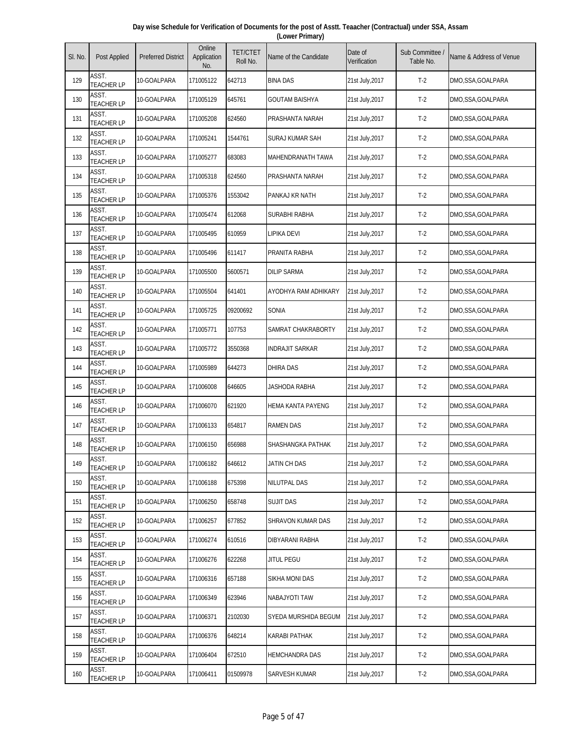| Day wise Schedule for Verification of Documents for the post of Asstt. Teaacher (Contractual) under SSA, Assam |
|----------------------------------------------------------------------------------------------------------------|
| (Lower Primary)                                                                                                |

| SI. No. | Post Applied               | <b>Preferred District</b> | Online<br>Application<br>No. | <b>TET/CTET</b><br>Roll No. | Name of the Candidate  | Date of<br>Verification | Sub Committee<br>Table No. | Name & Address of Venue |
|---------|----------------------------|---------------------------|------------------------------|-----------------------------|------------------------|-------------------------|----------------------------|-------------------------|
| 129     | ASST.<br><b>TEACHER LP</b> | 10-GOALPARA               | 171005122                    | 642713                      | <b>BINA DAS</b>        | 21st July, 2017         | $T-2$                      | DMO,SSA,GOALPARA        |
| 130     | ASST.<br><b>TEACHER LP</b> | 10-GOALPARA               | 171005129                    | 645761                      | <b>GOUTAM BAISHYA</b>  | 21st July, 2017         | $T-2$                      | DMO,SSA,GOALPARA        |
| 131     | ASST.<br><b>TEACHER LP</b> | 10-GOALPARA               | 171005208                    | 624560                      | PRASHANTA NARAH        | 21st July, 2017         | $T-2$                      | DMO,SSA,GOALPARA        |
| 132     | ASST.<br><b>TEACHER LP</b> | 10-GOALPARA               | 171005241                    | 1544761                     | SURAJ KUMAR SAH        | 21st July, 2017         | $T-2$                      | DMO,SSA,GOALPARA        |
| 133     | ASST.<br><b>TEACHER LP</b> | 10-GOALPARA               | 171005277                    | 683083                      | MAHENDRANATH TAWA      | 21st July, 2017         | $T-2$                      | DMO,SSA,GOALPARA        |
| 134     | ASST.<br><b>TEACHER LP</b> | 10-GOALPARA               | 171005318                    | 624560                      | PRASHANTA NARAH        | 21st July, 2017         | $T-2$                      | DMO,SSA,GOALPARA        |
| 135     | ASST.<br><b>TEACHER LP</b> | 10-GOALPARA               | 171005376                    | 1553042                     | PANKAJ KR NATH         | 21st July, 2017         | $T-2$                      | DMO,SSA,GOALPARA        |
| 136     | ASST.<br><b>TEACHER LP</b> | 10-GOALPARA               | 171005474                    | 612068                      | SURABHI RABHA          | 21st July, 2017         | $T-2$                      | DMO,SSA,GOALPARA        |
| 137     | ASST.<br><b>TEACHER LP</b> | 10-GOALPARA               | 171005495                    | 610959                      | LIPIKA DEVI            | 21st July, 2017         | $T-2$                      | DMO,SSA,GOALPARA        |
| 138     | ASST.<br><b>TEACHER LP</b> | 10-GOALPARA               | 171005496                    | 611417                      | PRANITA RABHA          | 21st July, 2017         | $T-2$                      | DMO,SSA,GOALPARA        |
| 139     | ASST.<br><b>TEACHER LP</b> | 10-GOALPARA               | 171005500                    | 5600571                     | <b>DILIP SARMA</b>     | 21st July, 2017         | $T-2$                      | DMO,SSA,GOALPARA        |
| 140     | ASST.<br><b>TEACHER LP</b> | 10-GOALPARA               | 171005504                    | 641401                      | AYODHYA RAM ADHIKARY   | 21st July, 2017         | $T-2$                      | DMO,SSA,GOALPARA        |
| 141     | ASST.<br><b>TEACHER LP</b> | 10-GOALPARA               | 171005725                    | 09200692                    | SONIA                  | 21st July, 2017         | $T-2$                      | DMO,SSA,GOALPARA        |
| 142     | ASST.<br><b>TEACHER LP</b> | 10-GOALPARA               | 171005771                    | 107753                      | SAMRAT CHAKRABORTY     | 21st July, 2017         | $T-2$                      | DMO,SSA,GOALPARA        |
| 143     | ASST.<br><b>TEACHER LP</b> | 10-GOALPARA               | 171005772                    | 3550368                     | <b>INDRAJIT SARKAR</b> | 21st July, 2017         | $T-2$                      | DMO, SSA, GOALPARA      |
| 144     | ASST.<br><b>TEACHER LP</b> | 10-GOALPARA               | 171005989                    | 644273                      | <b>DHIRA DAS</b>       | 21st July, 2017         | $T-2$                      | DMO,SSA,GOALPARA        |
| 145     | ASST.<br><b>TEACHER LP</b> | 10-GOALPARA               | 171006008                    | 646605                      | JASHODA RABHA          | 21st July, 2017         | $T-2$                      | DMO,SSA,GOALPARA        |
| 146     | ASST.<br><b>TEACHER LP</b> | 10-GOALPARA               | 171006070                    | 621920                      | HEMA KANTA PAYENG      | 21st July, 2017         | $T-2$                      | DMO,SSA,GOALPARA        |
| 147     | ASST.<br><b>TEACHER LP</b> | 10-GOALPARA               | 171006133                    | 654817                      | <b>RAMEN DAS</b>       | 21st July, 2017         | $T-2$                      | DMO,SSA,GOALPARA        |
| 148     | ASST.<br><b>TEACHER LP</b> | 10-GOALPARA               | 171006150                    | 656988                      | SHASHANGKA PATHAK      | 21st July, 2017         | $T-2$                      | DMO,SSA,GOALPARA        |
| 149     | ASST.<br><b>TEACHER LP</b> | 10-GOALPARA               | 171006182                    | 646612                      | JATIN CH DAS           | 21st July, 2017         | $T-2$                      | DMO,SSA,GOALPARA        |
| 150     | ASST.<br><b>TEACHER LP</b> | 10-GOALPARA               | 171006188                    | 675398                      | NILUTPAL DAS           | 21st July, 2017         | $T-2$                      | DMO,SSA,GOALPARA        |
| 151     | ASST.<br><b>TEACHER LP</b> | 10-GOALPARA               | 171006250                    | 658748                      | <b>SUJIT DAS</b>       | 21st July, 2017         | $T-2$                      | DMO,SSA,GOALPARA        |
| 152     | ASST.<br><b>TEACHER LP</b> | 10-GOALPARA               | 171006257                    | 677852                      | SHRAVON KUMAR DAS      | 21st July, 2017         | $T-2$                      | DMO,SSA,GOALPARA        |
| 153     | ASST.<br><b>TEACHER LP</b> | 10-GOALPARA               | 171006274                    | 610516                      | DIBYARANI RABHA        | 21st July, 2017         | $T-2$                      | DMO,SSA,GOALPARA        |
| 154     | ASST.<br><b>TEACHER LP</b> | 10-GOALPARA               | 171006276                    | 622268                      | Jitul Pegu             | 21st July, 2017         | $T-2$                      | DMO,SSA,GOALPARA        |
| 155     | ASST.<br><b>TEACHER LP</b> | 10-GOALPARA               | 171006316                    | 657188                      | SIKHA MONI DAS         | 21st July, 2017         | $T-2$                      | DMO,SSA,GOALPARA        |
| 156     | ASST.<br><b>TEACHER LP</b> | 10-GOALPARA               | 171006349                    | 623946                      | NABAJYOTI TAW          | 21st July, 2017         | $T-2$                      | DMO, SSA, GOALPARA      |
| 157     | ASST.<br><b>TEACHER LP</b> | 10-GOALPARA               | 171006371                    | 2102030                     | SYEDA MURSHIDA BEGUM   | 21st July, 2017         | $T-2$                      | DMO,SSA,GOALPARA        |
| 158     | ASST.<br><b>TEACHER LP</b> | 10-GOALPARA               | 171006376                    | 648214                      | KARABI PATHAK          | 21st July, 2017         | $T-2$                      | DMO,SSA,GOALPARA        |
| 159     | ASST.<br><b>TEACHER LP</b> | 10-GOALPARA               | 171006404                    | 672510                      | HEMCHANDRA DAS         | 21st July, 2017         | $T-2$                      | DMO,SSA,GOALPARA        |
| 160     | ASST.<br><b>TEACHER LP</b> | 10-GOALPARA               | 171006411                    | 01509978                    | SARVESH KUMAR          | 21st July, 2017         | $T-2$                      | DMO,SSA,GOALPARA        |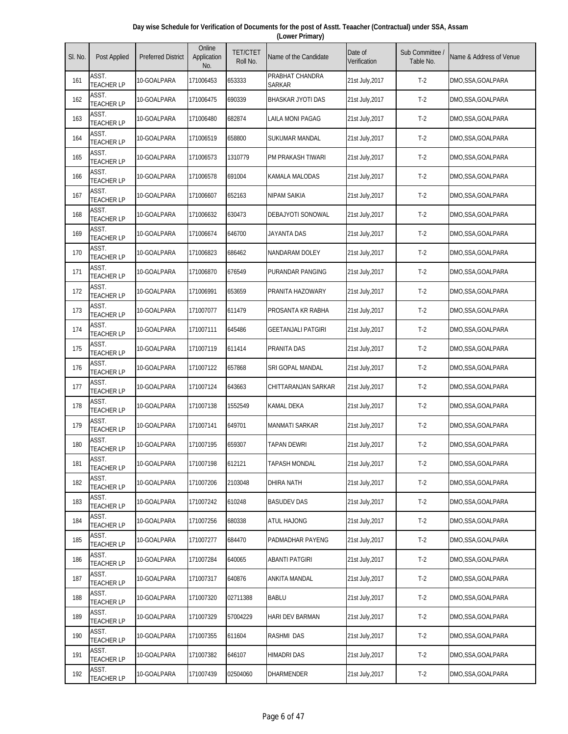| Day wise Schedule for Verification of Documents for the post of Asstt. Teaacher (Contractual) under SSA, Assam |  |
|----------------------------------------------------------------------------------------------------------------|--|
| (Lower Primary)                                                                                                |  |

| SI. No. | Post Applied               | <b>Preferred District</b> | Online<br>Application<br>No. | <b>TET/CTET</b><br>Roll No. | Name of the Candidate     | Date of<br>Verification | Sub Committee<br>Table No. | Name & Address of Venue |
|---------|----------------------------|---------------------------|------------------------------|-----------------------------|---------------------------|-------------------------|----------------------------|-------------------------|
| 161     | ASST.<br><b>TEACHER LP</b> | 10-GOALPARA               | 171006453                    | 653333                      | PRABHAT CHANDRA<br>Sarkar | 21st July, 2017         | $T-2$                      | DMO,SSA,GOALPARA        |
| 162     | ASST.<br><b>TEACHER LP</b> | 10-GOALPARA               | 171006475                    | 690339                      | <b>BHASKAR JYOTI DAS</b>  | 21st July, 2017         | $T-2$                      | DMO,SSA,GOALPARA        |
| 163     | ASST.<br><b>TEACHER LP</b> | 10-GOALPARA               | 171006480                    | 682874                      | LAILA MONI PAGAG          | 21st July, 2017         | $T-2$                      | DMO,SSA,GOALPARA        |
| 164     | ASST.<br><b>TEACHER LP</b> | 10-GOALPARA               | 171006519                    | 658800                      | SUKUMAR MANDAL            | 21st July, 2017         | $T-2$                      | DMO,SSA,GOALPARA        |
| 165     | ASST.<br><b>TEACHER LP</b> | 10-GOALPARA               | 171006573                    | 1310779                     | PM PRAKASH TIWARI         | 21st July, 2017         | $T-2$                      | DMO,SSA,GOALPARA        |
| 166     | ASST.<br><b>TEACHER LP</b> | 10-GOALPARA               | 171006578                    | 691004                      | KAMALA MALODAS            | 21st July, 2017         | $T-2$                      | DMO,SSA,GOALPARA        |
| 167     | ASST.<br><b>TEACHER LP</b> | 10-GOALPARA               | 171006607                    | 652163                      | <b>NIPAM SAIKIA</b>       | 21st July, 2017         | $T-2$                      | DMO,SSA,GOALPARA        |
| 168     | ASST.<br><b>TEACHER LP</b> | 10-GOALPARA               | 171006632                    | 630473                      | DEBAJYOTI SONOWAL         | 21st July, 2017         | $T-2$                      | DMO,SSA,GOALPARA        |
| 169     | ASST.<br><b>TEACHER LP</b> | 10-GOALPARA               | 171006674                    | 646700                      | <b>JAYANTA DAS</b>        | 21st July, 2017         | $T-2$                      | DMO,SSA,GOALPARA        |
| 170     | ASST.<br><b>TEACHER LP</b> | 10-GOALPARA               | 171006823                    | 686462                      | NANDARAM DOLEY            | 21st July, 2017         | $T-2$                      | DMO,SSA,GOALPARA        |
| 171     | ASST.<br><b>TEACHER LP</b> | 10-GOALPARA               | 171006870                    | 676549                      | PURANDAR PANGING          | 21st July, 2017         | $T-2$                      | DMO,SSA,GOALPARA        |
| 172     | ASST.<br><b>TEACHER LP</b> | 10-GOALPARA               | 171006991                    | 653659                      | PRANITA HAZOWARY          | 21st July, 2017         | $T-2$                      | DMO,SSA,GOALPARA        |
| 173     | ASST.<br><b>TEACHER LP</b> | 10-GOALPARA               | 171007077                    | 611479                      | PROSANTA KR RABHA         | 21st July, 2017         | $T-2$                      | DMO,SSA,GOALPARA        |
| 174     | ASST.<br><b>TEACHER LP</b> | 10-GOALPARA               | 171007111                    | 645486                      | <b>GEETANJALI PATGIRI</b> | 21st July, 2017         | $T-2$                      | DMO,SSA,GOALPARA        |
| 175     | ASST.<br><b>TEACHER LP</b> | 10-GOALPARA               | 171007119                    | 611414                      | PRANITA DAS               | 21st July, 2017         | $T-2$                      | DMO,SSA,GOALPARA        |
| 176     | ASST.<br><b>TEACHER LP</b> | 10-GOALPARA               | 171007122                    | 657868                      | SRI GOPAL MANDAL          | 21st July, 2017         | $T-2$                      | DMO,SSA,GOALPARA        |
| 177     | ASST.<br><b>TEACHER LP</b> | 10-GOALPARA               | 171007124                    | 643663                      | CHITTARANJAN SARKAR       | 21st July, 2017         | $T-2$                      | DMO,SSA,GOALPARA        |
| 178     | ASST.<br><b>TEACHER LP</b> | 10-GOALPARA               | 171007138                    | 1552549                     | <b>KAMAL DEKA</b>         | 21st July, 2017         | $T-2$                      | DMO,SSA,GOALPARA        |
| 179     | ASST.<br><b>TEACHER LP</b> | 10-GOALPARA               | 171007141                    | 649701                      | <b>MANMATI SARKAR</b>     | 21st July, 2017         | $T-2$                      | DMO,SSA,GOALPARA        |
| 180     | ASST.<br><b>TEACHER LP</b> | 10-GOALPARA               | 171007195                    | 659307                      | <b>TAPAN DEWRI</b>        | 21st July, 2017         | $T-2$                      | DMO,SSA,GOALPARA        |
| 181     | ASST.<br><b>TEACHER LP</b> | 10-GOALPARA               | 171007198                    | 612121                      | <b>TAPASH MONDAL</b>      | 21st July, 2017         | $T-2$                      | DMO,SSA,GOALPARA        |
| 182     | ASST.<br><b>TEACHER LP</b> | 10-GOALPARA               | 171007206                    | 2103048                     | DHIRA NATH                | 21st July, 2017         | $T-2$                      | DMO,SSA,GOALPARA        |
| 183     | ASST.<br><b>TEACHER LP</b> | 10-GOALPARA               | 171007242                    | 610248                      | <b>BASUDEV DAS</b>        | 21st July, 2017         | $T-2$                      | DMO,SSA,GOALPARA        |
| 184     | ASST.<br><b>TEACHER LP</b> | 10-GOALPARA               | 171007256                    | 680338                      | ATUL HAJONG               | 21st July, 2017         | $T-2$                      | DMO,SSA,GOALPARA        |
| 185     | ASST.<br><b>TEACHER LP</b> | 10-GOALPARA               | 171007277                    | 684470                      | PADMADHAR PAYENG          | 21st July, 2017         | $T-2$                      | DMO,SSA,GOALPARA        |
| 186     | ASST.<br><b>TEACHER LP</b> | 10-GOALPARA               | 171007284                    | 640065                      | ABANTI PATGIRI            | 21st July, 2017         | $T-2$                      | DMO,SSA,GOALPARA        |
| 187     | ASST.<br><b>TEACHER LP</b> | 10-GOALPARA               | 171007317                    | 640876                      | ANKITA MANDAL             | 21st July, 2017         | $T-2$                      | DMO,SSA,GOALPARA        |
| 188     | ASST.<br><b>TEACHER LP</b> | 10-GOALPARA               | 171007320                    | 02711388                    | <b>BABLU</b>              | 21st July, 2017         | $T-2$                      | DMO, SSA, GOALPARA      |
| 189     | ASST.<br><b>TEACHER LP</b> | 10-GOALPARA               | 171007329                    | 57004229                    | HARI DEV BARMAN           | 21st July, 2017         | $T-2$                      | DMO,SSA,GOALPARA        |
| 190     | ASST.<br><b>TEACHER LP</b> | 10-GOALPARA               | 171007355                    | 611604                      | RASHMI DAS                | 21st July, 2017         | $T-2$                      | DMO,SSA,GOALPARA        |
| 191     | ASST.<br><b>TEACHER LP</b> | 10-GOALPARA               | 171007382                    | 646107                      | <b>HIMADRI DAS</b>        | 21st July, 2017         | $T-2$                      | DMO,SSA,GOALPARA        |
| 192     | ASST.<br><b>TEACHER LP</b> | 10-GOALPARA               | 171007439                    | 02504060                    | DHARMENDER                | 21st July, 2017         | $T-2$                      | DMO, SSA, GOALPARA      |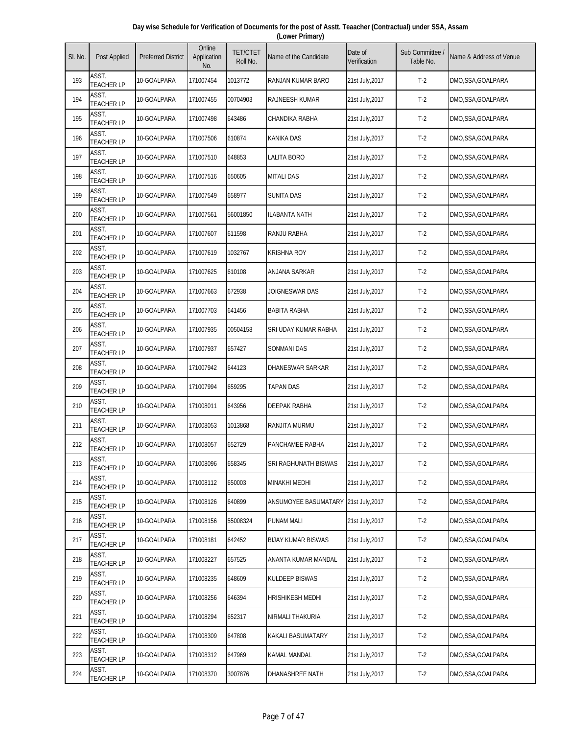| Day wise Schedule for Verification of Documents for the post of Asstt. Teaacher (Contractual) under SSA, Assam |  |
|----------------------------------------------------------------------------------------------------------------|--|
| (Lower Primary)                                                                                                |  |

| SI. No. | Post Applied               | <b>Preferred District</b> | Online<br>Application<br>No. | <b>TET/CTET</b><br>Roll No. | Name of the Candidate     | Date of<br>Verification | Sub Committee<br>Table No. | Name & Address of Venue |
|---------|----------------------------|---------------------------|------------------------------|-----------------------------|---------------------------|-------------------------|----------------------------|-------------------------|
| 193     | ASST.<br><b>TEACHER LP</b> | 10-GOALPARA               | 171007454                    | 1013772                     | RANJAN KUMAR BARO         | 21st July,2017          | $T-2$                      | DMO,SSA,GOALPARA        |
| 194     | ASST.<br><b>TEACHER LP</b> | 10-GOALPARA               | 171007455                    | 00704903                    | <b>RAJNEESH KUMAR</b>     | 21st July, 2017         | $T-2$                      | DMO,SSA,GOALPARA        |
| 195     | ASST.<br><b>TEACHER LP</b> | 10-GOALPARA               | 171007498                    | 643486                      | CHANDIKA RABHA            | 21st July, 2017         | $T-2$                      | DMO,SSA,GOALPARA        |
| 196     | ASST.<br><b>TEACHER LP</b> | 10-GOALPARA               | 171007506                    | 610874                      | <b>KANIKA DAS</b>         | 21st July, 2017         | $T-2$                      | DMO,SSA,GOALPARA        |
| 197     | ASST.<br><b>TEACHER LP</b> | 10-GOALPARA               | 171007510                    | 648853                      | <b>LALITA BORO</b>        | 21st July, 2017         | $T-2$                      | DMO,SSA,GOALPARA        |
| 198     | ASST.<br><b>TEACHER LP</b> | 10-GOALPARA               | 171007516                    | 650605                      | <b>MITALI DAS</b>         | 21st July, 2017         | $T-2$                      | DMO,SSA,GOALPARA        |
| 199     | ASST.<br><b>TEACHER LP</b> | 10-GOALPARA               | 171007549                    | 658977                      | <b>SUNITA DAS</b>         | 21st July, 2017         | $T-2$                      | DMO,SSA,GOALPARA        |
| 200     | ASST.<br><b>TEACHER LP</b> | 10-GOALPARA               | 171007561                    | 56001850                    | ILABANTA NATH             | 21st July, 2017         | $T-2$                      | DMO,SSA,GOALPARA        |
| 201     | ASST.<br><b>TEACHER LP</b> | 10-GOALPARA               | 171007607                    | 611598                      | RANJU RABHA               | 21st July, 2017         | $T-2$                      | DMO,SSA,GOALPARA        |
| 202     | ASST.<br><b>TEACHER LP</b> | 10-GOALPARA               | 171007619                    | 1032767                     | <b>KRISHNA ROY</b>        | 21st July, 2017         | $T-2$                      | DMO,SSA,GOALPARA        |
| 203     | ASST.<br><b>TEACHER LP</b> | 10-GOALPARA               | 171007625                    | 610108                      | <b>ANJANA SARKAR</b>      | 21st July, 2017         | $T-2$                      | DMO,SSA,GOALPARA        |
| 204     | ASST.<br><b>TEACHER LP</b> | 10-GOALPARA               | 171007663                    | 672938                      | JOIGNESWAR DAS            | 21st July, 2017         | $T-2$                      | DMO,SSA,GOALPARA        |
| 205     | ASST.<br><b>TEACHER LP</b> | 10-GOALPARA               | 171007703                    | 641456                      | <b>BABITA RABHA</b>       | 21st July, 2017         | $T-2$                      | DMO,SSA,GOALPARA        |
| 206     | ASST.<br><b>TEACHER LP</b> | 10-GOALPARA               | 171007935                    | 00504158                    | SRI UDAY KUMAR RABHA      | 21st July, 2017         | $T-2$                      | DMO,SSA,GOALPARA        |
| 207     | ASST.<br><b>TEACHER LP</b> | 10-GOALPARA               | 171007937                    | 657427                      | <b>SONMANI DAS</b>        | 21st July, 2017         | $T-2$                      | DMO,SSA,GOALPARA        |
| 208     | ASST.<br><b>TEACHER LP</b> | 10-GOALPARA               | 171007942                    | 644123                      | <b>DHANESWAR SARKAR</b>   | 21st July, 2017         | $T-2$                      | DMO,SSA,GOALPARA        |
| 209     | ASST.<br><b>TEACHER LP</b> | 10-GOALPARA               | 171007994                    | 659295                      | TAPAN DAS                 | 21st July, 2017         | $T-2$                      | DMO,SSA,GOALPARA        |
| 210     | ASST.<br><b>TEACHER LP</b> | 10-GOALPARA               | 171008011                    | 643956                      | <b>DEEPAK RABHA</b>       | 21st July, 2017         | $T-2$                      | DMO,SSA,GOALPARA        |
| 211     | ASST.<br><b>TEACHER LP</b> | 10-GOALPARA               | 171008053                    | 1013868                     | RANJITA MURMU             | 21st July, 2017         | $T-2$                      | DMO, SSA, GOALPARA      |
| 212     | ASST.<br><b>TEACHER LP</b> | 10-GOALPARA               | 171008057                    | 652729                      | PANCHAMEE RABHA           | 21st July, 2017         | $T-2$                      | DMO,SSA,GOALPARA        |
| 213     | ASST.<br><b>TEACHER LP</b> | 10-GOALPARA               | 171008096                    | 658345                      | SRI RAGHUNATH BISWAS      | 21st July, 2017         | $T-2$                      | DMO,SSA,GOALPARA        |
| 214     | ASST.<br><b>TEACHER LP</b> | 10-GOALPARA               | 171008112                    | 650003                      | <b>MINAKHI MEDHI</b>      | 21st July, 2017         | $T-2$                      | DMO,SSA,GOALPARA        |
| 215     | ASST.<br><b>TEACHER LP</b> | 10-GOALPARA               | 171008126                    | 640899                      | ANSUMOYEE BASUMATARY      | 21st July, 2017         | $T-2$                      | DMO,SSA,GOALPARA        |
| 216     | ASST.<br><b>TEACHER LP</b> | 10-GOALPARA               | 171008156                    | 55008324                    | PUNAM MALI                | 21st July, 2017         | $T-2$                      | DMO, SSA, GOALPARA      |
| 217     | ASST.<br><b>TEACHER LP</b> | 10-GOALPARA               | 171008181                    | 642452                      | <b>BIJAY KUMAR BISWAS</b> | 21st July, 2017         | $T-2$                      | DMO,SSA,GOALPARA        |
| 218     | ASST.<br><b>TEACHER LP</b> | 10-GOALPARA               | 171008227                    | 657525                      | ANANTA KUMAR MANDAL       | 21st July, 2017         | $T-2$                      | DMO,SSA,GOALPARA        |
| 219     | ASST.<br><b>TEACHER LP</b> | 10-GOALPARA               | 171008235                    | 648609                      | <b>KULDEEP BISWAS</b>     | 21st July, 2017         | $T-2$                      | DMO,SSA,GOALPARA        |
| 220     | ASST.<br><b>TEACHER LP</b> | 10-GOALPARA               | 171008256                    | 646394                      | <b>HRISHIKESH MEDHI</b>   | 21st July, 2017         | $T-2$                      | DMO,SSA,GOALPARA        |
| 221     | ASST.<br><b>TEACHER LP</b> | 10-GOALPARA               | 171008294                    | 652317                      | NIRMALI THAKURIA          | 21st July, 2017         | $T-2$                      | DMO,SSA,GOALPARA        |
| 222     | ASST.<br><b>TEACHER LP</b> | 10-GOALPARA               | 171008309                    | 647808                      | <b>KAKALI BASUMATARY</b>  | 21st July, 2017         | $T-2$                      | DMO,SSA,GOALPARA        |
| 223     | ASST.<br><b>TEACHER LP</b> | 10-GOALPARA               | 171008312                    | 647969                      | <b>KAMAL MANDAL</b>       | 21st July, 2017         | $T-2$                      | DMO,SSA,GOALPARA        |
| 224     | ASST.<br><b>TEACHER LP</b> | 10-GOALPARA               | 171008370                    | 3007876                     | DHANASHREE NATH           | 21st July, 2017         | $T-2$                      | DMO,SSA,GOALPARA        |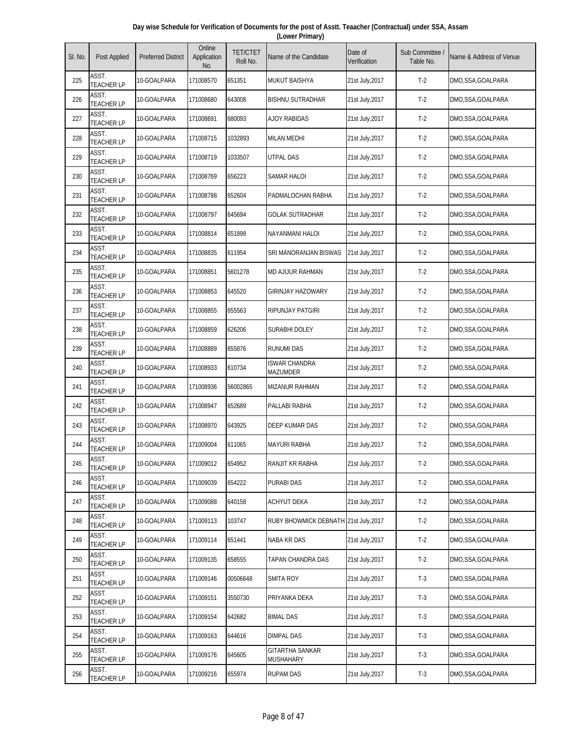| Day wise Schedule for Verification of Documents for the post of Asstt. Teaacher (Contractual) under SSA, Assam |
|----------------------------------------------------------------------------------------------------------------|
| (Lower Primary)                                                                                                |

| SI. No. | Post Applied               | <b>Preferred District</b> | Online<br>Application<br>No. | <b>TET/CTET</b><br>Roll No. | Name of the Candidate                   | Date of<br>Verification | Sub Committee<br>Table No. | Name & Address of Venue |
|---------|----------------------------|---------------------------|------------------------------|-----------------------------|-----------------------------------------|-------------------------|----------------------------|-------------------------|
| 225     | ASST.<br><b>TEACHER LP</b> | 10-GOALPARA               | 171008570                    | 651351                      | <b>MUKUT BAISHYA</b>                    | 21st July,2017          | $T-2$                      | DMO,SSA,GOALPARA        |
| 226     | ASST.<br><b>TEACHER LP</b> | 10-GOALPARA               | 171008680                    | 643008                      | <b>BISHNU SUTRADHAR</b>                 | 21st July, 2017         | $T-2$                      | DMO,SSA,GOALPARA        |
| 227     | ASST.<br><b>TEACHER LP</b> | 10-GOALPARA               | 171008691                    | 680093                      | <b>AJOY RABIDAS</b>                     | 21st July, 2017         | $T-2$                      | DMO,SSA,GOALPARA        |
| 228     | ASST.<br><b>TEACHER LP</b> | 10-GOALPARA               | 171008715                    | 1032893                     | <b>MILAN MEDHI</b>                      | 21st July, 2017         | $T-2$                      | DMO,SSA,GOALPARA        |
| 229     | ASST.<br><b>TEACHER LP</b> | 10-GOALPARA               | 171008719                    | 1033507                     | <b>UTPAL DAS</b>                        | 21st July, 2017         | $T-2$                      | DMO,SSA,GOALPARA        |
| 230     | ASST.<br><b>TEACHER LP</b> | 10-GOALPARA               | 171008769                    | 656223                      | <b>SAMAR HALOI</b>                      | 21st July, 2017         | $T-2$                      | DMO,SSA,GOALPARA        |
| 231     | ASST.<br><b>TEACHER LP</b> | 10-GOALPARA               | 171008788                    | 652604                      | PADMALOCHAN RABHA                       | 21st July, 2017         | $T-2$                      | DMO,SSA,GOALPARA        |
| 232     | ASST.<br><b>TEACHER LP</b> | 10-GOALPARA               | 171008797                    | 645694                      | <b>GOLAK SUTRADHAR</b>                  | 21st July, 2017         | $T-2$                      | DMO,SSA,GOALPARA        |
| 233     | ASST.<br><b>TEACHER LP</b> | 10-GOALPARA               | 171008814                    | 651898                      | NAYANMANI HALOI                         | 21st July, 2017         | $T-2$                      | DMO,SSA,GOALPARA        |
| 234     | ASST.<br><b>TEACHER LP</b> | 10-GOALPARA               | 171008835                    | 611954                      | SRI MANORANJAN BISWAS                   | 21st July, 2017         | $T-2$                      | DMO,SSA,GOALPARA        |
| 235     | ASST.<br><b>TEACHER LP</b> | 10-GOALPARA               | 171008851                    | 5601278                     | <b>MD AJIJUR RAHMAN</b>                 | 21st July, 2017         | $T-2$                      | DMO,SSA,GOALPARA        |
| 236     | ASST.<br><b>TEACHER LP</b> | 10-GOALPARA               | 171008853                    | 645520                      | <b>GIRINJAY HAZOWARY</b>                | 21st July, 2017         | $T-2$                      | DMO,SSA,GOALPARA        |
| 237     | ASST.<br><b>TEACHER LP</b> | 10-GOALPARA               | 171008855                    | 655563                      | RIPUNJAY PATGIRI                        | 21st July, 2017         | $T-2$                      | DMO,SSA,GOALPARA        |
| 238     | ASST.<br><b>TEACHER LP</b> | 10-GOALPARA               | 171008859                    | 626206                      | SURABHI DOLEY                           | 21st July, 2017         | $T-2$                      | DMO,SSA,GOALPARA        |
| 239     | ASST.<br><b>TEACHER LP</b> | 10-GOALPARA               | 171008889                    | 655876                      | <b>RUNUMI DAS</b>                       | 21st July, 2017         | $T-2$                      | DMO,SSA,GOALPARA        |
| 240     | ASST.<br><b>TEACHER LP</b> | 10-GOALPARA               | 171008933                    | 610734                      | <b>ISWAR CHANDRA</b><br><b>MAZUMDER</b> | 21st July, 2017         | $T-2$                      | DMO,SSA,GOALPARA        |
| 241     | ASST.<br><b>TEACHER LP</b> | 10-GOALPARA               | 171008936                    | 56002865                    | <b>MIZANUR RAHMAN</b>                   | 21st July, 2017         | $T-2$                      | DMO,SSA,GOALPARA        |
| 242     | ASST.<br><b>TEACHER LP</b> | 10-GOALPARA               | 171008947                    | 652689                      | PALLABI RABHA                           | 21st July, 2017         | $T-2$                      | DMO,SSA,GOALPARA        |
| 243     | ASST.<br><b>TEACHER LP</b> | 10-GOALPARA               | 171008970                    | 643925                      | DEEP KUMAR DAS                          | 21st July, 2017         | $T-2$                      | DMO, SSA, GOALPARA      |
| 244     | ASST.<br><b>TEACHER LP</b> | 10-GOALPARA               | 171009004                    | 611065                      | <b>MAYURI RABHA</b>                     | 21st July, 2017         | $T-2$                      | DMO,SSA,GOALPARA        |
| 245     | ASST.<br><b>TEACHER LP</b> | 10-GOALPARA               | 171009012                    | 654952                      | RANJIT KR RABHA                         | 21st July, 2017         | $T-2$                      | DMO,SSA,GOALPARA        |
| 246     | ASST.<br><b>TEACHER LP</b> | 10-GOALPARA               | 171009039                    | 654222                      | <b>PURABI DAS</b>                       | 21st July, 2017         | $T-2$                      | DMO,SSA,GOALPARA        |
| 247     | ASST.<br><b>TEACHER LP</b> | 10-GOALPARA               | 171009088                    | 640158                      | ACHYUT DEKA                             | 21st July, 2017         | $T-2$                      | DMO,SSA,GOALPARA        |
| 248     | ASST.<br><b>TEACHER LP</b> | 10-GOALPARA               | 171009113                    | 103747                      | RUBY BHOWMICK DEBNATH 21st July, 2017   |                         | $T-2$                      | DMO, SSA, GOALPARA      |
| 249     | ASST.<br><b>TEACHER LP</b> | 10-GOALPARA               | 171009114                    | 651441                      | NABA KR DAS                             | 21st July, 2017         | $T-2$                      | DMO,SSA,GOALPARA        |
| 250     | ASST.<br><b>TEACHER LP</b> | 10-GOALPARA               | 171009135                    | 658555                      | TAPAN CHANDRA DAS                       | 21st July, 2017         | $T-2$                      | DMO,SSA,GOALPARA        |
| 251     | ASST.<br><b>TEACHER LP</b> | 10-GOALPARA               | 171009146                    | 00506648                    | SMITA ROY                               | 21st July, 2017         | $T-3$                      | DMO,SSA,GOALPARA        |
| 252     | ASST.<br><b>TEACHER LP</b> | 10-GOALPARA               | 171009151                    | 3550730                     | PRIYANKA DEKA                           | 21st July, 2017         | $T-3$                      | DMO,SSA,GOALPARA        |
| 253     | ASST.<br><b>TEACHER LP</b> | 10-GOALPARA               | 171009154                    | 642682                      | <b>BIMAL DAS</b>                        | 21st July, 2017         | $T-3$                      | DMO,SSA,GOALPARA        |
| 254     | ASST.<br><b>TEACHER LP</b> | 10-GOALPARA               | 171009163                    | 644616                      | DIMPAL DAS                              | 21st July, 2017         | $T-3$                      | DMO,SSA,GOALPARA        |
| 255     | ASST.<br><b>TEACHER LP</b> | 10-GOALPARA               | 171009176                    | 645605                      | GITARTHA SANKAR<br>MUSHAHARY            | 21st July, 2017         | $T-3$                      | DMO,SSA,GOALPARA        |
| 256     | ASST.<br><b>TEACHER LP</b> | 10-GOALPARA               | 171009216                    | 655974                      | <b>RUPAM DAS</b>                        | 21st July, 2017         | $T-3$                      | DMO,SSA,GOALPARA        |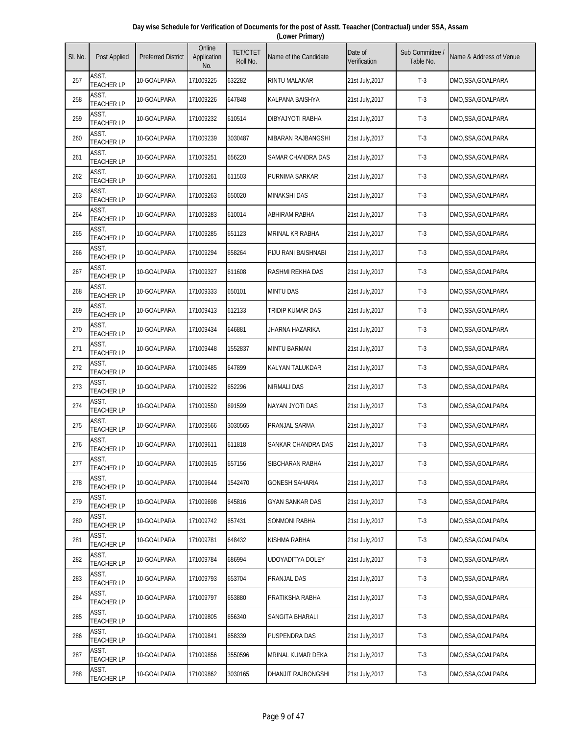| Day wise Schedule for Verification of Documents for the post of Asstt. Teaacher (Contractual) under SSA, Assam |
|----------------------------------------------------------------------------------------------------------------|
| (Lower Primary)                                                                                                |

| SI. No. | Post Applied               | <b>Preferred District</b> | Online<br>Application<br>No. | <b>TET/CTET</b><br>Roll No. | Name of the Candidate  | Date of<br>Verification | Sub Committee<br>Table No. | Name & Address of Venue |
|---------|----------------------------|---------------------------|------------------------------|-----------------------------|------------------------|-------------------------|----------------------------|-------------------------|
| 257     | ASST.<br><b>TEACHER LP</b> | 10-GOALPARA               | 171009225                    | 632282                      | RINTU MALAKAR          | 21st July, 2017         | $T-3$                      | DMO,SSA,GOALPARA        |
| 258     | ASST.<br><b>TEACHER LP</b> | 10-GOALPARA               | 171009226                    | 647848                      | KALPANA BAISHYA        | 21st July, 2017         | $T-3$                      | DMO,SSA,GOALPARA        |
| 259     | ASST.<br><b>TEACHER LP</b> | 10-GOALPARA               | 171009232                    | 610514                      | DIBYAJYOTI RABHA       | 21st July, 2017         | $T-3$                      | DMO,SSA,GOALPARA        |
| 260     | ASST.<br><b>TEACHER LP</b> | 10-GOALPARA               | 171009239                    | 3030487                     | NIBARAN RAJBANGSHI     | 21st July, 2017         | $T-3$                      | DMO,SSA,GOALPARA        |
| 261     | ASST.<br><b>TEACHER LP</b> | 10-GOALPARA               | 171009251                    | 656220                      | SAMAR CHANDRA DAS      | 21st July, 2017         | $T-3$                      | DMO,SSA,GOALPARA        |
| 262     | ASST.<br><b>TEACHER LP</b> | 10-GOALPARA               | 171009261                    | 611503                      | PURNIMA SARKAR         | 21st July, 2017         | $T-3$                      | DMO, SSA, GOALPARA      |
| 263     | ASST.<br><b>TEACHER LP</b> | 10-GOALPARA               | 171009263                    | 650020                      | <b>MINAKSHI DAS</b>    | 21st July, 2017         | $T-3$                      | DMO,SSA,GOALPARA        |
| 264     | ASST.<br><b>TEACHER LP</b> | 10-GOALPARA               | 171009283                    | 610014                      | ABHIRAM RABHA          | 21st July, 2017         | $T-3$                      | DMO,SSA,GOALPARA        |
| 265     | ASST.<br><b>TEACHER LP</b> | 10-GOALPARA               | 171009285                    | 651123                      | <b>MRINAL KR RABHA</b> | 21st July, 2017         | $T-3$                      | DMO,SSA,GOALPARA        |
| 266     | ASST.<br><b>TEACHER LP</b> | 10-GOALPARA               | 171009294                    | 658264                      | PIJU RANI BAISHNABI    | 21st July, 2017         | $T-3$                      | DMO,SSA,GOALPARA        |
| 267     | ASST.<br><b>TEACHER LP</b> | 10-GOALPARA               | 171009327                    | 611608                      | RASHMI REKHA DAS       | 21st July, 2017         | $T-3$                      | DMO,SSA,GOALPARA        |
| 268     | ASST.<br><b>TEACHER LP</b> | 10-GOALPARA               | 171009333                    | 650101                      | <b>MINTU DAS</b>       | 21st July, 2017         | $T-3$                      | DMO,SSA,GOALPARA        |
| 269     | ASST.<br><b>TEACHER LP</b> | 10-GOALPARA               | 171009413                    | 612133                      | TRIDIP KUMAR DAS       | 21st July, 2017         | $T-3$                      | DMO,SSA,GOALPARA        |
| 270     | ASST.<br><b>TEACHER LP</b> | 10-GOALPARA               | 171009434                    | 646881                      | JHARNA HAZARIKA        | 21st July, 2017         | $T-3$                      | DMO,SSA,GOALPARA        |
| 271     | ASST.<br><b>TEACHER LP</b> | 10-GOALPARA               | 171009448                    | 1552837                     | <b>MINTU BARMAN</b>    | 21st July, 2017         | $T-3$                      | DMO,SSA,GOALPARA        |
| 272     | ASST.<br><b>TEACHER LP</b> | 10-GOALPARA               | 171009485                    | 647899                      | KALYAN TALUKDAR        | 21st July, 2017         | $T-3$                      | DMO,SSA,GOALPARA        |
| 273     | ASST.<br><b>TEACHER LP</b> | 10-GOALPARA               | 171009522                    | 652296                      | NIRMALI DAS            | 21st July, 2017         | $T-3$                      | DMO,SSA,GOALPARA        |
| 274     | ASST.<br><b>TEACHER LP</b> | 10-GOALPARA               | 171009550                    | 691599                      | NAYAN JYOTI DAS        | 21st July, 2017         | $T-3$                      | DMO,SSA,GOALPARA        |
| 275     | ASST.<br><b>TEACHER LP</b> | 10-GOALPARA               | 171009566                    | 3030565                     | PRANJAL SARMA          | 21st July, 2017         | $T-3$                      | DMO,SSA,GOALPARA        |
| 276     | ASST.<br><b>TEACHER LP</b> | 10-GOALPARA               | 171009611                    | 611818                      | SANKAR CHANDRA DAS     | 21st July, 2017         | $T-3$                      | DMO,SSA,GOALPARA        |
| 277     | ASST.<br><b>TEACHER LP</b> | 10-GOALPARA               | 171009615                    | 657156                      | SIBCHARAN RABHA        | 21st July, 2017         | $T-3$                      | DMO,SSA,GOALPARA        |
| 278     | ASST.<br><b>TEACHER LP</b> | 10-GOALPARA               | 171009644                    | 1542470                     | GONESH SAHARIA         | 21st July, 2017         | $T-3$                      | DMO,SSA,GOALPARA        |
| 279     | ASST.<br><b>TEACHER LP</b> | 10-GOALPARA               | 171009698                    | 645816                      | <b>GYAN SANKAR DAS</b> | 21st July, 2017         | $T-3$                      | DMO,SSA,GOALPARA        |
| 280     | ASST.<br><b>TEACHER LP</b> | 10-GOALPARA               | 171009742                    | 657431                      | SONMONI RABHA          | 21st July, 2017         | $T-3$                      | DMO, SSA, GOALPARA      |
| 281     | ASST.<br><b>TEACHER LP</b> | 10-GOALPARA               | 171009781                    | 648432                      | KISHMA RABHA           | 21st July, 2017         | $T-3$                      | DMO,SSA,GOALPARA        |
| 282     | ASST.<br><b>TEACHER LP</b> | 10-GOALPARA               | 171009784                    | 686994                      | UDOYADITYA DOLEY       | 21st July, 2017         | $T-3$                      | DMO,SSA,GOALPARA        |
| 283     | ASST.<br><b>TEACHER LP</b> | 10-GOALPARA               | 171009793                    | 653704                      | PRANJAL DAS            | 21st July, 2017         | $T-3$                      | DMO,SSA,GOALPARA        |
| 284     | ASST.<br><b>TEACHER LP</b> | 10-GOALPARA               | 171009797                    | 653880                      | PRATIKSHA RABHA        | 21st July, 2017         | $T-3$                      | DMO,SSA,GOALPARA        |
| 285     | ASST.<br><b>TEACHER LP</b> | 10-GOALPARA               | 171009805                    | 656340                      | SANGITA BHARALI        | 21st July, 2017         | $T-3$                      | DMO,SSA,GOALPARA        |
| 286     | ASST.<br><b>TEACHER LP</b> | 10-GOALPARA               | 171009841                    | 658339                      | PUSPENDRA DAS          | 21st July, 2017         | $T-3$                      | DMO,SSA,GOALPARA        |
| 287     | ASST.<br><b>TEACHER LP</b> | 10-GOALPARA               | 171009856                    | 3550596                     | MRINAL KUMAR DEKA      | 21st July, 2017         | $T-3$                      | DMO,SSA,GOALPARA        |
| 288     | ASST.<br><b>TEACHER LP</b> | 10-GOALPARA               | 171009862                    | 3030165                     | DHANJIT RAJBONGSHI     | 21st July, 2017         | $T-3$                      | DMO,SSA,GOALPARA        |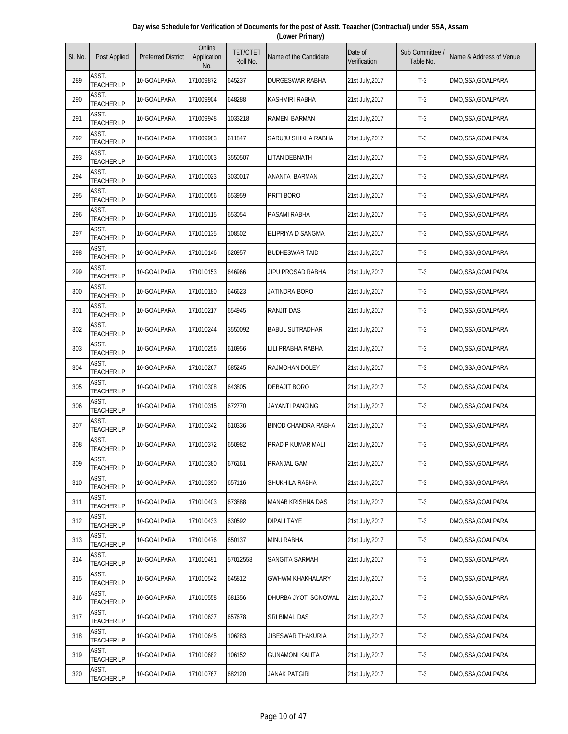| Day wise Schedule for Verification of Documents for the post of Asstt. Teaacher (Contractual) under SSA, Assam |
|----------------------------------------------------------------------------------------------------------------|
| (Lower Primary)                                                                                                |

| SI. No. | Post Applied               | <b>Preferred District</b> | Online<br>Application<br>No. | <b>TET/CTET</b><br>Roll No. | Name of the Candidate      | Date of<br>Verification | Sub Committee<br>Table No. | Name & Address of Venue |
|---------|----------------------------|---------------------------|------------------------------|-----------------------------|----------------------------|-------------------------|----------------------------|-------------------------|
| 289     | ASST.<br><b>TEACHER LP</b> | 10-GOALPARA               | 171009872                    | 645237                      | DURGESWAR RABHA            | 21st July,2017          | $T-3$                      | DMO,SSA,GOALPARA        |
| 290     | ASST.<br><b>TEACHER LP</b> | 10-GOALPARA               | 171009904                    | 648288                      | <b>KASHMIRI RABHA</b>      | 21st July, 2017         | $T-3$                      | DMO,SSA,GOALPARA        |
| 291     | ASST.<br><b>TEACHER LP</b> | 10-GOALPARA               | 171009948                    | 1033218                     | <b>RAMEN BARMAN</b>        | 21st July, 2017         | $T-3$                      | DMO,SSA,GOALPARA        |
| 292     | ASST.<br><b>TEACHER LP</b> | 10-GOALPARA               | 171009983                    | 611847                      | SARUJU SHIKHA RABHA        | 21st July, 2017         | $T-3$                      | DMO,SSA,GOALPARA        |
| 293     | ASST.<br><b>TEACHER LP</b> | 10-GOALPARA               | 171010003                    | 3550507                     | LITAN DEBNATH              | 21st July, 2017         | $T-3$                      | DMO,SSA,GOALPARA        |
| 294     | ASST.<br><b>TEACHER LP</b> | 10-GOALPARA               | 171010023                    | 3030017                     | ANANTA BARMAN              | 21st July, 2017         | $T-3$                      | DMO,SSA,GOALPARA        |
| 295     | ASST.<br><b>TEACHER LP</b> | 10-GOALPARA               | 171010056                    | 653959                      | PRITI BORO                 | 21st July, 2017         | $T-3$                      | DMO,SSA,GOALPARA        |
| 296     | ASST.<br><b>TEACHER LP</b> | 10-GOALPARA               | 171010115                    | 653054                      | PASAMI RABHA               | 21st July, 2017         | $T-3$                      | DMO,SSA,GOALPARA        |
| 297     | ASST.<br><b>TEACHER LP</b> | 10-GOALPARA               | 171010135                    | 108502                      | ELIPRIYA D SANGMA          | 21st July, 2017         | $T-3$                      | DMO,SSA,GOALPARA        |
| 298     | ASST.<br><b>TEACHER LP</b> | 10-GOALPARA               | 171010146                    | 620957                      | <b>BUDHESWAR TAID</b>      | 21st July, 2017         | $T-3$                      | DMO,SSA,GOALPARA        |
| 299     | ASST.<br><b>TEACHER LP</b> | 10-GOALPARA               | 171010153                    | 646966                      | JIPU PROSAD RABHA          | 21st July, 2017         | $T-3$                      | DMO,SSA,GOALPARA        |
| 300     | ASST.<br><b>TEACHER LP</b> | 10-GOALPARA               | 171010180                    | 646623                      | <b>JATINDRA BORO</b>       | 21st July, 2017         | $T-3$                      | DMO,SSA,GOALPARA        |
| 301     | ASST.<br><b>TEACHER LP</b> | 10-GOALPARA               | 171010217                    | 654945                      | <b>RANJIT DAS</b>          | 21st July, 2017         | $T-3$                      | DMO,SSA,GOALPARA        |
| 302     | ASST.<br><b>TEACHER LP</b> | 10-GOALPARA               | 171010244                    | 3550092                     | <b>BABUL SUTRADHAR</b>     | 21st July, 2017         | $T-3$                      | DMO,SSA,GOALPARA        |
| 303     | ASST.<br><b>TEACHER LP</b> | 10-GOALPARA               | 171010256                    | 610956                      | LILI PRABHA RABHA          | 21st July, 2017         | $T-3$                      | DMO,SSA,GOALPARA        |
| 304     | ASST.<br><b>TEACHER LP</b> | 10-GOALPARA               | 171010267                    | 685245                      | <b>RAJMOHAN DOLEY</b>      | 21st July, 2017         | $T-3$                      | DMO,SSA,GOALPARA        |
| 305     | ASST.<br><b>TEACHER LP</b> | 10-GOALPARA               | 171010308                    | 643805                      | DEBAJIT BORO               | 21st July, 2017         | $T-3$                      | DMO,SSA,GOALPARA        |
| 306     | ASST.<br><b>TEACHER LP</b> | 10-GOALPARA               | 171010315                    | 672770                      | JAYANTI PANGING            | 21st July, 2017         | $T-3$                      | DMO,SSA,GOALPARA        |
| 307     | ASST.<br><b>TEACHER LP</b> | 10-GOALPARA               | 171010342                    | 610336                      | <b>BINOD CHANDRA RABHA</b> | 21st July, 2017         | $T-3$                      | DMO, SSA, GOALPARA      |
| 308     | ASST.<br><b>TEACHER LP</b> | 10-GOALPARA               | 171010372                    | 650982                      | PRADIP KUMAR MALI          | 21st July, 2017         | $T-3$                      | DMO,SSA,GOALPARA        |
| 309     | ASST.<br><b>TEACHER LP</b> | 10-GOALPARA               | 171010380                    | 676161                      | PRANJAL GAM                | 21st July, 2017         | $T-3$                      | DMO,SSA,GOALPARA        |
| 310     | ASST.<br><b>TEACHER LP</b> | 10-GOALPARA               | 171010390                    | 657116                      | SHUKHILA RABHA             | 21st July, 2017         | $T-3$                      | DMO,SSA,GOALPARA        |
| 311     | ASST.<br><b>TEACHER LP</b> | 10-GOALPARA               | 171010403                    | 673888                      | <b>MANAB KRISHNA DAS</b>   | 21st July, 2017         | $T-3$                      | DMO,SSA,GOALPARA        |
| 312     | ASST.<br><b>TEACHER LP</b> | 10-GOALPARA               | 171010433                    | 630592                      | <b>DIPALI TAYE</b>         | 21st July, 2017         | $T-3$                      | DMO,SSA,GOALPARA        |
| 313     | ASST.<br><b>TEACHER LP</b> | 10-GOALPARA               | 171010476                    | 650137                      | <b>MINU RABHA</b>          | 21st July, 2017         | $T-3$                      | DMO,SSA,GOALPARA        |
| 314     | ASST.<br><b>TEACHER LP</b> | 10-GOALPARA               | 171010491                    | 57012558                    | SANGITA SARMAH             | 21st July, 2017         | $T-3$                      | DMO,SSA,GOALPARA        |
| 315     | ASST.<br><b>TEACHER LP</b> | 10-GOALPARA               | 171010542                    | 645812                      | <b>GWHWM KHAKHALARY</b>    | 21st July, 2017         | $T-3$                      | DMO,SSA,GOALPARA        |
| 316     | ASST.<br><b>TEACHER LP</b> | 10-GOALPARA               | 171010558                    | 681356                      | DHURBA JYOTI SONOWAL       | 21st July, 2017         | $T-3$                      | DMO,SSA,GOALPARA        |
| 317     | ASST.<br><b>TEACHER LP</b> | 10-GOALPARA               | 171010637                    | 657678                      | SRI BIMAL DAS              | 21st July, 2017         | $T-3$                      | DMO,SSA,GOALPARA        |
| 318     | ASST.<br><b>TEACHER LP</b> | 10-GOALPARA               | 171010645                    | 106283                      | JIBESWAR THAKURIA          | 21st July, 2017         | $T-3$                      | DMO,SSA,GOALPARA        |
| 319     | ASST.<br><b>TEACHER LP</b> | 10-GOALPARA               | 171010682                    | 106152                      | GUNAMONI KALITA            | 21st July, 2017         | $T-3$                      | DMO,SSA,GOALPARA        |
| 320     | ASST.<br><b>TEACHER LP</b> | 10-GOALPARA               | 171010767                    | 682120                      | JANAK PATGIRI              | 21st July, 2017         | $T-3$                      | DMO,SSA,GOALPARA        |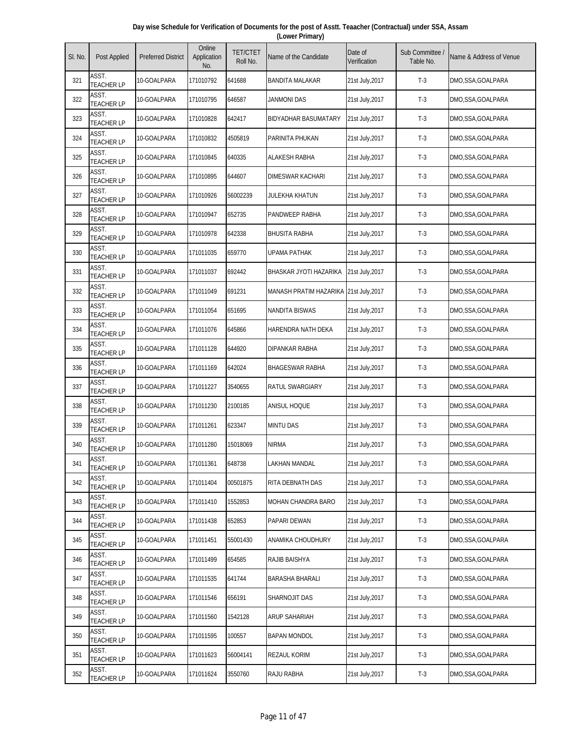| Day wise Schedule for Verification of Documents for the post of Asstt. Teaacher (Contractual) under SSA, Assam |  |
|----------------------------------------------------------------------------------------------------------------|--|
| (Lower Primary)                                                                                                |  |

| SI. No. | Post Applied               | <b>Preferred District</b> | Online<br>Application<br>No. | <b>TET/CTET</b><br>Roll No. | Name of the Candidate                  | Date of<br>Verification | Sub Committee<br>Table No. | Name & Address of Venue |
|---------|----------------------------|---------------------------|------------------------------|-----------------------------|----------------------------------------|-------------------------|----------------------------|-------------------------|
| 321     | ASST.<br><b>TEACHER LP</b> | 10-GOALPARA               | 171010792                    | 641688                      | <b>BANDITA MALAKAR</b>                 | 21st July,2017          | $T-3$                      | DMO,SSA,GOALPARA        |
| 322     | ASST.<br><b>TEACHER LP</b> | 10-GOALPARA               | 171010795                    | 646587                      | <b>JANMONI DAS</b>                     | 21st July, 2017         | $T-3$                      | DMO,SSA,GOALPARA        |
| 323     | ASST.<br><b>TEACHER LP</b> | 10-GOALPARA               | 171010828                    | 642417                      | <b>BIDYADHAR BASUMATARY</b>            | 21st July, 2017         | $T-3$                      | DMO,SSA,GOALPARA        |
| 324     | ASST.<br><b>TEACHER LP</b> | 10-GOALPARA               | 171010832                    | 4505819                     | PARINITA PHUKAN                        | 21st July, 2017         | $T-3$                      | DMO,SSA,GOALPARA        |
| 325     | ASST.<br><b>TEACHER LP</b> | 10-GOALPARA               | 171010845                    | 640335                      | <b>ALAKESH RABHA</b>                   | 21st July, 2017         | $T-3$                      | DMO,SSA,GOALPARA        |
| 326     | ASST.<br><b>TEACHER LP</b> | 10-GOALPARA               | 171010895                    | 644607                      | <b>DIMESWAR KACHARI</b>                | 21st July, 2017         | $T-3$                      | DMO,SSA,GOALPARA        |
| 327     | ASST.<br><b>TEACHER LP</b> | 10-GOALPARA               | 171010926                    | 56002239                    | JULEKHA KHATUN                         | 21st July, 2017         | $T-3$                      | DMO,SSA,GOALPARA        |
| 328     | ASST.<br><b>TEACHER LP</b> | 10-GOALPARA               | 171010947                    | 652735                      | PANDWEEP RABHA                         | 21st July, 2017         | $T-3$                      | DMO,SSA,GOALPARA        |
| 329     | ASST.<br><b>TEACHER LP</b> | 10-GOALPARA               | 171010978                    | 642338                      | <b>BHUSITA RABHA</b>                   | 21st July, 2017         | $T-3$                      | DMO,SSA,GOALPARA        |
| 330     | ASST.<br><b>TEACHER LP</b> | 10-GOALPARA               | 171011035                    | 659770                      | UPAMA PATHAK                           | 21st July, 2017         | $T-3$                      | DMO,SSA,GOALPARA        |
| 331     | ASST.<br><b>TEACHER LP</b> | 10-GOALPARA               | 171011037                    | 692442                      | BHASKAR JYOTI HAZARIKA                 | 21st July, 2017         | $T-3$                      | DMO,SSA,GOALPARA        |
| 332     | ASST.<br><b>TEACHER LP</b> | 10-GOALPARA               | 171011049                    | 691231                      | MANASH PRATIM HAZARIKA 21st July, 2017 |                         | $T-3$                      | DMO,SSA,GOALPARA        |
| 333     | ASST.<br><b>TEACHER LP</b> | 10-GOALPARA               | 171011054                    | 651695                      | <b>NANDITA BISWAS</b>                  | 21st July, 2017         | $T-3$                      | DMO,SSA,GOALPARA        |
| 334     | ASST.<br><b>TEACHER LP</b> | 10-GOALPARA               | 171011076                    | 645866                      | HARENDRA NATH DEKA                     | 21st July, 2017         | $T-3$                      | DMO,SSA,GOALPARA        |
| 335     | ASST.<br><b>TEACHER LP</b> | 10-GOALPARA               | 171011128                    | 644920                      | DIPANKAR RABHA                         | 21st July, 2017         | $T-3$                      | DMO,SSA,GOALPARA        |
| 336     | ASST.<br><b>TEACHER LP</b> | 10-GOALPARA               | 171011169                    | 642024                      | <b>BHAGESWAR RABHA</b>                 | 21st July, 2017         | $T-3$                      | DMO,SSA,GOALPARA        |
| 337     | ASST.<br><b>TEACHER LP</b> | 10-GOALPARA               | 171011227                    | 3540655                     | RATUL SWARGIARY                        | 21st July, 2017         | $T-3$                      | DMO,SSA,GOALPARA        |
| 338     | ASST.<br><b>TEACHER LP</b> | 10-GOALPARA               | 171011230                    | 2100185                     | ANISUL HOQUE                           | 21st July, 2017         | $T-3$                      | DMO,SSA,GOALPARA        |
| 339     | ASST.<br><b>TEACHER LP</b> | 10-GOALPARA               | 171011261                    | 623347                      | <b>MINTU DAS</b>                       | 21st July, 2017         | $T-3$                      | DMO, SSA, GOALPARA      |
| 340     | ASST.<br><b>TEACHER LP</b> | 10-GOALPARA               | 171011280                    | 15018069                    | <b>NIRMA</b>                           | 21st July, 2017         | $T-3$                      | DMO,SSA,GOALPARA        |
| 341     | ASST.<br><b>TEACHER LP</b> | 10-GOALPARA               | 171011361                    | 648738                      | LAKHAN MANDAL                          | 21st July, 2017         | $T-3$                      | DMO,SSA,GOALPARA        |
| 342     | ASST.<br><b>TEACHER LP</b> | 10-GOALPARA               | 171011404                    | 00501875                    | RITA DEBNATH DAS                       | 21st July, 2017         | $T-3$                      | DMO,SSA,GOALPARA        |
| 343     | ASST.<br><b>TEACHER LP</b> | 10-GOALPARA               | 171011410                    | 1552853                     | MOHAN CHANDRA BARO                     | 21st July, 2017         | $T-3$                      | DMO,SSA,GOALPARA        |
| 344     | ASST.<br><b>TEACHER LP</b> | 10-GOALPARA               | 171011438                    | 652853                      | PAPARI DEWAN                           | 21st July, 2017         | $T-3$                      | DMO,SSA,GOALPARA        |
| 345     | ASST.<br><b>TEACHER LP</b> | 10-GOALPARA               | 171011451                    | 55001430                    | ANAMIKA CHOUDHURY                      | 21st July, 2017         | $T-3$                      | DMO,SSA,GOALPARA        |
| 346     | ASST.<br><b>TEACHER LP</b> | 10-GOALPARA               | 171011499                    | 654585                      | RAJIB BAISHYA                          | 21st July, 2017         | $T-3$                      | DMO,SSA,GOALPARA        |
| 347     | ASST.<br><b>TEACHER LP</b> | 10-GOALPARA               | 171011535                    | 641744                      | <b>BARASHA BHARALI</b>                 | 21st July, 2017         | $T-3$                      | DMO,SSA,GOALPARA        |
| 348     | ASST.<br><b>TEACHER LP</b> | 10-GOALPARA               | 171011546                    | 656191                      | SHARNOJIT DAS                          | 21st July, 2017         | $T-3$                      | DMO,SSA,GOALPARA        |
| 349     | ASST.<br><b>TEACHER LP</b> | 10-GOALPARA               | 171011560                    | 1542128                     | ARUP SAHARIAH                          | 21st July, 2017         | $T-3$                      | DMO,SSA,GOALPARA        |
| 350     | ASST.<br><b>TEACHER LP</b> | 10-GOALPARA               | 171011595                    | 100557                      | <b>BAPAN MONDOL</b>                    | 21st July, 2017         | $T-3$                      | DMO,SSA,GOALPARA        |
| 351     | ASST.<br><b>TEACHER LP</b> | 10-GOALPARA               | 171011623                    | 56004141                    | <b>REZAUL KORIM</b>                    | 21st July, 2017         | $T-3$                      | DMO,SSA,GOALPARA        |
| 352     | ASST.<br><b>TEACHER LP</b> | 10-GOALPARA               | 171011624                    | 3550760                     | RAJU RABHA                             | 21st July, 2017         | $T-3$                      | DMO,SSA,GOALPARA        |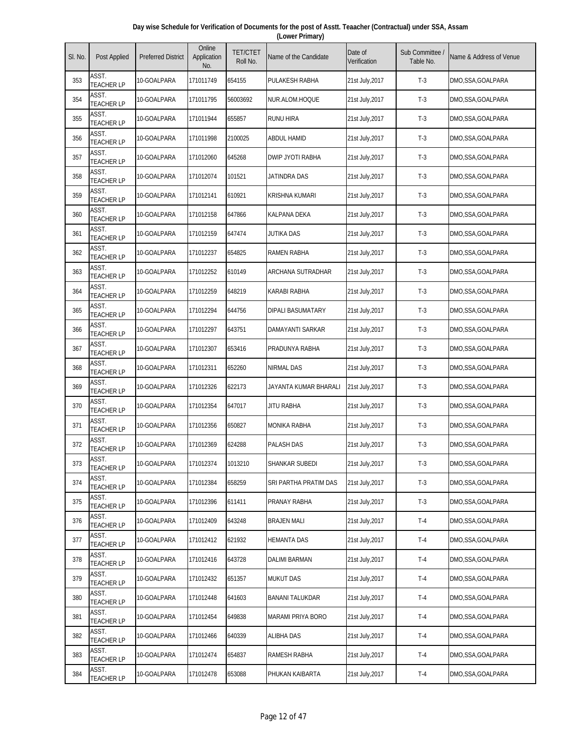| Day wise Schedule for Verification of Documents for the post of Asstt. Teaacher (Contractual) under SSA, Assam |  |
|----------------------------------------------------------------------------------------------------------------|--|
| (Lower Primary)                                                                                                |  |

| SI. No. | Post Applied               | <b>Preferred District</b> | Online<br>Application<br>No. | <b>TET/CTET</b><br>Roll No. | Name of the Candidate    | Date of<br>Verification | Sub Committee<br>Table No. | Name & Address of Venue |
|---------|----------------------------|---------------------------|------------------------------|-----------------------------|--------------------------|-------------------------|----------------------------|-------------------------|
| 353     | ASST.<br><b>TEACHER LP</b> | 10-GOALPARA               | 171011749                    | 654155                      | PULAKESH RABHA           | 21st July,2017          | $T-3$                      | DMO,SSA,GOALPARA        |
| 354     | ASST.<br><b>TEACHER LP</b> | 10-GOALPARA               | 171011795                    | 56003692                    | NUR.ALOM.HOQUE           | 21st July, 2017         | $T-3$                      | DMO,SSA,GOALPARA        |
| 355     | ASST.<br><b>TEACHER LP</b> | 10-GOALPARA               | 171011944                    | 655857                      | <b>RUNU HIRA</b>         | 21st July, 2017         | $T-3$                      | DMO,SSA,GOALPARA        |
| 356     | ASST.<br><b>TEACHER LP</b> | 10-GOALPARA               | 171011998                    | 2100025                     | <b>ABDUL HAMID</b>       | 21st July, 2017         | $T-3$                      | DMO,SSA,GOALPARA        |
| 357     | ASST.<br><b>TEACHER LP</b> | 10-GOALPARA               | 171012060                    | 645268                      | <b>DWIP JYOTI RABHA</b>  | 21st July, 2017         | $T-3$                      | DMO,SSA,GOALPARA        |
| 358     | ASST.<br><b>TEACHER LP</b> | 10-GOALPARA               | 171012074                    | 101521                      | JATINDRA DAS             | 21st July, 2017         | $T-3$                      | DMO,SSA,GOALPARA        |
| 359     | ASST.<br><b>TEACHER LP</b> | 10-GOALPARA               | 171012141                    | 610921                      | <b>KRISHNA KUMARI</b>    | 21st July, 2017         | $T-3$                      | DMO,SSA,GOALPARA        |
| 360     | ASST.<br><b>TEACHER LP</b> | 10-GOALPARA               | 171012158                    | 647866                      | KALPANA DEKA             | 21st July, 2017         | $T-3$                      | DMO,SSA,GOALPARA        |
| 361     | ASST.<br><b>TEACHER LP</b> | 10-GOALPARA               | 171012159                    | 647474                      | <b>JUTIKA DAS</b>        | 21st July, 2017         | $T-3$                      | DMO,SSA,GOALPARA        |
| 362     | ASST.<br><b>TEACHER LP</b> | 10-GOALPARA               | 171012237                    | 654825                      | <b>RAMEN RABHA</b>       | 21st July, 2017         | $T-3$                      | DMO,SSA,GOALPARA        |
| 363     | ASST.<br><b>TEACHER LP</b> | 10-GOALPARA               | 171012252                    | 610149                      | <b>ARCHANA SUTRADHAR</b> | 21st July, 2017         | $T-3$                      | DMO,SSA,GOALPARA        |
| 364     | ASST.<br><b>TEACHER LP</b> | 10-GOALPARA               | 171012259                    | 648219                      | <b>KARABI RABHA</b>      | 21st July, 2017         | $T-3$                      | DMO,SSA,GOALPARA        |
| 365     | ASST.<br><b>TEACHER LP</b> | 10-GOALPARA               | 171012294                    | 644756                      | <b>DIPALI BASUMATARY</b> | 21st July, 2017         | $T-3$                      | DMO,SSA,GOALPARA        |
| 366     | ASST.<br><b>TEACHER LP</b> | 10-GOALPARA               | 171012297                    | 643751                      | DAMAYANTI SARKAR         | 21st July, 2017         | $T-3$                      | DMO,SSA,GOALPARA        |
| 367     | ASST.<br><b>TEACHER LP</b> | 10-GOALPARA               | 171012307                    | 653416                      | PRADUNYA RABHA           | 21st July, 2017         | $T-3$                      | DMO,SSA,GOALPARA        |
| 368     | ASST.<br><b>TEACHER LP</b> | 10-GOALPARA               | 171012311                    | 652260                      | <b>NIRMAL DAS</b>        | 21st July, 2017         | $T-3$                      | DMO,SSA,GOALPARA        |
| 369     | ASST.<br><b>TEACHER LP</b> | 10-GOALPARA               | 171012326                    | 622173                      | JAYANTA KUMAR BHARALI    | 21st July, 2017         | $T-3$                      | DMO,SSA,GOALPARA        |
| 370     | ASST.<br><b>TEACHER LP</b> | 10-GOALPARA               | 171012354                    | 647017                      | <b>JITU RABHA</b>        | 21st July, 2017         | $T-3$                      | DMO,SSA,GOALPARA        |
| 371     | ASST.<br><b>TEACHER LP</b> | 10-GOALPARA               | 171012356                    | 650827                      | <b>MONIKA RABHA</b>      | 21st July, 2017         | $T-3$                      | DMO, SSA, GOALPARA      |
| 372     | ASST.<br><b>TEACHER LP</b> | 10-GOALPARA               | 171012369                    | 624288                      | <b>PALASH DAS</b>        | 21st July, 2017         | $T-3$                      | DMO,SSA,GOALPARA        |
| 373     | ASST.<br><b>TEACHER LP</b> | 10-GOALPARA               | 171012374                    | 1013210                     | SHANKAR SUBEDI           | 21st July, 2017         | $T-3$                      | DMO,SSA,GOALPARA        |
| 374     | ASST.<br><b>TEACHER LP</b> | 10-GOALPARA               | 171012384                    | 658259                      | SRI PARTHA PRATIM DAS    | 21st July, 2017         | $T-3$                      | DMO,SSA,GOALPARA        |
| 375     | ASST.<br><b>TEACHER LP</b> | 10-GOALPARA               | 171012396                    | 611411                      | PRANAY RABHA             | 21st July, 2017         | $T-3$                      | DMO,SSA,GOALPARA        |
| 376     | ASST.<br><b>TEACHER LP</b> | 10-GOALPARA               | 171012409                    | 643248                      | <b>BRAJEN MALI</b>       | 21st July, 2017         | $T-4$                      | DMO, SSA, GOALPARA      |
| 377     | ASST.<br><b>TEACHER LP</b> | 10-GOALPARA               | 171012412                    | 621932                      | <b>HEMANTA DAS</b>       | 21st July, 2017         | $T-4$                      | DMO,SSA,GOALPARA        |
| 378     | ASST.<br><b>TEACHER LP</b> | 10-GOALPARA               | 171012416                    | 643728                      | DALIMI BARMAN            | 21st July, 2017         | $T-4$                      | DMO,SSA,GOALPARA        |
| 379     | ASST.<br><b>TEACHER LP</b> | 10-GOALPARA               | 171012432                    | 651357                      | <b>MUKUT DAS</b>         | 21st July, 2017         | $T-4$                      | DMO,SSA,GOALPARA        |
| 380     | ASST.<br><b>TEACHER LP</b> | 10-GOALPARA               | 171012448                    | 641603                      | BANANI TALUKDAR          | 21st July, 2017         | $T-4$                      | DMO,SSA,GOALPARA        |
| 381     | ASST.<br><b>TEACHER LP</b> | 10-GOALPARA               | 171012454                    | 649838                      | MARAMI PRIYA BORO        | 21st July, 2017         | $T-4$                      | DMO,SSA,GOALPARA        |
| 382     | ASST.<br><b>TEACHER LP</b> | 10-GOALPARA               | 171012466                    | 640339                      | ALIBHA DAS               | 21st July, 2017         | $T-4$                      | DMO,SSA,GOALPARA        |
| 383     | ASST.<br><b>TEACHER LP</b> | 10-GOALPARA               | 171012474                    | 654837                      | RAMESH RABHA             | 21st July, 2017         | $T-4$                      | DMO,SSA,GOALPARA        |
| 384     | ASST.<br><b>TEACHER LP</b> | 10-GOALPARA               | 171012478                    | 653088                      | PHUKAN KAIBARTA          | 21st July, 2017         | $T-4$                      | DMO,SSA,GOALPARA        |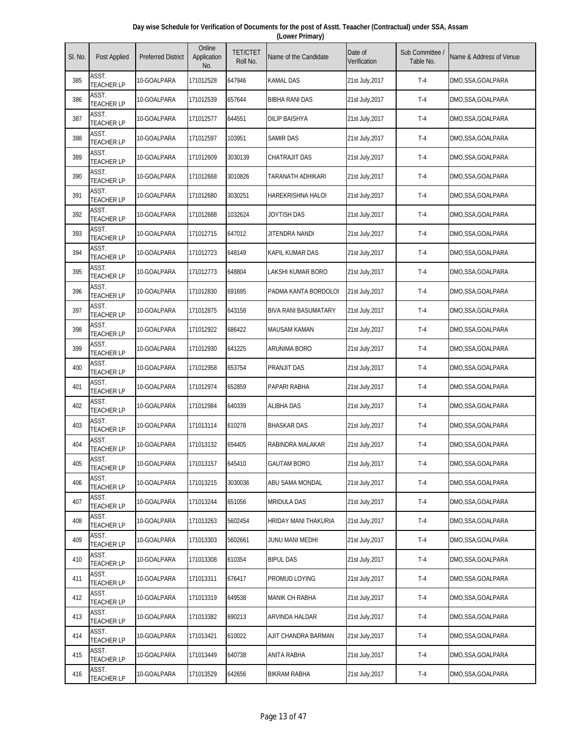| Day wise Schedule for Verification of Documents for the post of Asstt. Teaacher (Contractual) under SSA, Assam |
|----------------------------------------------------------------------------------------------------------------|
| (Lower Primary)                                                                                                |

| SI. No. | Post Applied               | <b>Preferred District</b> | Online<br>Application<br>No. | <b>TET/CTET</b><br>Roll No. | Name of the Candidate       | Date of<br>Verification | Sub Committee<br>Table No. | Name & Address of Venue |
|---------|----------------------------|---------------------------|------------------------------|-----------------------------|-----------------------------|-------------------------|----------------------------|-------------------------|
| 385     | ASST.<br><b>TEACHER LP</b> | 10-GOALPARA               | 171012528                    | 647946                      | KAMAL DAS                   | 21st July,2017          | $T-4$                      | DMO,SSA,GOALPARA        |
| 386     | ASST.<br><b>TEACHER LP</b> | 10-GOALPARA               | 171012539                    | 657644                      | <b>BIBHA RANI DAS</b>       | 21st July, 2017         | $T-4$                      | DMO,SSA,GOALPARA        |
| 387     | ASST.<br><b>TEACHER LP</b> | 10-GOALPARA               | 171012577                    | 644551                      | <b>DILIP BAISHYA</b>        | 21st July, 2017         | $T-4$                      | DMO,SSA,GOALPARA        |
| 388     | ASST.<br><b>TEACHER LP</b> | 10-GOALPARA               | 171012597                    | 103951                      | <b>SAMIR DAS</b>            | 21st July, 2017         | $T-4$                      | DMO,SSA,GOALPARA        |
| 389     | ASST.<br><b>TEACHER LP</b> | 10-GOALPARA               | 171012609                    | 3030139                     | CHATRAJIT DAS               | 21st July, 2017         | $T-4$                      | DMO,SSA,GOALPARA        |
| 390     | ASST.<br><b>TEACHER LP</b> | 10-GOALPARA               | 171012668                    | 3010826                     | TARANATH ADHIKARI           | 21st July, 2017         | $T-4$                      | DMO,SSA,GOALPARA        |
| 391     | ASST.<br><b>TEACHER LP</b> | 10-GOALPARA               | 171012680                    | 3030251                     | HAREKRISHNA HALOI           | 21st July, 2017         | $T-4$                      | DMO,SSA,GOALPARA        |
| 392     | ASST.<br><b>TEACHER LP</b> | 10-GOALPARA               | 171012688                    | 1032624                     | JOYTISH DAS                 | 21st July, 2017         | $T-4$                      | DMO,SSA,GOALPARA        |
| 393     | ASST.<br><b>TEACHER LP</b> | 10-GOALPARA               | 171012715                    | 647012                      | JITENDRA NANDI              | 21st July, 2017         | $T-4$                      | DMO,SSA,GOALPARA        |
| 394     | ASST.<br><b>TEACHER LP</b> | 10-GOALPARA               | 171012723                    | 648149                      | KAPIL KUMAR DAS             | 21st July, 2017         | $T-4$                      | DMO,SSA,GOALPARA        |
| 395     | ASST.<br><b>TEACHER LP</b> | 10-GOALPARA               | 171012773                    | 648804                      | LAKSHI KUMAR BORO           | 21st July, 2017         | $T-4$                      | DMO,SSA,GOALPARA        |
| 396     | ASST.<br><b>TEACHER LP</b> | 10-GOALPARA               | 171012830                    | 691695                      | PADMA KANTA BORDOLOI        | 21st July, 2017         | $T-4$                      | DMO,SSA,GOALPARA        |
| 397     | ASST.<br><b>TEACHER LP</b> | 10-GOALPARA               | 171012875                    | 643158                      | <b>BIVA RANI BASUMATARY</b> | 21st July, 2017         | $T-4$                      | DMO,SSA,GOALPARA        |
| 398     | ASST.<br><b>TEACHER LP</b> | 10-GOALPARA               | 171012922                    | 686422                      | <b>MAUSAM KAMAN</b>         | 21st July, 2017         | $T-4$                      | DMO,SSA,GOALPARA        |
| 399     | ASST.<br><b>TEACHER LP</b> | 10-GOALPARA               | 171012930                    | 641225                      | ARUNIMA BORO                | 21st July, 2017         | $T-4$                      | DMO,SSA,GOALPARA        |
| 400     | ASST.<br><b>TEACHER LP</b> | 10-GOALPARA               | 171012958                    | 653754                      | <b>PRANJIT DAS</b>          | 21st July, 2017         | $T-4$                      | DMO,SSA,GOALPARA        |
| 401     | ASST.<br><b>TEACHER LP</b> | 10-GOALPARA               | 171012974                    | 652859                      | PAPARI RABHA                | 21st July, 2017         | $T-4$                      | DMO,SSA,GOALPARA        |
| 402     | ASST.<br><b>TEACHER LP</b> | 10-GOALPARA               | 171012984                    | 640339                      | <b>ALIBHA DAS</b>           | 21st July, 2017         | $T-4$                      | DMO,SSA,GOALPARA        |
| 403     | ASST.<br><b>TEACHER LP</b> | 10-GOALPARA               | 171013114                    | 610278                      | <b>BHASKAR DAS</b>          | 21st July, 2017         | $T-4$                      | DMO,SSA,GOALPARA        |
| 404     | ASST.<br><b>TEACHER LP</b> | 10-GOALPARA               | 171013132                    | 654405                      | RABINDRA MALAKAR            | 21st July, 2017         | $T-4$                      | DMO,SSA,GOALPARA        |
| 405     | ASST.<br><b>TEACHER LP</b> | 10-GOALPARA               | 171013157                    | 645410                      | <b>GAUTAM BORO</b>          | 21st July, 2017         | $T-4$                      | DMO,SSA,GOALPARA        |
| 406     | ASST.<br><b>TEACHER LP</b> | 10-GOALPARA               | 171013215                    | 3030036                     | ABU SAMA MONDAL             | 21st July, 2017         | $T-4$                      | DMO,SSA,GOALPARA        |
| 407     | ASST.<br><b>TEACHER LP</b> | 10-GOALPARA               | 171013244                    | 651056                      | <b>MRIDULA DAS</b>          | 21st July, 2017         | $T-4$                      | DMO,SSA,GOALPARA        |
| 408     | ASST.<br><b>TEACHER LP</b> | 10-GOALPARA               | 171013263                    | 5602454                     | HRIDAY MANI THAKURIA        | 21st July, 2017         | $T-4$                      | DMO,SSA,GOALPARA        |
| 409     | ASST.<br><b>TEACHER LP</b> | 10-GOALPARA               | 171013303                    | 5602661                     | JUNU MANI MEDHI             | 21st July, 2017         | $T-4$                      | DMO,SSA,GOALPARA        |
| 410     | ASST.<br><b>TEACHER LP</b> | 10-GOALPARA               | 171013308                    | 610354                      | <b>BIPUL DAS</b>            | 21st July, 2017         | $T-4$                      | DMO,SSA,GOALPARA        |
| 411     | ASST.<br><b>TEACHER LP</b> | 10-GOALPARA               | 171013311                    | 676417                      | PROMUD LOYING               | 21st July, 2017         | $T-4$                      | DMO,SSA,GOALPARA        |
| 412     | ASST.<br><b>TEACHER LP</b> | 10-GOALPARA               | 171013319                    | 649538                      | MANIK CH RABHA              | 21st July, 2017         | $T-4$                      | DMO, SSA, GOALPARA      |
| 413     | ASST.<br><b>TEACHER LP</b> | 10-GOALPARA               | 171013382                    | 690213                      | ARVINDA HALDAR              | 21st July, 2017         | $T-4$                      | DMO,SSA,GOALPARA        |
| 414     | ASST.<br><b>TEACHER LP</b> | 10-GOALPARA               | 171013421                    | 610022                      | AJIT CHANDRA BARMAN         | 21st July, 2017         | $T-4$                      | DMO,SSA,GOALPARA        |
| 415     | ASST.<br><b>TEACHER LP</b> | 10-GOALPARA               | 171013449                    | 640738                      | ANITA RABHA                 | 21st July, 2017         | $T-4$                      | DMO,SSA,GOALPARA        |
| 416     | ASST.<br><b>TEACHER LP</b> | 10-GOALPARA               | 171013529                    | 642656                      | <b>BIKRAM RABHA</b>         | 21st July, 2017         | $T-4$                      | DMO,SSA,GOALPARA        |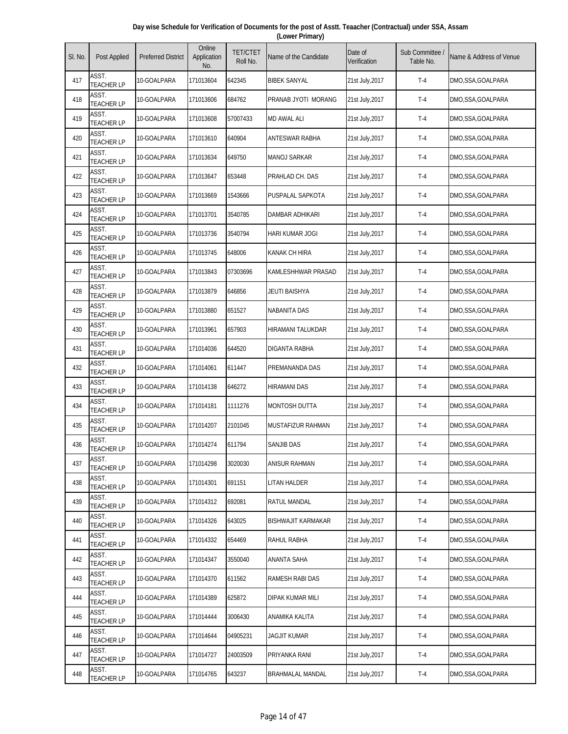| Day wise Schedule for Verification of Documents for the post of Asstt. Teaacher (Contractual) under SSA, Assam |  |
|----------------------------------------------------------------------------------------------------------------|--|
| (Lower Primary)                                                                                                |  |

| SI. No. | Post Applied               | <b>Preferred District</b> | Online<br>Application<br>No. | <b>TET/CTET</b><br>Roll No. | Name of the Candidate     | Date of<br>Verification | Sub Committee /<br>Table No. | Name & Address of Venue |
|---------|----------------------------|---------------------------|------------------------------|-----------------------------|---------------------------|-------------------------|------------------------------|-------------------------|
| 417     | ASST.<br><b>TEACHER LP</b> | 10-GOALPARA               | 171013604                    | 642345                      | <b>BIBEK SANYAL</b>       | 21st July, 2017         | $T-4$                        | DMO,SSA,GOALPARA        |
| 418     | ASST.<br><b>TEACHER LP</b> | 10-GOALPARA               | 171013606                    | 684762                      | PRANAB JYOTI MORANG       | 21st July, 2017         | $T-4$                        | DMO,SSA,GOALPARA        |
| 419     | ASST.<br><b>TEACHER LP</b> | 10-GOALPARA               | 171013608                    | 57007433                    | <b>MD AWAL ALI</b>        | 21st July, 2017         | $T-4$                        | DMO,SSA,GOALPARA        |
| 420     | ASST.<br><b>TEACHER LP</b> | 10-GOALPARA               | 171013610                    | 640904                      | <b>ANTESWAR RABHA</b>     | 21st July, 2017         | $T-4$                        | DMO,SSA,GOALPARA        |
| 421     | ASST.<br><b>TEACHER LP</b> | 10-GOALPARA               | 171013634                    | 649750                      | <b>MANOJ SARKAR</b>       | 21st July, 2017         | $T-4$                        | DMO,SSA,GOALPARA        |
| 422     | ASST.<br><b>TEACHER LP</b> | 10-GOALPARA               | 171013647                    | 653448                      | PRAHLAD CH. DAS           | 21st July, 2017         | $T-4$                        | DMO,SSA,GOALPARA        |
| 423     | ASST.<br><b>TEACHER LP</b> | 10-GOALPARA               | 171013669                    | 1543666                     | PUSPALAL SAPKOTA          | 21st July, 2017         | $T-4$                        | DMO,SSA,GOALPARA        |
| 424     | ASST.<br><b>TEACHER LP</b> | 10-GOALPARA               | 171013701                    | 3540785                     | DAMBAR ADHIKARI           | 21st July, 2017         | $T-4$                        | DMO,SSA,GOALPARA        |
| 425     | ASST.<br><b>TEACHER LP</b> | 10-GOALPARA               | 171013736                    | 3540794                     | HARI KUMAR JOGI           | 21st July, 2017         | $T-4$                        | DMO,SSA,GOALPARA        |
| 426     | ASST.<br><b>TEACHER LP</b> | 10-GOALPARA               | 171013745                    | 648006                      | <b>KANAK CH HIRA</b>      | 21st July, 2017         | $T-4$                        | DMO,SSA,GOALPARA        |
| 427     | ASST.<br><b>TEACHER LP</b> | 10-GOALPARA               | 171013843                    | 07303696                    | KAMLESHHWAR PRASAD        | 21st July, 2017         | $T-4$                        | DMO,SSA,GOALPARA        |
| 428     | ASST.<br><b>TEACHER LP</b> | 10-GOALPARA               | 171013879                    | 646856                      | <b>JEUTI BAISHYA</b>      | 21st July, 2017         | $T-4$                        | DMO,SSA,GOALPARA        |
| 429     | ASST.<br><b>TEACHER LP</b> | 10-GOALPARA               | 171013880                    | 651527                      | NABANITA DAS              | 21st July, 2017         | $T-4$                        | DMO,SSA,GOALPARA        |
| 430     | ASST.<br><b>TEACHER LP</b> | 10-GOALPARA               | 171013961                    | 657903                      | HIRAMANI TALUKDAR         | 21st July, 2017         | $T-4$                        | DMO,SSA,GOALPARA        |
| 431     | ASST.<br><b>TEACHER LP</b> | 10-GOALPARA               | 171014036                    | 644520                      | DIGANTA RABHA             | 21st July, 2017         | $T-4$                        | DMO,SSA,GOALPARA        |
| 432     | ASST.<br><b>TEACHER LP</b> | 10-GOALPARA               | 171014061                    | 611447                      | PREMANANDA DAS            | 21st July, 2017         | $T-4$                        | DMO,SSA,GOALPARA        |
| 433     | ASST.<br><b>TEACHER LP</b> | 10-GOALPARA               | 171014138                    | 646272                      | <b>HIRAMANI DAS</b>       | 21st July, 2017         | $T-4$                        | DMO,SSA,GOALPARA        |
| 434     | ASST.<br><b>TEACHER LP</b> | 10-GOALPARA               | 171014181                    | 1111276                     | MONTOSH DUTTA             | 21st July, 2017         | $T-4$                        | DMO,SSA,GOALPARA        |
| 435     | ASST.<br><b>TEACHER LP</b> | 10-GOALPARA               | 171014207                    | 2101045                     | MUSTAFIZUR RAHMAN         | 21st July, 2017         | $T-4$                        | DMO,SSA,GOALPARA        |
| 436     | ASST.<br><b>TEACHER LP</b> | 10-GOALPARA               | 171014274                    | 611794                      | <b>SANJIB DAS</b>         | 21st July, 2017         | $T-4$                        | DMO,SSA,GOALPARA        |
| 437     | ASST.<br><b>TEACHER LP</b> | 10-GOALPARA               | 171014298                    | 3020030                     | <b>ANISUR RAHMAN</b>      | 21st July, 2017         | $T-4$                        | DMO,SSA,GOALPARA        |
| 438     | ASST.<br><b>TEACHER LP</b> | 10-GOALPARA               | 171014301                    | 691151                      | LITAN HALDER              | 21st July, 2017         | $T-4$                        | DMO,SSA,GOALPARA        |
| 439     | ASST.<br><b>TEACHER LP</b> | 10-GOALPARA               | 171014312                    | 692081                      | <b>RATUL MANDAL</b>       | 21st July, 2017         | $T-4$                        | DMO,SSA,GOALPARA        |
| 440     | ASST.<br><b>TEACHER LP</b> | 10-GOALPARA               | 171014326                    | 643025                      | <b>BISHWAJIT KARMAKAR</b> | 21st July, 2017         | $T-4$                        | DMO,SSA,GOALPARA        |
| 441     | ASST.<br><b>TEACHER LP</b> | 10-GOALPARA               | 171014332                    | 654469                      | RAHUL RABHA               | 21st July, 2017         | $T-4$                        | DMO,SSA,GOALPARA        |
| 442     | ASST.<br><b>TEACHER LP</b> | 10-GOALPARA               | 171014347                    | 3550040                     | ANANTA SAHA               | 21st July, 2017         | $T-4$                        | DMO,SSA,GOALPARA        |
| 443     | ASST.<br><b>TEACHER LP</b> | 10-GOALPARA               | 171014370                    | 611562                      | RAMESH RABI DAS           | 21st July, 2017         | $T-4$                        | DMO,SSA,GOALPARA        |
| 444     | ASST.<br><b>TEACHER LP</b> | 10-GOALPARA               | 171014389                    | 625872                      | DIPAK KUMAR MILI          | 21st July, 2017         | $T-4$                        | DMO,SSA,GOALPARA        |
| 445     | ASST.<br><b>TEACHER LP</b> | 10-GOALPARA               | 171014444                    | 3006430                     | ANAMIKA KALITA            | 21st July, 2017         | $T-4$                        | DMO,SSA,GOALPARA        |
| 446     | ASST.<br><b>TEACHER LP</b> | 10-GOALPARA               | 171014644                    | 04905231                    | JAGJIT KUMAR              | 21st July, 2017         | $T-4$                        | DMO,SSA,GOALPARA        |
| 447     | ASST.<br><b>TEACHER LP</b> | 10-GOALPARA               | 171014727                    | 24003509                    | PRIYANKA RANI             | 21st July, 2017         | $T-4$                        | DMO,SSA,GOALPARA        |
| 448     | ASST.<br><b>TEACHER LP</b> | 10-GOALPARA               | 171014765                    | 643237                      | <b>BRAHMALAL MANDAL</b>   | 21st July, 2017         | $T-4$                        | DMO,SSA,GOALPARA        |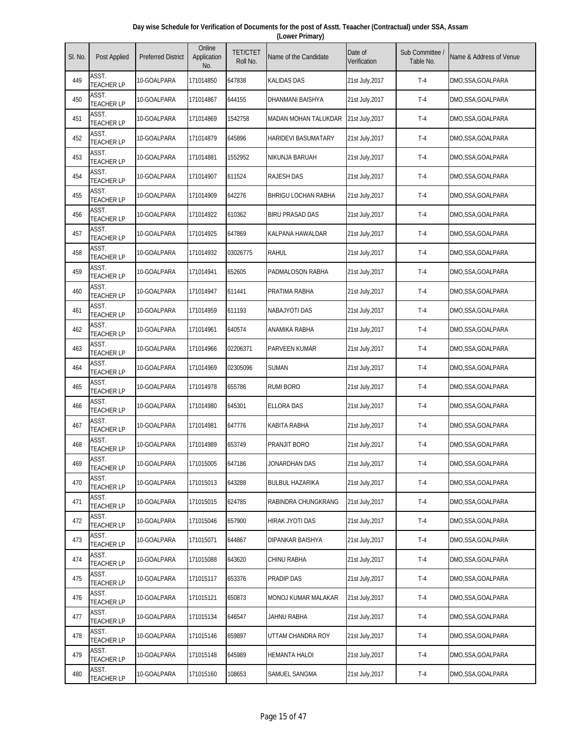| Day wise Schedule for Verification of Documents for the post of Asstt. Teaacher (Contractual) under SSA, Assam |  |
|----------------------------------------------------------------------------------------------------------------|--|
| (Lower Primary)                                                                                                |  |

| SI. No. | Post Applied               | <b>Preferred District</b> | Online<br>Application<br>No. | <b>TET/CTET</b><br>Roll No. | Name of the Candidate      | Date of<br>Verification | Sub Committee<br>Table No. | Name & Address of Venue |
|---------|----------------------------|---------------------------|------------------------------|-----------------------------|----------------------------|-------------------------|----------------------------|-------------------------|
| 449     | ASST.<br><b>TEACHER LP</b> | 10-GOALPARA               | 171014850                    | 647838                      | <b>KALIDAS DAS</b>         | 21st July, 2017         | $T-4$                      | DMO,SSA,GOALPARA        |
| 450     | ASST.<br><b>TEACHER LP</b> | 10-GOALPARA               | 171014867                    | 644155                      | DHANMANI BAISHYA           | 21st July, 2017         | $T-4$                      | DMO,SSA,GOALPARA        |
| 451     | ASST.<br><b>TEACHER LP</b> | 10-GOALPARA               | 171014869                    | 1542758                     | MADAN MOHAN TALUKDAR       | 21st July, 2017         | $T-4$                      | DMO,SSA,GOALPARA        |
| 452     | ASST.<br><b>TEACHER LP</b> | 10-GOALPARA               | 171014879                    | 645896                      | <b>HARIDEVI BASUMATARY</b> | 21st July, 2017         | $T-4$                      | DMO,SSA,GOALPARA        |
| 453     | ASST.<br><b>TEACHER LP</b> | 10-GOALPARA               | 171014881                    | 1552952                     | NIKUNJA BARUAH             | 21st July, 2017         | $T-4$                      | DMO,SSA,GOALPARA        |
| 454     | ASST.<br><b>TEACHER LP</b> | 10-GOALPARA               | 171014907                    | 611524                      | <b>RAJESH DAS</b>          | 21st July, 2017         | $T-4$                      | DMO,SSA,GOALPARA        |
| 455     | ASST.<br><b>TEACHER LP</b> | 10-GOALPARA               | 171014909                    | 642276                      | <b>BHRIGU LOCHAN RABHA</b> | 21st July, 2017         | $T-4$                      | DMO,SSA,GOALPARA        |
| 456     | ASST.<br><b>TEACHER LP</b> | 10-GOALPARA               | 171014922                    | 610362                      | <b>BIRU PRASAD DAS</b>     | 21st July,2017          | $T-4$                      | DMO,SSA,GOALPARA        |
| 457     | ASST.<br><b>TEACHER LP</b> | 10-GOALPARA               | 171014925                    | 647869                      | KALPANA HAWALDAR           | 21st July, 2017         | $T-4$                      | DMO,SSA,GOALPARA        |
| 458     | ASST.<br><b>TEACHER LP</b> | 10-GOALPARA               | 171014932                    | 03026775                    | RAHUL                      | 21st July, 2017         | $T-4$                      | DMO,SSA,GOALPARA        |
| 459     | ASST.<br><b>TEACHER LP</b> | 10-GOALPARA               | 171014941                    | 652605                      | PADMALOSON RABHA           | 21st July, 2017         | $T-4$                      | DMO,SSA,GOALPARA        |
| 460     | ASST.<br><b>TEACHER LP</b> | 10-GOALPARA               | 171014947                    | 611441                      | PRATIMA RABHA              | 21st July, 2017         | $T-4$                      | DMO,SSA,GOALPARA        |
| 461     | ASST.<br><b>TEACHER LP</b> | 10-GOALPARA               | 171014959                    | 611193                      | NABAJYOTI DAS              | 21st July, 2017         | $T-4$                      | DMO,SSA,GOALPARA        |
| 462     | ASST.<br><b>TEACHER LP</b> | 10-GOALPARA               | 171014961                    | 640574                      | ANAMIKA RABHA              | 21st July, 2017         | $T-4$                      | DMO,SSA,GOALPARA        |
| 463     | ASST.<br><b>TEACHER LP</b> | 10-GOALPARA               | 171014966                    | 02206371                    | PARVEEN KUMAR              | 21st July, 2017         | $T-4$                      | DMO,SSA,GOALPARA        |
| 464     | ASST.<br><b>TEACHER LP</b> | 10-GOALPARA               | 171014969                    | 02305096                    | <b>SUMAN</b>               | 21st July, 2017         | $T-4$                      | DMO,SSA,GOALPARA        |
| 465     | ASST.<br><b>TEACHER LP</b> | 10-GOALPARA               | 171014978                    | 655786                      | <b>RUMI BORO</b>           | 21st July, 2017         | $T-4$                      | DMO,SSA,GOALPARA        |
| 466     | ASST.<br><b>TEACHER LP</b> | 10-GOALPARA               | 171014980                    | 645301                      | <b>ELLORA DAS</b>          | 21st July, 2017         | $T-4$                      | DMO,SSA,GOALPARA        |
| 467     | ASST.<br><b>TEACHER LP</b> | 10-GOALPARA               | 171014981                    | 647776                      | KABITA RABHA               | 21st July, 2017         | $T-4$                      | DMO,SSA,GOALPARA        |
| 468     | ASST.<br><b>TEACHER LP</b> | 10-GOALPARA               | 171014989                    | 653749                      | PRANJIT BORO               | 21st July, 2017         | $T-4$                      | DMO,SSA,GOALPARA        |
| 469     | ASST.<br><b>TEACHER LP</b> | 10-GOALPARA               | 171015005                    | 647186                      | JONARDHAN DAS              | 21st July, 2017         | $T-4$                      | DMO,SSA,GOALPARA        |
| 470     | ASST.<br><b>TEACHER LP</b> | 10-GOALPARA               | 171015013                    | 643288                      | <b>BULBUL HAZARIKA</b>     | 21st July, 2017         | $T-4$                      | DMO,SSA,GOALPARA        |
| 471     | ASST.<br><b>TEACHER LP</b> | 10-GOALPARA               | 171015015                    | 624785                      | RABINDRA CHUNGKRANG        | 21st July, 2017         | $T-4$                      | DMO,SSA,GOALPARA        |
| 472     | ASST.<br><b>TEACHER LP</b> | 10-GOALPARA               | 171015046                    | 657900                      | HIRAK JYOTI DAS            | 21st July, 2017         | $T-4$                      | DMO, SSA, GOALPARA      |
| 473     | ASST.<br><b>TEACHER LP</b> | 10-GOALPARA               | 171015071                    | 644867                      | DIPANKAR BAISHYA           | 21st July, 2017         | $T-4$                      | DMO,SSA,GOALPARA        |
| 474     | ASST.<br><b>TEACHER LP</b> | 10-GOALPARA               | 171015088                    | 643620                      | CHINU RABHA                | 21st July, 2017         | $T-4$                      | DMO,SSA,GOALPARA        |
| 475     | ASST.<br><b>TEACHER LP</b> | 10-GOALPARA               | 171015117                    | 653376                      | <b>PRADIP DAS</b>          | 21st July, 2017         | $T-4$                      | DMO,SSA,GOALPARA        |
| 476     | ASST.<br><b>TEACHER LP</b> | 10-GOALPARA               | 171015121                    | 650873                      | MONOJ KUMAR MALAKAR        | 21st July, 2017         | $T-4$                      | DMO,SSA,GOALPARA        |
| 477     | ASST.<br><b>TEACHER LP</b> | 10-GOALPARA               | 171015134                    | 646547                      | JAHNU RABHA                | 21st July, 2017         | $T-4$                      | DMO,SSA,GOALPARA        |
| 478     | ASST.<br><b>TEACHER LP</b> | 10-GOALPARA               | 171015146                    | 659897                      | UTTAM CHANDRA ROY          | 21st July, 2017         | $T-4$                      | DMO,SSA,GOALPARA        |
| 479     | ASST.<br><b>TEACHER LP</b> | 10-GOALPARA               | 171015148                    | 645989                      | <b>HEMANTA HALOI</b>       | 21st July, 2017         | $T-4$                      | DMO, SSA, GOALPARA      |
| 480     | ASST.<br><b>TEACHER LP</b> | 10-GOALPARA               | 171015160                    | 108653                      | SAMUEL SANGMA              | 21st July, 2017         | $T-4$                      | DMO,SSA,GOALPARA        |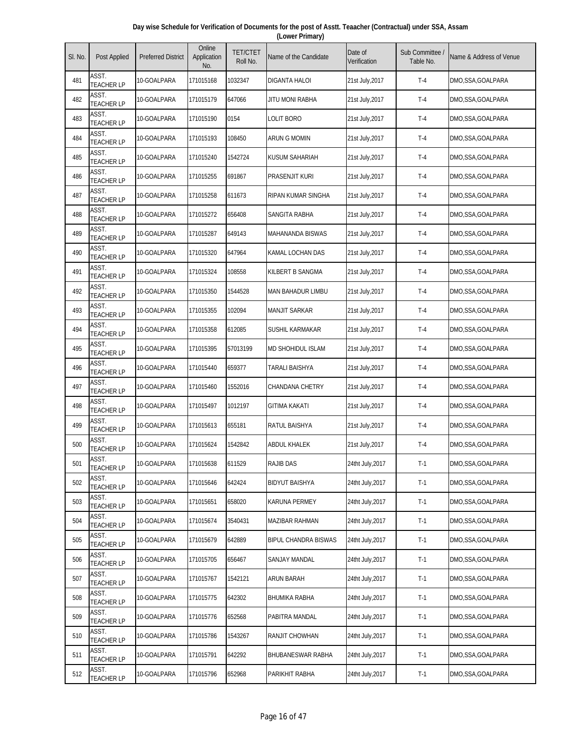| Day wise Schedule for Verification of Documents for the post of Asstt. Teaacher (Contractual) under SSA, Assam |  |
|----------------------------------------------------------------------------------------------------------------|--|
| (Lower Primary)                                                                                                |  |

| SI. No. | Post Applied               | <b>Preferred District</b> | Online<br>Application<br>No. | <b>TET/CTET</b><br>Roll No. | Name of the Candidate       | Date of<br>Verification | Sub Committee<br>Table No. | Name & Address of Venue |
|---------|----------------------------|---------------------------|------------------------------|-----------------------------|-----------------------------|-------------------------|----------------------------|-------------------------|
| 481     | ASST.<br><b>TEACHER LP</b> | 10-GOALPARA               | 171015168                    | 1032347                     | DIGANTA HALOI               | 21st July,2017          | $T-4$                      | DMO,SSA,GOALPARA        |
| 482     | ASST.<br><b>TEACHER LP</b> | 10-GOALPARA               | 171015179                    | 647066                      | <b>JITU MONI RABHA</b>      | 21st July, 2017         | $T-4$                      | DMO,SSA,GOALPARA        |
| 483     | ASST.<br><b>TEACHER LP</b> | 10-GOALPARA               | 171015190                    | 0154                        | LOLIT BORO                  | 21st July, 2017         | $T-4$                      | DMO,SSA,GOALPARA        |
| 484     | ASST.<br><b>TEACHER LP</b> | 10-GOALPARA               | 171015193                    | 108450                      | <b>ARUN G MOMIN</b>         | 21st July, 2017         | $T-4$                      | DMO,SSA,GOALPARA        |
| 485     | ASST.<br><b>TEACHER LP</b> | 10-GOALPARA               | 171015240                    | 1542724                     | <b>KUSUM SAHARIAH</b>       | 21st July, 2017         | $T-4$                      | DMO,SSA,GOALPARA        |
| 486     | ASST.<br><b>TEACHER LP</b> | 10-GOALPARA               | 171015255                    | 691867                      | <b>PRASENJIT KURI</b>       | 21st July, 2017         | $T-4$                      | DMO,SSA,GOALPARA        |
| 487     | ASST.<br><b>TEACHER LP</b> | 10-GOALPARA               | 171015258                    | 611673                      | RIPAN KUMAR SINGHA          | 21st July, 2017         | $T-4$                      | DMO,SSA,GOALPARA        |
| 488     | ASST.<br><b>TEACHER LP</b> | 10-GOALPARA               | 171015272                    | 656408                      | SANGITA RABHA               | 21st July, 2017         | $T-4$                      | DMO,SSA,GOALPARA        |
| 489     | ASST.<br><b>TEACHER LP</b> | 10-GOALPARA               | 171015287                    | 649143                      | <b>MAHANANDA BISWAS</b>     | 21st July, 2017         | $T-4$                      | DMO,SSA,GOALPARA        |
| 490     | ASST.<br><b>TEACHER LP</b> | 10-GOALPARA               | 171015320                    | 647964                      | KAMAL LOCHAN DAS            | 21st July, 2017         | $T-4$                      | DMO,SSA,GOALPARA        |
| 491     | ASST.<br><b>TEACHER LP</b> | 10-GOALPARA               | 171015324                    | 108558                      | KILBERT B SANGMA            | 21st July, 2017         | $T-4$                      | DMO,SSA,GOALPARA        |
| 492     | ASST.<br><b>TEACHER LP</b> | 10-GOALPARA               | 171015350                    | 1544528                     | <b>MAN BAHADUR LIMBU</b>    | 21st July, 2017         | $T-4$                      | DMO,SSA,GOALPARA        |
| 493     | ASST.<br><b>TEACHER LP</b> | 10-GOALPARA               | 171015355                    | 102094                      | <b>MANJIT SARKAR</b>        | 21st July, 2017         | $T-4$                      | DMO,SSA,GOALPARA        |
| 494     | ASST.<br><b>TEACHER LP</b> | 10-GOALPARA               | 171015358                    | 612085                      | SUSHIL KARMAKAR             | 21st July, 2017         | $T-4$                      | DMO,SSA,GOALPARA        |
| 495     | ASST.<br><b>TEACHER LP</b> | 10-GOALPARA               | 171015395                    | 57013199                    | <b>MD SHOHIDUL ISLAM</b>    | 21st July, 2017         | $T-4$                      | DMO,SSA,GOALPARA        |
| 496     | ASST.<br><b>TEACHER LP</b> | 10-GOALPARA               | 171015440                    | 659377                      | <b>TARALI BAISHYA</b>       | 21st July, 2017         | $T-4$                      | DMO,SSA,GOALPARA        |
| 497     | ASST.<br><b>TEACHER LP</b> | 10-GOALPARA               | 171015460                    | 1552016                     | CHANDANA CHETRY             | 21st July, 2017         | $T-4$                      | DMO,SSA,GOALPARA        |
| 498     | ASST.<br><b>TEACHER LP</b> | 10-GOALPARA               | 171015497                    | 1012197                     | <b>GITIMA KAKATI</b>        | 21st July, 2017         | $T-4$                      | DMO,SSA,GOALPARA        |
| 499     | ASST.<br><b>TEACHER LP</b> | 10-GOALPARA               | 171015613                    | 655181                      | RATUL BAISHYA               | 21st July, 2017         | $T-4$                      | DMO, SSA, GOALPARA      |
| 500     | ASST.<br><b>TEACHER LP</b> | 10-GOALPARA               | 171015624                    | 1542842                     | <b>ABDUL KHALEK</b>         | 21st July, 2017         | $T-4$                      | DMO,SSA,GOALPARA        |
| 501     | ASST.<br><b>TEACHER LP</b> | 10-GOALPARA               | 171015638                    | 611529                      | <b>RAJIB DAS</b>            | 24tht July, 2017        | $T-1$                      | DMO,SSA,GOALPARA        |
| 502     | ASST.<br><b>TEACHER LP</b> | 10-GOALPARA               | 171015646                    | 642424                      | <b>BIDYUT BAISHYA</b>       | 24tht July, 2017        | $T-1$                      | DMO,SSA,GOALPARA        |
| 503     | ASST.<br><b>TEACHER LP</b> | 10-GOALPARA               | 171015651                    | 658020                      | <b>KARUNA PERMEY</b>        | 24tht July, 2017        | $T-1$                      | DMO,SSA,GOALPARA        |
| 504     | ASST.<br><b>TEACHER LP</b> | 10-GOALPARA               | 171015674                    | 3540431                     | MAZIBAR RAHMAN              | 24tht July, 2017        | $T-1$                      | DMO, SSA, GOALPARA      |
| 505     | ASST.<br><b>TEACHER LP</b> | 10-GOALPARA               | 171015679                    | 642889                      | <b>BIPUL CHANDRA BISWAS</b> | 24tht July, 2017        | $T-1$                      | DMO,SSA,GOALPARA        |
| 506     | ASST.<br><b>TEACHER LP</b> | 10-GOALPARA               | 171015705                    | 656467                      | SANJAY MANDAL               | 24tht July, 2017        | $T-1$                      | DMO,SSA,GOALPARA        |
| 507     | ASST.<br><b>TEACHER LP</b> | 10-GOALPARA               | 171015767                    | 1542121                     | <b>ARUN BARAH</b>           | 24tht July, 2017        | $T-1$                      | DMO, SSA, GOALPARA      |
| 508     | ASST.<br><b>TEACHER LP</b> | 10-GOALPARA               | 171015775                    | 642302                      | BHUMIKA RABHA               | 24tht July, 2017        | $T-1$                      | DMO,SSA,GOALPARA        |
| 509     | ASST.<br><b>TEACHER LP</b> | 10-GOALPARA               | 171015776                    | 652568                      | PABITRA MANDAL              | 24tht July, 2017        | $T-1$                      | DMO,SSA,GOALPARA        |
| 510     | ASST.<br><b>TEACHER LP</b> | 10-GOALPARA               | 171015786                    | 1543267                     | RANJIT CHOWHAN              | 24tht July, 2017        | $T-1$                      | DMO,SSA,GOALPARA        |
| 511     | ASST.<br><b>TEACHER LP</b> | 10-GOALPARA               | 171015791                    | 642292                      | BHUBANESWAR RABHA           | 24tht July, 2017        | $T-1$                      | DMO,SSA,GOALPARA        |
| 512     | ASST.<br><b>TEACHER LP</b> | 10-GOALPARA               | 171015796                    | 652968                      | PARIKHIT RABHA              | 24tht July, 2017        | $T-1$                      | DMO,SSA,GOALPARA        |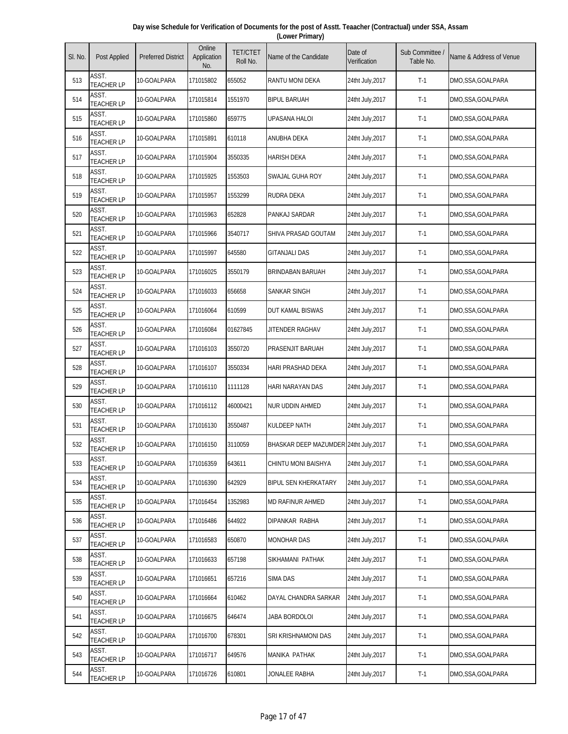| Day wise Schedule for Verification of Documents for the post of Asstt. Teaacher (Contractual) under SSA, Assam |  |
|----------------------------------------------------------------------------------------------------------------|--|
| (Lower Primary)                                                                                                |  |

| SI. No. | Post Applied               | <b>Preferred District</b> | Online<br>Application<br>No. | <b>TET/CTET</b><br>Roll No. | Name of the Candidate                  | Date of<br>Verification | Sub Committee<br>Table No. | Name & Address of Venue |
|---------|----------------------------|---------------------------|------------------------------|-----------------------------|----------------------------------------|-------------------------|----------------------------|-------------------------|
| 513     | ASST.<br><b>TEACHER LP</b> | 10-GOALPARA               | 171015802                    | 655052                      | RANTU MONI DEKA                        | 24tht July, 2017        | $T-1$                      | DMO,SSA,GOALPARA        |
| 514     | ASST.<br><b>TEACHER LP</b> | 10-GOALPARA               | 171015814                    | 1551970                     | <b>BIPUL BARUAH</b>                    | 24tht July, 2017        | $T-1$                      | DMO,SSA,GOALPARA        |
| 515     | ASST.<br><b>TEACHER LP</b> | 10-GOALPARA               | 171015860                    | 659775                      | <b>UPASANA HALOI</b>                   | 24tht July, 2017        | $T-1$                      | DMO,SSA,GOALPARA        |
| 516     | ASST.<br><b>TEACHER LP</b> | 10-GOALPARA               | 171015891                    | 610118                      | ANUBHA DEKA                            | 24tht July, 2017        | $T-1$                      | DMO,SSA,GOALPARA        |
| 517     | ASST.<br><b>TEACHER LP</b> | 10-GOALPARA               | 171015904                    | 3550335                     | <b>HARISH DEKA</b>                     | 24tht July, 2017        | $T-1$                      | DMO,SSA,GOALPARA        |
| 518     | ASST.<br><b>TEACHER LP</b> | 10-GOALPARA               | 171015925                    | 1553503                     | SWAJAL GUHA ROY                        | 24tht July, 2017        | $T-1$                      | DMO, SSA, GOALPARA      |
| 519     | ASST.<br><b>TEACHER LP</b> | 10-GOALPARA               | 171015957                    | 1553299                     | RUDRA DEKA                             | 24tht July, 2017        | $T-1$                      | DMO,SSA,GOALPARA        |
| 520     | ASST.<br><b>TEACHER LP</b> | 10-GOALPARA               | 171015963                    | 652828                      | PANKAJ SARDAR                          | 24tht July, 2017        | $T-1$                      | DMO,SSA,GOALPARA        |
| 521     | ASST.<br><b>TEACHER LP</b> | 10-GOALPARA               | 171015966                    | 3540717                     | SHIVA PRASAD GOUTAM                    | 24tht July, 2017        | $T-1$                      | DMO,SSA,GOALPARA        |
| 522     | ASST.<br><b>TEACHER LP</b> | 10-GOALPARA               | 171015997                    | 645580                      | <b>GITANJALI DAS</b>                   | 24tht July, 2017        | $T-1$                      | DMO,SSA,GOALPARA        |
| 523     | ASST.<br><b>TEACHER LP</b> | 10-GOALPARA               | 171016025                    | 3550179                     | BRINDABAN BARUAH                       | 24tht July, 2017        | $T-1$                      | DMO,SSA,GOALPARA        |
| 524     | ASST.<br><b>TEACHER LP</b> | 10-GOALPARA               | 171016033                    | 656658                      | SANKAR SINGH                           | 24tht July, 2017        | $T-1$                      | DMO,SSA,GOALPARA        |
| 525     | ASST.<br><b>TEACHER LP</b> | 10-GOALPARA               | 171016064                    | 610599                      | DUT KAMAL BISWAS                       | 24tht July, 2017        | $T-1$                      | DMO,SSA,GOALPARA        |
| 526     | ASST.<br><b>TEACHER LP</b> | 10-GOALPARA               | 171016084                    | 01627845                    | JITENDER RAGHAV                        | 24tht July, 2017        | $T-1$                      | DMO,SSA,GOALPARA        |
| 527     | ASST.<br><b>TEACHER LP</b> | 10-GOALPARA               | 171016103                    | 3550720                     | PRASENJIT BARUAH                       | 24tht July, 2017        | $T-1$                      | DMO,SSA,GOALPARA        |
| 528     | ASST.<br><b>TEACHER LP</b> | 10-GOALPARA               | 171016107                    | 3550334                     | HARI PRASHAD DEKA                      | 24tht July, 2017        | $T-1$                      | DMO,SSA,GOALPARA        |
| 529     | ASST.<br><b>TEACHER LP</b> | 10-GOALPARA               | 171016110                    | 1111128                     | HARI NARAYAN DAS                       | 24tht July, 2017        | $T-1$                      | DMO,SSA,GOALPARA        |
| 530     | ASST.<br><b>TEACHER LP</b> | 10-GOALPARA               | 171016112                    | 46000421                    | NUR UDDIN AHMED                        | 24tht July, 2017        | $T-1$                      | DMO,SSA,GOALPARA        |
| 531     | ASST.<br><b>TEACHER LP</b> | 10-GOALPARA               | 171016130                    | 3550487                     | KULDEEP NATH                           | 24tht July, 2017        | $T-1$                      | DMO,SSA,GOALPARA        |
| 532     | ASST.<br><b>TEACHER LP</b> | 10-GOALPARA               | 171016150                    | 3110059                     | BHASKAR DEEP MAZUMDER 24tht July, 2017 |                         | $T-1$                      | DMO,SSA,GOALPARA        |
| 533     | ASST.<br><b>TEACHER LP</b> | 10-GOALPARA               | 171016359                    | 643611                      | CHINTU MONI BAISHYA                    | 24tht July, 2017        | $T-1$                      | DMO,SSA,GOALPARA        |
| 534     | ASST.<br><b>TEACHER LP</b> | 10-GOALPARA               | 171016390                    | 642929                      | <b>BIPUL SEN KHERKATARY</b>            | 24tht July, 2017        | $T-1$                      | DMO,SSA,GOALPARA        |
| 535     | ASST.<br><b>TEACHER LP</b> | 10-GOALPARA               | 171016454                    | 1352983                     | MD RAFINUR AHMED                       | 24tht July, 2017        | $T-1$                      | DMO,SSA,GOALPARA        |
| 536     | ASST.<br><b>TEACHER LP</b> | 10-GOALPARA               | 171016486                    | 644922                      | DIPANKAR RABHA                         | 24tht July, 2017        | $T-1$                      | DMO,SSA,GOALPARA        |
| 537     | ASST.<br><b>TEACHER LP</b> | 10-GOALPARA               | 171016583                    | 650870                      | <b>MONOHAR DAS</b>                     | 24tht July, 2017        | $T-1$                      | DMO,SSA,GOALPARA        |
| 538     | ASST.<br><b>TEACHER LP</b> | 10-GOALPARA               | 171016633                    | 657198                      | SIKHAMANI PATHAK                       | 24tht July, 2017        | $T-1$                      | DMO,SSA,GOALPARA        |
| 539     | ASST.<br><b>TEACHER LP</b> | 10-GOALPARA               | 171016651                    | 657216                      | SIMA DAS                               | 24tht July, 2017        | $T-1$                      | DMO,SSA,GOALPARA        |
| 540     | ASST.<br><b>TEACHER LP</b> | 10-GOALPARA               | 171016664                    | 610462                      | DAYAL CHANDRA SARKAR                   | 24tht July, 2017        | $T-1$                      | DMO,SSA,GOALPARA        |
| 541     | ASST.<br><b>TEACHER LP</b> | 10-GOALPARA               | 171016675                    | 646474                      | JABA BORDOLOI                          | 24tht July, 2017        | $T-1$                      | DMO,SSA,GOALPARA        |
| 542     | ASST.<br><b>TEACHER LP</b> | 10-GOALPARA               | 171016700                    | 678301                      | sri krishnamoni das                    | 24tht July, 2017        | $T-1$                      | DMO,SSA,GOALPARA        |
| 543     | ASST.<br><b>TEACHER LP</b> | 10-GOALPARA               | 171016717                    | 649576                      | MANIKA PATHAK                          | 24tht July, 2017        | $T-1$                      | DMO,SSA,GOALPARA        |
| 544     | ASST.<br><b>TEACHER LP</b> | 10-GOALPARA               | 171016726                    | 610801                      | JONALEE RABHA                          | 24tht July, 2017        | $T-1$                      | DMO,SSA,GOALPARA        |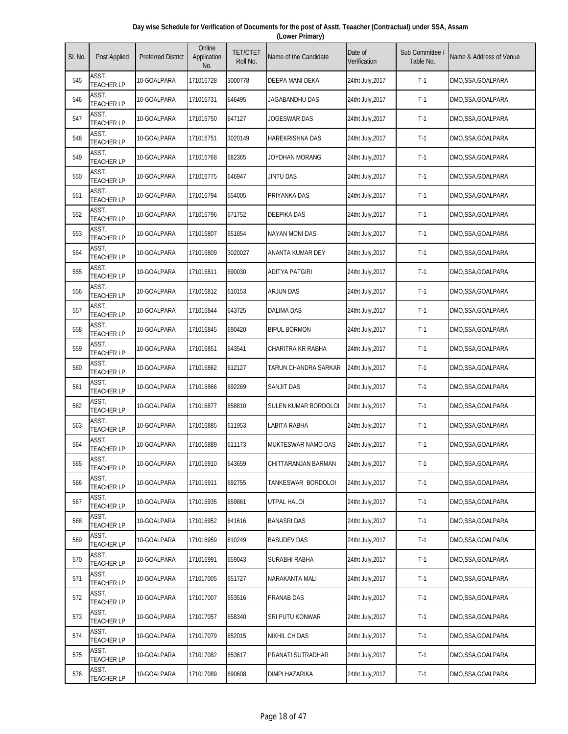| Day wise Schedule for Verification of Documents for the post of Asstt. Teaacher (Contractual) under SSA, Assam |  |
|----------------------------------------------------------------------------------------------------------------|--|
| (Lower Primary)                                                                                                |  |

| SI. No. | Post Applied               | <b>Preferred District</b> | Online<br>Application<br>No. | <b>TET/CTET</b><br>Roll No. | Name of the Candidate  | Date of<br>Verification | Sub Committee<br>Table No. | Name & Address of Venue |
|---------|----------------------------|---------------------------|------------------------------|-----------------------------|------------------------|-------------------------|----------------------------|-------------------------|
| 545     | ASST.<br><b>TEACHER LP</b> | 10-GOALPARA               | 171016728                    | 3000778                     | DEEPA MANI DEKA        | 24tht July, 2017        | $T-1$                      | DMO,SSA,GOALPARA        |
| 546     | ASST.<br><b>TEACHER LP</b> | 10-GOALPARA               | 171016731                    | 646495                      | JAGABANDHU DAS         | 24tht July, 2017        | $T-1$                      | DMO,SSA,GOALPARA        |
| 547     | ASST.<br><b>TEACHER LP</b> | 10-GOALPARA               | 171016750                    | 647127                      | JOGESWAR DAS           | 24tht July, 2017        | $T-1$                      | DMO,SSA,GOALPARA        |
| 548     | ASST.<br><b>TEACHER LP</b> | 10-GOALPARA               | 171016751                    | 3020149                     | <b>HAREKRISHNA DAS</b> | 24tht July, 2017        | $T-1$                      | DMO,SSA,GOALPARA        |
| 549     | ASST.<br><b>TEACHER LP</b> | 10-GOALPARA               | 171016768                    | 682365                      | JOYDHAN MORANG         | 24tht July, 2017        | $T-1$                      | DMO,SSA,GOALPARA        |
| 550     | ASST.<br><b>TEACHER LP</b> | 10-GOALPARA               | 171016775                    | 646947                      | JINTU DAS              | 24tht July, 2017        | $T-1$                      | DMO,SSA,GOALPARA        |
| 551     | ASST.<br><b>TEACHER LP</b> | 10-GOALPARA               | 171016794                    | 654005                      | PRIYANKA DAS           | 24tht July, 2017        | $T-1$                      | DMO,SSA,GOALPARA        |
| 552     | ASST.<br><b>TEACHER LP</b> | 10-GOALPARA               | 171016796                    | 671752                      | <b>DEEPIKA DAS</b>     | 24tht July, 2017        | $T-1$                      | DMO,SSA,GOALPARA        |
| 553     | ASST.<br><b>TEACHER LP</b> | 10-GOALPARA               | 171016807                    | 651854                      | <b>NAYAN MONI DAS</b>  | 24tht July, 2017        | $T-1$                      | DMO,SSA,GOALPARA        |
| 554     | ASST.<br><b>TEACHER LP</b> | 10-GOALPARA               | 171016809                    | 3020027                     | ANANTA KUMAR DEY       | 24tht July, 2017        | $T-1$                      | DMO,SSA,GOALPARA        |
| 555     | ASST.<br><b>TEACHER LP</b> | 10-GOALPARA               | 171016811                    | 690030                      | <b>ADITYA PATGIRI</b>  | 24tht July, 2017        | $T-1$                      | DMO,SSA,GOALPARA        |
| 556     | ASST.<br><b>TEACHER LP</b> | 10-GOALPARA               | 171016812                    | 610153                      | ARJUN DAS              | 24tht July, 2017        | $T-1$                      | DMO,SSA,GOALPARA        |
| 557     | ASST.<br><b>TEACHER LP</b> | 10-GOALPARA               | 171016844                    | 643725                      | <b>DALIMA DAS</b>      | 24tht July, 2017        | $T-1$                      | DMO,SSA,GOALPARA        |
| 558     | ASST.<br><b>TEACHER LP</b> | 10-GOALPARA               | 171016845                    | 690420                      | <b>BIPUL BORMON</b>    | 24tht July, 2017        | $T-1$                      | DMO,SSA,GOALPARA        |
| 559     | ASST.<br><b>TEACHER LP</b> | 10-GOALPARA               | 171016851                    | 643541                      | CHARITRA KR RABHA      | 24tht July, 2017        | $T-1$                      | DMO,SSA,GOALPARA        |
| 560     | ASST.<br><b>TEACHER LP</b> | 10-GOALPARA               | 171016862                    | 612127                      | TARUN CHANDRA SARKAR   | 24tht July, 2017        | $T-1$                      | DMO,SSA,GOALPARA        |
| 561     | ASST.<br><b>TEACHER LP</b> | 10-GOALPARA               | 171016866                    | 692269                      | SANJIT DAS             | 24tht July, 2017        | $T-1$                      | DMO,SSA,GOALPARA        |
| 562     | ASST.<br><b>TEACHER LP</b> | 10-GOALPARA               | 171016877                    | 658810                      | SULEN KUMAR BORDOLOI   | 24tht July, 2017        | $T-1$                      | DMO,SSA,GOALPARA        |
| 563     | ASST.<br><b>TEACHER LP</b> | 10-GOALPARA               | 171016885                    | 611953                      | LABITA RABHA           | 24tht July, 2017        | $T-1$                      | DMO,SSA,GOALPARA        |
| 564     | ASST.<br><b>TEACHER LP</b> | 10-GOALPARA               | 171016889                    | 611173                      | MUKTESWAR NAMO DAS     | 24tht July, 2017        | $T-1$                      | DMO, SSA, GOALPARA      |
| 565     | ASST.<br><b>TEACHER LP</b> | 10-GOALPARA               | 171016910                    | 643659                      | CHITTARANJAN BARMAN    | 24tht July, 2017        | $T-1$                      | DMO, SSA, GOALPARA      |
| 566     | ASST.<br><b>TEACHER LP</b> | 10-GOALPARA               | 171016911                    | 692755                      | TANKESWAR BORDOLOI     | 24tht July, 2017        | $T-1$                      | DMO,SSA,GOALPARA        |
| 567     | ASST.<br><b>TEACHER LP</b> | 10-GOALPARA               | 171016935                    | 659861                      | UTPAL HALOI            | 24tht July, 2017        | $T-1$                      | DMO,SSA,GOALPARA        |
| 568     | ASST.<br><b>TEACHER LP</b> | 10-GOALPARA               | 171016952                    | 641616                      | <b>BANASRI DAS</b>     | 24tht July, 2017        | $T-1$                      | DMO,SSA,GOALPARA        |
| 569     | ASST.<br><b>TEACHER LP</b> | 10-GOALPARA               | 171016959                    | 610249                      | <b>BASUDEV DAS</b>     | 24tht July, 2017        | $T-1$                      | DMO,SSA,GOALPARA        |
| 570     | ASST.<br><b>TEACHER LP</b> | 10-GOALPARA               | 171016991                    | 659043                      | SURABHI RABHA          | 24tht July, 2017        | $T-1$                      | DMO,SSA,GOALPARA        |
| 571     | ASST.<br><b>TEACHER LP</b> | 10-GOALPARA               | 171017005                    | 651727                      | NARAKANTA MALI         | 24tht July, 2017        | $T-1$                      | DMO,SSA,GOALPARA        |
| 572     | ASST.<br><b>TEACHER LP</b> | 10-GOALPARA               | 171017007                    | 653516                      | PRANAB DAS             | 24tht July, 2017        | $T-1$                      | DMO,SSA,GOALPARA        |
| 573     | ASST.<br><b>TEACHER LP</b> | 10-GOALPARA               | 171017057                    | 658340                      | SRI PUTU KONWAR        | 24tht July, 2017        | $T-1$                      | DMO,SSA,GOALPARA        |
| 574     | ASST.<br><b>TEACHER LP</b> | 10-GOALPARA               | 171017079                    | 652015                      | <b>NIKHIL CH DAS</b>   | 24tht July, 2017        | $T-1$                      | DMO,SSA,GOALPARA        |
| 575     | ASST.<br><b>TEACHER LP</b> | 10-GOALPARA               | 171017082                    | 653617                      | PRANATI SUTRADHAR      | 24tht July, 2017        | $T-1$                      | DMO,SSA,GOALPARA        |
| 576     | ASST.<br><b>TEACHER LP</b> | 10-GOALPARA               | 171017089                    | 690608                      | DIMPI HAZARIKA         | 24tht July, 2017        | $T-1$                      | DMO,SSA,GOALPARA        |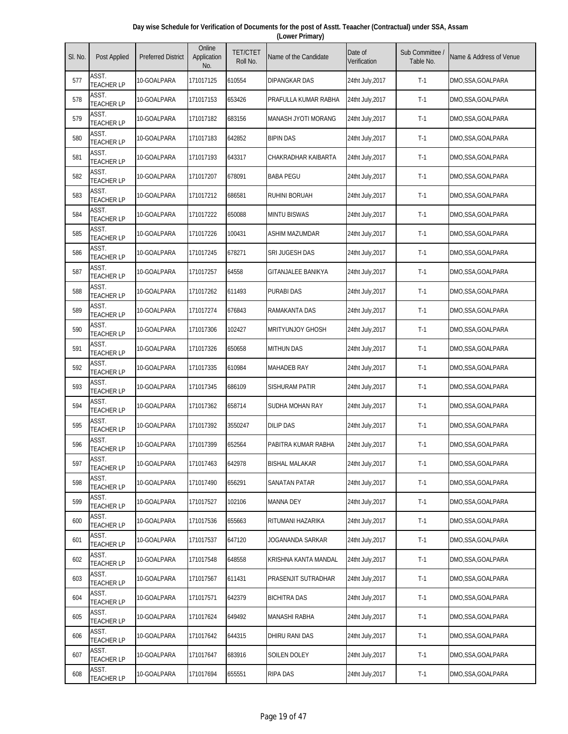| Day wise Schedule for Verification of Documents for the post of Asstt. Teaacher (Contractual) under SSA, Assam |  |
|----------------------------------------------------------------------------------------------------------------|--|
| (Lower Primary)                                                                                                |  |

| SI. No. | Post Applied               | <b>Preferred District</b> | Online<br>Application<br>No. | <b>TET/CTET</b><br>Roll No. | Name of the Candidate   | Date of<br>Verification | Sub Committee /<br>Table No. | Name & Address of Venue |
|---------|----------------------------|---------------------------|------------------------------|-----------------------------|-------------------------|-------------------------|------------------------------|-------------------------|
| 577     | ASST.<br><b>TEACHER LP</b> | 10-GOALPARA               | 171017125                    | 610554                      | DIPANGKAR DAS           | 24tht July, 2017        | $T-1$                        | DMO,SSA,GOALPARA        |
| 578     | ASST.<br><b>TEACHER LP</b> | 10-GOALPARA               | 171017153                    | 653426                      | PRAFULLA KUMAR RABHA    | 24tht July, 2017        | $T-1$                        | DMO,SSA,GOALPARA        |
| 579     | ASST.<br><b>TEACHER LP</b> | 10-GOALPARA               | 171017182                    | 683156                      | MANASH JYOTI MORANG     | 24tht July, 2017        | $T-1$                        | DMO,SSA,GOALPARA        |
| 580     | ASST.<br><b>TEACHER LP</b> | 10-GOALPARA               | 171017183                    | 642852                      | <b>BIPIN DAS</b>        | 24tht July, 2017        | $T-1$                        | DMO,SSA,GOALPARA        |
| 581     | ASST.<br><b>TEACHER LP</b> | 10-GOALPARA               | 171017193                    | 643317                      | CHAKRADHAR KAIBARTA     | 24tht July, 2017        | $T-1$                        | DMO,SSA,GOALPARA        |
| 582     | ASST.<br><b>TEACHER LP</b> | 10-GOALPARA               | 171017207                    | 678091                      | <b>BABA PEGU</b>        | 24tht July, 2017        | $T-1$                        | DMO,SSA,GOALPARA        |
| 583     | ASST.<br><b>TEACHER LP</b> | 10-GOALPARA               | 171017212                    | 686581                      | <b>RUHINI BORUAH</b>    | 24tht July, 2017        | $T-1$                        | DMO,SSA,GOALPARA        |
| 584     | ASST.<br><b>TEACHER LP</b> | 10-GOALPARA               | 171017222                    | 650088                      | <b>MINTU BISWAS</b>     | 24tht July, 2017        | $T-1$                        | DMO,SSA,GOALPARA        |
| 585     | ASST.<br><b>TEACHER LP</b> | 10-GOALPARA               | 171017226                    | 100431                      | <b>ASHIM MAZUMDAR</b>   | 24tht July, 2017        | $T-1$                        | DMO,SSA,GOALPARA        |
| 586     | ASST.<br><b>TEACHER LP</b> | 10-GOALPARA               | 171017245                    | 678271                      | SRI JUGESH DAS          | 24tht July, 2017        | $T-1$                        | DMO,SSA,GOALPARA        |
| 587     | ASST.<br><b>TEACHER LP</b> | 10-GOALPARA               | 171017257                    | 64558                       | GITANJALEE BANIKYA      | 24tht July, 2017        | $T-1$                        | DMO,SSA,GOALPARA        |
| 588     | ASST.<br><b>TEACHER LP</b> | 10-GOALPARA               | 171017262                    | 611493                      | <b>PURABI DAS</b>       | 24tht July, 2017        | $T-1$                        | DMO,SSA,GOALPARA        |
| 589     | ASST.<br><b>TEACHER LP</b> | 10-GOALPARA               | 171017274                    | 676843                      | RAMAKANTA DAS           | 24tht July, 2017        | $T-1$                        | DMO,SSA,GOALPARA        |
| 590     | ASST.<br><b>TEACHER LP</b> | 10-GOALPARA               | 171017306                    | 102427                      | <b>MRITYUNJOY GHOSH</b> | 24tht July, 2017        | $T-1$                        | DMO,SSA,GOALPARA        |
| 591     | ASST.<br><b>TEACHER LP</b> | 10-GOALPARA               | 171017326                    | 650658                      | <b>MITHUN DAS</b>       | 24tht July, 2017        | $T-1$                        | DMO,SSA,GOALPARA        |
| 592     | ASST.<br><b>TEACHER LP</b> | 10-GOALPARA               | 171017335                    | 610984                      | <b>MAHADEB RAY</b>      | 24tht July, 2017        | $T-1$                        | DMO,SSA,GOALPARA        |
| 593     | ASST.<br><b>TEACHER LP</b> | 10-GOALPARA               | 171017345                    | 686109                      | SISHURAM PATIR          | 24tht July, 2017        | $T-1$                        | DMO,SSA,GOALPARA        |
| 594     | ASST.<br><b>TEACHER LP</b> | 10-GOALPARA               | 171017362                    | 658714                      | SUDHA MOHAN RAY         | 24tht July, 2017        | $T-1$                        | DMO,SSA,GOALPARA        |
| 595     | ASST.<br><b>TEACHER LP</b> | 10-GOALPARA               | 171017392                    | 3550247                     | <b>DILIP DAS</b>        | 24tht July, 2017        | $T-1$                        | DMO,SSA,GOALPARA        |
| 596     | ASST.<br><b>TEACHER LP</b> | 10-GOALPARA               | 171017399                    | 652564                      | PABITRA KUMAR RABHA     | 24tht July, 2017        | $T-1$                        | DMO,SSA,GOALPARA        |
| 597     | ASST.<br><b>TEACHER LP</b> | 10-GOALPARA               | 171017463                    | 642978                      | <b>BISHAL MALAKAR</b>   | 24tht July, 2017        | $T-1$                        | DMO,SSA,GOALPARA        |
| 598     | ASST.<br><b>TEACHER LP</b> | 10-GOALPARA               | 171017490                    | 656291                      | SANATAN PATAR           | 24tht July, 2017        | $T-1$                        | DMO,SSA,GOALPARA        |
| 599     | ASST.<br><b>TEACHER LP</b> | 10-GOALPARA               | 171017527                    | 102106                      | <b>MANNA DEY</b>        | 24tht July, 2017        | $T-1$                        | DMO,SSA,GOALPARA        |
| 600     | ASST.<br><b>TEACHER LP</b> | 10-GOALPARA               | 171017536                    | 655663                      | RITUMANI HAZARIKA       | 24tht July, 2017        | $T-1$                        | DMO,SSA,GOALPARA        |
| 601     | ASST.<br><b>TEACHER LP</b> | 10-GOALPARA               | 171017537                    | 647120                      | JOGANANDA SARKAR        | 24tht July, 2017        | $T-1$                        | DMO,SSA,GOALPARA        |
| 602     | ASST.<br><b>TEACHER LP</b> | 10-GOALPARA               | 171017548                    | 648558                      | KRISHNA KANTA MANDAL    | 24tht July, 2017        | $T-1$                        | DMO,SSA,GOALPARA        |
| 603     | ASST.<br><b>TEACHER LP</b> | 10-GOALPARA               | 171017567                    | 611431                      | PRASENJIT SUTRADHAR     | 24tht July, 2017        | $T-1$                        | DMO,SSA,GOALPARA        |
| 604     | ASST.<br>TEACHER LP        | 10-GOALPARA               | 171017571                    | 642379                      | <b>BICHITRA DAS</b>     | 24tht July, 2017        | $T-1$                        | DMO,SSA,GOALPARA        |
| 605     | ASST.<br><b>TEACHER LP</b> | 10-GOALPARA               | 171017624                    | 649492                      | <b>MANASHI RABHA</b>    | 24tht July, 2017        | $T-1$                        | DMO,SSA,GOALPARA        |
| 606     | ASST.<br><b>TEACHER LP</b> | 10-GOALPARA               | 171017642                    | 644315                      | DHIRU RANI DAS          | 24tht July, 2017        | $T-1$                        | DMO,SSA,GOALPARA        |
| 607     | ASST.<br><b>TEACHER LP</b> | 10-GOALPARA               | 171017647                    | 683916                      | SOILEN DOLEY            | 24tht July, 2017        | $T-1$                        | DMO,SSA,GOALPARA        |
| 608     | ASST.<br><b>TEACHER LP</b> | 10-GOALPARA               | 171017694                    | 655551                      | <b>RIPA DAS</b>         | 24tht July, 2017        | $T-1$                        | DMO,SSA,GOALPARA        |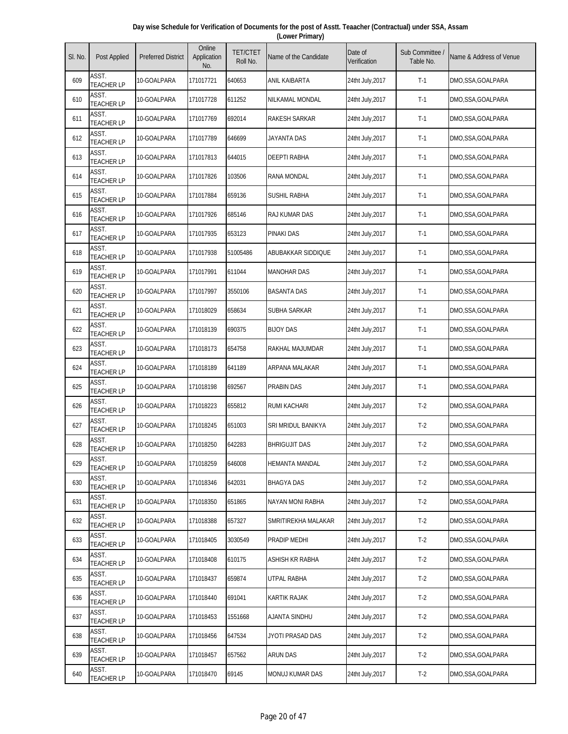| Day wise Schedule for Verification of Documents for the post of Asstt. Teaacher (Contractual) under SSA, Assam |  |
|----------------------------------------------------------------------------------------------------------------|--|
| (Lower Primary)                                                                                                |  |

| SI. No. | <b>Post Applied</b>        | <b>Preferred District</b> | Online<br>Application<br>No. | <b>TET/CTET</b><br>Roll No. | Name of the Candidate | Date of<br>Verification | Sub Committee<br>Table No. | Name & Address of Venue |
|---------|----------------------------|---------------------------|------------------------------|-----------------------------|-----------------------|-------------------------|----------------------------|-------------------------|
| 609     | ASST.<br><b>TEACHER LP</b> | 10-GOALPARA               | 171017721                    | 640653                      | ANIL KAIBARTA         | 24tht July, 2017        | $T-1$                      | DMO,SSA,GOALPARA        |
| 610     | ASST.<br><b>TEACHER LP</b> | 10-GOALPARA               | 171017728                    | 611252                      | NILKAMAL MONDAL       | 24tht July, 2017        | $T-1$                      | DMO,SSA,GOALPARA        |
| 611     | ASST.<br><b>TEACHER LP</b> | 10-GOALPARA               | 171017769                    | 692014                      | <b>RAKESH SARKAR</b>  | 24tht July, 2017        | $T-1$                      | DMO,SSA,GOALPARA        |
| 612     | ASST.<br><b>TEACHER LP</b> | 10-GOALPARA               | 171017789                    | 646699                      | JAYANTA DAS           | 24tht July, 2017        | $T-1$                      | DMO,SSA,GOALPARA        |
| 613     | ASST.<br><b>TEACHER LP</b> | 10-GOALPARA               | 171017813                    | 644015                      | <b>DEEPTI RABHA</b>   | 24tht July, 2017        | $T-1$                      | DMO,SSA,GOALPARA        |
| 614     | ASST.<br><b>TEACHER LP</b> | 10-GOALPARA               | 171017826                    | 103506                      | RANA MONDAL           | 24tht July, 2017        | $T-1$                      | DMO,SSA,GOALPARA        |
| 615     | ASST.<br><b>TEACHER LP</b> | 10-GOALPARA               | 171017884                    | 659136                      | <b>SUSHIL RABHA</b>   | 24tht July, 2017        | $T-1$                      | DMO,SSA,GOALPARA        |
| 616     | ASST.<br><b>TEACHER LP</b> | 10-GOALPARA               | 171017926                    | 685146                      | RAJ KUMAR DAS         | 24tht July, 2017        | $T-1$                      | DMO,SSA,GOALPARA        |
| 617     | ASST.<br><b>TEACHER LP</b> | 10-GOALPARA               | 171017935                    | 653123                      | <b>PINAKI DAS</b>     | 24tht July, 2017        | $T-1$                      | DMO,SSA,GOALPARA        |
| 618     | ASST.<br><b>TEACHER LP</b> | 10-GOALPARA               | 171017938                    | 51005486                    | ABUBAKKAR SIDDIQUE    | 24tht July, 2017        | $T-1$                      | DMO,SSA,GOALPARA        |
| 619     | ASST.<br><b>TEACHER LP</b> | 10-GOALPARA               | 171017991                    | 611044                      | <b>MANOHAR DAS</b>    | 24tht July, 2017        | $T-1$                      | DMO,SSA,GOALPARA        |
| 620     | ASST.<br><b>TEACHER LP</b> | 10-GOALPARA               | 171017997                    | 3550106                     | <b>BASANTA DAS</b>    | 24tht July, 2017        | $T-1$                      | DMO,SSA,GOALPARA        |
| 621     | ASST.<br><b>TEACHER LP</b> | 10-GOALPARA               | 171018029                    | 658634                      | SUBHA SARKAR          | 24tht July, 2017        | $T-1$                      | DMO,SSA,GOALPARA        |
| 622     | ASST.<br><b>TEACHER LP</b> | 10-GOALPARA               | 171018139                    | 690375                      | <b>BIJOY DAS</b>      | 24tht July, 2017        | $T-1$                      | DMO,SSA,GOALPARA        |
| 623     | ASST.<br><b>TEACHER LP</b> | 10-GOALPARA               | 171018173                    | 654758                      | RAKHAL MAJUMDAR       | 24tht July, 2017        | $T-1$                      | DMO,SSA,GOALPARA        |
| 624     | ASST.<br><b>TEACHER LP</b> | 10-GOALPARA               | 171018189                    | 641189                      | ARPANA MALAKAR        | 24tht July, 2017        | $T-1$                      | DMO,SSA,GOALPARA        |
| 625     | ASST.<br><b>TEACHER LP</b> | 10-GOALPARA               | 171018198                    | 692567                      | <b>PRABIN DAS</b>     | 24tht July, 2017        | $T-1$                      | DMO,SSA,GOALPARA        |
| 626     | ASST.<br><b>TEACHER LP</b> | 10-GOALPARA               | 171018223                    | 655812                      | <b>RUMI KACHARI</b>   | 24tht July, 2017        | $T-2$                      | DMO,SSA,GOALPARA        |
| 627     | ASST.<br><b>TEACHER LP</b> | 10-GOALPARA               | 171018245                    | 651003                      | SRI MRIDUL BANIKYA    | 24tht July, 2017        | $T-2$                      | DMO, SSA, GOALPARA      |
| 628     | ASST.<br><b>TEACHER LP</b> | 10-GOALPARA               | 171018250                    | 642283                      | <b>BHRIGUJIT DAS</b>  | 24tht July, 2017        | $T-2$                      | DMO,SSA,GOALPARA        |
| 629     | ASST.<br><b>TEACHER LP</b> | 10-GOALPARA               | 171018259                    | 646008                      | <b>HEMANTA MANDAL</b> | 24tht July, 2017        | $T-2$                      | DMO,SSA,GOALPARA        |
| 630     | ASST.<br><b>TEACHER LP</b> | 10-GOALPARA               | 171018346                    | 642031                      | <b>BHAGYA DAS</b>     | 24tht July, 2017        | $T-2$                      | DMO,SSA,GOALPARA        |
| 631     | ASST.<br><b>TEACHER LP</b> | 10-GOALPARA               | 171018350                    | 651865                      | NAYAN MONI RABHA      | 24tht July, 2017        | $T-2$                      | DMO,SSA,GOALPARA        |
| 632     | ASST.<br><b>TEACHER LP</b> | 10-GOALPARA               | 171018388                    | 657327                      | SMRITIREKHA MALAKAR   | 24tht July, 2017        | $T-2$                      | DMO,SSA,GOALPARA        |
| 633     | ASST.<br><b>TEACHER LP</b> | 10-GOALPARA               | 171018405                    | 3030549                     | PRADIP MEDHI          | 24tht July, 2017        | $T-2$                      | DMO,SSA,GOALPARA        |
| 634     | ASST.<br><b>TEACHER LP</b> | 10-GOALPARA               | 171018408                    | 610175                      | ASHISH KR RABHA       | 24tht July, 2017        | $T-2$                      | DMO,SSA,GOALPARA        |
| 635     | ASST.<br><b>TEACHER LP</b> | 10-GOALPARA               | 171018437                    | 659874                      | UTPAL RABHA           | 24tht July, 2017        | $T-2$                      | DMO, SSA, GOALPARA      |
| 636     | ASST.<br><b>TEACHER LP</b> | 10-GOALPARA               | 171018440                    | 691041                      | KARTIK RAJAK          | 24tht July, 2017        | $T-2$                      | DMO,SSA,GOALPARA        |
| 637     | ASST.<br><b>TEACHER LP</b> | 10-GOALPARA               | 171018453                    | 1551668                     | AJANTA SINDHU         | 24tht July, 2017        | $T-2$                      | DMO,SSA,GOALPARA        |
| 638     | ASST.<br><b>TEACHER LP</b> | 10-GOALPARA               | 171018456                    | 647534                      | JYOTI PRASAD DAS      | 24tht July, 2017        | $T-2$                      | DMO,SSA,GOALPARA        |
| 639     | ASST.<br><b>TEACHER LP</b> | 10-GOALPARA               | 171018457                    | 657562                      | <b>ARUN DAS</b>       | 24tht July, 2017        | $T-2$                      | DMO,SSA,GOALPARA        |
| 640     | ASST.<br><b>TEACHER LP</b> | 10-GOALPARA               | 171018470                    | 69145                       | MONUJ KUMAR DAS       | 24tht July, 2017        | $T-2$                      | DMO,SSA,GOALPARA        |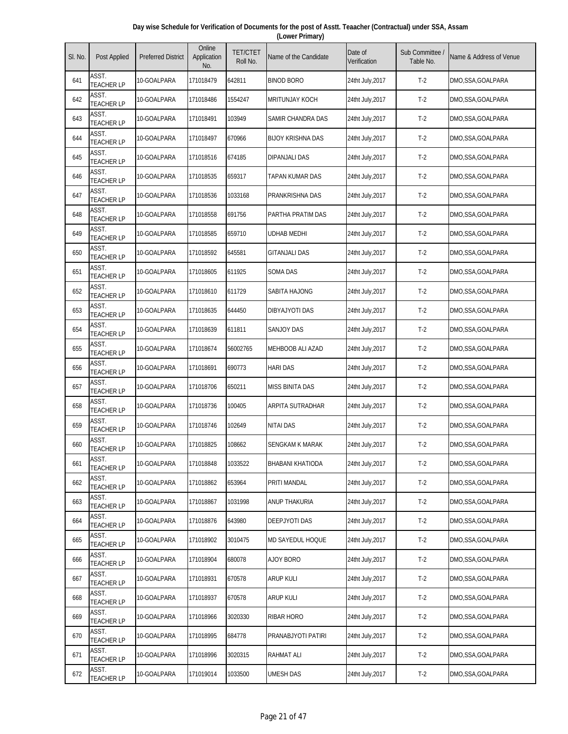| Day wise Schedule for Verification of Documents for the post of Asstt. Teaacher (Contractual) under SSA, Assam |  |
|----------------------------------------------------------------------------------------------------------------|--|
| (Lower Primary)                                                                                                |  |

| SI. No. | <b>Post Applied</b>        | <b>Preferred District</b> | Online<br>Application<br>No. | <b>TET/CTET</b><br>Roll No. | Name of the Candidate    | Date of<br>Verification | Sub Committee<br>Table No. | Name & Address of Venue |
|---------|----------------------------|---------------------------|------------------------------|-----------------------------|--------------------------|-------------------------|----------------------------|-------------------------|
| 641     | ASST.<br><b>TEACHER LP</b> | 10-GOALPARA               | 171018479                    | 642811                      | <b>BINOD BORO</b>        | 24tht July, 2017        | $T-2$                      | DMO,SSA,GOALPARA        |
| 642     | ASST.<br><b>TEACHER LP</b> | 10-GOALPARA               | 171018486                    | 1554247                     | <b>MRITUNJAY KOCH</b>    | 24tht July, 2017        | $T-2$                      | DMO,SSA,GOALPARA        |
| 643     | ASST.<br><b>TEACHER LP</b> | 10-GOALPARA               | 171018491                    | 103949                      | SAMIR CHANDRA DAS        | 24tht July, 2017        | $T-2$                      | DMO,SSA,GOALPARA        |
| 644     | ASST.<br><b>TEACHER LP</b> | 10-GOALPARA               | 171018497                    | 670966                      | <b>BIJOY KRISHNA DAS</b> | 24tht July, 2017        | $T-2$                      | DMO,SSA,GOALPARA        |
| 645     | ASST.<br><b>TEACHER LP</b> | 10-GOALPARA               | 171018516                    | 674185                      | <b>DIPANJALI DAS</b>     | 24tht July, 2017        | $T-2$                      | DMO,SSA,GOALPARA        |
| 646     | ASST.<br><b>TEACHER LP</b> | 10-GOALPARA               | 171018535                    | 659317                      | TAPAN KUMAR DAS          | 24tht July, 2017        | $T-2$                      | DMO,SSA,GOALPARA        |
| 647     | ASST.<br><b>TEACHER LP</b> | 10-GOALPARA               | 171018536                    | 1033168                     | PRANKRISHNA DAS          | 24tht July, 2017        | $T-2$                      | DMO,SSA,GOALPARA        |
| 648     | ASST.<br><b>TEACHER LP</b> | 10-GOALPARA               | 171018558                    | 691756                      | PARTHA PRATIM DAS        | 24tht July, 2017        | $T-2$                      | DMO,SSA,GOALPARA        |
| 649     | ASST.<br><b>TEACHER LP</b> | 10-GOALPARA               | 171018585                    | 659710                      | <b>UDHAB MEDHI</b>       | 24tht July, 2017        | $T-2$                      | DMO,SSA,GOALPARA        |
| 650     | ASST.<br><b>TEACHER LP</b> | 10-GOALPARA               | 171018592                    | 645581                      | <b>GITANJALI DAS</b>     | 24tht July, 2017        | $T-2$                      | DMO,SSA,GOALPARA        |
| 651     | ASST.<br><b>TEACHER LP</b> | 10-GOALPARA               | 171018605                    | 611925                      | <b>SOMA DAS</b>          | 24tht July, 2017        | $T-2$                      | DMO,SSA,GOALPARA        |
| 652     | ASST.<br><b>TEACHER LP</b> | 10-GOALPARA               | 171018610                    | 611729                      | SABITA HAJONG            | 24tht July, 2017        | $T-2$                      | DMO,SSA,GOALPARA        |
| 653     | ASST.<br><b>TEACHER LP</b> | 10-GOALPARA               | 171018635                    | 644450                      | DIBYAJYOTI DAS           | 24tht July, 2017        | $T-2$                      | DMO,SSA,GOALPARA        |
| 654     | ASST.<br><b>TEACHER LP</b> | 10-GOALPARA               | 171018639                    | 611811                      | <b>SANJOY DAS</b>        | 24tht July, 2017        | $T-2$                      | DMO,SSA,GOALPARA        |
| 655     | ASST.<br><b>TEACHER LP</b> | 10-GOALPARA               | 171018674                    | 56002765                    | MEHBOOB ALI AZAD         | 24tht July, 2017        | $T-2$                      | DMO, SSA, GOALPARA      |
| 656     | ASST.<br><b>TEACHER LP</b> | 10-GOALPARA               | 171018691                    | 690773                      | <b>HARI DAS</b>          | 24tht July, 2017        | $T-2$                      | DMO,SSA,GOALPARA        |
| 657     | ASST.<br><b>TEACHER LP</b> | 10-GOALPARA               | 171018706                    | 650211                      | MISS BINITA DAS          | 24tht July, 2017        | $T-2$                      | DMO,SSA,GOALPARA        |
| 658     | ASST.<br><b>TEACHER LP</b> | 10-GOALPARA               | 171018736                    | 100405                      | ARPITA SUTRADHAR         | 24tht July, 2017        | $T-2$                      | DMO,SSA,GOALPARA        |
| 659     | ASST.<br><b>TEACHER LP</b> | 10-GOALPARA               | 171018746                    | 102649                      | <b>NITAI DAS</b>         | 24tht July, 2017        | $T-2$                      | DMO, SSA, GOALPARA      |
| 660     | ASST.<br><b>TEACHER LP</b> | 10-GOALPARA               | 171018825                    | 108662                      | <b>SENGKAM K MARAK</b>   | 24tht July, 2017        | $T-2$                      | DMO,SSA,GOALPARA        |
| 661     | ASST.<br><b>TEACHER LP</b> | 10-GOALPARA               | 171018848                    | 1033522                     | <b>BHABANI KHATIODA</b>  | 24tht July, 2017        | $T-2$                      | DMO,SSA,GOALPARA        |
| 662     | ASST.<br><b>TEACHER LP</b> | 10-GOALPARA               | 171018862                    | 653964                      | PRITI MANDAL             | 24tht July, 2017        | $T-2$                      | DMO,SSA,GOALPARA        |
| 663     | ASST.<br><b>TEACHER LP</b> | 10-GOALPARA               | 171018867                    | 1031998                     | ANUP THAKURIA            | 24tht July, 2017        | $T-2$                      | DMO,SSA,GOALPARA        |
| 664     | ASST.<br><b>TEACHER LP</b> | 10-GOALPARA               | 171018876                    | 643980                      | DEEPJYOTI DAS            | 24tht July, 2017        | $T-2$                      | DMO, SSA, GOALPARA      |
| 665     | ASST.<br><b>TEACHER LP</b> | 10-GOALPARA               | 171018902                    | 3010475                     | MD SAYEDUL HOQUE         | 24tht July, 2017        | $T-2$                      | DMO,SSA,GOALPARA        |
| 666     | ASST.<br><b>TEACHER LP</b> | 10-GOALPARA               | 171018904                    | 680078                      | AJOY BORO                | 24tht July, 2017        | $T-2$                      | DMO,SSA,GOALPARA        |
| 667     | ASST.<br><b>TEACHER LP</b> | 10-GOALPARA               | 171018931                    | 670578                      | <b>ARUP KULI</b>         | 24tht July, 2017        | $T-2$                      | DMO, SSA, GOALPARA      |
| 668     | ASST.<br><b>TEACHER LP</b> | 10-GOALPARA               | 171018937                    | 670578                      | ARUP KULI                | 24tht July, 2017        | $T-2$                      | DMO,SSA,GOALPARA        |
| 669     | ASST.<br><b>TEACHER LP</b> | 10-GOALPARA               | 171018966                    | 3020330                     | RIBAR HORO               | 24tht July, 2017        | $T-2$                      | DMO,SSA,GOALPARA        |
| 670     | ASST.<br><b>TEACHER LP</b> | 10-GOALPARA               | 171018995                    | 684778                      | PRANABJYOTI PATIRI       | 24tht July, 2017        | $T-2$                      | DMO,SSA,GOALPARA        |
| 671     | ASST.<br><b>TEACHER LP</b> | 10-GOALPARA               | 171018996                    | 3020315                     | RAHMAT ALI               | 24tht July, 2017        | $T-2$                      | DMO,SSA,GOALPARA        |
| 672     | ASST.<br><b>TEACHER LP</b> | 10-GOALPARA               | 171019014                    | 1033500                     | UMESH DAS                | 24tht July, 2017        | $T-2$                      | DMO,SSA,GOALPARA        |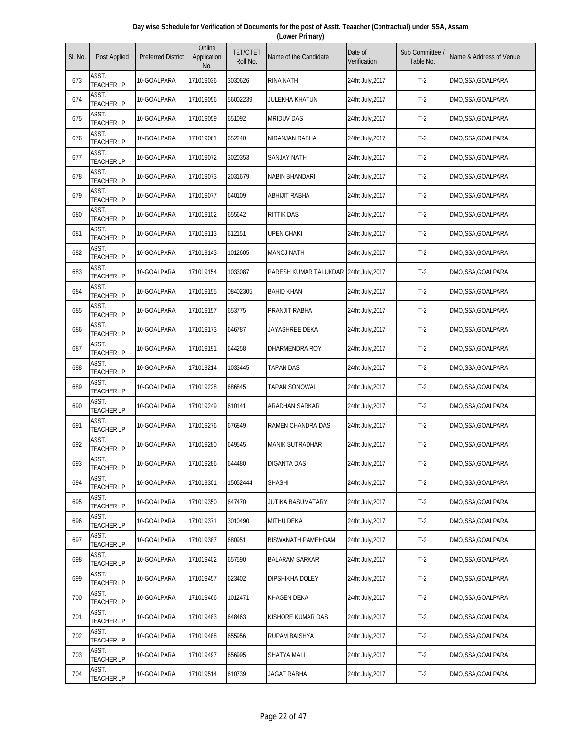| Day wise Schedule for Verification of Documents for the post of Asstt. Teaacher (Contractual) under SSA, Assam |  |
|----------------------------------------------------------------------------------------------------------------|--|
| (Lower Primary)                                                                                                |  |

| SI. No. | Post Applied               | <b>Preferred District</b> | Online<br>Application<br>No. | <b>TET/CTET</b><br>Roll No. | Name of the Candidate                  | Date of<br>Verification | Sub Committee<br>Table No. | Name & Address of Venue |
|---------|----------------------------|---------------------------|------------------------------|-----------------------------|----------------------------------------|-------------------------|----------------------------|-------------------------|
| 673     | ASST.<br><b>TEACHER LP</b> | 10-GOALPARA               | 171019036                    | 3030626                     | <b>RINA NATH</b>                       | 24tht July, 2017        | $T-2$                      | DMO,SSA,GOALPARA        |
| 674     | ASST.<br><b>TEACHER LP</b> | 10-GOALPARA               | 171019056                    | 56002239                    | JULEKHA KHATUN                         | 24tht July, 2017        | $T-2$                      | DMO, SSA, GOALPARA      |
| 675     | ASST.<br><b>TEACHER LP</b> | 10-GOALPARA               | 171019059                    | 651092                      | <b>MRIDUV DAS</b>                      | 24tht July, 2017        | $T-2$                      | DMO,SSA,GOALPARA        |
| 676     | ASST.<br><b>TEACHER LP</b> | 10-GOALPARA               | 171019061                    | 652240                      | NIRANJAN RABHA                         | 24tht July, 2017        | $T-2$                      | DMO,SSA,GOALPARA        |
| 677     | ASST.<br><b>TEACHER LP</b> | 10-GOALPARA               | 171019072                    | 3020353                     | <b>SANJAY NATH</b>                     | 24tht July, 2017        | $T-2$                      | DMO,SSA,GOALPARA        |
| 678     | ASST.<br><b>TEACHER LP</b> | 10-GOALPARA               | 171019073                    | 2031679                     | NABIN BHANDARI                         | 24tht July, 2017        | $T-2$                      | DMO, SSA, GOALPARA      |
| 679     | ASST.<br><b>TEACHER LP</b> | 10-GOALPARA               | 171019077                    | 640109                      | ABHIJIT RABHA                          | 24tht July, 2017        | $T-2$                      | DMO,SSA,GOALPARA        |
| 680     | ASST.<br><b>TEACHER LP</b> | 10-GOALPARA               | 171019102                    | 655642                      | RITTIK DAS                             | 24tht July, 2017        | $T-2$                      | DMO,SSA,GOALPARA        |
| 681     | ASST.<br><b>TEACHER LP</b> | 10-GOALPARA               | 171019113                    | 612151                      | <b>UPEN CHAKI</b>                      | 24tht July, 2017        | $T-2$                      | DMO,SSA,GOALPARA        |
| 682     | ASST.<br><b>TEACHER LP</b> | 10-GOALPARA               | 171019143                    | 1012605                     | <b>MANOJ NATH</b>                      | 24tht July, 2017        | $T-2$                      | DMO,SSA,GOALPARA        |
| 683     | ASST.<br><b>TEACHER LP</b> | 10-GOALPARA               | 171019154                    | 1033087                     | PARESH KUMAR TALUKDAR 24tht July, 2017 |                         | $T-2$                      | DMO,SSA,GOALPARA        |
| 684     | ASST.<br><b>TEACHER LP</b> | 10-GOALPARA               | 171019155                    | 08402305                    | <b>BAHID KHAN</b>                      | 24tht July, 2017        | $T-2$                      | DMO,SSA,GOALPARA        |
| 685     | ASST.<br><b>TEACHER LP</b> | 10-GOALPARA               | 171019157                    | 653775                      | PRANJIT RABHA                          | 24tht July, 2017        | $T-2$                      | DMO,SSA,GOALPARA        |
| 686     | ASST.<br><b>TEACHER LP</b> | 10-GOALPARA               | 171019173                    | 646787                      | JAYASHREE DEKA                         | 24tht July, 2017        | $T-2$                      | DMO,SSA,GOALPARA        |
| 687     | ASST.<br><b>TEACHER LP</b> | 10-GOALPARA               | 171019191                    | 644258                      | DHARMENDRA ROY                         | 24tht July, 2017        | $T-2$                      | DMO, SSA, GOALPARA      |
| 688     | ASST.<br><b>TEACHER LP</b> | 10-GOALPARA               | 171019214                    | 1033445                     | TAPAN DAS                              | 24tht July, 2017        | $T-2$                      | DMO,SSA,GOALPARA        |
| 689     | ASST.<br><b>TEACHER LP</b> | 10-GOALPARA               | 171019228                    | 686845                      | TAPAN SONOWAL                          | 24tht July, 2017        | $T-2$                      | DMO,SSA,GOALPARA        |
| 690     | ASST.<br><b>TEACHER LP</b> | 10-GOALPARA               | 171019249                    | 610141                      | ARADHAN SARKAR                         | 24tht July, 2017        | $T-2$                      | DMO,SSA,GOALPARA        |
| 691     | ASST.<br><b>TEACHER LP</b> | 10-GOALPARA               | 171019276                    | 676849                      | RAMEN CHANDRA DAS                      | 24tht July, 2017        | $T-2$                      | DMO,SSA,GOALPARA        |
| 692     | ASST.<br><b>TEACHER LP</b> | 10-GOALPARA               | 171019280                    | 649545                      | <b>MANIK SUTRADHAR</b>                 | 24tht July, 2017        | $T-2$                      | DMO,SSA,GOALPARA        |
| 693     | ASST.<br><b>TEACHER LP</b> | 10-GOALPARA               | 171019286                    | 644480                      | <b>DIGANTA DAS</b>                     | 24tht July, 2017        | $T-2$                      | DMO,SSA,GOALPARA        |
| 694     | ASST.<br><b>TEACHER LP</b> | 10-GOALPARA               | 171019301                    | 15052444                    | SHASHI                                 | 24tht July, 2017        | $T-2$                      | DMO,SSA,GOALPARA        |
| 695     | ASST.<br><b>TEACHER LP</b> | 10-GOALPARA               | 171019350                    | 647470                      | JUTIKA BASUMATARY                      | 24tht July, 2017        | $T-2$                      | DMO,SSA,GOALPARA        |
| 696     | ASST.<br><b>TEACHER LP</b> | 10-GOALPARA               | 171019371                    | 3010490                     | MITHU DEKA                             | 24tht July, 2017        | $T-2$                      | DMO,SSA,GOALPARA        |
| 697     | ASST.<br><b>TEACHER LP</b> | 10-GOALPARA               | 171019387                    | 680951                      | <b>BISWANATH PAMEHGAM</b>              | 24tht July, 2017        | $T-2$                      | DMO,SSA,GOALPARA        |
| 698     | ASST.<br><b>TEACHER LP</b> | 10-GOALPARA               | 171019402                    | 657590                      | <b>BALARAM SARKAR</b>                  | 24tht July, 2017        | $T-2$                      | DMO,SSA,GOALPARA        |
| 699     | ASST.<br><b>TEACHER LP</b> | 10-GOALPARA               | 171019457                    | 623402                      | DIPSHIKHA DOLEY                        | 24tht July, 2017        | $T-2$                      | DMO,SSA,GOALPARA        |
| 700     | ASST.<br><b>TEACHER LP</b> | 10-GOALPARA               | 171019466                    | 1012471                     | KHAGEN DEKA                            | 24tht July, 2017        | $T-2$                      | DMO, SSA, GOALPARA      |
| 701     | ASST.<br><b>TEACHER LP</b> | 10-GOALPARA               | 171019483                    | 648463                      | KISHORE KUMAR DAS                      | 24tht July, 2017        | $T-2$                      | DMO,SSA,GOALPARA        |
| 702     | ASST.<br><b>TEACHER LP</b> | 10-GOALPARA               | 171019488                    | 655956                      | RUPAM BAISHYA                          | 24tht July, 2017        | $T-2$                      | DMO,SSA,GOALPARA        |
| 703     | ASST.<br><b>TEACHER LP</b> | 10-GOALPARA               | 171019497                    | 656995                      | SHATYA MALI                            | 24tht July, 2017        | $T-2$                      | DMO,SSA,GOALPARA        |
| 704     | ASST.<br><b>TEACHER LP</b> | 10-GOALPARA               | 171019514                    | 610739                      | JAGAT RABHA                            | 24tht July, 2017        | $T-2$                      | DMO,SSA,GOALPARA        |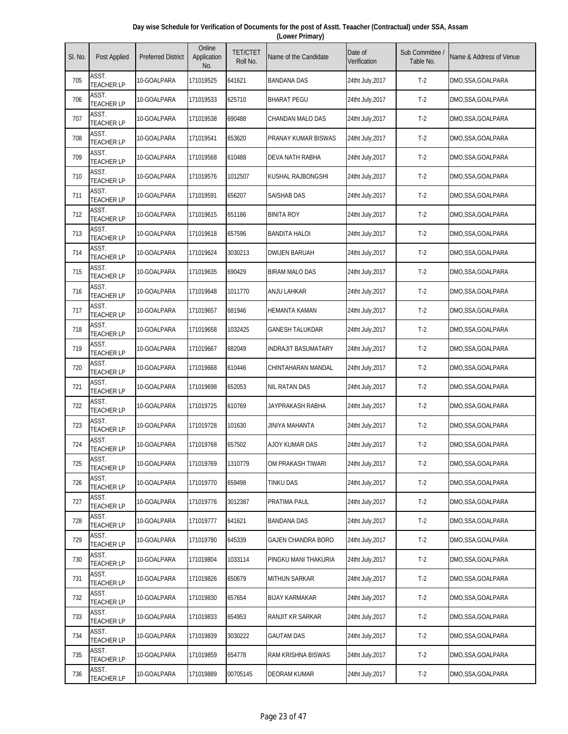| Day wise Schedule for Verification of Documents for the post of Asstt. Teaacher (Contractual) under SSA, Assam |  |
|----------------------------------------------------------------------------------------------------------------|--|
| (Lower Primary)                                                                                                |  |

| SI. No. | <b>Post Applied</b>        | <b>Preferred District</b> | Online<br>Application<br>No. | <b>TET/CTET</b><br>Roll No. | Name of the Candidate      | Date of<br>Verification | Sub Committee /<br>Table No. | Name & Address of Venue |
|---------|----------------------------|---------------------------|------------------------------|-----------------------------|----------------------------|-------------------------|------------------------------|-------------------------|
| 705     | ASST.<br><b>TEACHER LP</b> | 10-GOALPARA               | 171019525                    | 641621                      | <b>BANDANA DAS</b>         | 24tht July, 2017        | $T-2$                        | DMO,SSA,GOALPARA        |
| 706     | ASST.<br><b>TEACHER LP</b> | 10-GOALPARA               | 171019533                    | 625710                      | <b>BHARAT PEGU</b>         | 24tht July, 2017        | $T-2$                        | DMO,SSA,GOALPARA        |
| 707     | ASST.<br><b>TEACHER LP</b> | 10-GOALPARA               | 171019538                    | 690488                      | CHANDAN MALO DAS           | 24tht July, 2017        | $T-2$                        | DMO,SSA,GOALPARA        |
| 708     | ASST.<br><b>TEACHER LP</b> | 10-GOALPARA               | 171019541                    | 653620                      | PRANAY KUMAR BISWAS        | 24tht July, 2017        | $T-2$                        | DMO,SSA,GOALPARA        |
| 709     | ASST.<br><b>TEACHER LP</b> | 10-GOALPARA               | 171019568                    | 610488                      | DEVA NATH RABHA            | 24tht July, 2017        | $T-2$                        | DMO,SSA,GOALPARA        |
| 710     | ASST.<br><b>TEACHER LP</b> | 10-GOALPARA               | 171019576                    | 1012507                     | KUSHAL RAJBONGSHI          | 24tht July, 2017        | $T-2$                        | DMO,SSA,GOALPARA        |
| 711     | ASST.<br><b>TEACHER LP</b> | 10-GOALPARA               | 171019591                    | 656207                      | <b>SAISHAB DAS</b>         | 24tht July, 2017        | $T-2$                        | DMO,SSA,GOALPARA        |
| 712     | ASST.<br><b>TEACHER LP</b> | 10-GOALPARA               | 171019615                    | 651186                      | <b>BINITA ROY</b>          | 24tht July,2017         | $T-2$                        | DMO,SSA,GOALPARA        |
| 713     | ASST.<br><b>TEACHER LP</b> | 10-GOALPARA               | 171019618                    | 657596                      | <b>BANDITA HALOI</b>       | 24tht July, 2017        | $T-2$                        | DMO,SSA,GOALPARA        |
| 714     | ASST.<br><b>TEACHER LP</b> | 10-GOALPARA               | 171019624                    | 3030213                     | <b>DWIJEN BARUAH</b>       | 24tht July, 2017        | $T-2$                        | DMO,SSA,GOALPARA        |
| 715     | ASST.<br><b>TEACHER LP</b> | 10-GOALPARA               | 171019635                    | 690429                      | <b>BIRAM MALO DAS</b>      | 24tht July, 2017        | $T-2$                        | DMO,SSA,GOALPARA        |
| 716     | ASST.<br><b>TEACHER LP</b> | 10-GOALPARA               | 171019648                    | 1011770                     | ANJU LAHKAR                | 24tht July, 2017        | $T-2$                        | DMO,SSA,GOALPARA        |
| 717     | ASST.<br><b>TEACHER LP</b> | 10-GOALPARA               | 171019657                    | 681946                      | <b>HEMANTA KAMAN</b>       | 24tht July, 2017        | $T-2$                        | DMO,SSA,GOALPARA        |
| 718     | ASST.<br><b>TEACHER LP</b> | 10-GOALPARA               | 171019658                    | 1032425                     | <b>GANESH TALUKDAR</b>     | 24tht July, 2017        | $T-2$                        | DMO,SSA,GOALPARA        |
| 719     | ASST.<br><b>TEACHER LP</b> | 10-GOALPARA               | 171019667                    | 682049                      | <b>INDRAJIT BASUMATARY</b> | 24tht July, 2017        | $T-2$                        | DMO,SSA,GOALPARA        |
| 720     | ASST.<br><b>TEACHER LP</b> | 10-GOALPARA               | 171019668                    | 610446                      | CHINTAHARAN MANDAL         | 24tht July, 2017        | $T-2$                        | DMO,SSA,GOALPARA        |
| 721     | ASST.<br><b>TEACHER LP</b> | 10-GOALPARA               | 171019698                    | 652053                      | <b>NIL RATAN DAS</b>       | 24tht July, 2017        | $T-2$                        | DMO,SSA,GOALPARA        |
| 722     | ASST.<br><b>TEACHER LP</b> | 10-GOALPARA               | 171019725                    | 610769                      | JAYPRAKASH RABHA           | 24tht July, 2017        | $T-2$                        | DMO,SSA,GOALPARA        |
| 723     | ASST.<br><b>TEACHER LP</b> | 10-GOALPARA               | 171019728                    | 101630                      | JINIYA MAHANTA             | 24tht July, 2017        | $T-2$                        | DMO,SSA,GOALPARA        |
| 724     | ASST.<br><b>TEACHER LP</b> | 10-GOALPARA               | 171019768                    | 657502                      | <b>AJOY KUMAR DAS</b>      | 24tht July, 2017        | $T-2$                        | DMO,SSA,GOALPARA        |
| 725     | ASST.<br><b>TEACHER LP</b> | 10-GOALPARA               | 171019769                    | 1310779                     | OM PRAKASH TIWARI          | 24tht July, 2017        | $T-2$                        | DMO,SSA,GOALPARA        |
| 726     | ASST.<br><b>TEACHER LP</b> | 10-GOALPARA               | 171019770                    | 659498                      | TINKU DAS                  | 24tht July, 2017        | $T-2$                        | DMO,SSA,GOALPARA        |
| 727     | ASST.<br><b>TEACHER LP</b> | 10-GOALPARA               | 171019776                    | 3012387                     | PRATIMA PAUL               | 24tht July, 2017        | $T-2$                        | DMO,SSA,GOALPARA        |
| 728     | ASST.<br><b>TEACHER LP</b> | 10-GOALPARA               | 171019777                    | 641621                      | BANDANA DAS                | 24tht July, 2017        | $T-2$                        | DMO,SSA,GOALPARA        |
| 729     | ASST.<br><b>TEACHER LP</b> | 10-GOALPARA               | 171019780                    | 645339                      | <b>GAJEN CHANDRA BORO</b>  | 24tht July, 2017        | $T-2$                        | DMO,SSA,GOALPARA        |
| 730     | ASST.<br><b>TEACHER LP</b> | 10-GOALPARA               | 171019804                    | 1033114                     | PINGKU MANI THAKURIA       | 24tht July, 2017        | $T-2$                        | DMO,SSA,GOALPARA        |
| 731     | ASST.<br><b>TEACHER LP</b> | 10-GOALPARA               | 171019826                    | 650679                      | <b>MITHUN SARKAR</b>       | 24tht July, 2017        | $T-2$                        | DMO,SSA,GOALPARA        |
| 732     | ASST.<br>TEACHER LP        | 10-GOALPARA               | 171019830                    | 657654                      | <b>BIJAY KARMAKAR</b>      | 24tht July, 2017        | $T-2$                        | DMO,SSA,GOALPARA        |
| 733     | ASST.<br><b>TEACHER LP</b> | 10-GOALPARA               | 171019833                    | 654953                      | RANJIT KR SARKAR           | 24tht July, 2017        | $T-2$                        | DMO,SSA,GOALPARA        |
| 734     | ASST.<br><b>TEACHER LP</b> | 10-GOALPARA               | 171019839                    | 3030222                     | <b>GAUTAM DAS</b>          | 24tht July, 2017        | $T-2$                        | DMO,SSA,GOALPARA        |
| 735     | ASST.<br><b>TEACHER LP</b> | 10-GOALPARA               | 171019859                    | 654778                      | RAM KRISHNA BISWAS         | 24tht July, 2017        | $T-2$                        | DMO,SSA,GOALPARA        |
| 736     | ASST.<br><b>TEACHER LP</b> | 10-GOALPARA               | 171019889                    | 00705145                    | DEORAM KUMAR               | 24tht July, 2017        | $T-2$                        | DMO,SSA,GOALPARA        |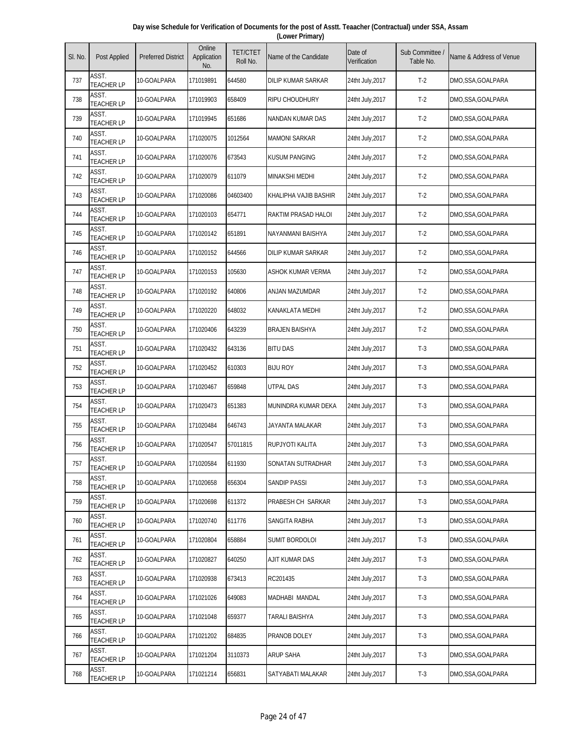| Day wise Schedule for Verification of Documents for the post of Asstt. Teaacher (Contractual) under SSA, Assam |  |
|----------------------------------------------------------------------------------------------------------------|--|
| (Lower Primary)                                                                                                |  |

| SI. No. | Post Applied               | <b>Preferred District</b> | Online<br>Application<br>No. | <b>TET/CTET</b><br>Roll No. | Name of the Candidate    | Date of<br>Verification | Sub Committee<br>Table No. | Name & Address of Venue |
|---------|----------------------------|---------------------------|------------------------------|-----------------------------|--------------------------|-------------------------|----------------------------|-------------------------|
| 737     | ASST.<br><b>TEACHER LP</b> | 10-GOALPARA               | 171019891                    | 644580                      | DILIP KUMAR SARKAR       | 24tht July,2017         | $T-2$                      | DMO,SSA,GOALPARA        |
| 738     | ASST.<br><b>TEACHER LP</b> | 10-GOALPARA               | 171019903                    | 658409                      | <b>RIPU CHOUDHURY</b>    | 24tht July, 2017        | $T-2$                      | DMO,SSA,GOALPARA        |
| 739     | ASST.<br><b>TEACHER LP</b> | 10-GOALPARA               | 171019945                    | 651686                      | NANDAN KUMAR DAS         | 24tht July, 2017        | $T-2$                      | DMO,SSA,GOALPARA        |
| 740     | ASST.<br><b>TEACHER LP</b> | 10-GOALPARA               | 171020075                    | 1012564                     | <b>MAMONI SARKAR</b>     | 24tht July, 2017        | $T-2$                      | DMO,SSA,GOALPARA        |
| 741     | ASST.<br><b>TEACHER LP</b> | 10-GOALPARA               | 171020076                    | 673543                      | <b>KUSUM PANGING</b>     | 24tht July, 2017        | $T-2$                      | DMO,SSA,GOALPARA        |
| 742     | ASST.<br><b>TEACHER LP</b> | 10-GOALPARA               | 171020079                    | 611079                      | <b>MINAKSHI MEDHI</b>    | 24tht July, 2017        | $T-2$                      | DMO,SSA,GOALPARA        |
| 743     | ASST.<br><b>TEACHER LP</b> | 10-GOALPARA               | 171020086                    | 04603400                    | KHALIPHA VAJIB BASHIR    | 24tht July, 2017        | $T-2$                      | DMO,SSA,GOALPARA        |
| 744     | ASST.<br><b>TEACHER LP</b> | 10-GOALPARA               | 171020103                    | 654771                      | RAKTIM PRASAD HALOI      | 24tht July, 2017        | $T-2$                      | DMO,SSA,GOALPARA        |
| 745     | ASST.<br><b>TEACHER LP</b> | 10-GOALPARA               | 171020142                    | 651891                      | NAYANMANI BAISHYA        | 24tht July, 2017        | $T-2$                      | DMO,SSA,GOALPARA        |
| 746     | ASST.<br><b>TEACHER LP</b> | 10-GOALPARA               | 171020152                    | 644566                      | DILIP KUMAR SARKAR       | 24tht July, 2017        | $T-2$                      | DMO,SSA,GOALPARA        |
| 747     | ASST.<br><b>TEACHER LP</b> | 10-GOALPARA               | 171020153                    | 105630                      | <b>ASHOK KUMAR VERMA</b> | 24tht July, 2017        | $T-2$                      | DMO,SSA,GOALPARA        |
| 748     | ASST.<br><b>TEACHER LP</b> | 10-GOALPARA               | 171020192                    | 640806                      | ANJAN MAZUMDAR           | 24tht July, 2017        | $T-2$                      | DMO,SSA,GOALPARA        |
| 749     | ASST.<br><b>TEACHER LP</b> | 10-GOALPARA               | 171020220                    | 648032                      | <b>KANAKLATA MEDHI</b>   | 24tht July, 2017        | $T-2$                      | DMO,SSA,GOALPARA        |
| 750     | ASST.<br><b>TEACHER LP</b> | 10-GOALPARA               | 171020406                    | 643239                      | <b>BRAJEN BAISHYA</b>    | 24tht July, 2017        | $T-2$                      | DMO,SSA,GOALPARA        |
| 751     | ASST.<br><b>TEACHER LP</b> | 10-GOALPARA               | 171020432                    | 643136                      | <b>BITU DAS</b>          | 24tht July, 2017        | $T-3$                      | DMO,SSA,GOALPARA        |
| 752     | ASST.<br><b>TEACHER LP</b> | 10-GOALPARA               | 171020452                    | 610303                      | <b>BIJU ROY</b>          | 24tht July, 2017        | $T-3$                      | DMO,SSA,GOALPARA        |
| 753     | ASST.<br><b>TEACHER LP</b> | 10-GOALPARA               | 171020467                    | 659848                      | UTPAL DAS                | 24tht July, 2017        | $T-3$                      | DMO,SSA,GOALPARA        |
| 754     | ASST.<br><b>TEACHER LP</b> | 10-GOALPARA               | 171020473                    | 651383                      | MUNINDRA KUMAR DEKA      | 24tht July, 2017        | $T-3$                      | DMO,SSA,GOALPARA        |
| 755     | ASST.<br><b>TEACHER LP</b> | 10-GOALPARA               | 171020484                    | 646743                      | JAYANTA MALAKAR          | 24tht July, 2017        | $T-3$                      | DMO, SSA, GOALPARA      |
| 756     | ASST.<br><b>TEACHER LP</b> | 10-GOALPARA               | 171020547                    | 57011815                    | RUPJYOTI KALITA          | 24tht July, 2017        | $T-3$                      | DMO,SSA,GOALPARA        |
| 757     | ASST.<br><b>TEACHER LP</b> | 10-GOALPARA               | 171020584                    | 611930                      | SONATAN SUTRADHAR        | 24tht July, 2017        | $T-3$                      | DMO,SSA,GOALPARA        |
| 758     | ASST.<br><b>TEACHER LP</b> | 10-GOALPARA               | 171020658                    | 656304                      | SANDIP PASSI             | 24tht July, 2017        | $T-3$                      | DMO,SSA,GOALPARA        |
| 759     | ASST.<br><b>TEACHER LP</b> | 10-GOALPARA               | 171020698                    | 611372                      | PRABESH CH SARKAR        | 24tht July, 2017        | $T-3$                      | DMO,SSA,GOALPARA        |
| 760     | ASST.<br><b>TEACHER LP</b> | 10-GOALPARA               | 171020740                    | 611776                      | SANGITA RABHA            | 24tht July, 2017        | $T-3$                      | DMO, SSA, GOALPARA      |
| 761     | ASST.<br><b>TEACHER LP</b> | 10-GOALPARA               | 171020804                    | 658884                      | <b>SUMIT BORDOLOI</b>    | 24tht July, 2017        | $T-3$                      | DMO,SSA,GOALPARA        |
| 762     | ASST.<br><b>TEACHER LP</b> | 10-GOALPARA               | 171020827                    | 640250                      | AJIT KUMAR DAS           | 24tht July, 2017        | $T-3$                      | DMO,SSA,GOALPARA        |
| 763     | ASST.<br><b>TEACHER LP</b> | 10-GOALPARA               | 171020938                    | 673413                      | RC201435                 | 24tht July, 2017        | $T-3$                      | DMO, SSA, GOALPARA      |
| 764     | ASST.<br><b>TEACHER LP</b> | 10-GOALPARA               | 171021026                    | 649083                      | MADHABI MANDAL           | 24tht July, 2017        | $T-3$                      | DMO,SSA,GOALPARA        |
| 765     | ASST.<br><b>TEACHER LP</b> | 10-GOALPARA               | 171021048                    | 659377                      | TARALI BAISHYA           | 24tht July, 2017        | $T-3$                      | DMO,SSA,GOALPARA        |
| 766     | ASST.<br><b>TEACHER LP</b> | 10-GOALPARA               | 171021202                    | 684835                      | PRANOB DOLEY             | 24tht July, 2017        | $T-3$                      | DMO,SSA,GOALPARA        |
| 767     | ASST.<br><b>TEACHER LP</b> | 10-GOALPARA               | 171021204                    | 3110373                     | <b>ARUP SAHA</b>         | 24tht July, 2017        | $T-3$                      | DMO,SSA,GOALPARA        |
| 768     | ASST.<br><b>TEACHER LP</b> | 10-GOALPARA               | 171021214                    | 656831                      | SATYABATI MALAKAR        | 24tht July, 2017        | $T-3$                      | DMO,SSA,GOALPARA        |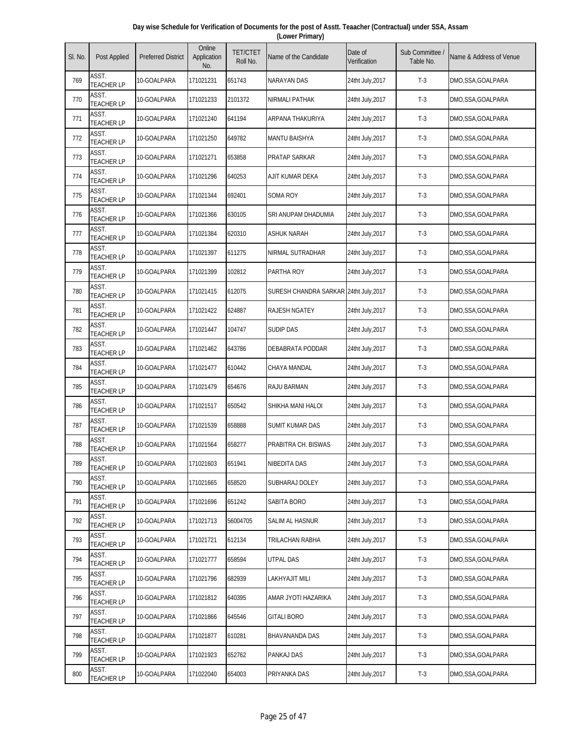| Day wise Schedule for Verification of Documents for the post of Asstt. Teaacher (Contractual) under SSA, Assam |  |
|----------------------------------------------------------------------------------------------------------------|--|
| (Lower Primary)                                                                                                |  |

| SI. No. | Post Applied               | <b>Preferred District</b> | Online<br>Application<br>No. | <b>TET/CTET</b><br>Roll No. | Name of the Candidate                  | Date of<br>Verification | Sub Committee<br>Table No. | Name & Address of Venue |
|---------|----------------------------|---------------------------|------------------------------|-----------------------------|----------------------------------------|-------------------------|----------------------------|-------------------------|
| 769     | ASST.<br><b>TEACHER LP</b> | 10-GOALPARA               | 171021231                    | 651743                      | <b>NARAYAN DAS</b>                     | 24tht July,2017         | $T-3$                      | DMO,SSA,GOALPARA        |
| 770     | ASST.<br><b>TEACHER LP</b> | 10-GOALPARA               | 171021233                    | 2101372                     | <b>NIRMALI PATHAK</b>                  | 24tht July, 2017        | $T-3$                      | DMO,SSA,GOALPARA        |
| 771     | ASST.<br><b>TEACHER LP</b> | 10-GOALPARA               | 171021240                    | 641194                      | ARPANA THAKURIYA                       | 24tht July, 2017        | $T-3$                      | DMO,SSA,GOALPARA        |
| 772     | ASST.<br><b>TEACHER LP</b> | 10-GOALPARA               | 171021250                    | 649782                      | <b>MANTU BAISHYA</b>                   | 24tht July, 2017        | $T-3$                      | DMO,SSA,GOALPARA        |
| 773     | ASST.<br><b>TEACHER LP</b> | 10-GOALPARA               | 171021271                    | 653858                      | PRATAP SARKAR                          | 24tht July, 2017        | $T-3$                      | DMO,SSA,GOALPARA        |
| 774     | ASST.<br><b>TEACHER LP</b> | 10-GOALPARA               | 171021296                    | 640253                      | AJIT KUMAR DEKA                        | 24tht July, 2017        | $T-3$                      | DMO,SSA,GOALPARA        |
| 775     | ASST.<br><b>TEACHER LP</b> | 10-GOALPARA               | 171021344                    | 692401                      | <b>SOMA ROY</b>                        | 24tht July, 2017        | $T-3$                      | DMO,SSA,GOALPARA        |
| 776     | ASST.<br><b>TEACHER LP</b> | 10-GOALPARA               | 171021366                    | 630105                      | SRI ANUPAM DHADUMIA                    | 24tht July, 2017        | $T-3$                      | DMO,SSA,GOALPARA        |
| 777     | ASST.<br><b>TEACHER LP</b> | 10-GOALPARA               | 171021384                    | 620310                      | <b>ASHUK NARAH</b>                     | 24tht July, 2017        | $T-3$                      | DMO,SSA,GOALPARA        |
| 778     | ASST.<br><b>TEACHER LP</b> | 10-GOALPARA               | 171021397                    | 611275                      | NIRMAL SUTRADHAR                       | 24tht July, 2017        | $T-3$                      | DMO,SSA,GOALPARA        |
| 779     | ASST.<br><b>TEACHER LP</b> | 10-GOALPARA               | 171021399                    | 102812                      | PARTHA ROY                             | 24tht July, 2017        | $T-3$                      | DMO,SSA,GOALPARA        |
| 780     | ASST.<br><b>TEACHER LP</b> | 10-GOALPARA               | 171021415                    | 612075                      | SURESH CHANDRA SARKAR 24tht July, 2017 |                         | $T-3$                      | DMO,SSA,GOALPARA        |
| 781     | ASST.<br><b>TEACHER LP</b> | 10-GOALPARA               | 171021422                    | 624887                      | <b>RAJESH NGATEY</b>                   | 24tht July, 2017        | $T-3$                      | DMO,SSA,GOALPARA        |
| 782     | ASST.<br><b>TEACHER LP</b> | 10-GOALPARA               | 171021447                    | 104747                      | <b>SUDIP DAS</b>                       | 24tht July, 2017        | $T-3$                      | DMO,SSA,GOALPARA        |
| 783     | ASST.<br><b>TEACHER LP</b> | 10-GOALPARA               | 171021462                    | 643786                      | DEBABRATA PODDAR                       | 24tht July, 2017        | $T-3$                      | DMO, SSA, GOALPARA      |
| 784     | ASST.<br><b>TEACHER LP</b> | 10-GOALPARA               | 171021477                    | 610442                      | CHAYA MANDAL                           | 24tht July, 2017        | $T-3$                      | DMO,SSA,GOALPARA        |
| 785     | ASST.<br><b>TEACHER LP</b> | 10-GOALPARA               | 171021479                    | 654676                      | RAJU BARMAN                            | 24tht July, 2017        | $T-3$                      | DMO,SSA,GOALPARA        |
| 786     | ASST.<br><b>TEACHER LP</b> | 10-GOALPARA               | 171021517                    | 650542                      | SHIKHA MANI HALOI                      | 24tht July, 2017        | $T-3$                      | DMO,SSA,GOALPARA        |
| 787     | ASST.<br><b>TEACHER LP</b> | 10-GOALPARA               | 171021539                    | 658888                      | SUMIT KUMAR DAS                        | 24tht July, 2017        | $T-3$                      | DMO, SSA, GOALPARA      |
| 788     | ASST.<br><b>TEACHER LP</b> | 10-GOALPARA               | 171021564                    | 658277                      | PRABITRA CH. BISWAS                    | 24tht July, 2017        | $T-3$                      | DMO,SSA,GOALPARA        |
| 789     | ASST.<br><b>TEACHER LP</b> | 10-GOALPARA               | 171021603                    | 651941                      | <b>NIBEDITA DAS</b>                    | 24tht July, 2017        | $T-3$                      | DMO,SSA,GOALPARA        |
| 790     | ASST.<br><b>TEACHER LP</b> | 10-GOALPARA               | 171021665                    | 658520                      | SUBHARAJ DOLEY                         | 24tht July, 2017        | $T-3$                      | DMO,SSA,GOALPARA        |
| 791     | ASST.<br><b>TEACHER LP</b> | 10-GOALPARA               | 171021696                    | 651242                      | SABITA BORO                            | 24tht July, 2017        | $T-3$                      | DMO,SSA,GOALPARA        |
| 792     | ASST.<br><b>TEACHER LP</b> | 10-GOALPARA               | 171021713                    | 56004705                    | SALIM AL HASNUR                        | 24tht July, 2017        | $T-3$                      | DMO, SSA, GOALPARA      |
| 793     | ASST.<br><b>TEACHER LP</b> | 10-GOALPARA               | 171021721                    | 612134                      | TRILACHAN RABHA                        | 24tht July, 2017        | $T-3$                      | DMO,SSA,GOALPARA        |
| 794     | ASST.<br><b>TEACHER LP</b> | 10-GOALPARA               | 171021777                    | 658594                      | UTPAL DAS                              | 24tht July, 2017        | $T-3$                      | DMO,SSA,GOALPARA        |
| 795     | ASST.<br><b>TEACHER LP</b> | 10-GOALPARA               | 171021796                    | 682939                      | <b>LAKHYAJIT MILI</b>                  | 24tht July, 2017        | $T-3$                      | DMO, SSA, GOALPARA      |
| 796     | ASST.<br><b>TEACHER LP</b> | 10-GOALPARA               | 171021812                    | 640395                      | AMAR JYOTI HAZARIKA                    | 24tht July, 2017        | $T-3$                      | DMO,SSA,GOALPARA        |
| 797     | ASST.<br><b>TEACHER LP</b> | 10-GOALPARA               | 171021866                    | 645546                      | <b>GITALI BORO</b>                     | 24tht July, 2017        | $T-3$                      | DMO,SSA,GOALPARA        |
| 798     | ASST.<br><b>TEACHER LP</b> | 10-GOALPARA               | 171021877                    | 610281                      | BHAVANANDA DAS                         | 24tht July, 2017        | $T-3$                      | DMO,SSA,GOALPARA        |
| 799     | ASST.<br><b>TEACHER LP</b> | 10-GOALPARA               | 171021923                    | 652762                      | PANKAJ DAS                             | 24tht July, 2017        | $T-3$                      | DMO,SSA,GOALPARA        |
| 800     | ASST.<br><b>TEACHER LP</b> | 10-GOALPARA               | 171022040                    | 654003                      | PRIYANKA DAS                           | 24tht July, 2017        | $T-3$                      | DMO,SSA,GOALPARA        |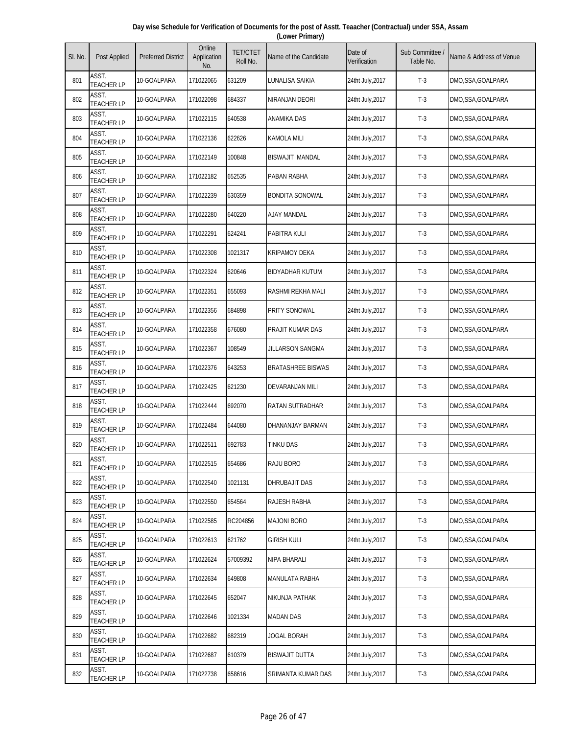| Day wise Schedule for Verification of Documents for the post of Asstt. Teaacher (Contractual) under SSA, Assam |
|----------------------------------------------------------------------------------------------------------------|
| (Lower Primary)                                                                                                |

| SI. No. | Post Applied               | <b>Preferred District</b> | Online<br>Application<br>No. | <b>TET/CTET</b><br>Roll No. | Name of the Candidate    | Date of<br>Verification | Sub Committee<br>Table No. | Name & Address of Venue |
|---------|----------------------------|---------------------------|------------------------------|-----------------------------|--------------------------|-------------------------|----------------------------|-------------------------|
| 801     | ASST.<br><b>TEACHER LP</b> | 10-GOALPARA               | 171022065                    | 631209                      | LUNALISA SAIKIA          | 24tht July, 2017        | $T-3$                      | DMO,SSA,GOALPARA        |
| 802     | ASST.<br><b>TEACHER LP</b> | 10-GOALPARA               | 171022098                    | 684337                      | NIRANJAN DEORI           | 24tht July, 2017        | $T-3$                      | DMO, SSA, GOALPARA      |
| 803     | ASST.<br><b>TEACHER LP</b> | 10-GOALPARA               | 171022115                    | 640538                      | ANAMIKA DAS              | 24tht July, 2017        | $T-3$                      | DMO,SSA,GOALPARA        |
| 804     | ASST.<br><b>TEACHER LP</b> | 10-GOALPARA               | 171022136                    | 622626                      | <b>KAMOLA MILI</b>       | 24tht July, 2017        | $T-3$                      | DMO,SSA,GOALPARA        |
| 805     | ASST.<br><b>TEACHER LP</b> | 10-GOALPARA               | 171022149                    | 100848                      | <b>BISWAJIT MANDAL</b>   | 24tht July, 2017        | $T-3$                      | DMO,SSA,GOALPARA        |
| 806     | ASST.<br><b>TEACHER LP</b> | 10-GOALPARA               | 171022182                    | 652535                      | PABAN RABHA              | 24tht July, 2017        | $T-3$                      | DMO,SSA,GOALPARA        |
| 807     | ASST.<br><b>TEACHER LP</b> | 10-GOALPARA               | 171022239                    | 630359                      | <b>BONDITA SONOWAL</b>   | 24tht July, 2017        | $T-3$                      | DMO,SSA,GOALPARA        |
| 808     | ASST.<br><b>TEACHER LP</b> | 10-GOALPARA               | 171022280                    | 640220                      | <b>AJAY MANDAL</b>       | 24tht July, 2017        | $T-3$                      | DMO, SSA, GOALPARA      |
| 809     | ASST.<br><b>TEACHER LP</b> | 10-GOALPARA               | 171022291                    | 624241                      | PABITRA KULI             | 24tht July, 2017        | $T-3$                      | DMO, SSA, GOALPARA      |
| 810     | ASST.<br><b>TEACHER LP</b> | 10-GOALPARA               | 171022308                    | 1021317                     | <b>KRIPAMOY DEKA</b>     | 24tht July, 2017        | $T-3$                      | DMO,SSA,GOALPARA        |
| 811     | ASST.<br><b>TEACHER LP</b> | 10-GOALPARA               | 171022324                    | 620646                      | <b>BIDYADHAR KUTUM</b>   | 24tht July, 2017        | $T-3$                      | DMO,SSA,GOALPARA        |
| 812     | ASST.<br><b>TEACHER LP</b> | 10-GOALPARA               | 171022351                    | 655093                      | RASHMI REKHA MALI        | 24tht July, 2017        | $T-3$                      | DMO,SSA,GOALPARA        |
| 813     | ASST.<br><b>TEACHER LP</b> | 10-GOALPARA               | 171022356                    | 684898                      | PRITY SONOWAL            | 24tht July, 2017        | $T-3$                      | DMO,SSA,GOALPARA        |
| 814     | ASST.<br><b>TEACHER LP</b> | 10-GOALPARA               | 171022358                    | 676080                      | PRAJIT KUMAR DAS         | 24tht July, 2017        | $T-3$                      | DMO,SSA,GOALPARA        |
| 815     | ASST.<br><b>TEACHER LP</b> | 10-GOALPARA               | 171022367                    | 108549                      | JILLARSON SANGMA         | 24tht July, 2017        | $T-3$                      | DMO,SSA,GOALPARA        |
| 816     | ASST.<br><b>TEACHER LP</b> | 10-GOALPARA               | 171022376                    | 643253                      | <b>BRATASHREE BISWAS</b> | 24tht July, 2017        | $T-3$                      | DMO,SSA,GOALPARA        |
| 817     | ASST.<br><b>TEACHER LP</b> | 10-GOALPARA               | 171022425                    | 621230                      | DEVARANJAN MILI          | 24tht July, 2017        | $T-3$                      | DMO, SSA, GOALPARA      |
| 818     | ASST.<br><b>TEACHER LP</b> | 10-GOALPARA               | 171022444                    | 692070                      | RATAN SUTRADHAR          | 24tht July, 2017        | $T-3$                      | DMO,SSA,GOALPARA        |
| 819     | ASST.<br><b>TEACHER LP</b> | 10-GOALPARA               | 171022484                    | 644080                      | DHANANJAY BARMAN         | 24tht July, 2017        | $T-3$                      | DMO, SSA, GOALPARA      |
| 820     | ASST.<br><b>TEACHER LP</b> | 10-GOALPARA               | 171022511                    | 692783                      | TINKU DAS                | 24tht July, 2017        | $T-3$                      | DMO,SSA,GOALPARA        |
| 821     | ASST.<br><b>TEACHER LP</b> | 10-GOALPARA               | 171022515                    | 654686                      | RAJU BORO                | 24tht July, 2017        | $T-3$                      | DMO,SSA,GOALPARA        |
| 822     | ASST.<br><b>TEACHER LP</b> | 10-GOALPARA               | 171022540                    | 1021131                     | DHRUBAJIT DAS            | 24tht July, 2017        | $T-3$                      | DMO,SSA,GOALPARA        |
| 823     | ASST.<br><b>TEACHER LP</b> | 10-GOALPARA               | 171022550                    | 654564                      | RAJESH RABHA             | 24tht July, 2017        | $T-3$                      | DMO,SSA,GOALPARA        |
| 824     | ASST.<br><b>TEACHER LP</b> | 10-GOALPARA               | 171022585                    | RC204856                    | <b>MAJONI BORO</b>       | 24tht July, 2017        | $T-3$                      | DMO, SSA, GOALPARA      |
| 825     | ASST.<br><b>TEACHER LP</b> | 10-GOALPARA               | 171022613                    | 621762                      | <b>GIRISH KULI</b>       | 24tht July, 2017        | $T-3$                      | DMO,SSA,GOALPARA        |
| 826     | ASST.<br><b>TEACHER LP</b> | 10-GOALPARA               | 171022624                    | 57009392                    | NIPA BHARALI             | 24tht July, 2017        | $T-3$                      | DMO,SSA,GOALPARA        |
| 827     | ASST.<br><b>TEACHER LP</b> | 10-GOALPARA               | 171022634                    | 649808                      | MANULATA RABHA           | 24tht July, 2017        | $T-3$                      | DMO,SSA,GOALPARA        |
| 828     | ASST.<br><b>TEACHER LP</b> | 10-GOALPARA               | 171022645                    | 652047                      | NIKUNJA PATHAK           | 24tht July, 2017        | $T-3$                      | DMO, SSA, GOALPARA      |
| 829     | ASST.<br><b>TEACHER LP</b> | 10-GOALPARA               | 171022646                    | 1021334                     | <b>MADAN DAS</b>         | 24tht July, 2017        | $T-3$                      | DMO,SSA,GOALPARA        |
| 830     | ASST.<br><b>TEACHER LP</b> | 10-GOALPARA               | 171022682                    | 682319                      | JOGAL BORAH              | 24tht July, 2017        | $T-3$                      | DMO,SSA,GOALPARA        |
| 831     | ASST.<br><b>TEACHER LP</b> | 10-GOALPARA               | 171022687                    | 610379                      | <b>BISWAJIT DUTTA</b>    | 24tht July, 2017        | $T-3$                      | DMO,SSA,GOALPARA        |
| 832     | ASST.<br><b>TEACHER LP</b> | 10-GOALPARA               | 171022738                    | 658616                      | SRIMANTA KUMAR DAS       | 24tht July, 2017        | $T-3$                      | DMO,SSA,GOALPARA        |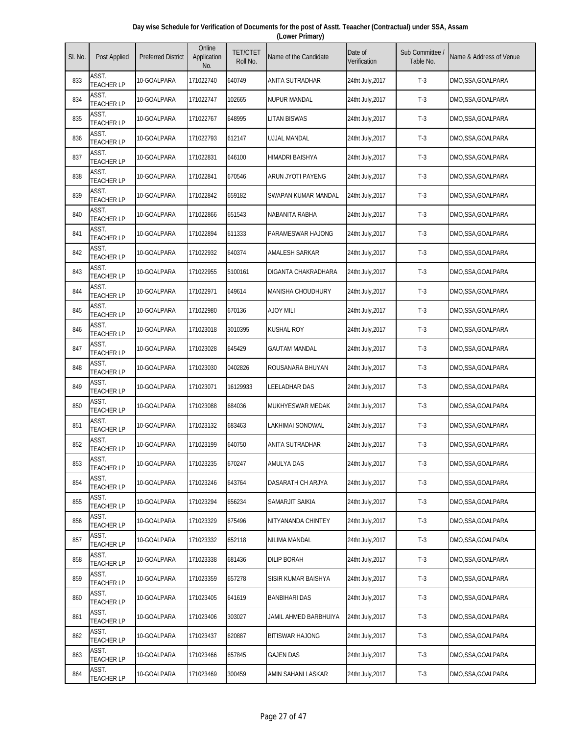| Day wise Schedule for Verification of Documents for the post of Asstt. Teaacher (Contractual) under SSA, Assam |  |
|----------------------------------------------------------------------------------------------------------------|--|
| (Lower Primary)                                                                                                |  |

| SI. No. | Post Applied               | <b>Preferred District</b> | Online<br>Application<br>No. | <b>TET/CTET</b><br>Roll No. | Name of the Candidate    | Date of<br>Verification | Sub Committee<br>Table No. | Name & Address of Venue |
|---------|----------------------------|---------------------------|------------------------------|-----------------------------|--------------------------|-------------------------|----------------------------|-------------------------|
| 833     | ASST.<br><b>TEACHER LP</b> | 10-GOALPARA               | 171022740                    | 640749                      | ANITA SUTRADHAR          | 24tht July,2017         | $T-3$                      | DMO,SSA,GOALPARA        |
| 834     | ASST.<br><b>TEACHER LP</b> | 10-GOALPARA               | 171022747                    | 102665                      | <b>NUPUR MANDAL</b>      | 24tht July, 2017        | $T-3$                      | DMO,SSA,GOALPARA        |
| 835     | ASST.<br><b>TEACHER LP</b> | 10-GOALPARA               | 171022767                    | 648995                      | <b>LITAN BISWAS</b>      | 24tht July, 2017        | $T-3$                      | DMO,SSA,GOALPARA        |
| 836     | ASST.<br><b>TEACHER LP</b> | 10-GOALPARA               | 171022793                    | 612147                      | UJJAL MANDAL             | 24tht July, 2017        | $T-3$                      | DMO,SSA,GOALPARA        |
| 837     | ASST.<br><b>TEACHER LP</b> | 10-GOALPARA               | 171022831                    | 646100                      | HIMADRI BAISHYA          | 24tht July, 2017        | $T-3$                      | DMO,SSA,GOALPARA        |
| 838     | ASST.<br><b>TEACHER LP</b> | 10-GOALPARA               | 171022841                    | 670546                      | ARUN JYOTI PAYENG        | 24tht July, 2017        | $T-3$                      | DMO,SSA,GOALPARA        |
| 839     | ASST.<br><b>TEACHER LP</b> | 10-GOALPARA               | 171022842                    | 659182                      | SWAPAN KUMAR MANDAL      | 24tht July, 2017        | $T-3$                      | DMO,SSA,GOALPARA        |
| 840     | ASST.<br><b>TEACHER LP</b> | 10-GOALPARA               | 171022866                    | 651543                      | NABANITA RABHA           | 24tht July, 2017        | $T-3$                      | DMO,SSA,GOALPARA        |
| 841     | ASST.<br><b>TEACHER LP</b> | 10-GOALPARA               | 171022894                    | 611333                      | PARAMESWAR HAJONG        | 24tht July, 2017        | $T-3$                      | DMO,SSA,GOALPARA        |
| 842     | ASST.<br><b>TEACHER LP</b> | 10-GOALPARA               | 171022932                    | 640374                      | AMALESH SARKAR           | 24tht July, 2017        | $T-3$                      | DMO,SSA,GOALPARA        |
| 843     | ASST.<br><b>TEACHER LP</b> | 10-GOALPARA               | 171022955                    | 5100161                     | DIGANTA CHAKRADHARA      | 24tht July, 2017        | $T-3$                      | DMO,SSA,GOALPARA        |
| 844     | ASST.<br><b>TEACHER LP</b> | 10-GOALPARA               | 171022971                    | 649614                      | <b>MANISHA CHOUDHURY</b> | 24tht July, 2017        | $T-3$                      | DMO,SSA,GOALPARA        |
| 845     | ASST.<br><b>TEACHER LP</b> | 10-GOALPARA               | 171022980                    | 670136                      | <b>AJOY MILI</b>         | 24tht July, 2017        | $T-3$                      | DMO,SSA,GOALPARA        |
| 846     | ASST.<br><b>TEACHER LP</b> | 10-GOALPARA               | 171023018                    | 3010395                     | <b>KUSHAL ROY</b>        | 24tht July, 2017        | $T-3$                      | DMO,SSA,GOALPARA        |
| 847     | ASST.<br><b>TEACHER LP</b> | 10-GOALPARA               | 171023028                    | 645429                      | <b>GAUTAM MANDAL</b>     | 24tht July, 2017        | $T-3$                      | DMO,SSA,GOALPARA        |
| 848     | ASST.<br><b>TEACHER LP</b> | 10-GOALPARA               | 171023030                    | 0402826                     | ROUSANARA BHUYAN         | 24tht July, 2017        | $T-3$                      | DMO,SSA,GOALPARA        |
| 849     | ASST.<br><b>TEACHER LP</b> | 10-GOALPARA               | 171023071                    | 16129933                    | LEELADHAR DAS            | 24tht July, 2017        | $T-3$                      | DMO,SSA,GOALPARA        |
| 850     | ASST.<br><b>TEACHER LP</b> | 10-GOALPARA               | 171023088                    | 684036                      | MUKHYESWAR MEDAK         | 24tht July, 2017        | $T-3$                      | DMO,SSA,GOALPARA        |
| 851     | ASST.<br><b>TEACHER LP</b> | 10-GOALPARA               | 171023132                    | 683463                      | LAKHIMAI SONOWAL         | 24tht July, 2017        | $T-3$                      | DMO, SSA, GOALPARA      |
| 852     | ASST.<br><b>TEACHER LP</b> | 10-GOALPARA               | 171023199                    | 640750                      | ANITA SUTRADHAR          | 24tht July, 2017        | $T-3$                      | DMO,SSA,GOALPARA        |
| 853     | ASST.<br><b>TEACHER LP</b> | 10-GOALPARA               | 171023235                    | 670247                      | AMULYA DAS               | 24tht July, 2017        | $T-3$                      | DMO,SSA,GOALPARA        |
| 854     | ASST.<br><b>TEACHER LP</b> | 10-GOALPARA               | 171023246                    | 643764                      | DASARATH CH ARJYA        | 24tht July, 2017        | $T-3$                      | DMO,SSA,GOALPARA        |
| 855     | ASST.<br><b>TEACHER LP</b> | 10-GOALPARA               | 171023294                    | 656234                      | SAMARJIT SAIKIA          | 24tht July, 2017        | $T-3$                      | DMO,SSA,GOALPARA        |
| 856     | ASST.<br><b>TEACHER LP</b> | 10-GOALPARA               | 171023329                    | 675496                      | NITYANANDA CHINTEY       | 24tht July, 2017        | $T-3$                      | DMO,SSA,GOALPARA        |
| 857     | ASST.<br><b>TEACHER LP</b> | 10-GOALPARA               | 171023332                    | 652118                      | NILIMA MANDAL            | 24tht July, 2017        | $T-3$                      | DMO,SSA,GOALPARA        |
| 858     | ASST.<br><b>TEACHER LP</b> | 10-GOALPARA               | 171023338                    | 681436                      | DILIP BORAH              | 24tht July, 2017        | $T-3$                      | DMO,SSA,GOALPARA        |
| 859     | ASST.<br><b>TEACHER LP</b> | 10-GOALPARA               | 171023359                    | 657278                      | SISIR KUMAR BAISHYA      | 24tht July, 2017        | $T-3$                      | DMO, SSA, GOALPARA      |
| 860     | ASST.<br><b>TEACHER LP</b> | 10-GOALPARA               | 171023405                    | 641619                      | <b>BANBIHARI DAS</b>     | 24tht July, 2017        | $T-3$                      | DMO,SSA,GOALPARA        |
| 861     | ASST.<br><b>TEACHER LP</b> | 10-GOALPARA               | 171023406                    | 303027                      | JAMIL AHMED BARBHUIYA    | 24tht July, 2017        | $T-3$                      | DMO,SSA,GOALPARA        |
| 862     | ASST.<br><b>TEACHER LP</b> | 10-GOALPARA               | 171023437                    | 620887                      | BITISWAR HAJONG          | 24tht July, 2017        | $T-3$                      | DMO,SSA,GOALPARA        |
| 863     | ASST.<br><b>TEACHER LP</b> | 10-GOALPARA               | 171023466                    | 657845                      | <b>GAJEN DAS</b>         | 24tht July, 2017        | $T-3$                      | DMO,SSA,GOALPARA        |
| 864     | ASST.<br><b>TEACHER LP</b> | 10-GOALPARA               | 171023469                    | 300459                      | AMIN SAHANI LASKAR       | 24tht July, 2017        | $T-3$                      | DMO,SSA,GOALPARA        |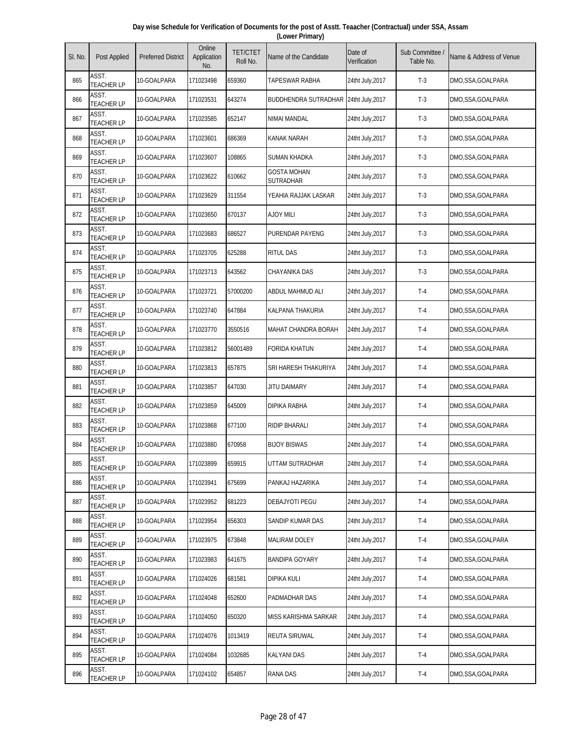| Day wise Schedule for Verification of Documents for the post of Asstt. Teaacher (Contractual) under SSA, Assam |  |
|----------------------------------------------------------------------------------------------------------------|--|
| (Lower Primary)                                                                                                |  |

| SI. No. | Post Applied               | <b>Preferred District</b> | Online<br>Application<br>No. | <b>TET/CTET</b><br>Roll No. | Name of the Candidate           | Date of<br>Verification | Sub Committee /<br>Table No. | Name & Address of Venue |
|---------|----------------------------|---------------------------|------------------------------|-----------------------------|---------------------------------|-------------------------|------------------------------|-------------------------|
| 865     | ASST.<br><b>TEACHER LP</b> | 10-GOALPARA               | 171023498                    | 659360                      | <b>TAPESWAR RABHA</b>           | 24tht July, 2017        | $T-3$                        | DMO,SSA,GOALPARA        |
| 866     | ASST.<br><b>TEACHER LP</b> | 10-GOALPARA               | 171023531                    | 643274                      | <b>BUDDHENDRA SUTRADHAR</b>     | 24tht July, 2017        | $T-3$                        | DMO,SSA,GOALPARA        |
| 867     | ASST.<br><b>TEACHER LP</b> | 10-GOALPARA               | 171023585                    | 652147                      | NIMAI MANDAL                    | 24tht July, 2017        | $T-3$                        | DMO,SSA,GOALPARA        |
| 868     | ASST.<br><b>TEACHER LP</b> | 10-GOALPARA               | 171023601                    | 686369                      | <b>KANAK NARAH</b>              | 24tht July, 2017        | $T-3$                        | DMO,SSA,GOALPARA        |
| 869     | ASST.<br><b>TEACHER LP</b> | 10-GOALPARA               | 171023607                    | 108865                      | <b>SUMAN KHADKA</b>             | 24tht July, 2017        | $T-3$                        | DMO,SSA,GOALPARA        |
| 870     | ASST.<br><b>TEACHER LP</b> | 10-GOALPARA               | 171023622                    | 610662                      | <b>GOSTA MOHAN</b><br>SUTRADHAR | 24tht July, 2017        | $T-3$                        | DMO,SSA,GOALPARA        |
| 871     | ASST.<br><b>TEACHER LP</b> | 10-GOALPARA               | 171023629                    | 311554                      | YEAHIA RAJJAK LASKAR            | 24tht July, 2017        | $T-3$                        | DMO,SSA,GOALPARA        |
| 872     | ASST.<br><b>TEACHER LP</b> | 10-GOALPARA               | 171023650                    | 670137                      | <b>AJOY MILI</b>                | 24tht July, 2017        | $T-3$                        | DMO,SSA,GOALPARA        |
| 873     | ASST.<br><b>TEACHER LP</b> | 10-GOALPARA               | 171023683                    | 686527                      | <b>PURENDAR PAYENG</b>          | 24tht July, 2017        | $T-3$                        | DMO,SSA,GOALPARA        |
| 874     | ASST.<br><b>TEACHER LP</b> | 10-GOALPARA               | 171023705                    | 625288                      | <b>RITUL DAS</b>                | 24tht July, 2017        | $T-3$                        | DMO,SSA,GOALPARA        |
| 875     | ASST.<br><b>TEACHER LP</b> | 10-GOALPARA               | 171023713                    | 643562                      | <b>CHAYANIKA DAS</b>            | 24tht July, 2017        | $T-3$                        | DMO,SSA,GOALPARA        |
| 876     | ASST.<br><b>TEACHER LP</b> | 10-GOALPARA               | 171023721                    | 57000200                    | ABDUL MAHMUD ALI                | 24tht July, 2017        | $T-4$                        | DMO,SSA,GOALPARA        |
| 877     | ASST.<br><b>TEACHER LP</b> | 10-GOALPARA               | 171023740                    | 647884                      | KALPANA THAKURIA                | 24tht July, 2017        | $T-4$                        | DMO,SSA,GOALPARA        |
| 878     | ASST.<br><b>TEACHER LP</b> | 10-GOALPARA               | 171023770                    | 3550516                     | <b>MAHAT CHANDRA BORAH</b>      | 24tht July, 2017        | $T-4$                        | DMO,SSA,GOALPARA        |
| 879     | ASST.<br><b>TEACHER LP</b> | 10-GOALPARA               | 171023812                    | 56001489                    | <b>FORIDA KHATUN</b>            | 24tht July, 2017        | $T-4$                        | DMO,SSA,GOALPARA        |
| 880     | ASST.<br><b>TEACHER LP</b> | 10-GOALPARA               | 171023813                    | 657875                      | SRI HARESH THAKURIYA            | 24tht July, 2017        | $T-4$                        | DMO,SSA,GOALPARA        |
| 881     | ASST.<br><b>TEACHER LP</b> | 10-GOALPARA               | 171023857                    | 647030                      | <b>JITU DAIMARY</b>             | 24tht July, 2017        | $T-4$                        | DMO,SSA,GOALPARA        |
| 882     | ASST.<br><b>TEACHER LP</b> | 10-GOALPARA               | 171023859                    | 645009                      | <b>DIPIKA RABHA</b>             | 24tht July, 2017        | $T-4$                        | DMO,SSA,GOALPARA        |
| 883     | ASST.<br><b>TEACHER LP</b> | 10-GOALPARA               | 171023868                    | 677100                      | <b>RIDIP BHARALI</b>            | 24tht July, 2017        | $T-4$                        | DMO,SSA,GOALPARA        |
| 884     | ASST.<br><b>TEACHER LP</b> | 10-GOALPARA               | 171023880                    | 670958                      | <b>BIJOY BISWAS</b>             | 24tht July, 2017        | $T-4$                        | DMO,SSA,GOALPARA        |
| 885     | ASST.<br><b>TEACHER LP</b> | 10-GOALPARA               | 171023899                    | 659915                      | UTTAM SUTRADHAR                 | 24tht July, 2017        | $T-4$                        | DMO,SSA,GOALPARA        |
| 886     | ASST.<br><b>TEACHER LP</b> | 10-GOALPARA               | 171023941                    | 675699                      | PANKAJ HAZARIKA                 | 24tht July, 2017        | $T-4$                        | DMO,SSA,GOALPARA        |
| 887     | ASST.<br><b>TEACHER LP</b> | 10-GOALPARA               | 171023952                    | 681223                      | DEBAJYOTI PEGU                  | 24tht July, 2017        | $T-4$                        | DMO,SSA,GOALPARA        |
| 888     | ASST.<br><b>TEACHER LP</b> | 10-GOALPARA               | 171023954                    | 656303                      | SANDIP KUMAR DAS                | 24tht July, 2017        | $T-4$                        | DMO,SSA,GOALPARA        |
| 889     | ASST.<br><b>TEACHER LP</b> | 10-GOALPARA               | 171023975                    | 673848                      | <b>MALIRAM DOLEY</b>            | 24tht July, 2017        | $T-4$                        | DMO,SSA,GOALPARA        |
| 890     | ASST.<br><b>TEACHER LP</b> | 10-GOALPARA               | 171023983                    | 641675                      | BANDIPA GOYARY                  | 24tht July, 2017        | $T-4$                        | DMO,SSA,GOALPARA        |
| 891     | ASST.<br><b>TEACHER LP</b> | 10-GOALPARA               | 171024026                    | 681581                      | <b>DIPIKA KULI</b>              | 24tht July, 2017        | $T-4$                        | DMO,SSA,GOALPARA        |
| 892     | ASST.<br>TEACHER LP        | 10-GOALPARA               | 171024048                    | 652600                      | PADMADHAR DAS                   | 24tht July, 2017        | $T-4$                        | DMO,SSA,GOALPARA        |
| 893     | ASST.<br><b>TEACHER LP</b> | 10-GOALPARA               | 171024050                    | 650320                      | MISS KARISHMA SARKAR            | 24tht July, 2017        | $T-4$                        | DMO,SSA,GOALPARA        |
| 894     | ASST.<br><b>TEACHER LP</b> | 10-GOALPARA               | 171024076                    | 1013419                     | <b>REUTA SIRUWAL</b>            | 24tht July, 2017        | $T-4$                        | DMO,SSA,GOALPARA        |
| 895     | ASST.<br><b>TEACHER LP</b> | 10-GOALPARA               | 171024084                    | 1032685                     | <b>KALYANI DAS</b>              | 24tht July, 2017        | $T-4$                        | DMO,SSA,GOALPARA        |
| 896     | ASST.<br><b>TEACHER LP</b> | 10-GOALPARA               | 171024102                    | 654857                      | <b>RANA DAS</b>                 | 24tht July, 2017        | $T-4$                        | DMO,SSA,GOALPARA        |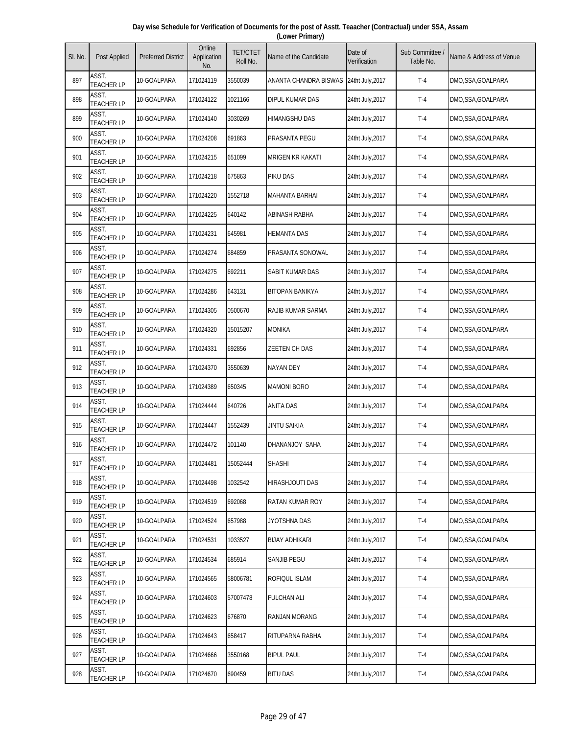| Day wise Schedule for Verification of Documents for the post of Asstt. Teaacher (Contractual) under SSA, Assam |  |
|----------------------------------------------------------------------------------------------------------------|--|
| (Lower Primary)                                                                                                |  |

| SI. No. | Post Applied               | <b>Preferred District</b> | Online<br>Application<br>No. | <b>TET/CTET</b><br>Roll No. | Name of the Candidate   | Date of<br>Verification | Sub Committee<br>Table No. | Name & Address of Venue |
|---------|----------------------------|---------------------------|------------------------------|-----------------------------|-------------------------|-------------------------|----------------------------|-------------------------|
| 897     | ASST.<br><b>TEACHER LP</b> | 10-GOALPARA               | 171024119                    | 3550039                     | ANANTA CHANDRA BISWAS   | 24tht July, 2017        | $T-4$                      | DMO,SSA,GOALPARA        |
| 898     | ASST.<br><b>TEACHER LP</b> | 10-GOALPARA               | 171024122                    | 1021166                     | <b>DIPUL KUMAR DAS</b>  | 24tht July, 2017        | $T-4$                      | DMO,SSA,GOALPARA        |
| 899     | ASST.<br><b>TEACHER LP</b> | 10-GOALPARA               | 171024140                    | 3030269                     | HIMANGSHU DAS           | 24tht July, 2017        | $T-4$                      | DMO,SSA,GOALPARA        |
| 900     | ASST.<br><b>TEACHER LP</b> | 10-GOALPARA               | 171024208                    | 691863                      | PRASANTA PEGU           | 24tht July, 2017        | $T-4$                      | DMO,SSA,GOALPARA        |
| 901     | ASST.<br><b>TEACHER LP</b> | 10-GOALPARA               | 171024215                    | 651099                      | <b>MRIGEN KR KAKATI</b> | 24tht July, 2017        | $T-4$                      | DMO,SSA,GOALPARA        |
| 902     | ASST.<br><b>TEACHER LP</b> | 10-GOALPARA               | 171024218                    | 675863                      | PIKU DAS                | 24tht July, 2017        | $T-4$                      | DMO,SSA,GOALPARA        |
| 903     | ASST.<br><b>TEACHER LP</b> | 10-GOALPARA               | 171024220                    | 1552718                     | <b>MAHANTA BARHAI</b>   | 24tht July, 2017        | $T-4$                      | DMO,SSA,GOALPARA        |
| 904     | ASST.<br><b>TEACHER LP</b> | 10-GOALPARA               | 171024225                    | 640142                      | ABINASH RABHA           | 24tht July, 2017        | $T-4$                      | DMO,SSA,GOALPARA        |
| 905     | ASST.<br><b>TEACHER LP</b> | 10-GOALPARA               | 171024231                    | 645981                      | <b>HEMANTA DAS</b>      | 24tht July, 2017        | $T-4$                      | DMO,SSA,GOALPARA        |
| 906     | ASST.<br><b>TEACHER LP</b> | 10-GOALPARA               | 171024274                    | 684859                      | PRASANTA SONOWAL        | 24tht July, 2017        | $T-4$                      | DMO,SSA,GOALPARA        |
| 907     | ASST.<br><b>TEACHER LP</b> | 10-GOALPARA               | 171024275                    | 692211                      | SABIT KUMAR DAS         | 24tht July, 2017        | $T-4$                      | DMO,SSA,GOALPARA        |
| 908     | ASST.<br><b>TEACHER LP</b> | 10-GOALPARA               | 171024286                    | 643131                      | <b>BITOPAN BANIKYA</b>  | 24tht July, 2017        | $T-4$                      | DMO,SSA,GOALPARA        |
| 909     | ASST.<br><b>TEACHER LP</b> | 10-GOALPARA               | 171024305                    | 0500670                     | RAJIB KUMAR SARMA       | 24tht July, 2017        | $T-4$                      | DMO,SSA,GOALPARA        |
| 910     | ASST.<br><b>TEACHER LP</b> | 10-GOALPARA               | 171024320                    | 15015207                    | <b>MONIKA</b>           | 24tht July, 2017        | $T-4$                      | DMO,SSA,GOALPARA        |
| 911     | ASST.<br><b>TEACHER LP</b> | 10-GOALPARA               | 171024331                    | 692856                      | <b>ZEETEN CH DAS</b>    | 24tht July, 2017        | $T-4$                      | DMO,SSA,GOALPARA        |
| 912     | ASST.<br><b>TEACHER LP</b> | 10-GOALPARA               | 171024370                    | 3550639                     | <b>NAYAN DEY</b>        | 24tht July, 2017        | $T-4$                      | DMO,SSA,GOALPARA        |
| 913     | ASST.<br><b>TEACHER LP</b> | 10-GOALPARA               | 171024389                    | 650345                      | <b>MAMONI BORO</b>      | 24tht July, 2017        | $T-4$                      | DMO,SSA,GOALPARA        |
| 914     | ASST.<br><b>TEACHER LP</b> | 10-GOALPARA               | 171024444                    | 640726                      | <b>ANITA DAS</b>        | 24tht July, 2017        | $T-4$                      | DMO,SSA,GOALPARA        |
| 915     | ASST.<br><b>TEACHER LP</b> | 10-GOALPARA               | 171024447                    | 1552439                     | JINTU SAIKIA            | 24tht July, 2017        | $T-4$                      | DMO,SSA,GOALPARA        |
| 916     | ASST.<br><b>TEACHER LP</b> | 10-GOALPARA               | 171024472                    | 101140                      | DHANANJOY SAHA          | 24tht July, 2017        | $T-4$                      | DMO,SSA,GOALPARA        |
| 917     | ASST.<br><b>TEACHER LP</b> | 10-GOALPARA               | 171024481                    | 15052444                    | <b>SHASHI</b>           | 24tht July, 2017        | $T-4$                      | DMO,SSA,GOALPARA        |
| 918     | ASST.<br><b>TEACHER LP</b> | 10-GOALPARA               | 171024498                    | 1032542                     | HIRASHJOUTI DAS         | 24tht July, 2017        | $T-4$                      | DMO,SSA,GOALPARA        |
| 919     | ASST.<br><b>TEACHER LP</b> | 10-GOALPARA               | 171024519                    | 692068                      | RATAN KUMAR ROY         | 24tht July, 2017        | $T-4$                      | DMO,SSA,GOALPARA        |
| 920     | ASST.<br><b>TEACHER LP</b> | 10-GOALPARA               | 171024524                    | 657988                      | JYOTSHNA DAS            | 24tht July, 2017        | $T-4$                      | DMO,SSA,GOALPARA        |
| 921     | ASST.<br><b>TEACHER LP</b> | 10-GOALPARA               | 171024531                    | 1033527                     | <b>BIJAY ADHIKARI</b>   | 24tht July, 2017        | $T-4$                      | DMO,SSA,GOALPARA        |
| 922     | ASST.<br><b>TEACHER LP</b> | 10-GOALPARA               | 171024534                    | 685914                      | SANJIB PEGU             | 24tht July, 2017        | $T-4$                      | DMO,SSA,GOALPARA        |
| 923     | ASST.<br><b>TEACHER LP</b> | 10-GOALPARA               | 171024565                    | 58006781                    | ROFIQUL ISLAM           | 24tht July, 2017        | $T-4$                      | DMO,SSA,GOALPARA        |
| 924     | ASST.<br><b>TEACHER LP</b> | 10-GOALPARA               | 171024603                    | 57007478                    | <b>FULCHAN ALI</b>      | 24tht July, 2017        | $T-4$                      | DMO, SSA, GOALPARA      |
| 925     | ASST.<br><b>TEACHER LP</b> | 10-GOALPARA               | 171024623                    | 676870                      | <b>RANJAN MORANG</b>    | 24tht July, 2017        | $T-4$                      | DMO,SSA,GOALPARA        |
| 926     | ASST.<br><b>TEACHER LP</b> | 10-GOALPARA               | 171024643                    | 658417                      | RITUPARNA RABHA         | 24tht July, 2017        | $T-4$                      | DMO,SSA,GOALPARA        |
| 927     | ASST.<br><b>TEACHER LP</b> | 10-GOALPARA               | 171024666                    | 3550168                     | <b>BIPUL PAUL</b>       | 24tht July, 2017        | $T-4$                      | DMO,SSA,GOALPARA        |
| 928     | ASST.<br><b>TEACHER LP</b> | 10-GOALPARA               | 171024670                    | 690459                      | <b>BITU DAS</b>         | 24tht July, 2017        | $T-4$                      | DMO,SSA,GOALPARA        |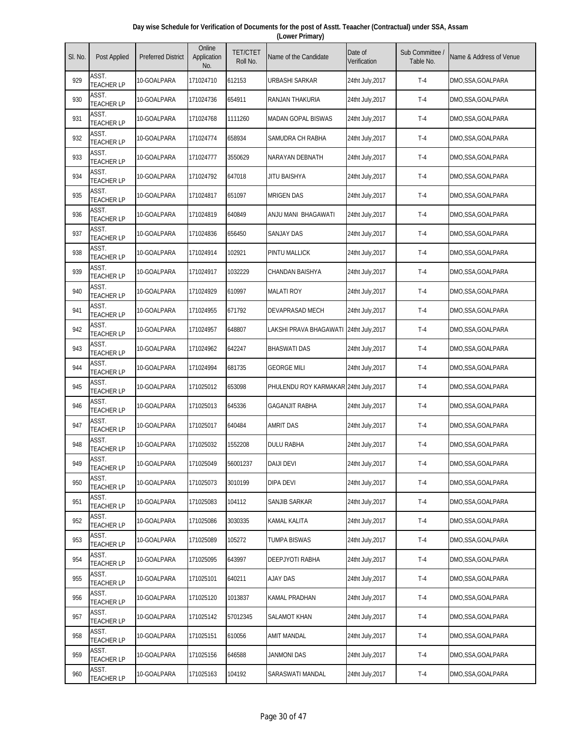| Day wise Schedule for Verification of Documents for the post of Asstt. Teaacher (Contractual) under SSA, Assam |  |
|----------------------------------------------------------------------------------------------------------------|--|
| (Lower Primary)                                                                                                |  |

| SI. No. | Post Applied               | <b>Preferred District</b> | Online<br>Application<br>No. | <b>TET/CTET</b><br>Roll No. | Name of the Candidate                  | Date of<br>Verification | Sub Committee /<br>Table No. | Name & Address of Venue |
|---------|----------------------------|---------------------------|------------------------------|-----------------------------|----------------------------------------|-------------------------|------------------------------|-------------------------|
| 929     | ASST.<br><b>TEACHER LP</b> | 10-GOALPARA               | 171024710                    | 612153                      | URBASHI SARKAR                         | 24tht July, 2017        | $T-4$                        | DMO,SSA,GOALPARA        |
| 930     | ASST.<br><b>TEACHER LP</b> | 10-GOALPARA               | 171024736                    | 654911                      | RANJAN THAKURIA                        | 24tht July, 2017        | $T-4$                        | DMO,SSA,GOALPARA        |
| 931     | ASST.<br><b>TEACHER LP</b> | 10-GOALPARA               | 171024768                    | 1111260                     | <b>MADAN GOPAL BISWAS</b>              | 24tht July, 2017        | $T-4$                        | DMO,SSA,GOALPARA        |
| 932     | ASST.<br><b>TEACHER LP</b> | 10-GOALPARA               | 171024774                    | 658934                      | SAMUDRA CH RABHA                       | 24tht July, 2017        | $T-4$                        | DMO,SSA,GOALPARA        |
| 933     | ASST.<br><b>TEACHER LP</b> | 10-GOALPARA               | 171024777                    | 3550629                     | NARAYAN DEBNATH                        | 24tht July, 2017        | $T-4$                        | DMO,SSA,GOALPARA        |
| 934     | ASST.<br><b>TEACHER LP</b> | 10-GOALPARA               | 171024792                    | 647018                      | JITU BAISHYA                           | 24tht July, 2017        | $T-4$                        | DMO,SSA,GOALPARA        |
| 935     | ASST.<br><b>TEACHER LP</b> | 10-GOALPARA               | 171024817                    | 651097                      | <b>MRIGEN DAS</b>                      | 24tht July, 2017        | $T-4$                        | DMO,SSA,GOALPARA        |
| 936     | ASST.<br><b>TEACHER LP</b> | 10-GOALPARA               | 171024819                    | 640849                      | ANJU MANI BHAGAWATI                    | 24tht July,2017         | $T-4$                        | DMO,SSA,GOALPARA        |
| 937     | ASST.<br><b>TEACHER LP</b> | 10-GOALPARA               | 171024836                    | 656450                      | <b>SANJAY DAS</b>                      | 24tht July, 2017        | $T-4$                        | DMO,SSA,GOALPARA        |
| 938     | ASST.<br><b>TEACHER LP</b> | 10-GOALPARA               | 171024914                    | 102921                      | <b>PINTU MALLICK</b>                   | 24tht July, 2017        | $T-4$                        | DMO,SSA,GOALPARA        |
| 939     | ASST.<br><b>TEACHER LP</b> | 10-GOALPARA               | 171024917                    | 1032229                     | <b>CHANDAN BAISHYA</b>                 | 24tht July, 2017        | $T-4$                        | DMO,SSA,GOALPARA        |
| 940     | ASST.<br><b>TEACHER LP</b> | 10-GOALPARA               | 171024929                    | 610997                      | <b>MALATI ROY</b>                      | 24tht July, 2017        | $T-4$                        | DMO,SSA,GOALPARA        |
| 941     | ASST.<br><b>TEACHER LP</b> | 10-GOALPARA               | 171024955                    | 671792                      | DEVAPRASAD MECH                        | 24tht July, 2017        | $T-4$                        | DMO,SSA,GOALPARA        |
| 942     | ASST.<br><b>TEACHER LP</b> | 10-GOALPARA               | 171024957                    | 648807                      | LAKSHI PRAVA BHAGAWATI                 | 24tht July, 2017        | $T-4$                        | DMO,SSA,GOALPARA        |
| 943     | ASST.<br><b>TEACHER LP</b> | 10-GOALPARA               | 171024962                    | 642247                      | <b>BHASWATI DAS</b>                    | 24tht July, 2017        | $T-4$                        | DMO, SSA, GOALPARA      |
| 944     | ASST.<br><b>TEACHER LP</b> | 10-GOALPARA               | 171024994                    | 681735                      | <b>GEORGE MILI</b>                     | 24tht July, 2017        | $T-4$                        | DMO,SSA,GOALPARA        |
| 945     | ASST.<br><b>TEACHER LP</b> | 10-GOALPARA               | 171025012                    | 653098                      | PHULENDU ROY KARMAKAR 24tht July, 2017 |                         | $T-4$                        | DMO,SSA,GOALPARA        |
| 946     | ASST.<br><b>TEACHER LP</b> | 10-GOALPARA               | 171025013                    | 645336                      | <b>GAGANJIT RABHA</b>                  | 24tht July, 2017        | $T-4$                        | DMO,SSA,GOALPARA        |
| 947     | ASST.<br><b>TEACHER LP</b> | 10-GOALPARA               | 171025017                    | 640484                      | AMRIT DAS                              | 24tht July, 2017        | $T-4$                        | DMO,SSA,GOALPARA        |
| 948     | ASST.<br><b>TEACHER LP</b> | 10-GOALPARA               | 171025032                    | 1552208                     | <b>DULU RABHA</b>                      | 24tht July, 2017        | $T-4$                        | DMO,SSA,GOALPARA        |
| 949     | ASST.<br><b>TEACHER LP</b> | 10-GOALPARA               | 171025049                    | 56001237                    | <b>DAIJI DEVI</b>                      | 24tht July, 2017        | $T-4$                        | DMO,SSA,GOALPARA        |
| 950     | ASST.<br><b>TEACHER LP</b> | 10-GOALPARA               | 171025073                    | 3010199                     | dipa devi                              | 24tht July, 2017        | $T-4$                        | DMO,SSA,GOALPARA        |
| 951     | ASST.<br><b>TEACHER LP</b> | 10-GOALPARA               | 171025083                    | 104112                      | SANJIB SARKAR                          | 24tht July, 2017        | $T-4$                        | DMO,SSA,GOALPARA        |
| 952     | ASST.<br><b>TEACHER LP</b> | 10-GOALPARA               | 171025086                    | 3030335                     | KAMAL KALITA                           | 24tht July, 2017        | $T-4$                        | DMO,SSA,GOALPARA        |
| 953     | ASST.<br><b>TEACHER LP</b> | 10-GOALPARA               | 171025089                    | 105272                      | <b>TUMPA BISWAS</b>                    | 24tht July, 2017        | $T-4$                        | DMO,SSA,GOALPARA        |
| 954     | ASST.<br><b>TEACHER LP</b> | 10-GOALPARA               | 171025095                    | 643997                      | DEEPJYOTI RABHA                        | 24tht July, 2017        | $T-4$                        | DMO,SSA,GOALPARA        |
| 955     | ASST.<br><b>TEACHER LP</b> | 10-GOALPARA               | 171025101                    | 640211                      | <b>AJAY DAS</b>                        | 24tht July, 2017        | $T-4$                        | DMO,SSA,GOALPARA        |
| 956     | ASST.<br><b>TEACHER LP</b> | 10-GOALPARA               | 171025120                    | 1013837                     | KAMAL PRADHAN                          | 24tht July, 2017        | $T-4$                        | DMO,SSA,GOALPARA        |
| 957     | ASST.<br><b>TEACHER LP</b> | 10-GOALPARA               | 171025142                    | 57012345                    | SALAMOT KHAN                           | 24tht July, 2017        | $T-4$                        | DMO,SSA,GOALPARA        |
| 958     | ASST.<br><b>TEACHER LP</b> | 10-GOALPARA               | 171025151                    | 610056                      | AMIT MANDAL                            | 24tht July, 2017        | $T-4$                        | DMO,SSA,GOALPARA        |
| 959     | ASST.<br><b>TEACHER LP</b> | 10-GOALPARA               | 171025156                    | 646588                      | JANMONI DAS                            | 24tht July, 2017        | $T-4$                        | DMO, SSA, GOALPARA      |
| 960     | ASST.<br><b>TEACHER LP</b> | 10-GOALPARA               | 171025163                    | 104192                      | SARASWATI MANDAL                       | 24tht July, 2017        | $T-4$                        | DMO,SSA,GOALPARA        |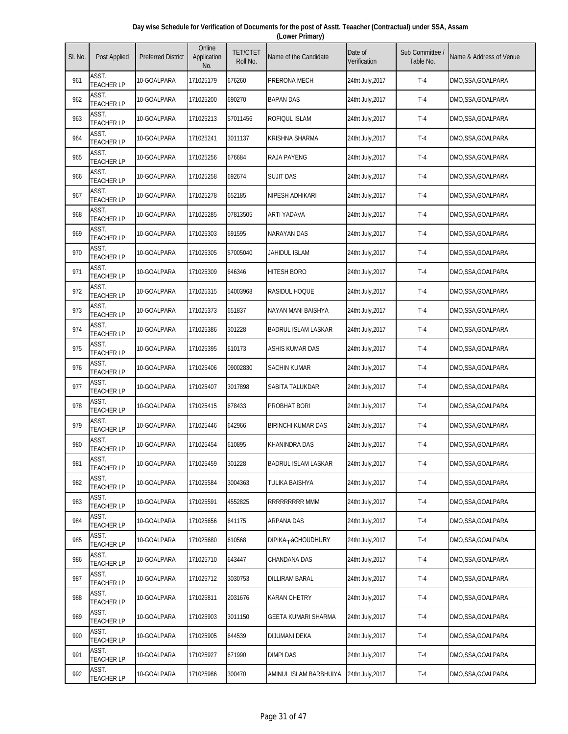| Day wise Schedule for Verification of Documents for the post of Asstt. Teaacher (Contractual) under SSA, Assam |  |
|----------------------------------------------------------------------------------------------------------------|--|
| (Lower Primary)                                                                                                |  |

| SI. No. | Post Applied               | <b>Preferred District</b> | Online<br>Application<br>No. | <b>TET/CTET</b><br>Roll No. | Name of the Candidate      | Date of<br>Verification | Sub Committee<br>Table No. | Name & Address of Venue |
|---------|----------------------------|---------------------------|------------------------------|-----------------------------|----------------------------|-------------------------|----------------------------|-------------------------|
| 961     | ASST.<br><b>TEACHER LP</b> | 10-GOALPARA               | 171025179                    | 676260                      | PRERONA MECH               | 24tht July, 2017        | $T-4$                      | DMO,SSA,GOALPARA        |
| 962     | ASST.<br><b>TEACHER LP</b> | 10-GOALPARA               | 171025200                    | 690270                      | <b>BAPAN DAS</b>           | 24tht July, 2017        | $T-4$                      | DMO, SSA, GOALPARA      |
| 963     | ASST.<br><b>TEACHER LP</b> | 10-GOALPARA               | 171025213                    | 57011456                    | ROFIQUL ISLAM              | 24tht July, 2017        | $T-4$                      | DMO,SSA,GOALPARA        |
| 964     | ASST.<br><b>TEACHER LP</b> | 10-GOALPARA               | 171025241                    | 3011137                     | KRISHNA SHARMA             | 24tht July, 2017        | $T-4$                      | DMO,SSA,GOALPARA        |
| 965     | ASST.<br><b>TEACHER LP</b> | 10-GOALPARA               | 171025256                    | 676684                      | <b>RAJA PAYENG</b>         | 24tht July, 2017        | $T-4$                      | DMO,SSA,GOALPARA        |
| 966     | ASST.<br><b>TEACHER LP</b> | 10-GOALPARA               | 171025258                    | 692674                      | Sujit das                  | 24tht July, 2017        | $T-4$                      | DMO,SSA,GOALPARA        |
| 967     | ASST.<br><b>TEACHER LP</b> | 10-GOALPARA               | 171025278                    | 652185                      | NIPESH ADHIKARI            | 24tht July, 2017        | $T-4$                      | DMO,SSA,GOALPARA        |
| 968     | ASST.<br><b>TEACHER LP</b> | 10-GOALPARA               | 171025285                    | 07813505                    | ARTI YADAVA                | 24tht July, 2017        | $T-4$                      | DMO,SSA,GOALPARA        |
| 969     | ASST.<br><b>TEACHER LP</b> | 10-GOALPARA               | 171025303                    | 691595                      | <b>NARAYAN DAS</b>         | 24tht July, 2017        | $T-4$                      | DMO,SSA,GOALPARA        |
| 970     | ASST.<br><b>TEACHER LP</b> | 10-GOALPARA               | 171025305                    | 57005040                    | JAHIDUL ISLAM              | 24tht July, 2017        | $T-4$                      | DMO,SSA,GOALPARA        |
| 971     | ASST.<br><b>TEACHER LP</b> | 10-GOALPARA               | 171025309                    | 646346                      | HITESH BORO                | 24tht July, 2017        | $T-4$                      | DMO,SSA,GOALPARA        |
| 972     | ASST.<br><b>TEACHER LP</b> | 10-GOALPARA               | 171025315                    | 54003968                    | Rasidul Hoque              | 24tht July, 2017        | $T-4$                      | DMO,SSA,GOALPARA        |
| 973     | ASST.<br><b>TEACHER LP</b> | 10-GOALPARA               | 171025373                    | 651837                      | NAYAN MANI BAISHYA         | 24tht July, 2017        | $T-4$                      | DMO,SSA,GOALPARA        |
| 974     | ASST.<br><b>TEACHER LP</b> | 10-GOALPARA               | 171025386                    | 301228                      | <b>BADRUL ISLAM LASKAR</b> | 24tht July, 2017        | $T-4$                      | DMO,SSA,GOALPARA        |
| 975     | ASST.<br><b>TEACHER LP</b> | 10-GOALPARA               | 171025395                    | 610173                      | ASHIS KUMAR DAS            | 24tht July, 2017        | $T-4$                      | DMO,SSA,GOALPARA        |
| 976     | ASST.<br><b>TEACHER LP</b> | 10-GOALPARA               | 171025406                    | 09002830                    | SACHIN KUMAR               | 24tht July, 2017        | $T-4$                      | DMO,SSA,GOALPARA        |
| 977     | ASST.<br><b>TEACHER LP</b> | 10-GOALPARA               | 171025407                    | 3017898                     | SABITA TALUKDAR            | 24tht July, 2017        | $T-4$                      | DMO, SSA, GOALPARA      |
| 978     | ASST.<br><b>TEACHER LP</b> | 10-GOALPARA               | 171025415                    | 678433                      | PROBHAT BORI               | 24tht July, 2017        | $T-4$                      | DMO,SSA,GOALPARA        |
| 979     | ASST.<br><b>TEACHER LP</b> | 10-GOALPARA               | 171025446                    | 642966                      | <b>BIRINCHI KUMAR DAS</b>  | 24tht July, 2017        | $T-4$                      | DMO,SSA,GOALPARA        |
| 980     | ASST.<br><b>TEACHER LP</b> | 10-GOALPARA               | 171025454                    | 610895                      | <b>KHANINDRA DAS</b>       | 24tht July, 2017        | $T-4$                      | DMO,SSA,GOALPARA        |
| 981     | ASST.<br><b>TEACHER LP</b> | 10-GOALPARA               | 171025459                    | 301228                      | <b>BADRUL ISLAM LASKAR</b> | 24tht July, 2017        | $T-4$                      | DMO,SSA,GOALPARA        |
| 982     | ASST.<br><b>TEACHER LP</b> | 10-GOALPARA               | 171025584                    | 3004363                     | TULIKA BAISHYA             | 24tht July, 2017        | $T-4$                      | DMO,SSA,GOALPARA        |
| 983     | ASST.<br><b>TEACHER LP</b> | 10-GOALPARA               | 171025591                    | 4552825                     | RRRRRRRRR MMM              | 24tht July, 2017        | $T-4$                      | DMO,SSA,GOALPARA        |
| 984     | ASST.<br><b>TEACHER LP</b> | 10-GOALPARA               | 171025656                    | 641175                      | ARPANA DAS                 | 24tht July, 2017        | $T-4$                      | DMO,SSA,GOALPARA        |
| 985     | ASST.<br><b>TEACHER LP</b> | 10-GOALPARA               | 171025680                    | 610568                      | DIPIKA-áCHOUDHURY          | 24tht July, 2017        | $T-4$                      | DMO,SSA,GOALPARA        |
| 986     | ASST.<br><b>TEACHER LP</b> | 10-GOALPARA               | 171025710                    | 643447                      | CHANDANA DAS               | 24tht July, 2017        | $T-4$                      | DMO,SSA,GOALPARA        |
| 987     | ASST.<br><b>TEACHER LP</b> | 10-GOALPARA               | 171025712                    | 3030753                     | DILLIRAM BARAL             | 24tht July, 2017        | $T-4$                      | DMO,SSA,GOALPARA        |
| 988     | ASST.<br><b>TEACHER LP</b> | 10-GOALPARA               | 171025811                    | 2031676                     | KARAN CHETRY               | 24tht July, 2017        | $T-4$                      | DMO, SSA, GOALPARA      |
| 989     | ASST.<br><b>TEACHER LP</b> | 10-GOALPARA               | 171025903                    | 3011150                     | GEETA KUMARI SHARMA        | 24tht July, 2017        | $T-4$                      | DMO,SSA,GOALPARA        |
| 990     | ASST.<br><b>TEACHER LP</b> | 10-GOALPARA               | 171025905                    | 644539                      | DIJUMANI DEKA              | 24tht July, 2017        | $T-4$                      | DMO,SSA,GOALPARA        |
| 991     | ASST.<br><b>TEACHER LP</b> | 10-GOALPARA               | 171025927                    | 671990                      | Dimpi das                  | 24tht July, 2017        | $T-4$                      | DMO,SSA,GOALPARA        |
| 992     | ASST.<br><b>TEACHER LP</b> | 10-GOALPARA               | 171025986                    | 300470                      | AMINUL ISLAM BARBHUIYA     | 24tht July, 2017        | $T-4$                      | DMO,SSA,GOALPARA        |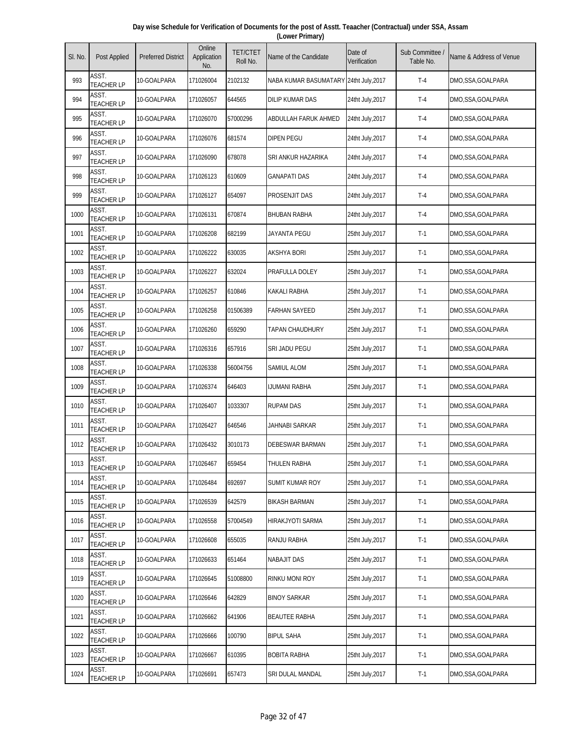| Day wise Schedule for Verification of Documents for the post of Asstt. Teaacher (Contractual) under SSA, Assam |  |
|----------------------------------------------------------------------------------------------------------------|--|
| (Lower Primary)                                                                                                |  |

| SI. No. | Post Applied               | <b>Preferred District</b> | Online<br>Application<br>No. | <b>TET/CTET</b><br>Roll No. | Name of the Candidate                  | Date of<br>Verification | Sub Committee /<br>Table No. | Name & Address of Venue |
|---------|----------------------------|---------------------------|------------------------------|-----------------------------|----------------------------------------|-------------------------|------------------------------|-------------------------|
| 993     | ASST.<br><b>TEACHER LP</b> | 10-GOALPARA               | 171026004                    | 2102132                     | NABA KUMAR BASUMATARY 24tht July, 2017 |                         | $T-4$                        | DMO,SSA,GOALPARA        |
| 994     | ASST.<br><b>TEACHER LP</b> | 10-GOALPARA               | 171026057                    | 644565                      | <b>DILIP KUMAR DAS</b>                 | 24tht July, 2017        | $T-4$                        | DMO,SSA,GOALPARA        |
| 995     | ASST.<br><b>TEACHER LP</b> | 10-GOALPARA               | 171026070                    | 57000296                    | ABDULLAH FARUK AHMED                   | 24tht July, 2017        | $T-4$                        | DMO,SSA,GOALPARA        |
| 996     | ASST.<br><b>TEACHER LP</b> | 10-GOALPARA               | 171026076                    | 681574                      | DIPEN PEGU                             | 24tht July, 2017        | $T-4$                        | DMO,SSA,GOALPARA        |
| 997     | ASST.<br><b>TEACHER LP</b> | 10-GOALPARA               | 171026090                    | 678078                      | SRI ANKUR HAZARIKA                     | 24tht July, 2017        | $T-4$                        | DMO,SSA,GOALPARA        |
| 998     | ASST.<br><b>TEACHER LP</b> | 10-GOALPARA               | 171026123                    | 610609                      | GANAPATI DAS                           | 24tht July, 2017        | $T-4$                        | DMO,SSA,GOALPARA        |
| 999     | ASST.<br><b>TEACHER LP</b> | 10-GOALPARA               | 171026127                    | 654097                      | PROSENJIT DAS                          | 24tht July, 2017        | $T-4$                        | DMO,SSA,GOALPARA        |
| 1000    | ASST.<br><b>TEACHER LP</b> | 10-GOALPARA               | 171026131                    | 670874                      | <b>BHUBAN RABHA</b>                    | 24tht July,2017         | $T-4$                        | DMO,SSA,GOALPARA        |
| 1001    | ASST.<br><b>TEACHER LP</b> | 10-GOALPARA               | 171026208                    | 682199                      | <b>JAYANTA PEGU</b>                    | 25tht July, 2017        | $T-1$                        | DMO,SSA,GOALPARA        |
| 1002    | ASST.<br><b>TEACHER LP</b> | 10-GOALPARA               | 171026222                    | 630035                      | <b>AKSHYA BORI</b>                     | 25tht July, 2017        | $T-1$                        | DMO,SSA,GOALPARA        |
| 1003    | ASST.<br><b>TEACHER LP</b> | 10-GOALPARA               | 171026227                    | 632024                      | PRAFULLA DOLEY                         | 25tht July, 2017        | $T-1$                        | DMO,SSA,GOALPARA        |
| 1004    | ASST.<br><b>TEACHER LP</b> | 10-GOALPARA               | 171026257                    | 610846                      | <b>KAKALI RABHA</b>                    | 25tht July, 2017        | $T-1$                        | DMO,SSA,GOALPARA        |
| 1005    | ASST.<br><b>TEACHER LP</b> | 10-GOALPARA               | 171026258                    | 01506389                    | <b>FARHAN SAYEED</b>                   | 25tht July, 2017        | $T-1$                        | DMO,SSA,GOALPARA        |
| 1006    | ASST.<br><b>TEACHER LP</b> | 10-GOALPARA               | 171026260                    | 659290                      | <b>TAPAN CHAUDHURY</b>                 | 25tht July, 2017        | $T-1$                        | DMO,SSA,GOALPARA        |
| 1007    | ASST.<br><b>TEACHER LP</b> | 10-GOALPARA               | 171026316                    | 657916                      | SRI JADU PEGU                          | 25tht July, 2017        | $T-1$                        | DMO,SSA,GOALPARA        |
| 1008    | ASST.<br><b>TEACHER LP</b> | 10-GOALPARA               | 171026338                    | 56004756                    | SAMIUL ALOM                            | 25tht July, 2017        | $T-1$                        | DMO,SSA,GOALPARA        |
| 1009    | ASST.<br><b>TEACHER LP</b> | 10-GOALPARA               | 171026374                    | 646403                      | IJUMANI RABHA                          | 25tht July, 2017        | $T-1$                        | DMO,SSA,GOALPARA        |
| 1010    | ASST.<br><b>TEACHER LP</b> | 10-GOALPARA               | 171026407                    | 1033307                     | <b>RUPAM DAS</b>                       | 25tht July, 2017        | $T-1$                        | DMO,SSA,GOALPARA        |
| 1011    | ASST.<br><b>TEACHER LP</b> | 10-GOALPARA               | 171026427                    | 646546                      | JAHNABI SARKAR                         | 25tht July, 2017        | $T-1$                        | DMO,SSA,GOALPARA        |
| 1012    | ASST.<br><b>TEACHER LP</b> | 10-GOALPARA               | 171026432                    | 3010173                     | <b>DEBESWAR BARMAN</b>                 | 25tht July, 2017        | $T-1$                        | DMO,SSA,GOALPARA        |
| 1013    | ASST.<br><b>TEACHER LP</b> | 10-GOALPARA               | 171026467                    | 659454                      | THULEN RABHA                           | 25tht July, 2017        | $T-1$                        | DMO, SSA, GOALPARA      |
| 1014    | ASST.<br><b>TEACHER LP</b> | 10-GOALPARA               | 171026484                    | 692697                      | SUMIT KUMAR ROY                        | 25tht July, 2017        | $T-1$                        | DMO,SSA,GOALPARA        |
| 1015    | ASST.<br><b>TEACHER LP</b> | 10-GOALPARA               | 171026539                    | 642579                      | <b>BIKASH BARMAN</b>                   | 25tht July, 2017        | $T-1$                        | DMO,SSA,GOALPARA        |
| 1016    | ASST.<br><b>TEACHER LP</b> | 10-GOALPARA               | 171026558                    | 57004549                    | HIRAKJYOTI SARMA                       | 25tht July, 2017        | $T-1$                        | DMO,SSA,GOALPARA        |
| 1017    | ASST.<br><b>TEACHER LP</b> | 10-GOALPARA               | 171026608                    | 655035                      | RANJU RABHA                            | 25tht July, 2017        | $T-1$                        | DMO,SSA,GOALPARA        |
| 1018    | ASST.<br><b>TEACHER LP</b> | 10-GOALPARA               | 171026633                    | 651464                      | <b>NABAJIT DAS</b>                     | 25tht July, 2017        | $T-1$                        | DMO,SSA,GOALPARA        |
| 1019    | ASST.<br><b>TEACHER LP</b> | 10-GOALPARA               | 171026645                    | 51008800                    | RINKU MONI ROY                         | 25tht July, 2017        | $T-1$                        | DMO,SSA,GOALPARA        |
| 1020    | ASST.<br>TEACHER LP        | 10-GOALPARA               | 171026646                    | 642829                      | <b>BINOY SARKAR</b>                    | 25tht July, 2017        | $T-1$                        | DMO,SSA,GOALPARA        |
| 1021    | ASST.<br><b>TEACHER LP</b> | 10-GOALPARA               | 171026662                    | 641906                      | <b>BEAUTEE RABHA</b>                   | 25tht July, 2017        | $T-1$                        | DMO,SSA,GOALPARA        |
| 1022    | ASST.<br><b>TEACHER LP</b> | 10-GOALPARA               | 171026666                    | 100790                      | <b>BIPUL SAHA</b>                      | 25tht July, 2017        | $T-1$                        | DMO,SSA,GOALPARA        |
| 1023    | ASST.<br><b>TEACHER LP</b> | 10-GOALPARA               | 171026667                    | 610395                      | <b>BOBITA RABHA</b>                    | 25tht July, 2017        | $T-1$                        | DMO,SSA,GOALPARA        |
| 1024    | ASST.<br><b>TEACHER LP</b> | 10-GOALPARA               | 171026691                    | 657473                      | SRI DULAL MANDAL                       | 25tht July, 2017        | $T-1$                        | DMO,SSA,GOALPARA        |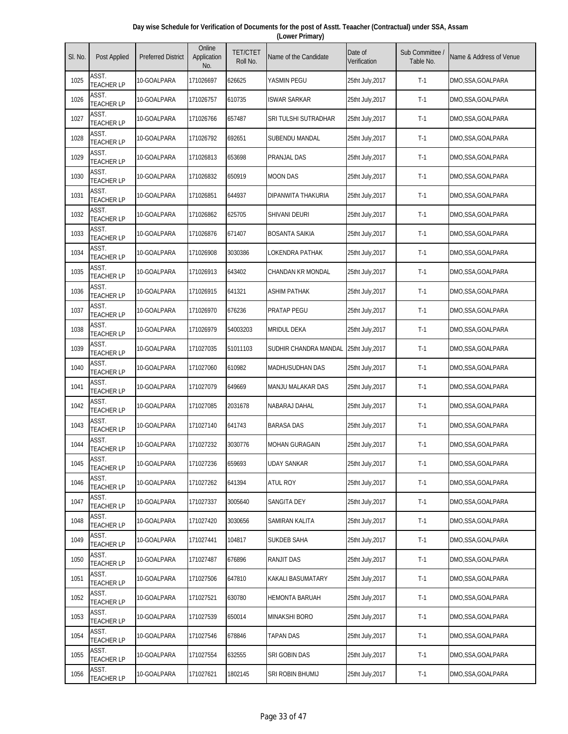| Day wise Schedule for Verification of Documents for the post of Asstt. Teaacher (Contractual) under SSA, Assam |  |
|----------------------------------------------------------------------------------------------------------------|--|
| (Lower Primary)                                                                                                |  |

| SI. No. | Post Applied               | <b>Preferred District</b> | Online<br>Application<br>No. | <b>TET/CTET</b><br>Roll No. | Name of the Candidate    | Date of<br>Verification | Sub Committee<br>Table No. | Name & Address of Venue |
|---------|----------------------------|---------------------------|------------------------------|-----------------------------|--------------------------|-------------------------|----------------------------|-------------------------|
| 1025    | ASST.<br><b>TEACHER LP</b> | 10-GOALPARA               | 171026697                    | 626625                      | YASMIN PEGU              | 25tht July, 2017        | $T-1$                      | DMO,SSA,GOALPARA        |
| 1026    | ASST.<br><b>TEACHER LP</b> | 10-GOALPARA               | 171026757                    | 610735                      | <b>ISWAR SARKAR</b>      | 25tht July, 2017        | $T-1$                      | DMO,SSA,GOALPARA        |
| 1027    | ASST.<br><b>TEACHER LP</b> | 10-GOALPARA               | 171026766                    | 657487                      | SRI TULSHI SUTRADHAR     | 25tht July, 2017        | $T-1$                      | DMO,SSA,GOALPARA        |
| 1028    | ASST.<br><b>TEACHER LP</b> | 10-GOALPARA               | 171026792                    | 692651                      | SUBENDU MANDAL           | 25tht July, 2017        | $T-1$                      | DMO,SSA,GOALPARA        |
| 1029    | ASST.<br><b>TEACHER LP</b> | 10-GOALPARA               | 171026813                    | 653698                      | PRANJAL DAS              | 25tht July, 2017        | $T-1$                      | DMO,SSA,GOALPARA        |
| 1030    | ASST.<br><b>TEACHER LP</b> | 10-GOALPARA               | 171026832                    | 650919                      | <b>MOON DAS</b>          | 25tht July, 2017        | $T-1$                      | DMO, SSA, GOALPARA      |
| 1031    | ASST.<br><b>TEACHER LP</b> | 10-GOALPARA               | 171026851                    | 644937                      | DIPANWITA THAKURIA       | 25tht July, 2017        | $T-1$                      | DMO,SSA,GOALPARA        |
| 1032    | ASST.<br><b>TEACHER LP</b> | 10-GOALPARA               | 171026862                    | 625705                      | SHIVANI DEURI            | 25tht July, 2017        | $T-1$                      | DMO,SSA,GOALPARA        |
| 1033    | ASST.<br><b>TEACHER LP</b> | 10-GOALPARA               | 171026876                    | 671407                      | <b>BOSANTA SAIKIA</b>    | 25tht July, 2017        | $T-1$                      | DMO,SSA,GOALPARA        |
| 1034    | ASST.<br><b>TEACHER LP</b> | 10-GOALPARA               | 171026908                    | 3030386                     | LOKENDRA PATHAK          | 25tht July, 2017        | $T-1$                      | DMO,SSA,GOALPARA        |
| 1035    | ASST.<br><b>TEACHER LP</b> | 10-GOALPARA               | 171026913                    | 643402                      | <b>CHANDAN KR MONDAL</b> | 25tht July, 2017        | $T-1$                      | DMO,SSA,GOALPARA        |
| 1036    | ASST.<br><b>TEACHER LP</b> | 10-GOALPARA               | 171026915                    | 641321                      | <b>ASHIM PATHAK</b>      | 25tht July, 2017        | $T-1$                      | DMO,SSA,GOALPARA        |
| 1037    | ASST.<br><b>TEACHER LP</b> | 10-GOALPARA               | 171026970                    | 676236                      | PRATAP PEGU              | 25tht July, 2017        | $T-1$                      | DMO,SSA,GOALPARA        |
| 1038    | ASST.<br><b>TEACHER LP</b> | 10-GOALPARA               | 171026979                    | 54003203                    | <b>MRIDUL DEKA</b>       | 25tht July, 2017        | $T-1$                      | DMO,SSA,GOALPARA        |
| 1039    | ASST.<br><b>TEACHER LP</b> | 10-GOALPARA               | 171027035                    | 51011103                    | SUDHIR CHANDRA MANDAL    | 25tht July, 2017        | $T-1$                      | DMO, SSA, GOALPARA      |
| 1040    | ASST.<br><b>TEACHER LP</b> | 10-GOALPARA               | 171027060                    | 610982                      | <b>MADHUSUDHAN DAS</b>   | 25tht July, 2017        | $T-1$                      | DMO,SSA,GOALPARA        |
| 1041    | ASST.<br><b>TEACHER LP</b> | 10-GOALPARA               | 171027079                    | 649669                      | MANJU MALAKAR DAS        | 25tht July, 2017        | $T-1$                      | DMO,SSA,GOALPARA        |
| 1042    | ASST.<br><b>TEACHER LP</b> | 10-GOALPARA               | 171027085                    | 2031678                     | NABARAJ DAHAL            | 25tht July, 2017        | $T-1$                      | DMO,SSA,GOALPARA        |
| 1043    | ASST.<br>TEACHER LP        | 10-GOALPARA               | 171027140                    | 641743                      | <b>BARASA DAS</b>        | 25tht July, 2017        | $T-1$                      | DMO,SSA,GOALPARA        |
| 1044    | ASST.<br><b>TEACHER LP</b> | 10-GOALPARA               | 171027232                    | 3030776                     | <b>MOHAN GURAGAIN</b>    | 25tht July, 2017        | $T-1$                      | DMO,SSA,GOALPARA        |
| 1045    | ASST.<br><b>TEACHER LP</b> | 10-GOALPARA               | 171027236                    | 659693                      | <b>UDAY SANKAR</b>       | 25tht July, 2017        | $T-1$                      | DMO,SSA,GOALPARA        |
| 1046    | ASST.<br><b>TEACHER LP</b> | 10-GOALPARA               | 171027262                    | 641394                      | atul Roy                 | 25tht July, 2017        | $T-1$                      | DMO,SSA,GOALPARA        |
| 1047    | ASST.<br><b>TEACHER LP</b> | 10-GOALPARA               | 171027337                    | 3005640                     | SANGITA DEY              | 25tht July, 2017        | $T-1$                      | DMO,SSA,GOALPARA        |
| 1048    | ASST.<br><b>TEACHER LP</b> | 10-GOALPARA               | 171027420                    | 3030656                     | SAMIRAN KALITA           | 25tht July, 2017        | $T-1$                      | DMO, SSA, GOALPARA      |
| 1049    | ASST.<br><b>TEACHER LP</b> | 10-GOALPARA               | 171027441                    | 104817                      | SUKDEB SAHA              | 25tht July, 2017        | $T-1$                      | DMO,SSA,GOALPARA        |
| 1050    | ASST.<br><b>TEACHER LP</b> | 10-GOALPARA               | 171027487                    | 676896                      | RANJIT DAS               | 25tht July, 2017        | $T-1$                      | DMO,SSA,GOALPARA        |
| 1051    | ASST.<br><b>TEACHER LP</b> | 10-GOALPARA               | 171027506                    | 647810                      | KAKALI BASUMATARY        | 25tht July, 2017        | $T-1$                      | DMO,SSA,GOALPARA        |
| 1052    | ASST.<br><b>TEACHER LP</b> | 10-GOALPARA               | 171027521                    | 630780                      | HEMONTA BARUAH           | 25tht July, 2017        | $T-1$                      | DMO,SSA,GOALPARA        |
| 1053    | ASST.<br><b>TEACHER LP</b> | 10-GOALPARA               | 171027539                    | 650014                      | MINAKSHI BORO            | 25tht July, 2017        | $T-1$                      | DMO,SSA,GOALPARA        |
| 1054    | ASST.<br><b>TEACHER LP</b> | 10-GOALPARA               | 171027546                    | 678846                      | TAPAN DAS                | 25tht July, 2017        | $T-1$                      | DMO,SSA,GOALPARA        |
| 1055    | ASST.<br><b>TEACHER LP</b> | 10-GOALPARA               | 171027554                    | 632555                      | SRI GOBIN DAS            | 25tht July, 2017        | $T-1$                      | DMO,SSA,GOALPARA        |
| 1056    | ASST.<br><b>TEACHER LP</b> | 10-GOALPARA               | 171027621                    | 1802145                     | SRI ROBIN BHUMIJ         | 25tht July, 2017        | $T-1$                      | DMO, SSA, GOALPARA      |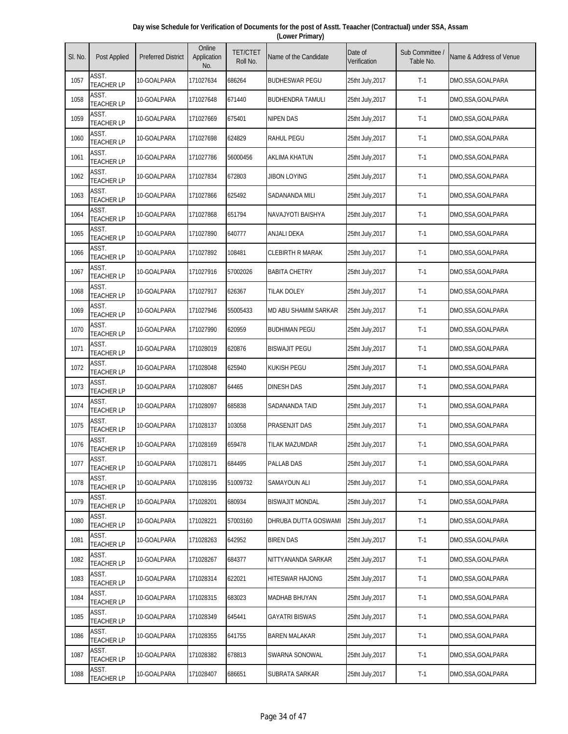| Day wise Schedule for Verification of Documents for the post of Asstt. Teaacher (Contractual) under SSA, Assam |  |
|----------------------------------------------------------------------------------------------------------------|--|
| (Lower Primary)                                                                                                |  |

| SI. No. | Post Applied               | <b>Preferred District</b> | Online<br>Application<br>No. | <b>TET/CTET</b><br>Roll No. | Name of the Candidate       | Date of<br>Verification | Sub Committee /<br>Table No. | Name & Address of Venue |
|---------|----------------------------|---------------------------|------------------------------|-----------------------------|-----------------------------|-------------------------|------------------------------|-------------------------|
| 1057    | ASST.<br><b>TEACHER LP</b> | 10-GOALPARA               | 171027634                    | 686264                      | <b>BUDHESWAR PEGU</b>       | 25tht July, 2017        | $T-1$                        | DMO,SSA,GOALPARA        |
| 1058    | ASST.<br><b>TEACHER LP</b> | 10-GOALPARA               | 171027648                    | 671440                      | <b>BUDHENDRA TAMULI</b>     | 25tht July, 2017        | $T-1$                        | DMO,SSA,GOALPARA        |
| 1059    | ASST.<br><b>TEACHER LP</b> | 10-GOALPARA               | 171027669                    | 675401                      | <b>NIPEN DAS</b>            | 25tht July, 2017        | $T-1$                        | DMO,SSA,GOALPARA        |
| 1060    | ASST.<br><b>TEACHER LP</b> | 10-GOALPARA               | 171027698                    | 624829                      | RAHUL PEGU                  | 25tht July, 2017        | $T-1$                        | DMO,SSA,GOALPARA        |
| 1061    | ASST.<br><b>TEACHER LP</b> | 10-GOALPARA               | 171027786                    | 56000456                    | <b>AKLIMA KHATUN</b>        | 25tht July, 2017        | $T-1$                        | DMO,SSA,GOALPARA        |
| 1062    | ASST.<br><b>TEACHER LP</b> | 10-GOALPARA               | 171027834                    | 672803                      | JIBON LOYING                | 25tht July, 2017        | $T-1$                        | DMO,SSA,GOALPARA        |
| 1063    | ASST.<br><b>TEACHER LP</b> | 10-GOALPARA               | 171027866                    | 625492                      | SADANANDA MILI              | 25tht July, 2017        | $T-1$                        | DMO,SSA,GOALPARA        |
| 1064    | ASST.<br><b>TEACHER LP</b> | 10-GOALPARA               | 171027868                    | 651794                      | NAVAJYOTI BAISHYA           | 25tht July,2017         | $T-1$                        | DMO,SSA,GOALPARA        |
| 1065    | ASST.<br><b>TEACHER LP</b> | 10-GOALPARA               | 171027890                    | 640777                      | <b>ANJALI DEKA</b>          | 25tht July, 2017        | $T-1$                        | DMO,SSA,GOALPARA        |
| 1066    | ASST.<br><b>TEACHER LP</b> | 10-GOALPARA               | 171027892                    | 108481                      | <b>CLEBIRTH R MARAK</b>     | 25tht July, 2017        | $T-1$                        | DMO,SSA,GOALPARA        |
| 1067    | ASST.<br><b>TEACHER LP</b> | 10-GOALPARA               | 171027916                    | 57002026                    | <b>BABITA CHETRY</b>        | 25tht July, 2017        | $T-1$                        | DMO,SSA,GOALPARA        |
| 1068    | ASST.<br><b>TEACHER LP</b> | 10-GOALPARA               | 171027917                    | 626367                      | <b>TILAK DOLEY</b>          | 25tht July, 2017        | $T-1$                        | DMO,SSA,GOALPARA        |
| 1069    | ASST.<br><b>TEACHER LP</b> | 10-GOALPARA               | 171027946                    | 55005433                    | <b>MD ABU SHAMIM SARKAR</b> | 25tht July, 2017        | $T-1$                        | DMO,SSA,GOALPARA        |
| 1070    | ASST.<br><b>TEACHER LP</b> | 10-GOALPARA               | 171027990                    | 620959                      | <b>BUDHIMAN PEGU</b>        | 25tht July, 2017        | $T-1$                        | DMO,SSA,GOALPARA        |
| 1071    | ASST.<br><b>TEACHER LP</b> | 10-GOALPARA               | 171028019                    | 620876                      | <b>BISWAJIT PEGU</b>        | 25tht July, 2017        | $T-1$                        | DMO,SSA,GOALPARA        |
| 1072    | ASST.<br><b>TEACHER LP</b> | 10-GOALPARA               | 171028048                    | 625940                      | <b>KUKISH PEGU</b>          | 25tht July, 2017        | $T-1$                        | DMO,SSA,GOALPARA        |
| 1073    | ASST.<br><b>TEACHER LP</b> | 10-GOALPARA               | 171028087                    | 64465                       | <b>DINESH DAS</b>           | 25tht July, 2017        | $T-1$                        | DMO,SSA,GOALPARA        |
| 1074    | ASST.<br><b>TEACHER LP</b> | 10-GOALPARA               | 171028097                    | 685838                      | SADANANDA TAID              | 25tht July, 2017        | $T-1$                        | DMO,SSA,GOALPARA        |
| 1075    | ASST.<br><b>TEACHER LP</b> | 10-GOALPARA               | 171028137                    | 103058                      | PRASENJIT DAS               | 25tht July, 2017        | $T-1$                        | DMO,SSA,GOALPARA        |
| 1076    | ASST.<br><b>TEACHER LP</b> | 10-GOALPARA               | 171028169                    | 659478                      | TILAK MAZUMDAR              | 25tht July, 2017        | $T-1$                        | DMO,SSA,GOALPARA        |
| 1077    | ASST.<br><b>TEACHER LP</b> | 10-GOALPARA               | 171028171                    | 684495                      | PALLAB DAS                  | 25tht July, 2017        | $T-1$                        | DMO,SSA,GOALPARA        |
| 1078    | ASST.<br><b>TEACHER LP</b> | 10-GOALPARA               | 171028195                    | 51009732                    | SAMAYOUN ALI                | 25tht July, 2017        | $T-1$                        | DMO,SSA,GOALPARA        |
| 1079    | ASST.<br><b>TEACHER LP</b> | 10-GOALPARA               | 171028201                    | 680934                      | <b>BISWAJIT MONDAL</b>      | 25tht July, 2017        | $T-1$                        | DMO,SSA,GOALPARA        |
| 1080    | ASST.<br><b>TEACHER LP</b> | 10-GOALPARA               | 171028221                    | 57003160                    | DHRUBA DUTTA GOSWAMI        | 25tht July, 2017        | $T-1$                        | DMO, SSA, GOALPARA      |
| 1081    | ASST.<br><b>TEACHER LP</b> | 10-GOALPARA               | 171028263                    | 642952                      | <b>BIREN DAS</b>            | 25tht July, 2017        | $T-1$                        | DMO,SSA,GOALPARA        |
| 1082    | ASST.<br><b>TEACHER LP</b> | 10-GOALPARA               | 171028267                    | 684377                      | NITTYANANDA SARKAR          | 25tht July, 2017        | $T-1$                        | DMO,SSA,GOALPARA        |
| 1083    | ASST.<br><b>TEACHER LP</b> | 10-GOALPARA               | 171028314                    | 622021                      | HITESWAR HAJONG             | 25tht July, 2017        | $T-1$                        | DMO,SSA,GOALPARA        |
| 1084    | ASST.<br><b>TEACHER LP</b> | 10-GOALPARA               | 171028315                    | 683023                      | <b>MADHAB BHUYAN</b>        | 25tht July, 2017        | $T-1$                        | DMO,SSA,GOALPARA        |
| 1085    | ASST.<br><b>TEACHER LP</b> | 10-GOALPARA               | 171028349                    | 645441                      | GAYATRI BISWAS              | 25tht July, 2017        | $T-1$                        | DMO,SSA,GOALPARA        |
| 1086    | ASST.<br><b>TEACHER LP</b> | 10-GOALPARA               | 171028355                    | 641755                      | <b>BAREN MALAKAR</b>        | 25tht July, 2017        | $T-1$                        | DMO,SSA,GOALPARA        |
| 1087    | ASST.<br><b>TEACHER LP</b> | 10-GOALPARA               | 171028382                    | 678813                      | SWARNA SONOWAL              | 25tht July, 2017        | $T-1$                        | DMO, SSA, GOALPARA      |
| 1088    | ASST.<br><b>TEACHER LP</b> | 10-GOALPARA               | 171028407                    | 686651                      | SUBRATA SARKAR              | 25tht July, 2017        | $T-1$                        | DMO,SSA,GOALPARA        |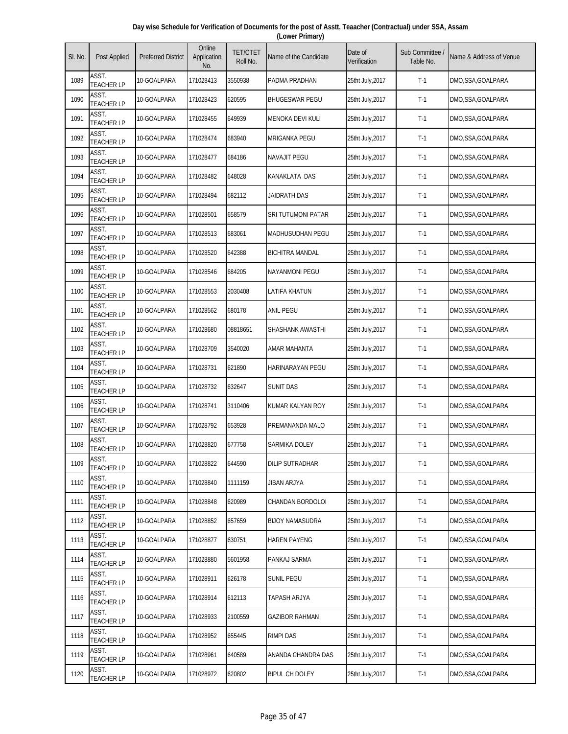| Day wise Schedule for Verification of Documents for the post of Asstt. Teaacher (Contractual) under SSA, Assam |  |
|----------------------------------------------------------------------------------------------------------------|--|
| (Lower Primary)                                                                                                |  |

| SI. No. | Post Applied               | <b>Preferred District</b> | Online<br>Application<br>No. | <b>TET/CTET</b><br>Roll No. | Name of the Candidate   | Date of<br>Verification | Sub Committee<br>Table No. | Name & Address of Venue |
|---------|----------------------------|---------------------------|------------------------------|-----------------------------|-------------------------|-------------------------|----------------------------|-------------------------|
| 1089    | ASST.<br><b>TEACHER LP</b> | 10-GOALPARA               | 171028413                    | 3550938                     | PADMA PRADHAN           | 25tht July,2017         | $T-1$                      | DMO,SSA,GOALPARA        |
| 1090    | ASST.<br><b>TEACHER LP</b> | 10-GOALPARA               | 171028423                    | 620595                      | <b>BHUGESWAR PEGU</b>   | 25tht July, 2017        | $T-1$                      | DMO,SSA,GOALPARA        |
| 1091    | ASST.<br><b>TEACHER LP</b> | 10-GOALPARA               | 171028455                    | 649939                      | MENOKA DEVI KULI        | 25tht July, 2017        | $T-1$                      | DMO,SSA,GOALPARA        |
| 1092    | ASST.<br><b>TEACHER LP</b> | 10-GOALPARA               | 171028474                    | 683940                      | <b>MRIGANKA PEGU</b>    | 25tht July, 2017        | $T-1$                      | DMO,SSA,GOALPARA        |
| 1093    | ASST.<br><b>TEACHER LP</b> | 10-GOALPARA               | 171028477                    | 684186                      | <b>NAVAJIT PEGU</b>     | 25tht July, 2017        | $T-1$                      | DMO,SSA,GOALPARA        |
| 1094    | ASST.<br><b>TEACHER LP</b> | 10-GOALPARA               | 171028482                    | 648028                      | KANAKLATA DAS           | 25tht July, 2017        | $T-1$                      | DMO,SSA,GOALPARA        |
| 1095    | ASST.<br><b>TEACHER LP</b> | 10-GOALPARA               | 171028494                    | 682112                      | JAIDRATH DAS            | 25tht July, 2017        | $T-1$                      | DMO,SSA,GOALPARA        |
| 1096    | ASST.<br><b>TEACHER LP</b> | 10-GOALPARA               | 171028501                    | 658579                      | SRI TUTUMONI PATAR      | 25tht July, 2017        | $T-1$                      | DMO,SSA,GOALPARA        |
| 1097    | ASST.<br><b>TEACHER LP</b> | 10-GOALPARA               | 171028513                    | 683061                      | <b>MADHUSUDHAN PEGU</b> | 25tht July, 2017        | $T-1$                      | DMO,SSA,GOALPARA        |
| 1098    | ASST.<br><b>TEACHER LP</b> | 10-GOALPARA               | 171028520                    | 642388                      | <b>BICHITRA MANDAL</b>  | 25tht July, 2017        | $T-1$                      | DMO,SSA,GOALPARA        |
| 1099    | ASST.<br><b>TEACHER LP</b> | 10-GOALPARA               | 171028546                    | 684205                      | <b>NAYANMONI PEGU</b>   | 25tht July, 2017        | $T-1$                      | DMO,SSA,GOALPARA        |
| 1100    | ASST.<br><b>TEACHER LP</b> | 10-GOALPARA               | 171028553                    | 2030408                     | LATIFA KHATUN           | 25tht July, 2017        | $T-1$                      | DMO,SSA,GOALPARA        |
| 1101    | ASST.<br><b>TEACHER LP</b> | 10-GOALPARA               | 171028562                    | 680178                      | <b>ANIL PEGU</b>        | 25tht July, 2017        | $T-1$                      | DMO,SSA,GOALPARA        |
| 1102    | ASST.<br><b>TEACHER LP</b> | 10-GOALPARA               | 171028680                    | 08818651                    | SHASHANK AWASTHI        | 25tht July, 2017        | $T-1$                      | DMO,SSA,GOALPARA        |
| 1103    | ASST.<br><b>TEACHER LP</b> | 10-GOALPARA               | 171028709                    | 3540020                     | AMAR MAHANTA            | 25tht July, 2017        | $T-1$                      | DMO,SSA,GOALPARA        |
| 1104    | ASST.<br><b>TEACHER LP</b> | 10-GOALPARA               | 171028731                    | 621890                      | HARINARAYAN PEGU        | 25tht July, 2017        | $T-1$                      | DMO,SSA,GOALPARA        |
| 1105    | ASST.<br><b>TEACHER LP</b> | 10-GOALPARA               | 171028732                    | 632647                      | SUNIT DAS               | 25tht July, 2017        | $T-1$                      | DMO,SSA,GOALPARA        |
| 1106    | ASST.<br><b>TEACHER LP</b> | 10-GOALPARA               | 171028741                    | 3110406                     | KUMAR KALYAN ROY        | 25tht July, 2017        | $T-1$                      | DMO,SSA,GOALPARA        |
| 1107    | ASST.<br><b>TEACHER LP</b> | 10-GOALPARA               | 171028792                    | 653928                      | PREMANANDA MALO         | 25tht July, 2017        | $T-1$                      | DMO,SSA,GOALPARA        |
| 1108    | ASST.<br><b>TEACHER LP</b> | 10-GOALPARA               | 171028820                    | 677758                      | SARMIKA DOLEY           | 25tht July, 2017        | $T-1$                      | DMO,SSA,GOALPARA        |
| 1109    | ASST.<br><b>TEACHER LP</b> | 10-GOALPARA               | 171028822                    | 644590                      | <b>DILIP SUTRADHAR</b>  | 25tht July, 2017        | $T-1$                      | DMO,SSA,GOALPARA        |
| 1110    | ASST.<br><b>TEACHER LP</b> | 10-GOALPARA               | 171028840                    | 1111159                     | JIBAN ARJYA             | 25tht July, 2017        | $T-1$                      | DMO,SSA,GOALPARA        |
| 1111    | ASST.<br><b>TEACHER LP</b> | 10-GOALPARA               | 171028848                    | 620989                      | CHANDAN BORDOLOI        | 25tht July, 2017        | $T-1$                      | DMO,SSA,GOALPARA        |
| 1112    | ASST.<br><b>TEACHER LP</b> | 10-GOALPARA               | 171028852                    | 657659                      | <b>BIJOY NAMASUDRA</b>  | 25tht July, 2017        | $T-1$                      | DMO,SSA,GOALPARA        |
| 1113    | ASST.<br><b>TEACHER LP</b> | 10-GOALPARA               | 171028877                    | 630751                      | <b>HAREN PAYENG</b>     | 25tht July, 2017        | $T-1$                      | DMO,SSA,GOALPARA        |
| 1114    | ASST.<br><b>TEACHER LP</b> | 10-GOALPARA               | 171028880                    | 5601958                     | PANKAJ SARMA            | 25tht July, 2017        | $T-1$                      | DMO,SSA,GOALPARA        |
| 1115    | ASST.<br><b>TEACHER LP</b> | 10-GOALPARA               | 171028911                    | 626178                      | SUNIL PEGU              | 25tht July, 2017        | $T-1$                      | DMO,SSA,GOALPARA        |
| 1116    | ASST.<br><b>TEACHER LP</b> | 10-GOALPARA               | 171028914                    | 612113                      | TAPASH ARJYA            | 25tht July, 2017        | $T-1$                      | DMO, SSA, GOALPARA      |
| 1117    | ASST.<br><b>TEACHER LP</b> | 10-GOALPARA               | 171028933                    | 2100559                     | <b>GAZIBOR RAHMAN</b>   | 25tht July, 2017        | $T-1$                      | DMO,SSA,GOALPARA        |
| 1118    | ASST.<br><b>TEACHER LP</b> | 10-GOALPARA               | 171028952                    | 655445                      | <b>RIMPI DAS</b>        | 25tht July, 2017        | $T-1$                      | DMO,SSA,GOALPARA        |
| 1119    | ASST.<br><b>TEACHER LP</b> | 10-GOALPARA               | 171028961                    | 640589                      | ANANDA CHANDRA DAS      | 25tht July, 2017        | $T-1$                      | DMO,SSA,GOALPARA        |
| 1120    | ASST.<br><b>TEACHER LP</b> | 10-GOALPARA               | 171028972                    | 620802                      | <b>BIPUL CH DOLEY</b>   | 25tht July, 2017        | $T-1$                      | DMO, SSA, GOALPARA      |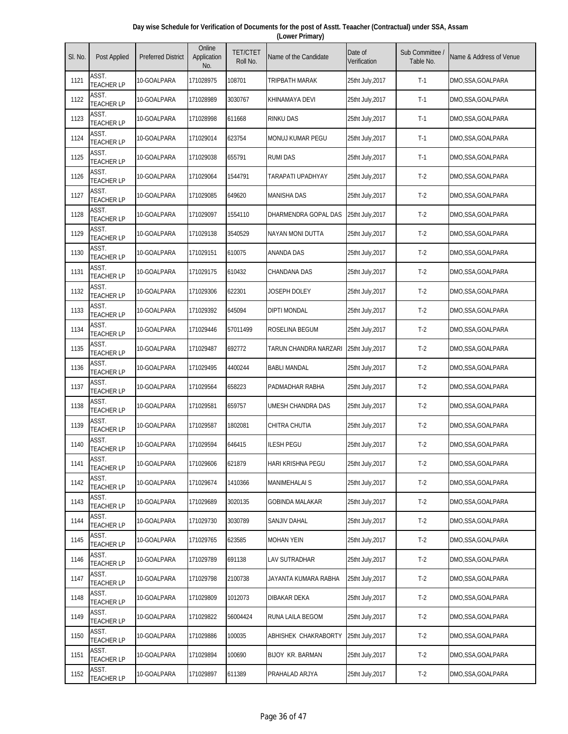| Day wise Schedule for Verification of Documents for the post of Asstt. Teaacher (Contractual) under SSA, Assam |  |
|----------------------------------------------------------------------------------------------------------------|--|
| (Lower Primary)                                                                                                |  |

| SI. No. | Post Applied               | <b>Preferred District</b> | Online<br>Application<br>No. | <b>TET/CTET</b><br>Roll No. | Name of the Candidate   | Date of<br>Verification | Sub Committee<br>Table No. | Name & Address of Venue |
|---------|----------------------------|---------------------------|------------------------------|-----------------------------|-------------------------|-------------------------|----------------------------|-------------------------|
| 1121    | ASST.<br><b>TEACHER LP</b> | 10-GOALPARA               | 171028975                    | 108701                      | TRIPBATH MARAK          | 25tht July,2017         | $T-1$                      | DMO,SSA,GOALPARA        |
| 1122    | ASST.<br><b>TEACHER LP</b> | 10-GOALPARA               | 171028989                    | 3030767                     | KHINAMAYA DEVI          | 25tht July, 2017        | $T-1$                      | DMO,SSA,GOALPARA        |
| 1123    | ASST.<br><b>TEACHER LP</b> | 10-GOALPARA               | 171028998                    | 611668                      | <b>RINKU DAS</b>        | 25tht July, 2017        | $T-1$                      | DMO,SSA,GOALPARA        |
| 1124    | ASST.<br><b>TEACHER LP</b> | 10-GOALPARA               | 171029014                    | 623754                      | MONUJ KUMAR PEGU        | 25tht July, 2017        | $T-1$                      | DMO,SSA,GOALPARA        |
| 1125    | ASST.<br><b>TEACHER LP</b> | 10-GOALPARA               | 171029038                    | 655791                      | <b>RUMI DAS</b>         | 25tht July, 2017        | $T-1$                      | DMO,SSA,GOALPARA        |
| 1126    | ASST.<br><b>TEACHER LP</b> | 10-GOALPARA               | 171029064                    | 1544791                     | TARAPATI UPADHYAY       | 25tht July, 2017        | $T-2$                      | DMO,SSA,GOALPARA        |
| 1127    | ASST.<br><b>TEACHER LP</b> | 10-GOALPARA               | 171029085                    | 649620                      | <b>MANISHA DAS</b>      | 25tht July, 2017        | $T-2$                      | DMO,SSA,GOALPARA        |
| 1128    | ASST.<br><b>TEACHER LP</b> | 10-GOALPARA               | 171029097                    | 1554110                     | DHARMENDRA GOPAL DAS    | 25tht July, 2017        | $T-2$                      | DMO,SSA,GOALPARA        |
| 1129    | ASST.<br><b>TEACHER LP</b> | 10-GOALPARA               | 171029138                    | 3540529                     | <b>NAYAN MONI DUTTA</b> | 25tht July, 2017        | $T-2$                      | DMO,SSA,GOALPARA        |
| 1130    | ASST.<br><b>TEACHER LP</b> | 10-GOALPARA               | 171029151                    | 610075                      | ANANDA DAS              | 25tht July, 2017        | $T-2$                      | DMO,SSA,GOALPARA        |
| 1131    | ASST.<br><b>TEACHER LP</b> | 10-GOALPARA               | 171029175                    | 610432                      | <b>CHANDANA DAS</b>     | 25tht July, 2017        | $T-2$                      | DMO,SSA,GOALPARA        |
| 1132    | ASST.<br><b>TEACHER LP</b> | 10-GOALPARA               | 171029306                    | 622301                      | JOSEPH DOLEY            | 25tht July, 2017        | $T-2$                      | DMO,SSA,GOALPARA        |
| 1133    | ASST.<br><b>TEACHER LP</b> | 10-GOALPARA               | 171029392                    | 645094                      | <b>DIPTI MONDAL</b>     | 25tht July, 2017        | $T-2$                      | DMO,SSA,GOALPARA        |
| 1134    | ASST.<br><b>TEACHER LP</b> | 10-GOALPARA               | 171029446                    | 57011499                    | ROSELINA BEGUM          | 25tht July, 2017        | $T-2$                      | DMO,SSA,GOALPARA        |
| 1135    | ASST.<br><b>TEACHER LP</b> | 10-GOALPARA               | 171029487                    | 692772                      | TARUN CHANDRA NARZARI   | 25tht July, 2017        | $T-2$                      | DMO, SSA, GOALPARA      |
| 1136    | ASST.<br><b>TEACHER LP</b> | 10-GOALPARA               | 171029495                    | 4400244                     | <b>BABLI MANDAL</b>     | 25tht July, 2017        | $T-2$                      | DMO,SSA,GOALPARA        |
| 1137    | ASST.<br><b>TEACHER LP</b> | 10-GOALPARA               | 171029564                    | 658223                      | PADMADHAR RABHA         | 25tht July, 2017        | $T-2$                      | DMO,SSA,GOALPARA        |
| 1138    | ASST.<br><b>TEACHER LP</b> | 10-GOALPARA               | 171029581                    | 659757                      | UMESH CHANDRA DAS       | 25tht July, 2017        | $T-2$                      | DMO,SSA,GOALPARA        |
| 1139    | ASST.<br><b>TEACHER LP</b> | 10-GOALPARA               | 171029587                    | 1802081                     | CHITRA CHUTIA           | 25tht July, 2017        | $T-2$                      | DMO, SSA, GOALPARA      |
| 1140    | ASST.<br><b>TEACHER LP</b> | 10-GOALPARA               | 171029594                    | 646415                      | <b>ILESH PEGU</b>       | 25tht July, 2017        | $T-2$                      | DMO,SSA,GOALPARA        |
| 1141    | ASST.<br><b>TEACHER LP</b> | 10-GOALPARA               | 171029606                    | 621879                      | HARI KRISHNA PEGU       | 25tht July, 2017        | $T-2$                      | DMO,SSA,GOALPARA        |
| 1142    | ASST.<br><b>TEACHER LP</b> | 10-GOALPARA               | 171029674                    | 1410366                     | <b>MANIMEHALAI S</b>    | 25tht July, 2017        | $T-2$                      | DMO,SSA,GOALPARA        |
| 1143    | ASST.<br><b>TEACHER LP</b> | 10-GOALPARA               | 171029689                    | 3020135                     | <b>GOBINDA MALAKAR</b>  | 25tht July, 2017        | $T-2$                      | DMO,SSA,GOALPARA        |
| 1144    | ASST.<br><b>TEACHER LP</b> | 10-GOALPARA               | 171029730                    | 3030789                     | SANJIV DAHAL            | 25tht July, 2017        | $T-2$                      | DMO, SSA, GOALPARA      |
| 1145    | ASST.<br><b>TEACHER LP</b> | 10-GOALPARA               | 171029765                    | 623585                      | <b>MOHAN YEIN</b>       | 25tht July, 2017        | $T-2$                      | DMO,SSA,GOALPARA        |
| 1146    | ASST.<br><b>TEACHER LP</b> | 10-GOALPARA               | 171029789                    | 691138                      | LAV SUTRADHAR           | 25tht July, 2017        | $T-2$                      | DMO,SSA,GOALPARA        |
| 1147    | ASST.<br><b>TEACHER LP</b> | 10-GOALPARA               | 171029798                    | 2100738                     | JAYANTA KUMARA RABHA    | 25tht July, 2017        | $T-2$                      | DMO, SSA, GOALPARA      |
| 1148    | ASST.<br><b>TEACHER LP</b> | 10-GOALPARA               | 171029809                    | 1012073                     | DIBAKAR DEKA            | 25tht July, 2017        | $T-2$                      | DMO,SSA,GOALPARA        |
| 1149    | ASST.<br><b>TEACHER LP</b> | 10-GOALPARA               | 171029822                    | 56004424                    | RUNA LAILA BEGOM        | 25tht July, 2017        | $T-2$                      | DMO,SSA,GOALPARA        |
| 1150    | ASST.<br><b>TEACHER LP</b> | 10-GOALPARA               | 171029886                    | 100035                      | ABHISHEK CHAKRABORTY    | 25tht July, 2017        | $T-2$                      | DMO,SSA,GOALPARA        |
| 1151    | ASST.<br><b>TEACHER LP</b> | 10-GOALPARA               | 171029894                    | 100690                      | BIJOY KR. BARMAN        | 25tht July, 2017        | $T-2$                      | DMO,SSA,GOALPARA        |
| 1152    | ASST.<br><b>TEACHER LP</b> | 10-GOALPARA               | 171029897                    | 611389                      | PRAHALAD ARJYA          | 25tht July, 2017        | $T-2$                      | DMO,SSA,GOALPARA        |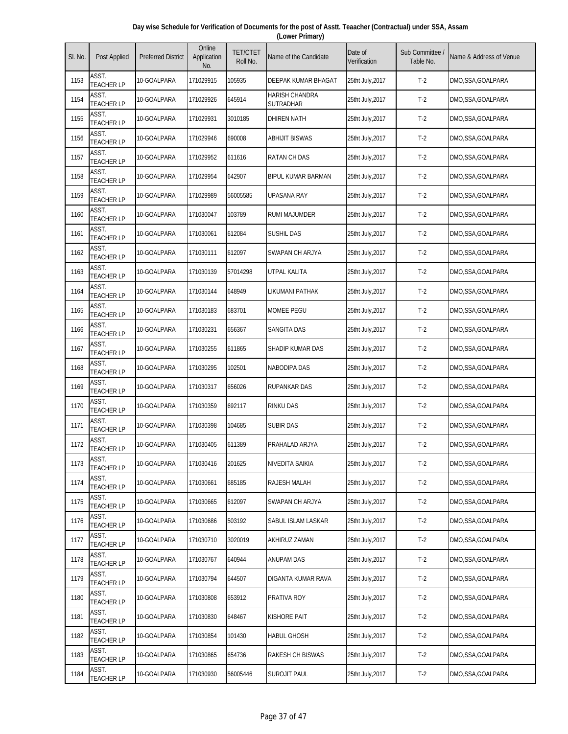| Day wise Schedule for Verification of Documents for the post of Asstt. Teaacher (Contractual) under SSA, Assam |  |
|----------------------------------------------------------------------------------------------------------------|--|
| (Lower Primary)                                                                                                |  |

| SI. No. | Post Applied               | <b>Preferred District</b> | Online<br>Application<br>No. | <b>TET/CTET</b><br>Roll No. | Name of the Candidate              | Date of<br>Verification | Sub Committee<br>Table No. | Name & Address of Venue |
|---------|----------------------------|---------------------------|------------------------------|-----------------------------|------------------------------------|-------------------------|----------------------------|-------------------------|
| 1153    | ASST.<br><b>TEACHER LP</b> | 10-GOALPARA               | 171029915                    | 105935                      | DEEPAK KUMAR BHAGAT                | 25tht July, 2017        | $T-2$                      | DMO,SSA,GOALPARA        |
| 1154    | ASST.<br><b>TEACHER LP</b> | 10-GOALPARA               | 171029926                    | 645914                      | <b>HARISH CHANDRA</b><br>SUTRADHAR | 25tht July, 2017        | $T-2$                      | DMO,SSA,GOALPARA        |
| 1155    | ASST.<br><b>TEACHER LP</b> | 10-GOALPARA               | 171029931                    | 3010185                     | <b>DHIREN NATH</b>                 | 25tht July, 2017        | $T-2$                      | DMO,SSA,GOALPARA        |
| 1156    | ASST.<br><b>TEACHER LP</b> | 10-GOALPARA               | 171029946                    | 690008                      | ABHIJIT BISWAS                     | 25tht July, 2017        | $T-2$                      | DMO,SSA,GOALPARA        |
| 1157    | ASST.<br><b>TEACHER LP</b> | 10-GOALPARA               | 171029952                    | 611616                      | <b>RATAN CH DAS</b>                | 25tht July, 2017        | $T-2$                      | DMO,SSA,GOALPARA        |
| 1158    | ASST.<br><b>TEACHER LP</b> | 10-GOALPARA               | 171029954                    | 642907                      | BIPUL KUMAR BARMAN                 | 25tht July, 2017        | $T-2$                      | DMO, SSA, GOALPARA      |
| 1159    | ASST.<br><b>TEACHER LP</b> | 10-GOALPARA               | 171029989                    | 56005585                    | <b>UPASANA RAY</b>                 | 25tht July, 2017        | $T-2$                      | DMO,SSA,GOALPARA        |
| 1160    | ASST.<br><b>TEACHER LP</b> | 10-GOALPARA               | 171030047                    | 103789                      | RUMI MAJUMDER                      | 25tht July, 2017        | $T-2$                      | DMO,SSA,GOALPARA        |
| 1161    | ASST.<br><b>TEACHER LP</b> | 10-GOALPARA               | 171030061                    | 612084                      | SUSHIL DAS                         | 25tht July, 2017        | $T-2$                      | DMO,SSA,GOALPARA        |
| 1162    | ASST.<br><b>TEACHER LP</b> | 10-GOALPARA               | 171030111                    | 612097                      | SWAPAN CH ARJYA                    | 25tht July, 2017        | $T-2$                      | DMO,SSA,GOALPARA        |
| 1163    | ASST.<br><b>TEACHER LP</b> | 10-GOALPARA               | 171030139                    | 57014298                    | UTPAL KALITA                       | 25tht July, 2017        | $T-2$                      | DMO,SSA,GOALPARA        |
| 1164    | ASST.<br><b>TEACHER LP</b> | 10-GOALPARA               | 171030144                    | 648949                      | LIKUMANI PATHAK                    | 25tht July, 2017        | $T-2$                      | DMO,SSA,GOALPARA        |
| 1165    | ASST.<br><b>TEACHER LP</b> | 10-GOALPARA               | 171030183                    | 683701                      | <b>MOMEE PEGU</b>                  | 25tht July, 2017        | $T-2$                      | DMO,SSA,GOALPARA        |
| 1166    | ASST.<br><b>TEACHER LP</b> | 10-GOALPARA               | 171030231                    | 656367                      | <b>SANGITA DAS</b>                 | 25tht July, 2017        | $T-2$                      | DMO,SSA,GOALPARA        |
| 1167    | ASST.<br><b>TEACHER LP</b> | 10-GOALPARA               | 171030255                    | 611865                      | SHADIP KUMAR DAS                   | 25tht July, 2017        | $T-2$                      | DMO,SSA,GOALPARA        |
| 1168    | ASST.<br><b>TEACHER LP</b> | 10-GOALPARA               | 171030295                    | 102501                      | <b>NABODIPA DAS</b>                | 25tht July, 2017        | $T-2$                      | DMO,SSA,GOALPARA        |
| 1169    | ASST.<br><b>TEACHER LP</b> | 10-GOALPARA               | 171030317                    | 656026                      | <b>RUPANKAR DAS</b>                | 25tht July, 2017        | $T-2$                      | DMO,SSA,GOALPARA        |
| 1170    | ASST.<br><b>TEACHER LP</b> | 10-GOALPARA               | 171030359                    | 692117                      | <b>RINKU DAS</b>                   | 25tht July, 2017        | $T-2$                      | DMO,SSA,GOALPARA        |
| 1171    | ASST.<br><b>TEACHER LP</b> | 10-GOALPARA               | 171030398                    | 104685                      | SUBIR DAS                          | 25tht July, 2017        | $T-2$                      | DMO,SSA,GOALPARA        |
| 1172    | ASST.<br><b>TEACHER LP</b> | 10-GOALPARA               | 171030405                    | 611389                      | PRAHALAD ARJYA                     | 25tht July, 2017        | $T-2$                      | DMO,SSA,GOALPARA        |
| 1173    | ASST.<br><b>TEACHER LP</b> | 10-GOALPARA               | 171030416                    | 201625                      | NIVEDITA SAIKIA                    | 25tht July, 2017        | $T-2$                      | DMO,SSA,GOALPARA        |
| 1174    | ASST.<br><b>TEACHER LP</b> | 10-GOALPARA               | 171030661                    | 685185                      | RAJESH MALAH                       | 25tht July, 2017        | $T-2$                      | DMO,SSA,GOALPARA        |
| 1175    | ASST.<br><b>TEACHER LP</b> | 10-GOALPARA               | 171030665                    | 612097                      | SWAPAN CH ARJYA                    | 25tht July, 2017        | $T-2$                      | DMO,SSA,GOALPARA        |
| 1176    | ASST.<br><b>TEACHER LP</b> | 10-GOALPARA               | 171030686                    | 503192                      | SABUL ISLAM LASKAR                 | 25tht July, 2017        | $T-2$                      | DMO, SSA, GOALPARA      |
| 1177    | ASST.<br><b>TEACHER LP</b> | 10-GOALPARA               | 171030710                    | 3020019                     | AKHIRUZ ZAMAN                      | 25tht July, 2017        | $T-2$                      | DMO,SSA,GOALPARA        |
| 1178    | ASST.<br>TEACHER LP        | 10-GOALPARA               | 171030767                    | 640944                      | <b>ANUPAM DAS</b>                  | 25tht July, 2017        | $T-2$                      | DMO,SSA,GOALPARA        |
| 1179    | ASST.<br><b>TEACHER LP</b> | 10-GOALPARA               | 171030794                    | 644507                      | DIGANTA KUMAR RAVA                 | 25tht July, 2017        | $T-2$                      | DMO,SSA,GOALPARA        |
| 1180    | ASST.<br><b>TEACHER LP</b> | 10-GOALPARA               | 171030808                    | 653912                      | PRATIVA ROY                        | 25tht July, 2017        | $T-2$                      | DMO,SSA,GOALPARA        |
| 1181    | ASST.<br><b>TEACHER LP</b> | 10-GOALPARA               | 171030830                    | 648467                      | KISHORE PAIT                       | 25tht July, 2017        | $T-2$                      | DMO,SSA,GOALPARA        |
| 1182    | ASST.<br><b>TEACHER LP</b> | 10-GOALPARA               | 171030854                    | 101430                      | <b>HABUL GHOSH</b>                 | 25tht July, 2017        | $T-2$                      | DMO,SSA,GOALPARA        |
| 1183    | ASST.<br><b>TEACHER LP</b> | 10-GOALPARA               | 171030865                    | 654736                      | RAKESH CH BISWAS                   | 25tht July, 2017        | $T-2$                      | DMO,SSA,GOALPARA        |
| 1184    | ASST.<br><b>TEACHER LP</b> | 10-GOALPARA               | 171030930                    | 56005446                    | SUROJIT PAUL                       | 25tht July, 2017        | $T-2$                      | DMO,SSA,GOALPARA        |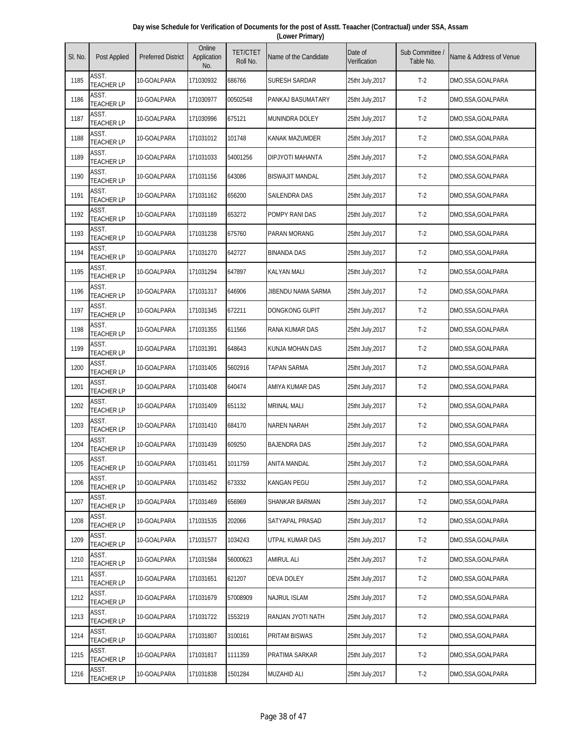| Day wise Schedule for Verification of Documents for the post of Asstt. Teaacher (Contractual) under SSA, Assam |  |
|----------------------------------------------------------------------------------------------------------------|--|
| (Lower Primary)                                                                                                |  |

| SI. No. | Post Applied               | <b>Preferred District</b> | Online<br>Application<br>No. | <b>TET/CTET</b><br>Roll No. | Name of the Candidate   | Date of<br>Verification | Sub Committee<br>Table No. | Name & Address of Venue |
|---------|----------------------------|---------------------------|------------------------------|-----------------------------|-------------------------|-------------------------|----------------------------|-------------------------|
| 1185    | ASST.<br><b>TEACHER LP</b> | 10-GOALPARA               | 171030932                    | 686766                      | SURESH SARDAR           | 25tht July,2017         | $T-2$                      | DMO,SSA,GOALPARA        |
| 1186    | ASST.<br><b>TEACHER LP</b> | 10-GOALPARA               | 171030977                    | 00502548                    | PANKAJ BASUMATARY       | 25tht July, 2017        | $T-2$                      | DMO,SSA,GOALPARA        |
| 1187    | ASST.<br><b>TEACHER LP</b> | 10-GOALPARA               | 171030996                    | 675121                      | MUNINDRA DOLEY          | 25tht July, 2017        | $T-2$                      | DMO,SSA,GOALPARA        |
| 1188    | ASST.<br><b>TEACHER LP</b> | 10-GOALPARA               | 171031012                    | 101748                      | <b>KANAK MAZUMDER</b>   | 25tht July, 2017        | $T-2$                      | DMO,SSA,GOALPARA        |
| 1189    | ASST.<br><b>TEACHER LP</b> | 10-GOALPARA               | 171031033                    | 54001256                    | <b>DIPJYOTI MAHANTA</b> | 25tht July, 2017        | $T-2$                      | DMO,SSA,GOALPARA        |
| 1190    | ASST.<br><b>TEACHER LP</b> | 10-GOALPARA               | 171031156                    | 643086                      | <b>BISWAJIT MANDAL</b>  | 25tht July, 2017        | $T-2$                      | DMO,SSA,GOALPARA        |
| 1191    | ASST.<br><b>TEACHER LP</b> | 10-GOALPARA               | 171031162                    | 656200                      | SAILENDRA DAS           | 25tht July, 2017        | $T-2$                      | DMO,SSA,GOALPARA        |
| 1192    | ASST.<br><b>TEACHER LP</b> | 10-GOALPARA               | 171031189                    | 653272                      | POMPY RANI DAS          | 25tht July, 2017        | $T-2$                      | DMO,SSA,GOALPARA        |
| 1193    | ASST.<br><b>TEACHER LP</b> | 10-GOALPARA               | 171031238                    | 675760                      | <b>PARAN MORANG</b>     | 25tht July, 2017        | $T-2$                      | DMO,SSA,GOALPARA        |
| 1194    | ASST.<br><b>TEACHER LP</b> | 10-GOALPARA               | 171031270                    | 642727                      | <b>BINANDA DAS</b>      | 25tht July, 2017        | $T-2$                      | DMO,SSA,GOALPARA        |
| 1195    | ASST.<br><b>TEACHER LP</b> | 10-GOALPARA               | 171031294                    | 647897                      | <b>KALYAN MALI</b>      | 25tht July, 2017        | $T-2$                      | DMO,SSA,GOALPARA        |
| 1196    | ASST.<br><b>TEACHER LP</b> | 10-GOALPARA               | 171031317                    | 646906                      | JIBENDU NAMA SARMA      | 25tht July, 2017        | $T-2$                      | DMO,SSA,GOALPARA        |
| 1197    | ASST.<br><b>TEACHER LP</b> | 10-GOALPARA               | 171031345                    | 672211                      | DONGKONG GUPIT          | 25tht July, 2017        | $T-2$                      | DMO,SSA,GOALPARA        |
| 1198    | ASST.<br><b>TEACHER LP</b> | 10-GOALPARA               | 171031355                    | 611566                      | RANA KUMAR DAS          | 25tht July, 2017        | $T-2$                      | DMO,SSA,GOALPARA        |
| 1199    | ASST.<br><b>TEACHER LP</b> | 10-GOALPARA               | 171031391                    | 648643                      | KUNJA MOHAN DAS         | 25tht July, 2017        | $T-2$                      | DMO, SSA, GOALPARA      |
| 1200    | ASST.<br><b>TEACHER LP</b> | 10-GOALPARA               | 171031405                    | 5602916                     | <b>TAPAN SARMA</b>      | 25tht July, 2017        | $T-2$                      | DMO,SSA,GOALPARA        |
| 1201    | ASST.<br><b>TEACHER LP</b> | 10-GOALPARA               | 171031408                    | 640474                      | AMIYA KUMAR DAS         | 25tht July, 2017        | $T-2$                      | DMO,SSA,GOALPARA        |
| 1202    | ASST.<br><b>TEACHER LP</b> | 10-GOALPARA               | 171031409                    | 651132                      | <b>MRINAL MALI</b>      | 25tht July, 2017        | $T-2$                      | DMO,SSA,GOALPARA        |
| 1203    | ASST.<br><b>TEACHER LP</b> | 10-GOALPARA               | 171031410                    | 684170                      | NAREN NARAH             | 25tht July, 2017        | $T-2$                      | DMO, SSA, GOALPARA      |
| 1204    | ASST.<br><b>TEACHER LP</b> | 10-GOALPARA               | 171031439                    | 609250                      | <b>BAJENDRA DAS</b>     | 25tht July, 2017        | $T-2$                      | DMO,SSA,GOALPARA        |
| 1205    | ASST.<br><b>TEACHER LP</b> | 10-GOALPARA               | 171031451                    | 1011759                     | ANITA MANDAL            | 25tht July, 2017        | $T-2$                      | DMO,SSA,GOALPARA        |
| 1206    | ASST.<br><b>TEACHER LP</b> | 10-GOALPARA               | 171031452                    | 673332                      | <b>KANGAN PEGU</b>      | 25tht July, 2017        | $T-2$                      | DMO,SSA,GOALPARA        |
| 1207    | ASST.<br><b>TEACHER LP</b> | 10-GOALPARA               | 171031469                    | 656969                      | SHANKAR BARMAN          | 25tht July, 2017        | $T-2$                      | DMO,SSA,GOALPARA        |
| 1208    | ASST.<br><b>TEACHER LP</b> | 10-GOALPARA               | 171031535                    | 202066                      | SATYAPAL PRASAD         | 25tht July, 2017        | $T-2$                      | DMO, SSA, GOALPARA      |
| 1209    | ASST.<br><b>TEACHER LP</b> | 10-GOALPARA               | 171031577                    | 1034243                     | UTPAL KUMAR DAS         | 25tht July, 2017        | $T-2$                      | DMO,SSA,GOALPARA        |
| 1210    | ASST.<br><b>TEACHER LP</b> | 10-GOALPARA               | 171031584                    | 56000623                    | AMIRUL ALI              | 25tht July, 2017        | $T-2$                      | DMO,SSA,GOALPARA        |
| 1211    | ASST.<br><b>TEACHER LP</b> | 10-GOALPARA               | 171031651                    | 621207                      | DEVA DOLEY              | 25tht July, 2017        | $T-2$                      | DMO, SSA, GOALPARA      |
| 1212    | ASST.<br><b>TEACHER LP</b> | 10-GOALPARA               | 171031679                    | 57008909                    | <b>NAJRUL ISLAM</b>     | 25tht July, 2017        | $T-2$                      | DMO,SSA,GOALPARA        |
| 1213    | ASST.<br><b>TEACHER LP</b> | 10-GOALPARA               | 171031722                    | 1553219                     | RANJAN JYOTI NATH       | 25tht July, 2017        | $T-2$                      | DMO,SSA,GOALPARA        |
| 1214    | ASST.<br><b>TEACHER LP</b> | 10-GOALPARA               | 171031807                    | 3100161                     | PRITAM BISWAS           | 25tht July, 2017        | $T-2$                      | DMO,SSA,GOALPARA        |
| 1215    | ASST.<br><b>TEACHER LP</b> | 10-GOALPARA               | 171031817                    | 1111359                     | PRATIMA SARKAR          | 25tht July, 2017        | $T-2$                      | DMO,SSA,GOALPARA        |
| 1216    | ASST.<br><b>TEACHER LP</b> | 10-GOALPARA               | 171031838                    | 1501284                     | <b>MUZAHID ALI</b>      | 25tht July, 2017        | $T-2$                      | DMO, SSA, GOALPARA      |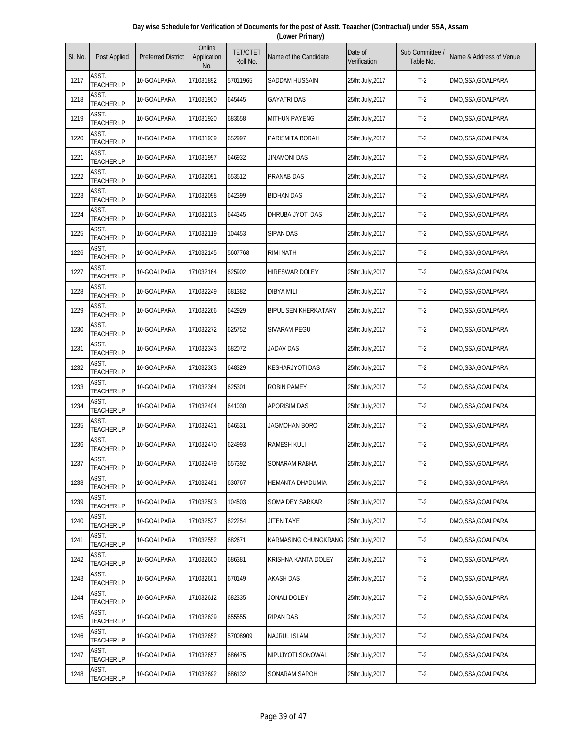| Day wise Schedule for Verification of Documents for the post of Asstt. Teaacher (Contractual) under SSA, Assam |  |
|----------------------------------------------------------------------------------------------------------------|--|
| (Lower Primary)                                                                                                |  |

| SI. No. | Post Applied               | <b>Preferred District</b> | Online<br>Application<br>No. | <b>TET/CTET</b><br>Roll No. | Name of the Candidate       | Date of<br>Verification | Sub Committee<br>Table No. | Name & Address of Venue |
|---------|----------------------------|---------------------------|------------------------------|-----------------------------|-----------------------------|-------------------------|----------------------------|-------------------------|
| 1217    | ASST.<br><b>TEACHER LP</b> | 10-GOALPARA               | 171031892                    | 57011965                    | SADDAM HUSSAIN              | 25tht July,2017         | $T-2$                      | DMO,SSA,GOALPARA        |
| 1218    | ASST.<br><b>TEACHER LP</b> | 10-GOALPARA               | 171031900                    | 645445                      | <b>GAYATRI DAS</b>          | 25tht July, 2017        | $T-2$                      | DMO,SSA,GOALPARA        |
| 1219    | ASST.<br><b>TEACHER LP</b> | 10-GOALPARA               | 171031920                    | 683658                      | <b>MITHUN PAYENG</b>        | 25tht July, 2017        | $T-2$                      | DMO,SSA,GOALPARA        |
| 1220    | ASST.<br><b>TEACHER LP</b> | 10-GOALPARA               | 171031939                    | 652997                      | PARISMITA BORAH             | 25tht July, 2017        | $T-2$                      | DMO,SSA,GOALPARA        |
| 1221    | ASST.<br><b>TEACHER LP</b> | 10-GOALPARA               | 171031997                    | 646932                      | JINAMONI DAS                | 25tht July, 2017        | $T-2$                      | DMO,SSA,GOALPARA        |
| 1222    | ASST.<br><b>TEACHER LP</b> | 10-GOALPARA               | 171032091                    | 653512                      | PRANAB DAS                  | 25tht July, 2017        | $T-2$                      | DMO,SSA,GOALPARA        |
| 1223    | ASST.<br><b>TEACHER LP</b> | 10-GOALPARA               | 171032098                    | 642399                      | <b>BIDHAN DAS</b>           | 25tht July, 2017        | $T-2$                      | DMO,SSA,GOALPARA        |
| 1224    | ASST.<br><b>TEACHER LP</b> | 10-GOALPARA               | 171032103                    | 644345                      | DHRUBA JYOTI DAS            | 25tht July, 2017        | $T-2$                      | DMO,SSA,GOALPARA        |
| 1225    | ASST.<br><b>TEACHER LP</b> | 10-GOALPARA               | 171032119                    | 104453                      | <b>SIPAN DAS</b>            | 25tht July, 2017        | $T-2$                      | DMO,SSA,GOALPARA        |
| 1226    | ASST.<br><b>TEACHER LP</b> | 10-GOALPARA               | 171032145                    | 5607768                     | RIMI NATH                   | 25tht July, 2017        | $T-2$                      | DMO,SSA,GOALPARA        |
| 1227    | ASST.<br><b>TEACHER LP</b> | 10-GOALPARA               | 171032164                    | 625902                      | <b>HIRESWAR DOLEY</b>       | 25tht July, 2017        | $T-2$                      | DMO,SSA,GOALPARA        |
| 1228    | ASST.<br><b>TEACHER LP</b> | 10-GOALPARA               | 171032249                    | 681382                      | <b>DIBYA MILI</b>           | 25tht July, 2017        | $T-2$                      | DMO,SSA,GOALPARA        |
| 1229    | ASST.<br><b>TEACHER LP</b> | 10-GOALPARA               | 171032266                    | 642929                      | <b>BIPUL SEN KHERKATARY</b> | 25tht July, 2017        | $T-2$                      | DMO,SSA,GOALPARA        |
| 1230    | ASST.<br><b>TEACHER LP</b> | 10-GOALPARA               | 171032272                    | 625752                      | <b>SIVARAM PEGU</b>         | 25tht July, 2017        | $T-2$                      | DMO,SSA,GOALPARA        |
| 1231    | ASST.<br><b>TEACHER LP</b> | 10-GOALPARA               | 171032343                    | 682072                      | JADAV DAS                   | 25tht July, 2017        | $T-2$                      | DMO,SSA,GOALPARA        |
| 1232    | ASST.<br><b>TEACHER LP</b> | 10-GOALPARA               | 171032363                    | 648329                      | <b>KESHARJYOTI DAS</b>      | 25tht July, 2017        | $T-2$                      | DMO,SSA,GOALPARA        |
| 1233    | ASST.<br><b>TEACHER LP</b> | 10-GOALPARA               | 171032364                    | 625301                      | <b>ROBIN PAMEY</b>          | 25tht July, 2017        | $T-2$                      | DMO,SSA,GOALPARA        |
| 1234    | ASST.<br><b>TEACHER LP</b> | 10-GOALPARA               | 171032404                    | 641030                      | <b>APORISIM DAS</b>         | 25tht July, 2017        | $T-2$                      | DMO,SSA,GOALPARA        |
| 1235    | ASST.<br><b>TEACHER LP</b> | 10-GOALPARA               | 171032431                    | 646531                      | JAGMOHAN BORO               | 25tht July, 2017        | $T-2$                      | DMO,SSA,GOALPARA        |
| 1236    | ASST.<br><b>TEACHER LP</b> | 10-GOALPARA               | 171032470                    | 624993                      | <b>RAMESH KULI</b>          | 25tht July, 2017        | $T-2$                      | DMO,SSA,GOALPARA        |
| 1237    | ASST.<br><b>TEACHER LP</b> | 10-GOALPARA               | 171032479                    | 657392                      | SONARAM RABHA               | 25tht July, 2017        | $T-2$                      | DMO,SSA,GOALPARA        |
| 1238    | ASST.<br><b>TEACHER LP</b> | 10-GOALPARA               | 171032481                    | 630767                      | HEMANTA DHADUMIA            | 25tht July, 2017        | $T-2$                      | DMO,SSA,GOALPARA        |
| 1239    | ASST.<br><b>TEACHER LP</b> | 10-GOALPARA               | 171032503                    | 104503                      | SOMA DEY SARKAR             | 25tht July, 2017        | $T-2$                      | DMO,SSA,GOALPARA        |
| 1240    | ASST.<br><b>TEACHER LP</b> | 10-GOALPARA               | 171032527                    | 622254                      | JITEN TAYE                  | 25tht July, 2017        | $T-2$                      | DMO,SSA,GOALPARA        |
| 1241    | ASST.<br><b>TEACHER LP</b> | 10-GOALPARA               | 171032552                    | 682671                      | KARMASING CHUNGKRANG        | 25tht July, 2017        | $T-2$                      | DMO,SSA,GOALPARA        |
| 1242    | ASST.<br><b>TEACHER LP</b> | 10-GOALPARA               | 171032600                    | 686381                      | KRISHNA KANTA DOLEY         | 25tht July, 2017        | $T-2$                      | DMO,SSA,GOALPARA        |
| 1243    | ASST.<br><b>TEACHER LP</b> | 10-GOALPARA               | 171032601                    | 670149                      | <b>AKASH DAS</b>            | 25tht July, 2017        | $T-2$                      | DMO,SSA,GOALPARA        |
| 1244    | ASST.<br><b>TEACHER LP</b> | 10-GOALPARA               | 171032612                    | 682335                      | JONALI DOLEY                | 25tht July, 2017        | $T-2$                      | DMO, SSA, GOALPARA      |
| 1245    | ASST.<br><b>TEACHER LP</b> | 10-GOALPARA               | 171032639                    | 655555                      | <b>RIPAN DAS</b>            | 25tht July, 2017        | $T-2$                      | DMO,SSA,GOALPARA        |
| 1246    | ASST.<br><b>TEACHER LP</b> | 10-GOALPARA               | 171032652                    | 57008909                    | <b>NAJRUL ISLAM</b>         | 25tht July, 2017        | $T-2$                      | DMO,SSA,GOALPARA        |
| 1247    | ASST.<br><b>TEACHER LP</b> | 10-GOALPARA               | 171032657                    | 686475                      | NIPUJYOTI SONOWAL           | 25tht July, 2017        | $T-2$                      | DMO,SSA,GOALPARA        |
| 1248    | ASST.<br><b>TEACHER LP</b> | 10-GOALPARA               | 171032692                    | 686132                      | SONARAM SAROH               | 25tht July, 2017        | $T-2$                      | DMO, SSA, GOALPARA      |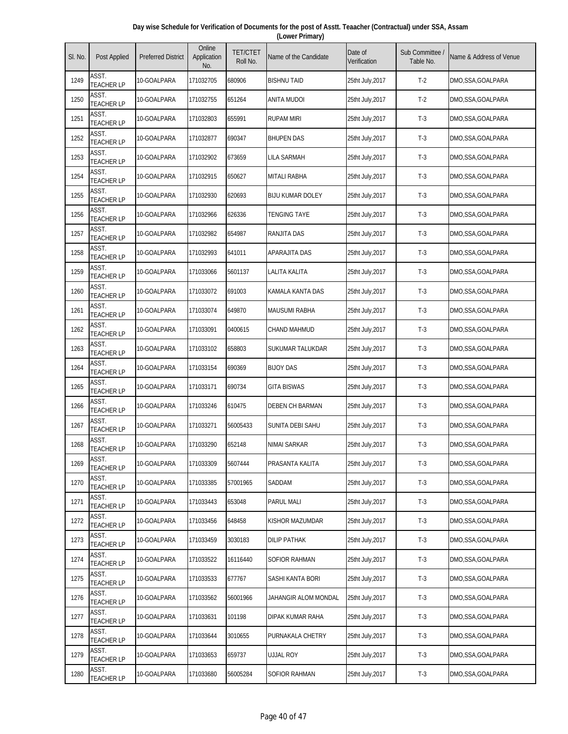| Day wise Schedule for Verification of Documents for the post of Asstt. Teaacher (Contractual) under SSA, Assam |
|----------------------------------------------------------------------------------------------------------------|
| (Lower Primary)                                                                                                |

| SI. No. | <b>Post Applied</b>        | <b>Preferred District</b> | Online<br>Application<br>No. | <b>TET/CTET</b><br>Roll No. | Name of the Candidate   | Date of<br>Verification | Sub Committee<br>Table No. | Name & Address of Venue |
|---------|----------------------------|---------------------------|------------------------------|-----------------------------|-------------------------|-------------------------|----------------------------|-------------------------|
| 1249    | ASST.<br><b>TEACHER LP</b> | 10-GOALPARA               | 171032705                    | 680906                      | <b>BISHNU TAID</b>      | 25tht July, 2017        | $T-2$                      | DMO,SSA,GOALPARA        |
| 1250    | ASST.<br><b>TEACHER LP</b> | 10-GOALPARA               | 171032755                    | 651264                      | <b>ANITA MUDOI</b>      | 25tht July, 2017        | $T-2$                      | DMO,SSA,GOALPARA        |
| 1251    | ASST.<br><b>TEACHER LP</b> | 10-GOALPARA               | 171032803                    | 655991                      | <b>RUPAM MIRI</b>       | 25tht July, 2017        | $T-3$                      | DMO,SSA,GOALPARA        |
| 1252    | ASST.<br><b>TEACHER LP</b> | 10-GOALPARA               | 171032877                    | 690347                      | <b>BHUPEN DAS</b>       | 25tht July, 2017        | $T-3$                      | DMO,SSA,GOALPARA        |
| 1253    | ASST.<br><b>TEACHER LP</b> | 10-GOALPARA               | 171032902                    | 673659                      | <b>LILA SARMAH</b>      | 25tht July, 2017        | $T-3$                      | DMO,SSA,GOALPARA        |
| 1254    | ASST.<br><b>TEACHER LP</b> | 10-GOALPARA               | 171032915                    | 650627                      | <b>MITALI RABHA</b>     | 25tht July, 2017        | $T-3$                      | DMO,SSA,GOALPARA        |
| 1255    | ASST.<br><b>TEACHER LP</b> | 10-GOALPARA               | 171032930                    | 620693                      | <b>BIJU KUMAR DOLEY</b> | 25tht July, 2017        | $T-3$                      | DMO,SSA,GOALPARA        |
| 1256    | ASST.<br><b>TEACHER LP</b> | 10-GOALPARA               | 171032966                    | 626336                      | <b>TENGING TAYE</b>     | 25tht July, 2017        | $T-3$                      | DMO,SSA,GOALPARA        |
| 1257    | ASST.<br><b>TEACHER LP</b> | 10-GOALPARA               | 171032982                    | 654987                      | <b>RANJITA DAS</b>      | 25tht July, 2017        | $T-3$                      | DMO,SSA,GOALPARA        |
| 1258    | ASST.<br><b>TEACHER LP</b> | 10-GOALPARA               | 171032993                    | 641011                      | APARAJITA DAS           | 25tht July, 2017        | $T-3$                      | DMO,SSA,GOALPARA        |
| 1259    | ASST.<br><b>TEACHER LP</b> | 10-GOALPARA               | 171033066                    | 5601137                     | <b>LALITA KALITA</b>    | 25tht July, 2017        | $T-3$                      | DMO,SSA,GOALPARA        |
| 1260    | ASST.<br><b>TEACHER LP</b> | 10-GOALPARA               | 171033072                    | 691003                      | KAMALA KANTA DAS        | 25tht July, 2017        | $T-3$                      | DMO,SSA,GOALPARA        |
| 1261    | ASST.<br><b>TEACHER LP</b> | 10-GOALPARA               | 171033074                    | 649870                      | <b>MAUSUMI RABHA</b>    | 25tht July, 2017        | $T-3$                      | DMO,SSA,GOALPARA        |
| 1262    | ASST.<br><b>TEACHER LP</b> | 10-GOALPARA               | 171033091                    | 0400615                     | <b>CHAND MAHMUD</b>     | 25tht July, 2017        | $T-3$                      | DMO,SSA,GOALPARA        |
| 1263    | ASST.<br><b>TEACHER LP</b> | 10-GOALPARA               | 171033102                    | 658803                      | SUKUMAR TALUKDAR        | 25tht July, 2017        | $T-3$                      | DMO, SSA, GOALPARA      |
| 1264    | ASST.<br><b>TEACHER LP</b> | 10-GOALPARA               | 171033154                    | 690369                      | <b>BIJOY DAS</b>        | 25tht July, 2017        | $T-3$                      | DMO,SSA,GOALPARA        |
| 1265    | ASST.<br><b>TEACHER LP</b> | 10-GOALPARA               | 171033171                    | 690734                      | <b>GITA BISWAS</b>      | 25tht July, 2017        | $T-3$                      | DMO,SSA,GOALPARA        |
| 1266    | ASST.<br><b>TEACHER LP</b> | 10-GOALPARA               | 171033246                    | 610475                      | <b>DEBEN CH BARMAN</b>  | 25tht July, 2017        | $T-3$                      | DMO,SSA,GOALPARA        |
| 1267    | ASST.<br><b>TEACHER LP</b> | 10-GOALPARA               | 171033271                    | 56005433                    | SUNITA DEBI SAHU        | 25tht July, 2017        | $T-3$                      | DMO, SSA, GOALPARA      |
| 1268    | ASST.<br><b>TEACHER LP</b> | 10-GOALPARA               | 171033290                    | 652148                      | <b>NIMAI SARKAR</b>     | 25tht July, 2017        | $T-3$                      | DMO,SSA,GOALPARA        |
| 1269    | ASST.<br><b>TEACHER LP</b> | 10-GOALPARA               | 171033309                    | 5607444                     | PRASANTA KALITA         | 25tht July, 2017        | $T-3$                      | DMO,SSA,GOALPARA        |
| 1270    | ASST.<br><b>TEACHER LP</b> | 10-GOALPARA               | 171033385                    | 57001965                    | SADDAM                  | 25tht July, 2017        | $T-3$                      | DMO,SSA,GOALPARA        |
| 1271    | ASST.<br><b>TEACHER LP</b> | 10-GOALPARA               | 171033443                    | 653048                      | <b>PARUL MALI</b>       | 25tht July, 2017        | $T-3$                      | DMO,SSA,GOALPARA        |
| 1272    | ASST.<br><b>TEACHER LP</b> | 10-GOALPARA               | 171033456                    | 648458                      | KISHOR MAZUMDAR         | 25tht July, 2017        | $T-3$                      | DMO, SSA, GOALPARA      |
| 1273    | ASST.<br><b>TEACHER LP</b> | 10-GOALPARA               | 171033459                    | 3030183                     | <b>DILIP PATHAK</b>     | 25tht July, 2017        | $T-3$                      | DMO,SSA,GOALPARA        |
| 1274    | ASST.<br><b>TEACHER LP</b> | 10-GOALPARA               | 171033522                    | 16116440                    | SOFIOR RAHMAN           | 25tht July, 2017        | $T-3$                      | DMO,SSA,GOALPARA        |
| 1275    | ASST.<br><b>TEACHER LP</b> | 10-GOALPARA               | 171033533                    | 677767                      | SASHI KANTA BORI        | 25tht July, 2017        | $T-3$                      | DMO, SSA, GOALPARA      |
| 1276    | ASST.<br><b>TEACHER LP</b> | 10-GOALPARA               | 171033562                    | 56001966                    | JAHANGIR ALOM MONDAL    | 25tht July, 2017        | $T-3$                      | DMO,SSA,GOALPARA        |
| 1277    | ASST.<br><b>TEACHER LP</b> | 10-GOALPARA               | 171033631                    | 101198                      | DIPAK KUMAR RAHA        | 25tht July, 2017        | $T-3$                      | DMO,SSA,GOALPARA        |
| 1278    | ASST.<br><b>TEACHER LP</b> | 10-GOALPARA               | 171033644                    | 3010655                     | PURNAKALA CHETRY        | 25tht July, 2017        | $T-3$                      | DMO,SSA,GOALPARA        |
| 1279    | ASST.<br><b>TEACHER LP</b> | 10-GOALPARA               | 171033653                    | 659737                      | ujjal Roy               | 25tht July, 2017        | $T-3$                      | DMO,SSA,GOALPARA        |
| 1280    | ASST.<br><b>TEACHER LP</b> | 10-GOALPARA               | 171033680                    | 56005284                    | SOFIOR RAHMAN           | 25tht July, 2017        | $T-3$                      | DMO,SSA,GOALPARA        |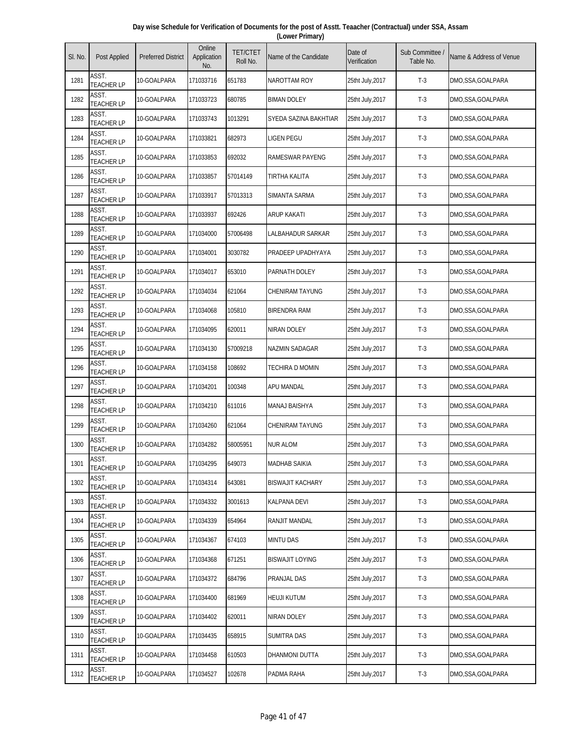| Day wise Schedule for Verification of Documents for the post of Asstt. Teaacher (Contractual) under SSA, Assam |  |
|----------------------------------------------------------------------------------------------------------------|--|
| (Lower Primary)                                                                                                |  |

| SI. No. | Post Applied               | <b>Preferred District</b> | Online<br>Application<br>No. | <b>TET/CTET</b><br>Roll No. | Name of the Candidate   | Date of<br>Verification | Sub Committee /<br>Table No. | Name & Address of Venue |
|---------|----------------------------|---------------------------|------------------------------|-----------------------------|-------------------------|-------------------------|------------------------------|-------------------------|
| 1281    | ASST.<br><b>TEACHER LP</b> | 10-GOALPARA               | 171033716                    | 651783                      | NAROTTAM ROY            | 25tht July, 2017        | $T-3$                        | DMO,SSA,GOALPARA        |
| 1282    | ASST.<br><b>TEACHER LP</b> | 10-GOALPARA               | 171033723                    | 680785                      | <b>BIMAN DOLEY</b>      | 25tht July, 2017        | $T-3$                        | DMO,SSA,GOALPARA        |
| 1283    | ASST.<br><b>TEACHER LP</b> | 10-GOALPARA               | 171033743                    | 1013291                     | SYEDA SAZINA BAKHTIAR   | 25tht July, 2017        | $T-3$                        | DMO,SSA,GOALPARA        |
| 1284    | ASST.<br><b>TEACHER LP</b> | 10-GOALPARA               | 171033821                    | 682973                      | <b>LIGEN PEGU</b>       | 25tht July, 2017        | $T-3$                        | DMO,SSA,GOALPARA        |
| 1285    | ASST.<br><b>TEACHER LP</b> | 10-GOALPARA               | 171033853                    | 692032                      | <b>RAMESWAR PAYENG</b>  | 25tht July, 2017        | $T-3$                        | DMO,SSA,GOALPARA        |
| 1286    | ASST.<br><b>TEACHER LP</b> | 10-GOALPARA               | 171033857                    | 57014149                    | TIRTHA KALITA           | 25tht July, 2017        | $T-3$                        | DMO,SSA,GOALPARA        |
| 1287    | ASST.<br><b>TEACHER LP</b> | 10-GOALPARA               | 171033917                    | 57013313                    | SIMANTA SARMA           | 25tht July, 2017        | $T-3$                        | DMO,SSA,GOALPARA        |
| 1288    | ASST.<br><b>TEACHER LP</b> | 10-GOALPARA               | 171033937                    | 692426                      | <b>ARUP KAKATI</b>      | 25tht July,2017         | $T-3$                        | DMO,SSA,GOALPARA        |
| 1289    | ASST.<br><b>TEACHER LP</b> | 10-GOALPARA               | 171034000                    | 57006498                    | LALBAHADUR SARKAR       | 25tht July, 2017        | $T-3$                        | DMO,SSA,GOALPARA        |
| 1290    | ASST.<br><b>TEACHER LP</b> | 10-GOALPARA               | 171034001                    | 3030782                     | PRADEEP UPADHYAYA       | 25tht July, 2017        | $T-3$                        | DMO,SSA,GOALPARA        |
| 1291    | ASST.<br><b>TEACHER LP</b> | 10-GOALPARA               | 171034017                    | 653010                      | PARNATH DOLEY           | 25tht July, 2017        | $T-3$                        | DMO,SSA,GOALPARA        |
| 1292    | ASST.<br><b>TEACHER LP</b> | 10-GOALPARA               | 171034034                    | 621064                      | <b>CHENIRAM TAYUNG</b>  | 25tht July, 2017        | $T-3$                        | DMO,SSA,GOALPARA        |
| 1293    | ASST.<br><b>TEACHER LP</b> | 10-GOALPARA               | 171034068                    | 105810                      | <b>BIRENDRA RAM</b>     | 25tht July, 2017        | $T-3$                        | DMO,SSA,GOALPARA        |
| 1294    | ASST.<br><b>TEACHER LP</b> | 10-GOALPARA               | 171034095                    | 620011                      | <b>NIRAN DOLEY</b>      | 25tht July, 2017        | $T-3$                        | DMO,SSA,GOALPARA        |
| 1295    | ASST.<br><b>TEACHER LP</b> | 10-GOALPARA               | 171034130                    | 57009218                    | NAZMIN SADAGAR          | 25tht July, 2017        | $T-3$                        | DMO,SSA,GOALPARA        |
| 1296    | ASST.<br><b>TEACHER LP</b> | 10-GOALPARA               | 171034158                    | 108692                      | <b>TECHIRA D MOMIN</b>  | 25tht July, 2017        | $T-3$                        | DMO,SSA,GOALPARA        |
| 1297    | ASST.<br><b>TEACHER LP</b> | 10-GOALPARA               | 171034201                    | 100348                      | APU MANDAL              | 25tht July, 2017        | $T-3$                        | DMO,SSA,GOALPARA        |
| 1298    | ASST.<br><b>TEACHER LP</b> | 10-GOALPARA               | 171034210                    | 611016                      | <b>MANAJ BAISHYA</b>    | 25tht July, 2017        | $T-3$                        | DMO,SSA,GOALPARA        |
| 1299    | ASST.<br><b>TEACHER LP</b> | 10-GOALPARA               | 171034260                    | 621064                      | <b>CHENIRAM TAYUNG</b>  | 25tht July, 2017        | $T-3$                        | DMO,SSA,GOALPARA        |
| 1300    | ASST.<br><b>TEACHER LP</b> | 10-GOALPARA               | 171034282                    | 58005951                    | <b>NUR ALOM</b>         | 25tht July, 2017        | $T-3$                        | DMO,SSA,GOALPARA        |
| 1301    | ASST.<br><b>TEACHER LP</b> | 10-GOALPARA               | 171034295                    | 649073                      | <b>MADHAB SAIKIA</b>    | 25tht July, 2017        | $T-3$                        | DMO,SSA,GOALPARA        |
| 1302    | ASST.<br><b>TEACHER LP</b> | 10-GOALPARA               | 171034314                    | 643081                      | <b>BISWAJIT KACHARY</b> | 25tht July, 2017        | $T-3$                        | DMO,SSA,GOALPARA        |
| 1303    | ASST.<br><b>TEACHER LP</b> | 10-GOALPARA               | 171034332                    | 3001613                     | <b>KALPANA DEVI</b>     | 25tht July, 2017        | $T-3$                        | DMO,SSA,GOALPARA        |
| 1304    | ASST.<br><b>TEACHER LP</b> | 10-GOALPARA               | 171034339                    | 654964                      | RANJIT MANDAL           | 25tht July, 2017        | $T-3$                        | DMO,SSA,GOALPARA        |
| 1305    | ASST.<br><b>TEACHER LP</b> | 10-GOALPARA               | 171034367                    | 674103                      | <b>MINTU DAS</b>        | 25tht July, 2017        | $T-3$                        | DMO,SSA,GOALPARA        |
| 1306    | ASST.<br><b>TEACHER LP</b> | 10-GOALPARA               | 171034368                    | 671251                      | <b>BISWAJIT LOYING</b>  | 25tht July, 2017        | $T-3$                        | DMO,SSA,GOALPARA        |
| 1307    | ASST.<br><b>TEACHER LP</b> | 10-GOALPARA               | 171034372                    | 684796                      | PRANJAL DAS             | 25tht July, 2017        | $T-3$                        | DMO,SSA,GOALPARA        |
| 1308    | ASST.<br><b>TEACHER LP</b> | 10-GOALPARA               | 171034400                    | 681969                      | <b>HEUJI KUTUM</b>      | 25tht July, 2017        | $T-3$                        | DMO,SSA,GOALPARA        |
| 1309    | ASST.<br><b>TEACHER LP</b> | 10-GOALPARA               | 171034402                    | 620011                      | <b>NIRAN DOLEY</b>      | 25tht July, 2017        | $T-3$                        | DMO,SSA,GOALPARA        |
| 1310    | ASST.<br><b>TEACHER LP</b> | 10-GOALPARA               | 171034435                    | 658915                      | <b>SUMITRA DAS</b>      | 25tht July, 2017        | $T-3$                        | DMO,SSA,GOALPARA        |
| 1311    | ASST.<br>TEACHER LP        | 10-GOALPARA               | 171034458                    | 610503                      | DHANMONI DUTTA          | 25tht July, 2017        | $T-3$                        | DMO, SSA, GOALPARA      |
| 1312    | ASST.<br><b>TEACHER LP</b> | 10-GOALPARA               | 171034527                    | 102678                      | PADMA RAHA              | 25tht July, 2017        | $T-3$                        | DMO,SSA,GOALPARA        |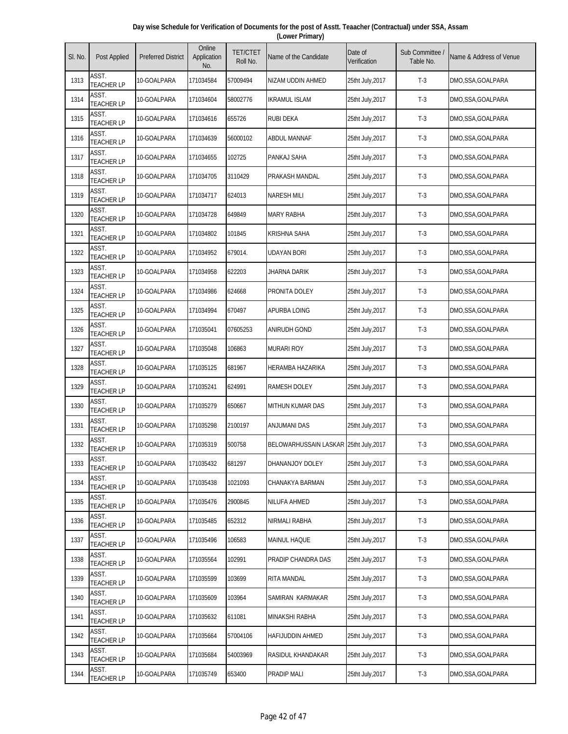| Day wise Schedule for Verification of Documents for the post of Asstt. Teaacher (Contractual) under SSA, Assam |  |
|----------------------------------------------------------------------------------------------------------------|--|
| (Lower Primary)                                                                                                |  |

| SI. No. | <b>Post Applied</b>        | <b>Preferred District</b> | Online<br>Application<br>No. | <b>TET/CTET</b><br>Roll No. | Name of the Candidate                  | Date of<br>Verification | Sub Committee<br>Table No. | Name & Address of Venue |
|---------|----------------------------|---------------------------|------------------------------|-----------------------------|----------------------------------------|-------------------------|----------------------------|-------------------------|
| 1313    | ASST.<br><b>TEACHER LP</b> | 10-GOALPARA               | 171034584                    | 57009494                    | NIZAM UDDIN AHMED                      | 25tht July,2017         | $T-3$                      | DMO,SSA,GOALPARA        |
| 1314    | ASST.<br><b>TEACHER LP</b> | 10-GOALPARA               | 171034604                    | 58002776                    | <b>IKRAMUL ISLAM</b>                   | 25tht July, 2017        | $T-3$                      | DMO,SSA,GOALPARA        |
| 1315    | ASST.<br><b>TEACHER LP</b> | 10-GOALPARA               | 171034616                    | 655726                      | <b>RUBI DEKA</b>                       | 25tht July, 2017        | $T-3$                      | DMO,SSA,GOALPARA        |
| 1316    | ASST.<br><b>TEACHER LP</b> | 10-GOALPARA               | 171034639                    | 56000102                    | ABDUL MANNAF                           | 25tht July, 2017        | $T-3$                      | DMO,SSA,GOALPARA        |
| 1317    | ASST.<br><b>TEACHER LP</b> | 10-GOALPARA               | 171034655                    | 102725                      | PANKAJ SAHA                            | 25tht July, 2017        | $T-3$                      | DMO,SSA,GOALPARA        |
| 1318    | ASST.<br><b>TEACHER LP</b> | 10-GOALPARA               | 171034705                    | 3110429                     | PRAKASH MANDAL                         | 25tht July, 2017        | $T-3$                      | DMO,SSA,GOALPARA        |
| 1319    | ASST.<br><b>TEACHER LP</b> | 10-GOALPARA               | 171034717                    | 624013                      | <b>NARESH MILI</b>                     | 25tht July, 2017        | $T-3$                      | DMO,SSA,GOALPARA        |
| 1320    | ASST.<br><b>TEACHER LP</b> | 10-GOALPARA               | 171034728                    | 649849                      | <b>MARY RABHA</b>                      | 25tht July, 2017        | $T-3$                      | DMO,SSA,GOALPARA        |
| 1321    | ASST.<br><b>TEACHER LP</b> | 10-GOALPARA               | 171034802                    | 101845                      | <b>KRISHNA SAHA</b>                    | 25tht July, 2017        | $T-3$                      | DMO,SSA,GOALPARA        |
| 1322    | ASST.<br><b>TEACHER LP</b> | 10-GOALPARA               | 171034952                    | 679014.                     | UDAYAN BORI                            | 25tht July, 2017        | $T-3$                      | DMO,SSA,GOALPARA        |
| 1323    | ASST.<br><b>TEACHER LP</b> | 10-GOALPARA               | 171034958                    | 622203                      | JHARNA DARIK                           | 25tht July, 2017        | $T-3$                      | DMO,SSA,GOALPARA        |
| 1324    | ASST.<br><b>TEACHER LP</b> | 10-GOALPARA               | 171034986                    | 624668                      | PRONITA DOLEY                          | 25tht July, 2017        | $T-3$                      | DMO,SSA,GOALPARA        |
| 1325    | ASST.<br><b>TEACHER LP</b> | 10-GOALPARA               | 171034994                    | 670497                      | APURBA LOING                           | 25tht July, 2017        | $T-3$                      | DMO,SSA,GOALPARA        |
| 1326    | ASST.<br><b>TEACHER LP</b> | 10-GOALPARA               | 171035041                    | 07605253                    | <b>ANIRUDH GOND</b>                    | 25tht July, 2017        | $T-3$                      | DMO,SSA,GOALPARA        |
| 1327    | ASST.<br><b>TEACHER LP</b> | 10-GOALPARA               | 171035048                    | 106863                      | <b>MURARI ROY</b>                      | 25tht July, 2017        | $T-3$                      | DMO, SSA, GOALPARA      |
| 1328    | ASST.<br><b>TEACHER LP</b> | 10-GOALPARA               | 171035125                    | 681967                      | <b>HERAMBA HAZARIKA</b>                | 25tht July, 2017        | $T-3$                      | DMO,SSA,GOALPARA        |
| 1329    | ASST.<br><b>TEACHER LP</b> | 10-GOALPARA               | 171035241                    | 624991                      | RAMESH DOLEY                           | 25tht July, 2017        | $T-3$                      | DMO,SSA,GOALPARA        |
| 1330    | ASST.<br><b>TEACHER LP</b> | 10-GOALPARA               | 171035279                    | 650667                      | <b>MITHUN KUMAR DAS</b>                | 25tht July, 2017        | $T-3$                      | DMO,SSA,GOALPARA        |
| 1331    | ASST.<br><b>TEACHER LP</b> | 10-GOALPARA               | 171035298                    | 2100197                     | ANJUMANI DAS                           | 25tht July, 2017        | $T-3$                      | DMO, SSA, GOALPARA      |
| 1332    | ASST.<br><b>TEACHER LP</b> | 10-GOALPARA               | 171035319                    | 500758                      | BELOWARHUSSAIN LASKAR 25tht July, 2017 |                         | $T-3$                      | DMO,SSA,GOALPARA        |
| 1333    | ASST.<br><b>TEACHER LP</b> | 10-GOALPARA               | 171035432                    | 681297                      | DHANANJOY DOLEY                        | 25tht July, 2017        | $T-3$                      | DMO,SSA,GOALPARA        |
| 1334    | ASST.<br><b>TEACHER LP</b> | 10-GOALPARA               | 171035438                    | 1021093                     | CHANAKYA BARMAN                        | 25tht July, 2017        | $T-3$                      | DMO,SSA,GOALPARA        |
| 1335    | ASST.<br><b>TEACHER LP</b> | 10-GOALPARA               | 171035476                    | 2900845                     | <b>NILUFA AHMED</b>                    | 25tht July, 2017        | $T-3$                      | DMO,SSA,GOALPARA        |
| 1336    | ASST.<br><b>TEACHER LP</b> | 10-GOALPARA               | 171035485                    | 652312                      | NIRMALI RABHA                          | 25tht July, 2017        | $T-3$                      | DMO, SSA, GOALPARA      |
| 1337    | ASST.<br><b>TEACHER LP</b> | 10-GOALPARA               | 171035496                    | 106583                      | <b>MAINUL HAQUE</b>                    | 25tht July, 2017        | $T-3$                      | DMO,SSA,GOALPARA        |
| 1338    | ASST.<br><b>TEACHER LP</b> | 10-GOALPARA               | 171035564                    | 102991                      | PRADIP CHANDRA DAS                     | 25tht July, 2017        | $T-3$                      | DMO,SSA,GOALPARA        |
| 1339    | ASST.<br><b>TEACHER LP</b> | 10-GOALPARA               | 171035599                    | 103699                      | RITA MANDAL                            | 25tht July, 2017        | $T-3$                      | DMO, SSA, GOALPARA      |
| 1340    | ASST.<br><b>TEACHER LP</b> | 10-GOALPARA               | 171035609                    | 103964                      | SAMIRAN KARMAKAR                       | 25tht July, 2017        | $T-3$                      | DMO,SSA,GOALPARA        |
| 1341    | ASST.<br><b>TEACHER LP</b> | 10-GOALPARA               | 171035632                    | 611081                      | <b>MINAKSHI RABHA</b>                  | 25tht July, 2017        | $T-3$                      | DMO,SSA,GOALPARA        |
| 1342    | ASST.<br><b>TEACHER LP</b> | 10-GOALPARA               | 171035664                    | 57004106                    | HAFIJUDDIN AHMED                       | 25tht July, 2017        | $T-3$                      | DMO,SSA,GOALPARA        |
| 1343    | ASST.<br><b>TEACHER LP</b> | 10-GOALPARA               | 171035684                    | 54003969                    | RASIDUL KHANDAKAR                      | 25tht July, 2017        | $T-3$                      | DMO,SSA,GOALPARA        |
| 1344    | ASST.<br><b>TEACHER LP</b> | 10-GOALPARA               | 171035749                    | 653400                      | PRADIP MALI                            | 25tht July, 2017        | $T-3$                      | DMO,SSA,GOALPARA        |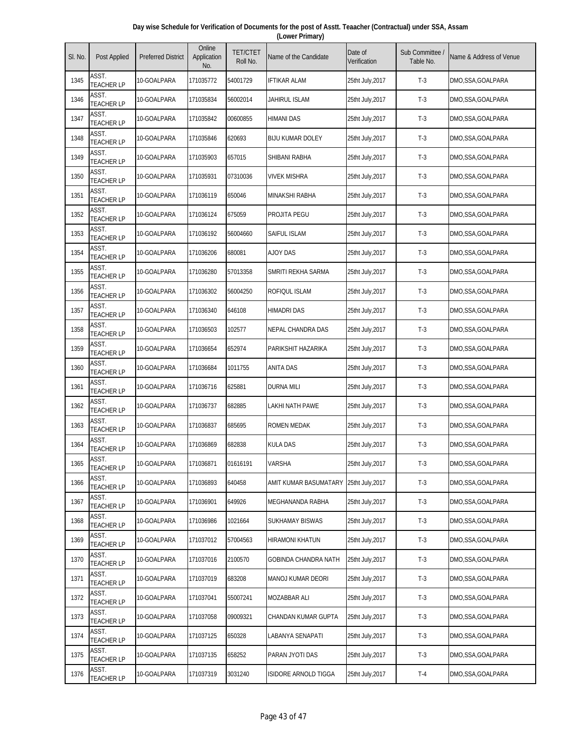| Day wise Schedule for Verification of Documents for the post of Asstt. Teaacher (Contractual) under SSA, Assam |
|----------------------------------------------------------------------------------------------------------------|
| (Lower Primary)                                                                                                |

| SI. No. | Post Applied               | <b>Preferred District</b> | Online<br>Application<br>No. | <b>TET/CTET</b><br>Roll No. | Name of the Candidate   | Date of<br>Verification | Sub Committee<br>Table No. | Name & Address of Venue |
|---------|----------------------------|---------------------------|------------------------------|-----------------------------|-------------------------|-------------------------|----------------------------|-------------------------|
| 1345    | ASST.<br><b>TEACHER LP</b> | 10-GOALPARA               | 171035772                    | 54001729                    | <b>IFTIKAR ALAM</b>     | 25tht July, 2017        | $T-3$                      | DMO,SSA,GOALPARA        |
| 1346    | ASST.<br><b>TEACHER LP</b> | 10-GOALPARA               | 171035834                    | 56002014                    | JAHIRUL ISLAM           | 25tht July, 2017        | $T-3$                      | DMO,SSA,GOALPARA        |
| 1347    | ASST.<br><b>TEACHER LP</b> | 10-GOALPARA               | 171035842                    | 00600855                    | HIMANI DAS              | 25tht July, 2017        | $T-3$                      | DMO,SSA,GOALPARA        |
| 1348    | ASST.<br><b>TEACHER LP</b> | 10-GOALPARA               | 171035846                    | 620693                      | <b>BIJU KUMAR DOLEY</b> | 25tht July, 2017        | $T-3$                      | DMO,SSA,GOALPARA        |
| 1349    | ASST.<br><b>TEACHER LP</b> | 10-GOALPARA               | 171035903                    | 657015                      | SHIBANI RABHA           | 25tht July, 2017        | $T-3$                      | DMO,SSA,GOALPARA        |
| 1350    | ASST.<br><b>TEACHER LP</b> | 10-GOALPARA               | 171035931                    | 07310036                    | <b>VIVEK MISHRA</b>     | 25tht July, 2017        | $T-3$                      | DMO, SSA, GOALPARA      |
| 1351    | ASST.<br><b>TEACHER LP</b> | 10-GOALPARA               | 171036119                    | 650046                      | MINAKSHI RABHA          | 25tht July, 2017        | $T-3$                      | DMO,SSA,GOALPARA        |
| 1352    | ASST.<br><b>TEACHER LP</b> | 10-GOALPARA               | 171036124                    | 675059                      | PROJITA PEGU            | 25tht July, 2017        | $T-3$                      | DMO,SSA,GOALPARA        |
| 1353    | ASST.<br><b>TEACHER LP</b> | 10-GOALPARA               | 171036192                    | 56004660                    | SAIFUL ISLAM            | 25tht July, 2017        | $T-3$                      | DMO,SSA,GOALPARA        |
| 1354    | ASST.<br><b>TEACHER LP</b> | 10-GOALPARA               | 171036206                    | 680081                      | <b>AJOY DAS</b>         | 25tht July, 2017        | $T-3$                      | DMO,SSA,GOALPARA        |
| 1355    | ASST.<br><b>TEACHER LP</b> | 10-GOALPARA               | 171036280                    | 57013358                    | SMRITI REKHA SARMA      | 25tht July, 2017        | $T-3$                      | DMO,SSA,GOALPARA        |
| 1356    | ASST.<br><b>TEACHER LP</b> | 10-GOALPARA               | 171036302                    | 56004250                    | ROFIQUL ISLAM           | 25tht July, 2017        | $T-3$                      | DMO,SSA,GOALPARA        |
| 1357    | ASST.<br><b>TEACHER LP</b> | 10-GOALPARA               | 171036340                    | 646108                      | HIMADRI DAS             | 25tht July, 2017        | $T-3$                      | DMO,SSA,GOALPARA        |
| 1358    | ASST.<br><b>TEACHER LP</b> | 10-GOALPARA               | 171036503                    | 102577                      | NEPAL CHANDRA DAS       | 25tht July, 2017        | $T-3$                      | DMO,SSA,GOALPARA        |
| 1359    | ASST.<br><b>TEACHER LP</b> | 10-GOALPARA               | 171036654                    | 652974                      | PARIKSHIT HAZARIKA      | 25tht July, 2017        | $T-3$                      | DMO,SSA,GOALPARA        |
| 1360    | ASST.<br><b>TEACHER LP</b> | 10-GOALPARA               | 171036684                    | 1011755                     | <b>ANITA DAS</b>        | 25tht July, 2017        | $T-3$                      | DMO,SSA,GOALPARA        |
| 1361    | ASST.<br><b>TEACHER LP</b> | 10-GOALPARA               | 171036716                    | 625881                      | <b>DURNA MILI</b>       | 25tht July, 2017        | $T-3$                      | DMO,SSA,GOALPARA        |
| 1362    | ASST.<br><b>TEACHER LP</b> | 10-GOALPARA               | 171036737                    | 682885                      | LAKHI NATH PAWE         | 25tht July, 2017        | $T-3$                      | DMO,SSA,GOALPARA        |
| 1363    | ASST.<br><b>TEACHER LP</b> | 10-GOALPARA               | 171036837                    | 685695                      | ROMEN MEDAK             | 25tht July, 2017        | $T-3$                      | DMO,SSA,GOALPARA        |
| 1364    | ASST.<br><b>TEACHER LP</b> | 10-GOALPARA               | 171036869                    | 682838                      | <b>KULA DAS</b>         | 25tht July, 2017        | $T-3$                      | DMO,SSA,GOALPARA        |
| 1365    | ASST.<br><b>TEACHER LP</b> | 10-GOALPARA               | 171036871                    | 01616191                    | <b>VARSHA</b>           | 25tht July, 2017        | $T-3$                      | DMO,SSA,GOALPARA        |
| 1366    | ASST.<br><b>TEACHER LP</b> | 10-GOALPARA               | 171036893                    | 640458                      | AMIT KUMAR BASUMATARY   | 25tht July, 2017        | $T-3$                      | DMO,SSA,GOALPARA        |
| 1367    | ASST.<br><b>TEACHER LP</b> | 10-GOALPARA               | 171036901                    | 649926                      | MEGHANANDA RABHA        | 25tht July, 2017        | $T-3$                      | DMO,SSA,GOALPARA        |
| 1368    | ASST.<br><b>TEACHER LP</b> | 10-GOALPARA               | 171036986                    | 1021664                     | SUKHAMAY BISWAS         | 25tht July, 2017        | $T-3$                      | DMO, SSA, GOALPARA      |
| 1369    | ASST.<br><b>TEACHER LP</b> | 10-GOALPARA               | 171037012                    | 57004563                    | HIRAMONI KHATUN         | 25tht July, 2017        | $T-3$                      | DMO,SSA,GOALPARA        |
| 1370    | ASST.<br>TEACHER LP        | 10-GOALPARA               | 171037016                    | 2100570                     | GOBINDA CHANDRA NATH    | 25tht July, 2017        | $T-3$                      | DMO,SSA,GOALPARA        |
| 1371    | ASST.<br><b>TEACHER LP</b> | 10-GOALPARA               | 171037019                    | 683208                      | MANOJ KUMAR DEORI       | 25tht July, 2017        | $T-3$                      | DMO,SSA,GOALPARA        |
| 1372    | ASST.<br><b>TEACHER LP</b> | 10-GOALPARA               | 171037041                    | 55007241                    | MOZABBAR ALI            | 25tht July, 2017        | $T-3$                      | DMO,SSA,GOALPARA        |
| 1373    | ASST.<br><b>TEACHER LP</b> | 10-GOALPARA               | 171037058                    | 09009321                    | CHANDAN KUMAR GUPTA     | 25tht July, 2017        | $T-3$                      | DMO,SSA,GOALPARA        |
| 1374    | ASST.<br><b>TEACHER LP</b> | 10-GOALPARA               | 171037125                    | 650328                      | LABANYA SENAPATI        | 25tht July, 2017        | $T-3$                      | DMO,SSA,GOALPARA        |
| 1375    | ASST.<br><b>TEACHER LP</b> | 10-GOALPARA               | 171037135                    | 658252                      | PARAN JYOTI DAS         | 25tht July, 2017        | $T-3$                      | DMO,SSA,GOALPARA        |
| 1376    | ASST.<br><b>TEACHER LP</b> | 10-GOALPARA               | 171037319                    | 3031240                     | ISIDORE ARNOLD TIGGA    | 25tht July, 2017        | $T-4$                      | DMO,SSA,GOALPARA        |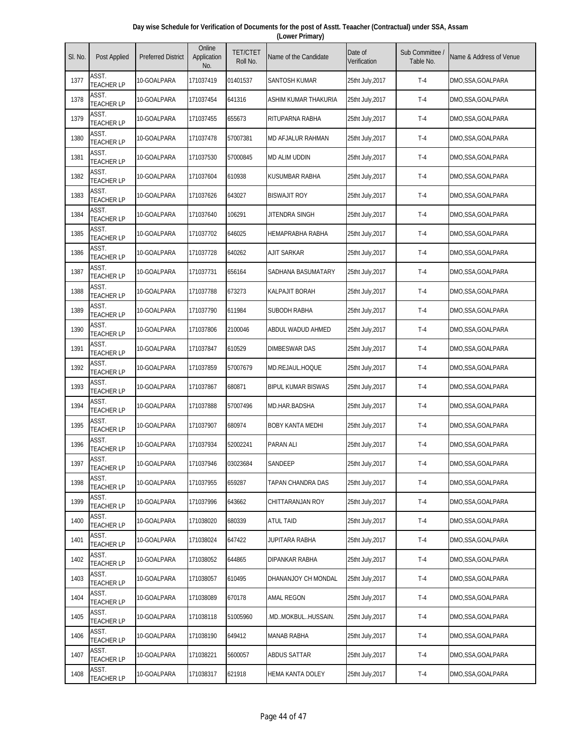| Day wise Schedule for Verification of Documents for the post of Asstt. Teaacher (Contractual) under SSA, Assam |  |
|----------------------------------------------------------------------------------------------------------------|--|
| (Lower Primary)                                                                                                |  |

| SI. No. | Post Applied               | <b>Preferred District</b> | Online<br>Application<br>No. | <b>TET/CTET</b><br>Roll No. | Name of the Candidate     | Date of<br>Verification | Sub Committee<br>Table No. | Name & Address of Venue |
|---------|----------------------------|---------------------------|------------------------------|-----------------------------|---------------------------|-------------------------|----------------------------|-------------------------|
| 1377    | ASST.<br><b>TEACHER LP</b> | 10-GOALPARA               | 171037419                    | 01401537                    | SANTOSH KUMAR             | 25tht July, 2017        | $T-4$                      | DMO,SSA,GOALPARA        |
| 1378    | ASST.<br><b>TEACHER LP</b> | 10-GOALPARA               | 171037454                    | 641316                      | ASHIM KUMAR THAKURIA      | 25tht July, 2017        | $T-4$                      | DMO,SSA,GOALPARA        |
| 1379    | ASST.<br><b>TEACHER LP</b> | 10-GOALPARA               | 171037455                    | 655673                      | RITUPARNA RABHA           | 25tht July, 2017        | $T-4$                      | DMO,SSA,GOALPARA        |
| 1380    | ASST.<br><b>TEACHER LP</b> | 10-GOALPARA               | 171037478                    | 57007381                    | <b>MD AFJALUR RAHMAN</b>  | 25tht July, 2017        | $T-4$                      | DMO,SSA,GOALPARA        |
| 1381    | ASST.<br><b>TEACHER LP</b> | 10-GOALPARA               | 171037530                    | 57000845                    | <b>MD ALIM UDDIN</b>      | 25tht July, 2017        | $T-4$                      | DMO,SSA,GOALPARA        |
| 1382    | ASST.<br><b>TEACHER LP</b> | 10-GOALPARA               | 171037604                    | 610938                      | KUSUMBAR RABHA            | 25tht July, 2017        | $T-4$                      | DMO,SSA,GOALPARA        |
| 1383    | ASST.<br><b>TEACHER LP</b> | 10-GOALPARA               | 171037626                    | 643027                      | <b>BISWAJIT ROY</b>       | 25tht July, 2017        | $T-4$                      | DMO,SSA,GOALPARA        |
| 1384    | ASST.<br><b>TEACHER LP</b> | 10-GOALPARA               | 171037640                    | 106291                      | JITENDRA SINGH            | 25tht July,2017         | $T-4$                      | DMO,SSA,GOALPARA        |
| 1385    | ASST.<br><b>TEACHER LP</b> | 10-GOALPARA               | 171037702                    | 646025                      | <b>HEMAPRABHA RABHA</b>   | 25tht July, 2017        | $T-4$                      | DMO,SSA,GOALPARA        |
| 1386    | ASST.<br><b>TEACHER LP</b> | 10-GOALPARA               | 171037728                    | 640262                      | <b>AJIT SARKAR</b>        | 25tht July, 2017        | $T-4$                      | DMO,SSA,GOALPARA        |
| 1387    | ASST.<br><b>TEACHER LP</b> | 10-GOALPARA               | 171037731                    | 656164                      | SADHANA BASUMATARY        | 25tht July, 2017        | $T-4$                      | DMO,SSA,GOALPARA        |
| 1388    | ASST.<br><b>TEACHER LP</b> | 10-GOALPARA               | 171037788                    | 673273                      | <b>KALPAJIT BORAH</b>     | 25tht July, 2017        | $T-4$                      | DMO,SSA,GOALPARA        |
| 1389    | ASST.<br><b>TEACHER LP</b> | 10-GOALPARA               | 171037790                    | 611984                      | <b>SUBODH RABHA</b>       | 25tht July, 2017        | $T-4$                      | DMO,SSA,GOALPARA        |
| 1390    | ASST.<br><b>TEACHER LP</b> | 10-GOALPARA               | 171037806                    | 2100046                     | ABDUL WADUD AHMED         | 25tht July, 2017        | $T-4$                      | DMO,SSA,GOALPARA        |
| 1391    | ASST.<br><b>TEACHER LP</b> | 10-GOALPARA               | 171037847                    | 610529                      | DIMBESWAR DAS             | 25tht July, 2017        | $T-4$                      | DMO,SSA,GOALPARA        |
| 1392    | ASST.<br><b>TEACHER LP</b> | 10-GOALPARA               | 171037859                    | 57007679                    | MD.REJAUL.HOQUE           | 25tht July, 2017        | $T-4$                      | DMO,SSA,GOALPARA        |
| 1393    | ASST.<br><b>TEACHER LP</b> | 10-GOALPARA               | 171037867                    | 680871                      | <b>BIPUL KUMAR BISWAS</b> | 25tht July, 2017        | $T-4$                      | DMO,SSA,GOALPARA        |
| 1394    | ASST.<br><b>TEACHER LP</b> | 10-GOALPARA               | 171037888                    | 57007496                    | MD.HAR.BADSHA             | 25tht July, 2017        | $T-4$                      | DMO,SSA,GOALPARA        |
| 1395    | ASST.<br><b>TEACHER LP</b> | 10-GOALPARA               | 171037907                    | 680974                      | <b>BOBY KANTA MEDHI</b>   | 25tht July, 2017        | $T-4$                      | DMO,SSA,GOALPARA        |
| 1396    | ASST.<br><b>TEACHER LP</b> | 10-GOALPARA               | 171037934                    | 52002241                    | PARAN ALI                 | 25tht July, 2017        | $T-4$                      | DMO,SSA,GOALPARA        |
| 1397    | ASST.<br><b>TEACHER LP</b> | 10-GOALPARA               | 171037946                    | 03023684                    | SANDEEP                   | 25tht July, 2017        | $T-4$                      | DMO,SSA,GOALPARA        |
| 1398    | ASST.<br><b>TEACHER LP</b> | 10-GOALPARA               | 171037955                    | 659287                      | TAPAN CHANDRA DAS         | 25tht July, 2017        | $T-4$                      | DMO,SSA,GOALPARA        |
| 1399    | ASST.<br><b>TEACHER LP</b> | 10-GOALPARA               | 171037996                    | 643662                      | CHITTARANJAN ROY          | 25tht July, 2017        | $T-4$                      | DMO,SSA,GOALPARA        |
| 1400    | ASST.<br><b>TEACHER LP</b> | 10-GOALPARA               | 171038020                    | 680339                      | <b>ATUL TAID</b>          | 25tht July, 2017        | $T-4$                      | DMO,SSA,GOALPARA        |
| 1401    | ASST.<br><b>TEACHER LP</b> | 10-GOALPARA               | 171038024                    | 647422                      | JUPITARA RABHA            | 25tht July, 2017        | $T-4$                      | DMO,SSA,GOALPARA        |
| 1402    | ASST.<br><b>TEACHER LP</b> | 10-GOALPARA               | 171038052                    | 644865                      | DIPANKAR RABHA            | 25tht July, 2017        | $T-4$                      | DMO,SSA,GOALPARA        |
| 1403    | ASST.<br><b>TEACHER LP</b> | 10-GOALPARA               | 171038057                    | 610495                      | DHANANJOY CH MONDAL       | 25tht July, 2017        | $T-4$                      | DMO,SSA,GOALPARA        |
| 1404    | ASST.<br><b>TEACHER LP</b> | 10-GOALPARA               | 171038089                    | 670178                      | AMAL REGON                | 25tht July, 2017        | $T-4$                      | DMO,SSA,GOALPARA        |
| 1405    | ASST.<br><b>TEACHER LP</b> | 10-GOALPARA               | 171038118                    | 51005960                    | .mdmokbulhussain.         | 25tht July, 2017        | $T-4$                      | DMO,SSA,GOALPARA        |
| 1406    | ASST.<br><b>TEACHER LP</b> | 10-GOALPARA               | 171038190                    | 649412                      | <b>MANAB RABHA</b>        | 25tht July, 2017        | $T-4$                      | DMO,SSA,GOALPARA        |
| 1407    | ASST.<br><b>TEACHER LP</b> | 10-GOALPARA               | 171038221                    | 5600057                     | ABDUS SATTAR              | 25tht July, 2017        | $T-4$                      | DMO, SSA, GOALPARA      |
| 1408    | ASST.<br><b>TEACHER LP</b> | 10-GOALPARA               | 171038317                    | 621918                      | <b>HEMA KANTA DOLEY</b>   | 25tht July, 2017        | $T-4$                      | DMO,SSA,GOALPARA        |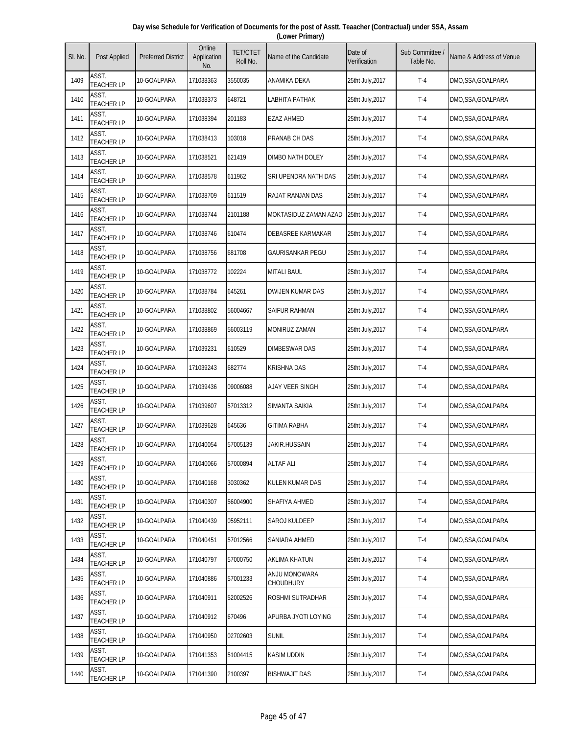| Day wise Schedule for Verification of Documents for the post of Asstt. Teaacher (Contractual) under SSA, Assam |
|----------------------------------------------------------------------------------------------------------------|
| (Lower Primary)                                                                                                |

| SI. No. | Post Applied               | <b>Preferred District</b> | Online<br>Application<br>No. | <b>TET/CTET</b><br>Roll No. | Name of the Candidate      | Date of<br>Verification | Sub Committee<br>Table No. | Name & Address of Venue |
|---------|----------------------------|---------------------------|------------------------------|-----------------------------|----------------------------|-------------------------|----------------------------|-------------------------|
| 1409    | ASST.<br><b>TEACHER LP</b> | 10-GOALPARA               | 171038363                    | 3550035                     | ANAMIKA DEKA               | 25tht July, 2017        | $T-4$                      | DMO,SSA,GOALPARA        |
| 1410    | ASST.<br><b>TEACHER LP</b> | 10-GOALPARA               | 171038373                    | 648721                      | LABHITA PATHAK             | 25tht July, 2017        | $T-4$                      | DMO.SSA.GOALPARA        |
| 1411    | ASST.<br><b>TEACHER LP</b> | 10-GOALPARA               | 171038394                    | 201183                      | EZAZ AHMED                 | 25tht July, 2017        | $T-4$                      | DMO,SSA,GOALPARA        |
| 1412    | ASST.<br><b>TEACHER LP</b> | 10-GOALPARA               | 171038413                    | 103018                      | PRANAB CH DAS              | 25tht July, 2017        | $T-4$                      | DMO,SSA,GOALPARA        |
| 1413    | ASST.<br><b>TEACHER LP</b> | 10-GOALPARA               | 171038521                    | 621419                      | DIMBO NATH DOLEY           | 25tht July, 2017        | $T-4$                      | DMO,SSA,GOALPARA        |
| 1414    | ASST.<br><b>TEACHER LP</b> | 10-GOALPARA               | 171038578                    | 611962                      | SRI UPENDRA NATH DAS       | 25tht July, 2017        | $T-4$                      | DMO,SSA,GOALPARA        |
| 1415    | ASST.<br><b>TEACHER LP</b> | 10-GOALPARA               | 171038709                    | 611519                      | RAJAT RANJAN DAS           | 25tht July, 2017        | $T-4$                      | DMO,SSA,GOALPARA        |
| 1416    | ASST.<br><b>TEACHER LP</b> | 10-GOALPARA               | 171038744                    | 2101188                     | MOKTASIDUZ ZAMAN AZAD      | 25tht July, 2017        | $T-4$                      | DMO,SSA,GOALPARA        |
| 1417    | ASST.<br><b>TEACHER LP</b> | 10-GOALPARA               | 171038746                    | 610474                      | DEBASREE KARMAKAR          | 25tht July, 2017        | $T-4$                      | DMO,SSA,GOALPARA        |
| 1418    | ASST.<br><b>TEACHER LP</b> | 10-GOALPARA               | 171038756                    | 681708                      | GAURISANKAR PEGU           | 25tht July, 2017        | $T-4$                      | DMO,SSA,GOALPARA        |
| 1419    | ASST.<br><b>TEACHER LP</b> | 10-GOALPARA               | 171038772                    | 102224                      | <b>MITALI BAUL</b>         | 25tht July, 2017        | $T-4$                      | DMO,SSA,GOALPARA        |
| 1420    | ASST.<br><b>TEACHER LP</b> | 10-GOALPARA               | 171038784                    | 645261                      | DWIJEN KUMAR DAS           | 25tht July, 2017        | $T-4$                      | DMO,SSA,GOALPARA        |
| 1421    | ASST.<br><b>TEACHER LP</b> | 10-GOALPARA               | 171038802                    | 56004667                    | <b>SAIFUR RAHMAN</b>       | 25tht July, 2017        | $T-4$                      | DMO,SSA,GOALPARA        |
| 1422    | ASST.<br><b>TEACHER LP</b> | 10-GOALPARA               | 171038869                    | 56003119                    | <b>MONIRUZ ZAMAN</b>       | 25tht July, 2017        | $T-4$                      | DMO,SSA,GOALPARA        |
| 1423    | ASST.<br><b>TEACHER LP</b> | 10-GOALPARA               | 171039231                    | 610529                      | DIMBESWAR DAS              | 25tht July, 2017        | $T-4$                      | DMO,SSA,GOALPARA        |
| 1424    | ASST.<br><b>TEACHER LP</b> | 10-GOALPARA               | 171039243                    | 682774                      | <b>KRISHNA DAS</b>         | 25tht July, 2017        | $T-4$                      | DMO,SSA,GOALPARA        |
| 1425    | ASST.<br>TEACHER LP        | 10-GOALPARA               | 171039436                    | 09006088                    | AJAY VEER SINGH            | 25tht July, 2017        | $T-4$                      | DMO, SSA, GOALPARA      |
| 1426    | ASST.<br><b>TEACHER LP</b> | 10-GOALPARA               | 171039607                    | 57013312                    | SIMANTA SAIKIA             | 25tht July, 2017        | $T-4$                      | DMO,SSA,GOALPARA        |
| 1427    | ASST.<br>TEACHER LP        | 10-GOALPARA               | 171039628                    | 645636                      | GITIMA RABHA               | 25tht July, 2017        | $T-4$                      | DMO, SSA, GOALPARA      |
| 1428    | ASST.<br><b>TEACHER LP</b> | 10-GOALPARA               | 171040054                    | 57005139                    | Jakir.hussain              | 25tht July, 2017        | $T-4$                      | DMO,SSA,GOALPARA        |
| 1429    | ASST.<br><b>TEACHER LP</b> | 10-GOALPARA               | 171040066                    | 57000894                    | <b>ALTAF ALI</b>           | 25tht July, 2017        | $T-4$                      | DMO,SSA,GOALPARA        |
| 1430    | ASST.<br><b>TEACHER LP</b> | 10-GOALPARA               | 171040168                    | 3030362                     | KULEN KUMAR DAS            | 25tht July, 2017        | $T-4$                      | DMO,SSA,GOALPARA        |
| 1431    | ASST.<br><b>TEACHER LP</b> | 10-GOALPARA               | 171040307                    | 56004900                    | SHAFIYA AHMED              | 25tht July, 2017        | $T-4$                      | DMO,SSA,GOALPARA        |
| 1432    | ASST.<br><b>TEACHER LP</b> | 10-GOALPARA               | 171040439                    | 05952111                    | SAROJ KULDEEP              | 25tht July, 2017        | $T-4$                      | DMO,SSA,GOALPARA        |
| 1433    | ASST.<br><b>TEACHER LP</b> | 10-GOALPARA               | 171040451                    | 57012566                    | SANIARA AHMED              | 25tht July, 2017        | $T-4$                      | DMO,SSA,GOALPARA        |
| 1434    | ASST.<br><b>TEACHER LP</b> | 10-GOALPARA               | 171040797                    | 57000750                    | AKLIMA KHATUN              | 25tht July, 2017        | $T-4$                      | DMO, SSA, GOALPARA      |
| 1435    | ASST.<br><b>TEACHER LP</b> | 10-GOALPARA               | 171040886                    | 57001233                    | ANJU MONOWARA<br>CHOUDHURY | 25tht July, 2017        | $T-4$                      | DMO,SSA,GOALPARA        |
| 1436    | ASST.<br>TEACHER LP        | 10-GOALPARA               | 171040911                    | 52002526                    | ROSHMI SUTRADHAR           | 25tht July, 2017        | $T-4$                      | DMO, SSA, GOALPARA      |
| 1437    | ASST.<br><b>TEACHER LP</b> | 10-GOALPARA               | 171040912                    | 670496                      | APURBA JYOTI LOYING        | 25tht July, 2017        | $T-4$                      | DMO,SSA,GOALPARA        |
| 1438    | ASST.<br><b>TEACHER LP</b> | 10-GOALPARA               | 171040950                    | 02702603                    | Sunil                      | 25tht July, 2017        | $T-4$                      | DMO,SSA,GOALPARA        |
| 1439    | ASST.<br><b>TEACHER LP</b> | 10-GOALPARA               | 171041353                    | 51004415                    | KASIM UDDIN                | 25tht July, 2017        | $T-4$                      | DMO,SSA,GOALPARA        |
| 1440    | ASST.<br><b>TEACHER LP</b> | 10-GOALPARA               | 171041390                    | 2100397                     | <b>BISHWAJIT DAS</b>       | 25tht July, 2017        | $T-4$                      | DMO,SSA,GOALPARA        |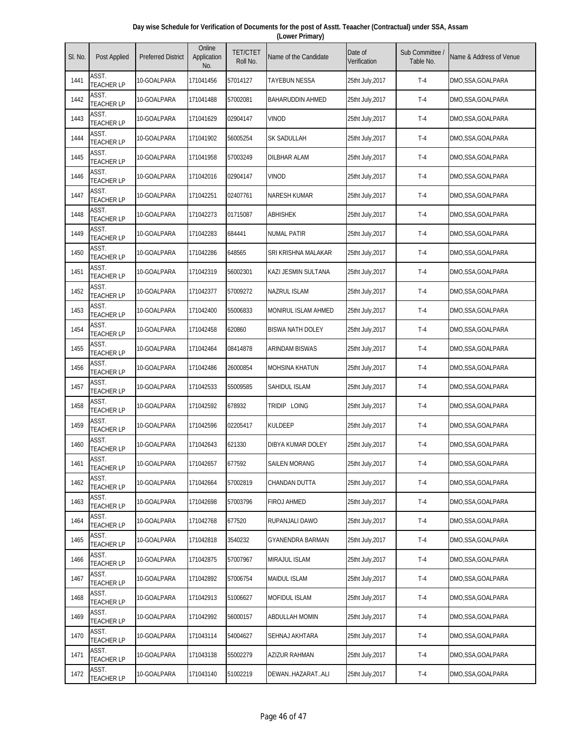| Day wise Schedule for Verification of Documents for the post of Asstt. Teaacher (Contractual) under SSA, Assam |  |
|----------------------------------------------------------------------------------------------------------------|--|
| (Lower Primary)                                                                                                |  |

| SI. No. | Post Applied               | <b>Preferred District</b> | Online<br>Application<br>No. | <b>TET/CTET</b><br>Roll No. | Name of the Candidate   | Date of<br>Verification | Sub Committee<br>Table No. | Name & Address of Venue |
|---------|----------------------------|---------------------------|------------------------------|-----------------------------|-------------------------|-------------------------|----------------------------|-------------------------|
| 1441    | ASST.<br><b>TEACHER LP</b> | 10-GOALPARA               | 171041456                    | 57014127                    | <b>TAYEBUN NESSA</b>    | 25tht July,2017         | $T-4$                      | DMO,SSA,GOALPARA        |
| 1442    | ASST.<br><b>TEACHER LP</b> | 10-GOALPARA               | 171041488                    | 57002081                    | <b>BAHARUDDIN AHMED</b> | 25tht July, 2017        | $T-4$                      | DMO,SSA,GOALPARA        |
| 1443    | ASST.<br><b>TEACHER LP</b> | 10-GOALPARA               | 171041629                    | 02904147                    | <b>VINOD</b>            | 25tht July, 2017        | $T-4$                      | DMO,SSA,GOALPARA        |
| 1444    | ASST.<br><b>TEACHER LP</b> | 10-GOALPARA               | 171041902                    | 56005254                    | SK SADULLAH             | 25tht July, 2017        | $T-4$                      | DMO,SSA,GOALPARA        |
| 1445    | ASST.<br><b>TEACHER LP</b> | 10-GOALPARA               | 171041958                    | 57003249                    | <b>DILBHAR ALAM</b>     | 25tht July, 2017        | $T-4$                      | DMO,SSA,GOALPARA        |
| 1446    | ASST.<br><b>TEACHER LP</b> | 10-GOALPARA               | 171042016                    | 02904147                    | <b>VINOD</b>            | 25tht July, 2017        | $T-4$                      | DMO,SSA,GOALPARA        |
| 1447    | ASST.<br><b>TEACHER LP</b> | 10-GOALPARA               | 171042251                    | 02407761                    | <b>NARESH KUMAR</b>     | 25tht July, 2017        | $T-4$                      | DMO,SSA,GOALPARA        |
| 1448    | ASST.<br><b>TEACHER LP</b> | 10-GOALPARA               | 171042273                    | 01715087                    | ABHISHEK                | 25tht July, 2017        | $T-4$                      | DMO,SSA,GOALPARA        |
| 1449    | ASST.<br><b>TEACHER LP</b> | 10-GOALPARA               | 171042283                    | 684441                      | <b>NUMAL PATIR</b>      | 25tht July, 2017        | $T-4$                      | DMO,SSA,GOALPARA        |
| 1450    | ASST.<br><b>TEACHER LP</b> | 10-GOALPARA               | 171042286                    | 648565                      | SRI KRISHNA MALAKAR     | 25tht July, 2017        | $T-4$                      | DMO,SSA,GOALPARA        |
| 1451    | ASST.<br><b>TEACHER LP</b> | 10-GOALPARA               | 171042319                    | 56002301                    | KAZI JESMIN SULTANA     | 25tht July, 2017        | $T-4$                      | DMO,SSA,GOALPARA        |
| 1452    | ASST.<br><b>TEACHER LP</b> | 10-GOALPARA               | 171042377                    | 57009272                    | <b>NAZRUL ISLAM</b>     | 25tht July, 2017        | $T-4$                      | DMO,SSA,GOALPARA        |
| 1453    | ASST.<br><b>TEACHER LP</b> | 10-GOALPARA               | 171042400                    | 55006833                    | MONIRUL ISLAM AHMED     | 25tht July, 2017        | $T-4$                      | DMO,SSA,GOALPARA        |
| 1454    | ASST.<br><b>TEACHER LP</b> | 10-GOALPARA               | 171042458                    | 620860                      | <b>BISWA NATH DOLEY</b> | 25tht July, 2017        | $T-4$                      | DMO,SSA,GOALPARA        |
| 1455    | ASST.<br><b>TEACHER LP</b> | 10-GOALPARA               | 171042464                    | 08414878                    | ARINDAM BISWAS          | 25tht July, 2017        | $T-4$                      | DMO, SSA, GOALPARA      |
| 1456    | ASST.<br><b>TEACHER LP</b> | 10-GOALPARA               | 171042486                    | 26000854                    | <b>MOHSINA KHATUN</b>   | 25tht July, 2017        | $T-4$                      | DMO,SSA,GOALPARA        |
| 1457    | ASST.<br><b>TEACHER LP</b> | 10-GOALPARA               | 171042533                    | 55009585                    | SAHIDUL ISLAM           | 25tht July, 2017        | $T-4$                      | DMO,SSA,GOALPARA        |
| 1458    | ASST.<br><b>TEACHER LP</b> | 10-GOALPARA               | 171042592                    | 678932                      | TRIDIP LOING            | 25tht July, 2017        | $T-4$                      | DMO,SSA,GOALPARA        |
| 1459    | ASST.<br><b>TEACHER LP</b> | 10-GOALPARA               | 171042596                    | 02205417                    | <b>KULDEEP</b>          | 25tht July, 2017        | $T-4$                      | DMO, SSA, GOALPARA      |
| 1460    | ASST.<br><b>TEACHER LP</b> | 10-GOALPARA               | 171042643                    | 621330                      | DIBYA KUMAR DOLEY       | 25tht July, 2017        | $T-4$                      | DMO,SSA,GOALPARA        |
| 1461    | ASST.<br><b>TEACHER LP</b> | 10-GOALPARA               | 171042657                    | 677592                      | <b>SAILEN MORANG</b>    | 25tht July, 2017        | $T-4$                      | DMO,SSA,GOALPARA        |
| 1462    | ASST.<br><b>TEACHER LP</b> | 10-GOALPARA               | 171042664                    | 57002819                    | CHANDAN DUTTA           | 25tht July, 2017        | $T-4$                      | DMO,SSA,GOALPARA        |
| 1463    | ASST.<br><b>TEACHER LP</b> | 10-GOALPARA               | 171042698                    | 57003796                    | <b>FIROJ AHMED</b>      | 25tht July, 2017        | $T-4$                      | DMO,SSA,GOALPARA        |
| 1464    | ASST.<br><b>TEACHER LP</b> | 10-GOALPARA               | 171042768                    | 677520                      | RUPANJALI DAWO          | 25tht July, 2017        | $T-4$                      | DMO, SSA, GOALPARA      |
| 1465    | ASST.<br><b>TEACHER LP</b> | 10-GOALPARA               | 171042818                    | 3540232                     | <b>GYANENDRA BARMAN</b> | 25tht July, 2017        | $T-4$                      | DMO,SSA,GOALPARA        |
| 1466    | ASST.<br><b>TEACHER LP</b> | 10-GOALPARA               | 171042875                    | 57007967                    | <b>MIRAJUL ISLAM</b>    | 25tht July, 2017        | $T-4$                      | DMO,SSA,GOALPARA        |
| 1467    | ASST.<br><b>TEACHER LP</b> | 10-GOALPARA               | 171042892                    | 57006754                    | <b>MAIDUL ISLAM</b>     | 25tht July, 2017        | $T-4$                      | DMO, SSA, GOALPARA      |
| 1468    | ASST.<br><b>TEACHER LP</b> | 10-GOALPARA               | 171042913                    | 51006627                    | <b>MOFIDUL ISLAM</b>    | 25tht July, 2017        | $T-4$                      | DMO,SSA,GOALPARA        |
| 1469    | ASST.<br><b>TEACHER LP</b> | 10-GOALPARA               | 171042992                    | 56000157                    | <b>ABDULLAH MOMIN</b>   | 25tht July, 2017        | $T-4$                      | DMO,SSA,GOALPARA        |
| 1470    | ASST.<br><b>TEACHER LP</b> | 10-GOALPARA               | 171043114                    | 54004627                    | SEHNAJ AKHTARA          | 25tht July, 2017        | $T-4$                      | DMO,SSA,GOALPARA        |
| 1471    | ASST.<br><b>TEACHER LP</b> | 10-GOALPARA               | 171043138                    | 55002279                    | <b>AZIZUR RAHMAN</b>    | 25tht July, 2017        | $T-4$                      | DMO,SSA,GOALPARA        |
| 1472    | ASST.<br><b>TEACHER LP</b> | 10-GOALPARA               | 171043140                    | 51002219                    | DEWANHAZARATALI         | 25tht July, 2017        | $T-4$                      | DMO,SSA,GOALPARA        |